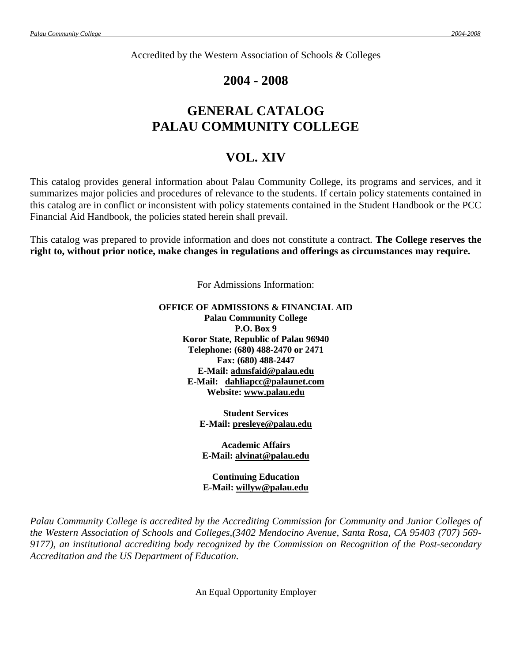Accredited by the Western Association of Schools & Colleges

# **2004 - 2008**

# **GENERAL CATALOG PALAU COMMUNITY COLLEGE**

# **VOL. XIV**

This catalog provides general information about Palau Community College, its programs and services, and it summarizes major policies and procedures of relevance to the students. If certain policy statements contained in this catalog are in conflict or inconsistent with policy statements contained in the Student Handbook or the PCC Financial Aid Handbook, the policies stated herein shall prevail.

This catalog was prepared to provide information and does not constitute a contract. **The College reserves the right to, without prior notice, make changes in regulations and offerings as circumstances may require.**

For Admissions Information:

## **OFFICE OF ADMISSIONS & FINANCIAL AID Palau Community College P.O. Box 9 Koror State, Republic of Palau 96940 Telephone: (680) 488-2470 or 2471 Fax: (680) 488-2447 E-Mail: [admsfaid@palau.edu](mailto:admsfaid@palau.edu) E-Mail: [dahliapcc@palaunet.com](mailto:dahliapcc@palaunet.com) Website: [www.palau.edu](http://www.palau.edu/)**

**Student Services**

**E-Mail: presleye@palau.edu**

**Academic Affairs E-Mail: alvinat@palau.edu**

**Continuing Education E-Mail: willyw@palau.edu**

*Palau Community College is accredited by the Accrediting Commission for Community and Junior Colleges of the Western Association of Schools and Colleges,(3402 Mendocino Avenue, Santa Rosa, CA 95403 (707) 569- 9177), an institutional accrediting body recognized by the Commission on Recognition of the Post-secondary Accreditation and the US Department of Education.*

An Equal Opportunity Employer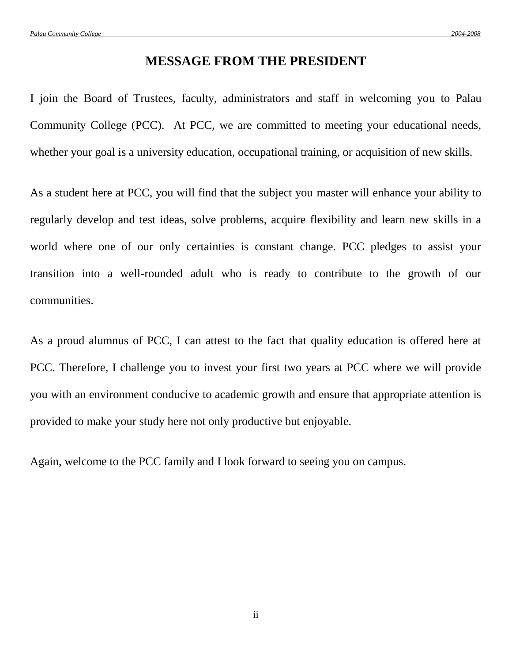# **MESSAGE FROM THE PRESIDENT**

I join the Board of Trustees, faculty, administrators and staff in welcoming you to Palau Community College (PCC). At PCC, we are committed to meeting your educational needs, whether your goal is a university education, occupational training, or acquisition of new skills.

As a student here at PCC, you will find that the subject you master will enhance your ability to regularly develop and test ideas, solve problems, acquire flexibility and learn new skills in a world where one of our only certainties is constant change. PCC pledges to assist your transition into a well-rounded adult who is ready to contribute to the growth of our communities.

As a proud alumnus of PCC, I can attest to the fact that quality education is offered here at PCC. Therefore, I challenge you to invest your first two years at PCC where we will provide you with an environment conducive to academic growth and ensure that appropriate attention is provided to make your study here not only productive but enjoyable.

Again, welcome to the PCC family and I look forward to seeing you on campus.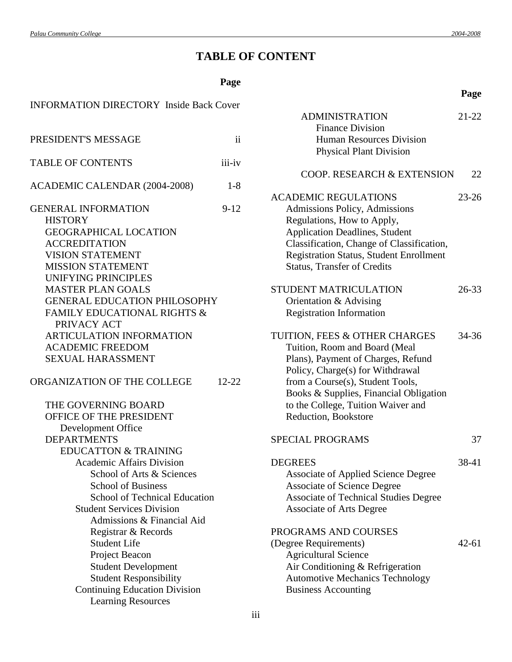**Page**

# **TABLE OF CONTENT**

# **Page**

| <b>INFORMATION DIRECTORY Inside Back Cover</b> |                     | Al             |
|------------------------------------------------|---------------------|----------------|
|                                                |                     |                |
| PRESIDENT'S MESSAGE                            | $\ddot{\mathbf{i}}$ |                |
| <b>TABLE OF CONTENTS</b>                       | iii-iv              |                |
| ACADEMIC CALENDAR (2004-2008)                  | $1 - 8$             | C(             |
|                                                |                     | <b>ACADEM</b>  |
| <b>GENERAL INFORMATION</b>                     | $9-12$              | Admis          |
| <b>HISTORY</b>                                 |                     | Regul          |
| <b>GEOGRAPHICAL LOCATION</b>                   |                     | Applio         |
| <b>ACCREDITATION</b>                           |                     | Classi         |
| <b>VISION STATEMENT</b>                        |                     | Regist         |
| <b>MISSION STATEMENT</b>                       |                     | <b>Status</b>  |
| <b>UNIFYING PRINCIPLES</b>                     |                     |                |
| <b>MASTER PLAN GOALS</b>                       |                     | <b>STUDEN</b>  |
| <b>GENERAL EDUCATION PHILOSOPHY</b>            |                     | Orient         |
| <b>FAMILY EDUCATIONAL RIGHTS &amp;</b>         |                     | Regist         |
| PRIVACY ACT                                    |                     |                |
| ARTICULATION INFORMATION                       |                     | <b>TUITION</b> |
| <b>ACADEMIC FREEDOM</b>                        |                     | Tuitio         |
| <b>SEXUAL HARASSMENT</b>                       |                     | Plans)         |
|                                                |                     | Policy         |
| ORGANIZATION OF THE COLLEGE                    | $12-22$             | from a         |
|                                                |                     | <b>Books</b>   |
| THE GOVERNING BOARD                            |                     | to the         |
| OFFICE OF THE PRESIDENT                        |                     | Reduc          |
| Development Office                             |                     |                |
| <b>DEPARTMENTS</b>                             |                     | <b>SPECIAL</b> |
| <b>EDUCATTON &amp; TRAINING</b>                |                     |                |
| <b>Academic Affairs Division</b>               |                     | <b>DEGREE</b>  |
| School of Arts & Sciences                      |                     | Assoc          |
| <b>School of Business</b>                      |                     | Assoc          |
| <b>School of Technical Education</b>           |                     | Assoc          |
| <b>Student Services Division</b>               |                     | Assoc          |
| Admissions & Financial Aid                     |                     |                |
| Registrar & Records                            |                     | <b>PROGRA</b>  |
| <b>Student Life</b>                            |                     | (Degree R      |
| Project Beacon                                 |                     | Agrici         |
| <b>Student Development</b>                     |                     | Air Co         |
| <b>Student Responsibility</b>                  |                     | Auton          |
| <b>Continuing Education Division</b>           |                     | <b>Busin</b>   |
| <b>Learning Resources</b>                      |                     |                |

| <b>ADMINISTRATION</b><br><b>Finance Division</b><br><b>Human Resources Division</b><br><b>Physical Plant Division</b>                                                                                                                                                                | $21 - 22$ |
|--------------------------------------------------------------------------------------------------------------------------------------------------------------------------------------------------------------------------------------------------------------------------------------|-----------|
| COOP. RESEARCH & EXTENSION                                                                                                                                                                                                                                                           | 22        |
| <b>ACADEMIC REGULATIONS</b><br>Admissions Policy, Admissions<br>Regulations, How to Apply,<br><b>Application Deadlines, Student</b><br>Classification, Change of Classification,<br>Registration Status, Student Enrollment<br><b>Status, Transfer of Credits</b>                    | $23 - 26$ |
| <b>STUDENT MATRICULATION</b><br>Orientation & Advising<br><b>Registration Information</b>                                                                                                                                                                                            | 26-33     |
| TUITION, FEES & OTHER CHARGES<br>Tuition, Room and Board (Meal<br>Plans), Payment of Charges, Refund<br>Policy, Charge(s) for Withdrawal<br>from a Course(s), Student Tools,<br>Books & Supplies, Financial Obligation<br>to the College, Tuition Waiver and<br>Reduction, Bookstore | 34-36     |
| <b>SPECIAL PROGRAMS</b>                                                                                                                                                                                                                                                              | 37        |
| <b>DEGREES</b><br><b>Associate of Applied Science Degree</b><br><b>Associate of Science Degree</b><br>Associate of Technical Studies Degree<br><b>Associate of Arts Degree</b>                                                                                                       | 38-41     |
| PROGRAMS AND COURSES<br>(Degree Requirements)<br><b>Agricultural Science</b><br>Air Conditioning & Refrigeration<br><b>Automotive Mechanics Technology</b><br><b>Business Accounting</b>                                                                                             | $42 - 61$ |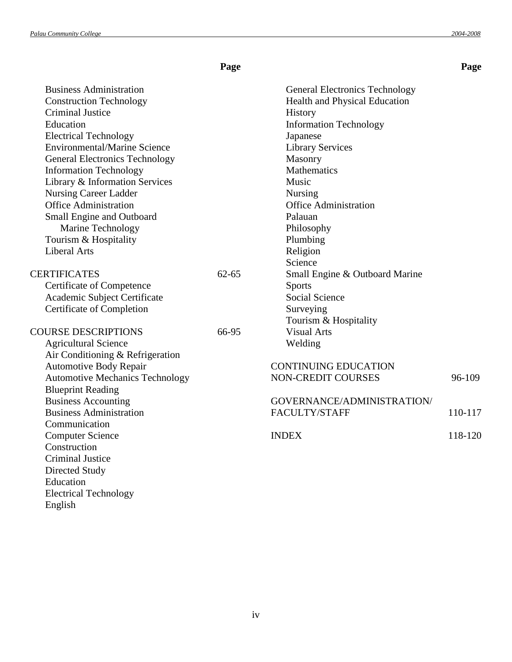Electrical Technology

English

|                                        | Page      |                                       | Page    |
|----------------------------------------|-----------|---------------------------------------|---------|
| <b>Business Administration</b>         |           | <b>General Electronics Technology</b> |         |
| <b>Construction Technology</b>         |           | Health and Physical Education         |         |
| <b>Criminal Justice</b>                |           | History                               |         |
| Education                              |           | <b>Information Technology</b>         |         |
| <b>Electrical Technology</b>           |           | Japanese                              |         |
| <b>Environmental/Marine Science</b>    |           | <b>Library Services</b>               |         |
| <b>General Electronics Technology</b>  |           | Masonry                               |         |
| <b>Information Technology</b>          |           | Mathematics                           |         |
| Library & Information Services         |           | Music                                 |         |
| <b>Nursing Career Ladder</b>           |           | <b>Nursing</b>                        |         |
| <b>Office Administration</b>           |           | <b>Office Administration</b>          |         |
| Small Engine and Outboard              |           | Palauan                               |         |
| Marine Technology                      |           | Philosophy                            |         |
| Tourism & Hospitality                  |           | Plumbing                              |         |
| <b>Liberal Arts</b>                    |           | Religion                              |         |
|                                        |           | Science                               |         |
| <b>CERTIFICATES</b>                    | $62 - 65$ | Small Engine & Outboard Marine        |         |
| Certificate of Competence              |           | <b>Sports</b>                         |         |
| Academic Subject Certificate           |           | <b>Social Science</b>                 |         |
| Certificate of Completion              |           | Surveying                             |         |
|                                        |           | Tourism & Hospitality                 |         |
| <b>COURSE DESCRIPTIONS</b>             | 66-95     | <b>Visual Arts</b>                    |         |
| <b>Agricultural Science</b>            |           | Welding                               |         |
| Air Conditioning & Refrigeration       |           |                                       |         |
| <b>Automotive Body Repair</b>          |           | <b>CONTINUING EDUCATION</b>           |         |
| <b>Automotive Mechanics Technology</b> |           | NON-CREDIT COURSES                    | 96-109  |
| <b>Blueprint Reading</b>               |           |                                       |         |
| <b>Business Accounting</b>             |           | GOVERNANCE/ADMINISTRATION/            |         |
| <b>Business Administration</b>         |           | FACULTY/STAFF                         | 110-117 |
| Communication                          |           |                                       |         |
| <b>Computer Science</b>                |           | <b>INDEX</b>                          | 118-120 |
| Construction                           |           |                                       |         |
| <b>Criminal Justice</b>                |           |                                       |         |
| Directed Study                         |           |                                       |         |
| Education                              |           |                                       |         |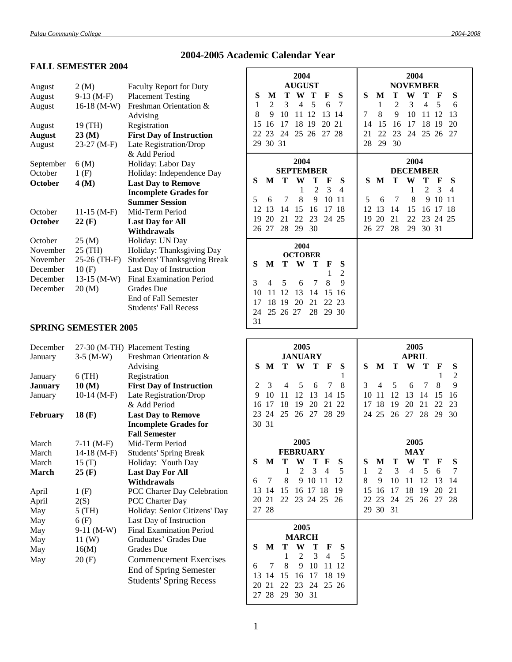# **2004-2005 Academic Calendar Year**

# **FALL SEMESTER 2004**

| August         | 2(M)             | <b>Faculty Report for Duty</b>      |
|----------------|------------------|-------------------------------------|
| August         | $9-13$ (M-F)     | <b>Placement Testing</b>            |
| August         | $16-18$ (M-W)    | Freshman Orientation &              |
|                |                  | Advising                            |
| August         | 19 (TH)          | Registration                        |
| <b>August</b>  | 23(M)            | <b>First Day of Instruction</b>     |
| August         | 23-27 (M-F)      | Late Registration/Drop              |
|                |                  | & Add Period                        |
| September      | 6(M)             | Holiday: Labor Day                  |
| October        | 1(F)             | Holiday: Independence Day           |
| October        | 4 (M)            | <b>Last Day to Remove</b>           |
|                |                  | <b>Incomplete Grades for</b>        |
|                |                  | <b>Summer Session</b>               |
| October        | $11-15$ (M-F)    | Mid-Term Period                     |
| <b>October</b> | $22 \text{ (F)}$ | <b>Last Day for All</b>             |
|                |                  | Withdrawals                         |
| October        | 25(M)            | Holiday: UN Day                     |
| November       | 25 (TH)          | Holiday: Thanksgiving Day           |
| November       | 25-26 (TH-F)     | <b>Students' Thanksgiving Break</b> |
| December       | 10(F)            | Last Day of Instruction             |
| December       | $13-15$ (M-W)    | <b>Final Examination Period</b>     |
| December       | 20(M)            | <b>Grades</b> Due                   |
|                |                  | <b>End of Fall Semester</b>         |
|                |                  | <b>Students' Fall Recess</b>        |

| 2004<br><b>AUGUST</b>                      | 2004<br><b>NOVEMBER</b>                |
|--------------------------------------------|----------------------------------------|
| S<br>W<br>Т<br>M<br>Т<br>S<br>F            | S<br>W<br>Т<br>Т<br>S<br>М<br>F        |
| $\mathbf{1}$<br>4<br>5<br>7<br>2<br>3<br>6 | 5<br>3<br>4<br>1<br>2<br>6             |
| 8<br>10<br>9<br>12<br>13<br>11<br>14       | 8<br>9<br>10<br>11<br>12<br>13<br>7    |
| 15<br>18<br>19<br>16<br>17<br>20<br>21     | 15<br>16<br>17<br>18<br>19<br>14<br>20 |
| 22<br>23 24<br>25 26<br>27 28              | 23<br>21<br>22<br>- 24<br>25 26<br>27  |
| 29 30 31                                   | 28<br>29<br>30                         |
| 2004                                       | 2004                                   |
| <b>SEPTEMBER</b>                           | <b>DECEMBER</b>                        |
| S<br>W<br>Т<br>т<br>S<br>M<br>F            | S<br>M<br>T –<br>W<br>Т<br>S<br>F      |
| 1<br>$\overline{c}$<br>3<br>4              | $\overline{2}$<br>3<br>1<br>4          |
| 5<br>9<br>8<br>10<br>7<br>11<br>6          | 9<br>8<br>10<br>5<br>7<br>6<br>11      |
| 13<br>12<br>14<br>15<br>17<br>18<br>16     | 12<br>13<br>15<br>17 18<br>14<br>16    |
| 20<br>22<br>23<br>19<br>21<br>24 25        | 19<br>20<br>22<br>23 24 25<br>21       |
| 26 27<br>28<br>29<br>30                    | 26 27<br>30 31<br>28<br>29             |
| 2004                                       |                                        |
| <b>OCTOBER</b>                             |                                        |
| S<br>T W<br>M<br>T<br>F<br>S<br>2<br>1     |                                        |
| 9<br>3<br>7<br>8<br>4<br>5<br>6            |                                        |
| 10<br>12<br>13<br>11<br>14<br>15<br>16     |                                        |
| 17<br>20<br>21<br>18<br>19<br>22<br>23     |                                        |
| 28<br>29 30<br>24<br>25 26 27              |                                        |
| 31                                         |                                        |

#### **SPRING SEMESTER 2005**

| December        |               | 27-30 (M-TH) Placement Testing  |
|-----------------|---------------|---------------------------------|
| January         | $3-5$ (M-W)   | Freshman Orientation &          |
|                 |               | Advising                        |
| January         | $6$ (TH)      | Registration                    |
| <b>January</b>  | 10(M)         | <b>First Day of Instruction</b> |
| January         | $10-14$ (M-F) | Late Registration/Drop          |
|                 |               | & Add Period                    |
| <b>February</b> | 18(F)         | <b>Last Day to Remove</b>       |
|                 |               | <b>Incomplete Grades for</b>    |
|                 |               | <b>Fall Semester</b>            |
| March           | $7-11$ (M-F)  | Mid-Term Period                 |
| March           | $14-18$ (M-F) | <b>Students' Spring Break</b>   |
| March           | 15(T)         | Holiday: Youth Day              |
| March           | 25(F)         | <b>Last Day For All</b>         |
|                 |               | Withdrawals                     |
| April           | 1(F)          | PCC Charter Day Celebration     |
| April           | 2(S)          | PCC Charter Day                 |
| May             | $5$ (TH)      | Holiday: Senior Citizens' Day   |
| May             | 6(F)          | Last Day of Instruction         |
| May             | $9-11$ (M-W)  | <b>Final Examination Period</b> |
| May             | 11 (W)        | Graduates' Grades Due           |
| May             | 16(M)         | <b>Grades</b> Due               |
| May             | 20(F)         | <b>Commencement Exercises</b>   |
|                 |               | <b>End of Spring Semester</b>   |
|                 |               | <b>Students' Spring Recess</b>  |
|                 |               |                                 |

| 2005<br><b>JANUARY</b>                                      | 2005<br><b>APRIL</b>                   |
|-------------------------------------------------------------|----------------------------------------|
| S<br>W<br>S<br>M<br>T.<br>Т<br>F                            | S<br>W<br>M<br>T.<br>Т<br>S<br>F       |
| 1                                                           | $\overline{c}$<br>1                    |
| $\overline{2}$<br>3<br>- 5<br>8<br>$\overline{4}$<br>6<br>7 | 9<br>8<br>3<br>5<br>4<br>6<br>7        |
| 9<br>10<br>13<br>11<br>12<br>15<br>14                       | 13<br>10<br>11<br>12<br>14<br>15<br>16 |
| 16<br>17<br>18<br>19<br>20<br>21 22                         | 17 18<br>19<br>20<br>21<br>22<br>23    |
| 28 29<br>23 24<br>25<br>26<br>27                            | 24 25<br>26<br>27<br>28<br>29<br>30    |
| 30 31                                                       |                                        |
| 2005                                                        | 2005                                   |
| <b>FEBRUARY</b>                                             | <b>MAY</b>                             |
| S<br>S<br>M<br>W<br>F<br>Т<br>т                             | S<br>W<br>S<br>M<br>Т<br>Т<br>F        |
| 3<br>2<br>4<br>5<br>1                                       | 2<br>3<br>5<br>1<br>4<br>7<br>6        |
| 8<br>9<br>10<br>11<br>12<br>7<br>6                          | 8<br>9<br>10<br>11<br>12<br>13<br>14   |
| 13<br>15<br>16 17 18<br>19<br>14                            | 16<br>17<br>18<br>19<br>21<br>15<br>20 |
| 20 21<br>22 23 24 25<br>26                                  | 22<br>25 26<br>23<br>24<br>27<br>28    |
| 27 28                                                       | 30<br>29<br>31                         |
| 2005                                                        |                                        |
| <b>MARCH</b>                                                |                                        |
| S<br>W<br>M<br>т<br>Т<br>F<br>S                             |                                        |
| 3<br>-5<br>$\overline{2}$<br>$\overline{4}$<br>1            |                                        |
| 8<br>10<br>9<br>6<br>7<br>11<br>12                          |                                        |
| 13<br>17<br>14<br>15<br>16<br>18<br>-19                     |                                        |
|                                                             |                                        |
| 20<br>21<br>22<br>23<br>24<br>25 26<br>30                   |                                        |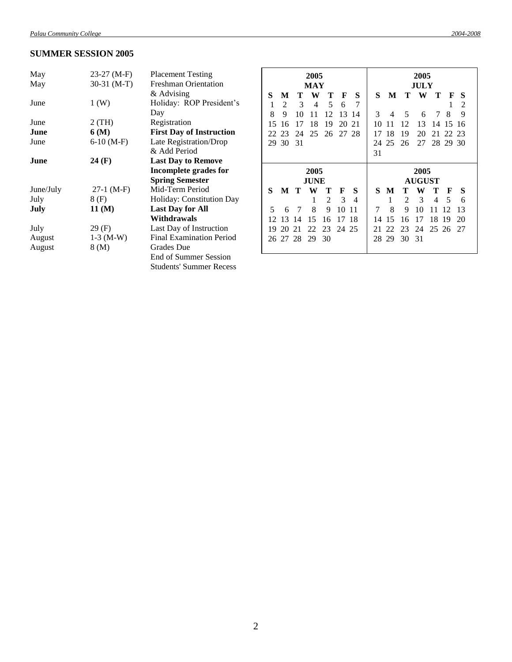#### **SUMMER SESSION 2005**

| May       | 23-27 (M-F)  | <b>Placement Testing</b>        |
|-----------|--------------|---------------------------------|
| May       | 30-31 (M-T)  | <b>Freshman Orientation</b>     |
|           |              | & Advising                      |
| June      | 1(W)         | Holiday: ROP President's        |
|           |              | Day                             |
| June      | 2 (TH)       | Registration                    |
| June      | 6 (M)        | <b>First Day of Instruction</b> |
| June      | $6-10(M-F)$  | Late Registration/Drop          |
|           |              | & Add Period                    |
| June      | 24 (F)       | <b>Last Day to Remove</b>       |
|           |              | Incomplete grades for           |
|           |              | <b>Spring Semester</b>          |
| June/July | $27-1$ (M-F) | Mid-Term Period                 |
| July      | 8 (F)        | Holiday: Constitution Day       |
| July      | 11 (M)       | <b>Last Day for All</b>         |
|           |              | Withdrawals                     |
| July      | 29 (F)       | Last Day of Instruction         |
| August    | $1-3$ (M-W)  | <b>Final Examination Period</b> |
| August    | 8 (M)        | <b>Grades</b> Due               |
|           |              | End of Summer Session           |
|           |              | <b>Students' Summer Recess</b>  |

| 2005<br>MAY |          |       |             |       | 2005<br>JULY |       |                                 |     |    |               |       |          |    |  |
|-------------|----------|-------|-------------|-------|--------------|-------|---------------------------------|-----|----|---------------|-------|----------|----|--|
| S           | M        | Т     | W           | Т     | F            | S     | S<br>W<br>т<br>т<br>S<br>M<br>F |     |    |               |       |          |    |  |
| 1           | 2        | 3     | 4           | 5     | 6            | 7     |                                 |     |    |               |       | 1        | 2  |  |
| 8           | 9        | 10    | 11          | 12    | 13           | 14    | 3                               | 4   | 5  | 6             | 7     | 8        | 9  |  |
| 15          | 16       | 17    | 18          | 19    | 20           | 21    | 10                              | 11  | 12 | 13            | 14    | 15       | 16 |  |
|             |          |       |             |       |              |       |                                 |     |    |               |       |          |    |  |
| 22          | 23       | 24    |             | 25 26 |              | 27 28 | 17                              | 18  | 19 | 20            | 21    | 22.23    |    |  |
| 29          | 30       | 31    |             |       |              |       | 24                              | 25  | 26 | 27            |       | 28 29 30 |    |  |
|             |          |       |             |       |              |       | 31                              |     |    |               |       |          |    |  |
|             |          |       |             |       |              |       |                                 |     |    |               |       |          |    |  |
|             |          |       | 2005        |       |              |       |                                 |     |    | 2005          |       |          |    |  |
|             |          |       | <b>JUNE</b> |       |              |       |                                 |     |    | <b>AUGUST</b> |       |          |    |  |
| S           |          | M T W |             | т     | F            | S     |                                 | S M |    | T W           | Т     | F        | S  |  |
|             |          |       | 1           | 2     | 3            | 4     |                                 | 1   | 2  | 3             | 4     | 5        | 6  |  |
| 5           | 6        | 7     | 8           | 9     | 10           | 11    | 7                               | 8   | 9  | 10            | 11    | 12       | 13 |  |
| 12          | 13       | -14   | 15          | 16    | 17           | -18   | 14                              | 15  | 16 | 17            | 18    | -19      | 20 |  |
| 19          | 20       | 21    | 22          | 23    | 24 25        |       | 21                              | 22  | 23 | 24            | 25 26 |          | 27 |  |
|             | 26 27 28 |       | 29          | 30    |              |       | 28                              | 29  | 30 | -31           |       |          |    |  |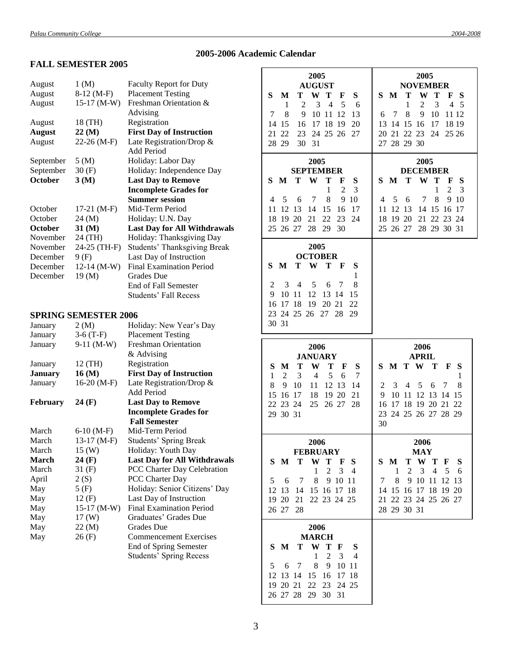# **2005-2006 Academic Calendar**

### **FALL SEMESTER 2005**

| August             | 1 (M)                       | <b>Faculty Report for Duty</b>                           |
|--------------------|-----------------------------|----------------------------------------------------------|
| August             | $8-12$ (M-F)                | <b>Placement Testing</b>                                 |
| August             | $15-17$ (M-W)               | Freshman Orientation &                                   |
|                    |                             | Advising                                                 |
| August             | 18 (TH)                     | Registration                                             |
| <b>August</b>      | 22(M)                       | <b>First Day of Instruction</b>                          |
| August             | 22-26 (M-F)                 | Late Registration/Drop &                                 |
|                    |                             | <b>Add Period</b>                                        |
| September          | 5(M)                        | Holiday: Labor Day                                       |
| September          | 30(F)                       | Holiday: Independence Day                                |
| October            | 3(M)                        | <b>Last Day to Remove</b>                                |
|                    |                             | <b>Incomplete Grades for</b>                             |
|                    |                             | <b>Summer session</b>                                    |
| October            | $17-21$ (M-F)               | Mid-Term Period                                          |
| October            | 24 (M)                      | Holiday: U.N. Day                                        |
| October            | $31 \, (\mathrm{M})$        | <b>Last Day for All Withdrawals</b>                      |
| November           | 24 (TH)                     | Holiday: Thanksgiving Day                                |
| November           | 24-25 (TH-F)                | <b>Students' Thanksgiving Break</b>                      |
| December           | 9(F)                        | Last Day of Instruction                                  |
| December           | $12-14$ (M-W)               | <b>Final Examination Period</b>                          |
| December           | 19(M)                       | <b>Grades</b> Due                                        |
|                    |                             | End of Fall Semester                                     |
|                    |                             | <b>Students' Fall Recess</b>                             |
|                    | <b>SPRING SEMESTER 2006</b> |                                                          |
|                    |                             |                                                          |
| January            | 2(M)                        | Holiday: New Year's Day<br><b>Placement Testing</b>      |
| January<br>January | $3-6(T-F)$<br>$9-11$ (M-W)  | <b>Freshman Orientation</b>                              |
|                    |                             | & Advising                                               |
| January            | 12 (TH)                     | Registration                                             |
| <b>January</b>     | 16 (M)                      | <b>First Day of Instruction</b>                          |
| January            | $16-20(M-F)$                | Late Registration/Drop &                                 |
|                    |                             | <b>Add Period</b>                                        |
| <b>February</b>    | 24 (F)                      | <b>Last Day to Remove</b>                                |
|                    |                             | <b>Incomplete Grades for</b>                             |
|                    |                             | <b>Fall Semester</b>                                     |
| March              | $6-10$ (M-F)                | Mid-Term Period                                          |
| March              | $13-17$ (M-F)               | <b>Students' Spring Break</b>                            |
| March              | 15(W)                       | Holiday: Youth Day                                       |
| March              | 24 (F)                      | <b>Last Day for All Withdrawals</b>                      |
| March              | 31 (F)                      | PCC Charter Day Celebration                              |
| April              | 2(S)                        | PCC Charter Day                                          |
| May                | 5(F)                        | Holiday: Senior Citizens' Day                            |
| May                | 12(F)                       | Last Day of Instruction                                  |
| May                | $15-17$ (M-W)               | <b>Final Examination Period</b>                          |
| May                |                             |                                                          |
| May                | 17 (W)                      | Graduates' Grades Due                                    |
|                    | 22 (M)                      | Grades Due                                               |
| May                | 26(F)                       | <b>Commencement Exercises</b>                            |
|                    |                             | End of Spring Semester<br><b>Students' Spring Recess</b> |

| 2005<br><b>AUGUST</b><br>S<br>S<br>Т<br>W<br>T<br>М<br>F<br>$\overline{2}$<br>3<br>5<br>1<br>4<br>- 6<br>7<br>8<br>9<br>10<br>12<br>13<br>11<br>17<br>18<br>14<br>15<br>19<br>20<br>16<br>21<br>23<br>24 25 26<br>22<br>27<br>28<br>29<br>30<br>31                      | 2005<br><b>NOVEMBER</b><br>S<br>т<br>W<br>Т<br>S<br>M<br>F<br>$\mathbf{2}$<br>3<br>1<br>4<br>5<br>7<br>8<br>9<br>10<br>11 12<br>6<br>13<br>14<br>15<br>17<br>18 19<br>16<br>22<br>20<br>21<br>23<br>24<br>25 26<br>28 29 30<br>27                  |
|-------------------------------------------------------------------------------------------------------------------------------------------------------------------------------------------------------------------------------------------------------------------------|----------------------------------------------------------------------------------------------------------------------------------------------------------------------------------------------------------------------------------------------------|
| 2005<br><b>SEPTEMBER</b><br>S<br>S<br>T<br>W<br>Т<br>M<br>F<br>$\mathbf{1}$<br>$\overline{c}$<br>3<br>5<br>8<br>9<br>10<br>4<br>7<br>6<br>11<br>12<br>13<br>14<br>15<br>16<br>17<br>18<br>19 20<br>21<br>22<br>23<br>24<br>28<br>25<br>26 27<br>29<br>30                | 2005<br><b>DECEMBER</b><br>S<br>T<br>W<br>Т<br>S<br>M<br>F<br>$\overline{2}$<br>1<br>3<br>5<br>7<br>8<br>9<br>10<br>4<br>6<br>11<br>12<br>13<br>14<br>15<br>17<br>16<br>20<br>21<br>22<br>23<br>18<br>19<br>24<br>25<br>26 27<br>28 29<br>30<br>31 |
| 2005<br><b>OCTOBER</b><br>W<br>T<br>S<br>M<br>Т<br>S<br>F<br>1<br>$\overline{c}$<br>5<br>8<br>3<br>4<br>7<br>6<br>9<br>13<br>10<br>12<br>15<br>11<br>14<br>16<br>17<br>18<br>19<br>20<br>21<br>22<br>23<br>24 25 26<br>27<br>28<br>29<br>30<br>31                       |                                                                                                                                                                                                                                                    |
|                                                                                                                                                                                                                                                                         |                                                                                                                                                                                                                                                    |
| 2006<br><b>JANUARY</b><br>S<br>Т<br>W<br>Т<br>S<br>М<br>F<br>3<br>5<br>$\mathbf{1}$<br>$\overline{2}$<br>$\overline{4}$<br>7<br>6<br>8<br>9<br>10<br>12<br>13<br>11<br>14<br>15<br>19 20<br>21<br>16<br>17<br>18<br>22<br>23<br>25<br>26 27<br>-24<br>28<br>29<br>30 31 | 2006<br><b>APRIL</b><br>S<br>M<br>T<br>W<br>T<br>S<br>F<br>1<br>3<br>5<br>2<br>4<br>7<br>8<br>6<br>9<br>10<br>12<br>13<br>11<br>14<br>15<br>18<br>19<br>20<br>21<br>16<br>17<br>22<br>23<br>24 25 26 27 28 29<br>30                                |
| 2006<br><b>FEBRUARY</b><br>S<br>W<br>T<br>S<br>M<br>Т<br>$\mathbf{F}$<br>$\overline{2}$<br>1<br>3<br>4<br>5<br>8<br>9 10<br>- 6<br>- 7<br>11<br>17<br>12<br>13<br>15 16<br>18<br>14<br>19<br><b>20</b><br>21<br>22 23 24 25<br>26 27<br>28                              | 2006<br><b>MAY</b><br>S M<br>T W T<br>S<br>F<br>$\overline{2}$<br>$\overline{\mathbf{3}}$<br>4<br>5<br>1<br>-6<br>8<br>9<br>10<br>11<br>12<br>7<br>13<br>17<br>18<br>19<br>20<br>14 15 16<br>21 22 23 24 25 26 27<br>28 29 30 31                   |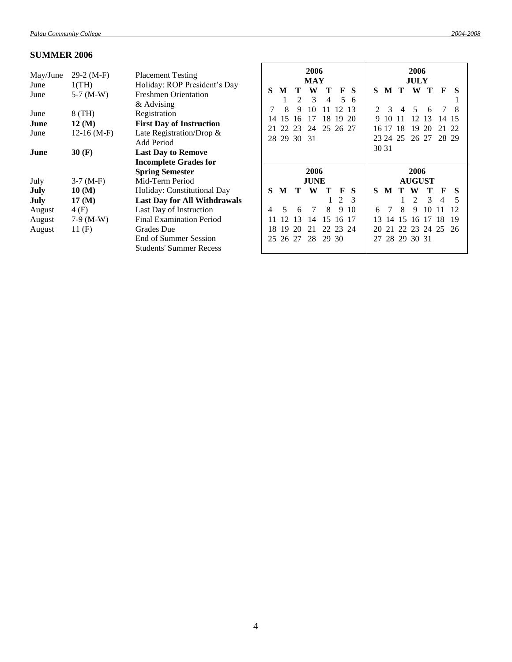# **SUMMER 2006**

| May/June<br>June<br>June<br>June<br>June<br>June<br>June | $29-2 (M-F)$<br>1(TH)<br>$5-7$ (M-W)<br>8 (TH)<br>$12 \, (\mathrm{M})$<br>$12-16$ (M-F)<br>30(F) | <b>Placement Testing</b><br>Holiday: ROP President's Day<br><b>Freshmen Orientation</b><br>& Advising<br>Registration<br><b>First Day of Instruction</b><br>Late Registration/Drop &<br>Add Period<br><b>Last Day to Remove</b><br><b>Incomplete Grades for</b> | S<br>14<br>21      | M<br>8<br>15<br>22 | Т<br>$\mathfrak{D}$<br>9<br>16<br>23<br>28 29 30 | 2006<br><b>MAY</b><br>W<br>3<br>10<br>17<br>24<br>-31 | т<br>4<br>18<br>25 26 27 | F<br>5<br>12<br>19      | -S<br>6<br>13<br>20                    | S<br>9<br>16 17<br>30 31 | M<br>3<br>-10<br>23 24 25 | T<br>4<br>18 | 2006<br><b>JULY</b><br>W<br>5<br>12<br>19<br>26 27                                 | Т<br>6<br>13<br>20 | F<br>14<br>21<br>28 29 | S<br>8<br>15<br>- 22     |
|----------------------------------------------------------|--------------------------------------------------------------------------------------------------|-----------------------------------------------------------------------------------------------------------------------------------------------------------------------------------------------------------------------------------------------------------------|--------------------|--------------------|--------------------------------------------------|-------------------------------------------------------|--------------------------|-------------------------|----------------------------------------|--------------------------|---------------------------|--------------|------------------------------------------------------------------------------------|--------------------|------------------------|--------------------------|
| July<br>July<br>July<br>August<br>August<br>August       | $3-7$ (M-F)<br>10(M)<br>$17 \, (\mathrm{M})$<br>4(F)<br>$7-9$ (M-W)<br>11(F)                     | <b>Spring Semester</b><br>Mid-Term Period<br>Holiday: Constitutional Day<br><b>Last Day for All Withdrawals</b><br>Last Day of Instruction<br><b>Final Examination Period</b><br>Grades Due<br>End of Summer Session<br><b>Students' Summer Recess</b>          | S<br>4<br>18<br>25 | M<br>5<br>12<br>19 | т<br>6<br>13<br>20<br>26 27                      | 2006<br><b>JUNE</b><br>W<br>7<br>14<br>21<br>28       | 8<br>15<br>22<br>29 30   | F<br>2<br>9<br>16<br>23 | S<br>$\mathcal{R}$<br>10<br>-17<br>-24 | S<br>6<br>13<br>20<br>27 | M<br>14<br>21             | 8<br>15      | 2006<br><b>AUGUST</b><br>W<br>$\mathfrak{D}$<br>9<br>16 17<br>22 23<br>28 29 30 31 | 3<br>10<br>24 25   | F<br>4<br>11<br>18     | S<br>5<br>12<br>19<br>26 |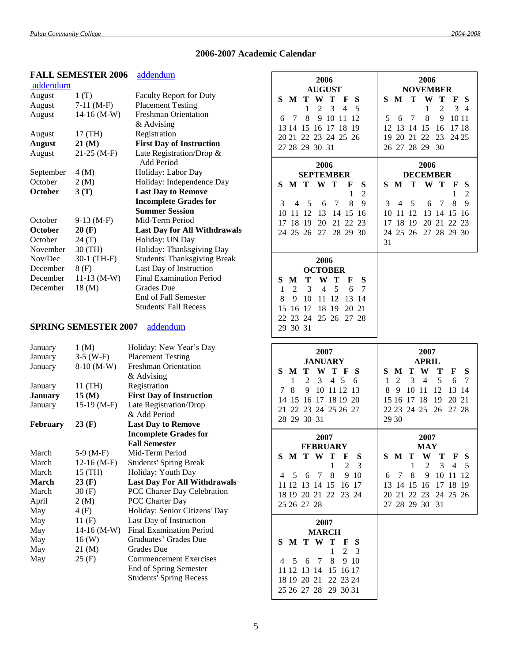# **2006-2007 Academic Calendar**

|                 | <b>FALL SEMESTER 2006</b>   | addendum                            |                                                           |                                                |
|-----------------|-----------------------------|-------------------------------------|-----------------------------------------------------------|------------------------------------------------|
| addendum        |                             |                                     | 2006                                                      | 2006                                           |
| August          | 1(T)                        | <b>Faculty Report for Duty</b>      | <b>AUGUST</b>                                             | <b>NOVEMBER</b>                                |
| August          | $7-11$ (M-F)                | <b>Placement Testing</b>            | $\bf T$<br>W<br>S<br>S<br>M<br>Т<br>F                     | M<br>S.<br>т<br>W<br>т<br>F<br><b>S</b>        |
| August          | $14-16$ (M-W)               | <b>Freshman Orientation</b>         | 3<br>$\overline{4}$<br>5<br>1<br>2                        | 2<br>3<br>1<br>$\overline{4}$                  |
|                 |                             | & Advising                          | 8<br>9 10 11 12<br>6<br>7                                 | 8<br>9<br>10 11<br>7<br>5<br>6                 |
| August          | 17(TH)                      | Registration                        | 13 14 15 16 17 18 19                                      | 13 14 15<br>16<br>1718<br>12                   |
| <b>August</b>   | 21(M)                       | <b>First Day of Instruction</b>     | 20 21 22 23 24 25 26                                      | 20 21 22<br>23<br>24 25<br>19                  |
| August          | $21-25$ (M-F)               | Late Registration/Drop &            | 27 28 29 30 31                                            | 26 27 28 29<br>30                              |
|                 |                             | Add Period                          | 2006                                                      | 2006                                           |
| September       | 4(M)                        | Holiday: Labor Day                  | <b>SEPTEMBER</b>                                          | <b>DECEMBER</b>                                |
| October         | 2(M)                        | Holiday: Independence Day           | W T<br>M T<br>S<br>S<br>F                                 | T<br>S<br>M<br>$\mathbf{W}$<br>Т<br>S<br>F     |
| October         | 3(T)                        | <b>Last Day to Remove</b>           | $\overline{c}$<br>1                                       | $\overline{2}$<br>1                            |
|                 |                             | <b>Incomplete Grades for</b>        | 8<br>$\overline{7}$<br>9<br>3<br>5<br>6<br>4              | 8<br>7<br>9<br>3<br>5<br>4<br>6                |
|                 |                             | <b>Summer Session</b>               | 10 11 12<br>13 14 15 16                                   | 10 11 12<br>13 14 15 16                        |
| October         | $9-13$ (M-F)                | Mid-Term Period                     | 18 19<br>20 21 22 23<br>17                                | 18 19<br>20 21 22<br>17<br>-23                 |
| October         | 20(F)                       | <b>Last Day for All Withdrawals</b> | 24 25 26<br>27 28 29 30                                   | 24 25 26 27 28 29 30                           |
| October         | 24(T)                       | Holiday: UN Day                     |                                                           | 31                                             |
| November        | 30 (TH)                     | Holiday: Thanksgiving Day           |                                                           |                                                |
| Nov/Dec         | 30-1 (TH-F)                 | <b>Students' Thanksgiving Break</b> | 2006                                                      |                                                |
| December        | 8(F)                        | Last Day of Instruction             | <b>OCTOBER</b>                                            |                                                |
| December        | $11-13$ (M-W)               | <b>Final Examination Period</b>     | T<br>M<br>W<br>Т<br>S<br>S<br>F                           |                                                |
| December        | 18(M)                       | Grades Due                          | $\overline{2}$<br>3<br>$\overline{4}$<br>5<br>6<br>7<br>1 |                                                |
|                 |                             | End of Fall Semester                | 8<br>10<br>11 12<br>13 14<br>9                            |                                                |
|                 |                             | <b>Students' Fall Recess</b>        | 18 19<br>16 17<br>20 21<br>15                             |                                                |
|                 |                             |                                     | 22 23 24<br>25 26 27 28                                   |                                                |
|                 | <b>SPRING SEMESTER 2007</b> | addendum                            | 29 30 31                                                  |                                                |
|                 |                             |                                     |                                                           |                                                |
|                 |                             |                                     |                                                           |                                                |
| January         | 1 (M)                       | Holiday: New Year's Day             |                                                           |                                                |
| January         | $3-5$ (W-F)                 | <b>Placement Testing</b>            | 2007                                                      | 2007                                           |
| January         | 8-10 (M-W)                  | <b>Freshman Orientation</b>         | <b>JANUARY</b>                                            | <b>APRIL</b>                                   |
|                 |                             | & Advising                          | T<br>S<br>W T<br><b>S</b><br>M<br>F                       | S<br>T<br>W<br>F<br>S<br>M<br>Т                |
| January         | 11 (TH)                     | Registration                        | $\overline{c}$<br>3<br>$\overline{4}$<br>5<br>1<br>6      | 5<br>2<br>3<br>$\overline{4}$<br>6<br>1<br>7   |
| <b>January</b>  | 15(M)                       | <b>First Day of Instruction</b>     | 10 11 12 13<br>8<br>9<br>7                                | 8<br>12<br>13<br>9<br>10 11<br>-14             |
| January         | $15-19$ (M-F)               | Late Registration/Drop              | 14 15 16 17 18 19 20                                      | 15 16 17 18<br>20 21<br>19                     |
|                 |                             | & Add Period                        | 21 22 23 24 25 26 27                                      | 22 23 24 25 26<br>27 28                        |
| <b>February</b> | 23(F)                       | <b>Last Day to Remove</b>           | 28 29 30 31                                               | 29 30                                          |
|                 |                             | <b>Incomplete Grades for</b>        |                                                           |                                                |
|                 |                             | <b>Fall Semester</b>                | 2007                                                      | 2007                                           |
| March           | $5-9(M-F)$                  | Mid-Term Period                     | <b>FEBRUARY</b><br>S M T<br>W T<br>F<br>S                 | <b>MAY</b><br>S M T<br>W<br>Т<br>F<br><b>S</b> |
| March           | $12-16$ (M-F)               | <b>Students' Spring Break</b>       | 2<br>3<br>1                                               | 2<br>3<br>1<br>4<br>5                          |
| March           | 15 (TH)                     | Holiday: Youth Day                  | 8<br>9 10<br>7<br>4<br>5<br>6                             | 8<br>9<br>10 11 12<br>7<br>6                   |
| March           | 23(F)                       | <b>Last Day For All Withdrawals</b> | 11 12 13 14 15<br>16 17                                   | 14 15 16 17 18 19<br>13                        |
| March           | 30(F)                       | PCC Charter Day Celebration         | 18 19 20 21 22 23 24                                      | 20 21 22 23 24 25 26                           |
| April           | 2(M)                        | PCC Charter Day                     | 25 26 27 28                                               | 27 28 29 30 31                                 |
| May             | 4 (F)                       | Holiday: Senior Citizens' Day       |                                                           |                                                |
| May             | 11(F)                       | Last Day of Instruction             | 2007                                                      |                                                |
| May             | $14-16$ (M-W)               | Final Examination Period            | <b>MARCH</b>                                              |                                                |
| May             | 16(W)                       | Graduates' Grades Due               | M T W T<br>S.<br>F S                                      |                                                |
| May             | $21 \, (M)$                 | Grades Due                          | 2<br>3                                                    |                                                |
| May             | 25(F)                       | <b>Commencement Exercises</b>       | 8<br>9 10<br>7<br>5<br>6<br>4                             |                                                |
|                 |                             | End of Spring Semester              | 15 16 17<br>11 12 13 14                                   |                                                |
|                 |                             | <b>Students' Spring Recess</b>      | 18 19 20 21<br>22 23 24<br>25 26 27 28 29 30 31           |                                                |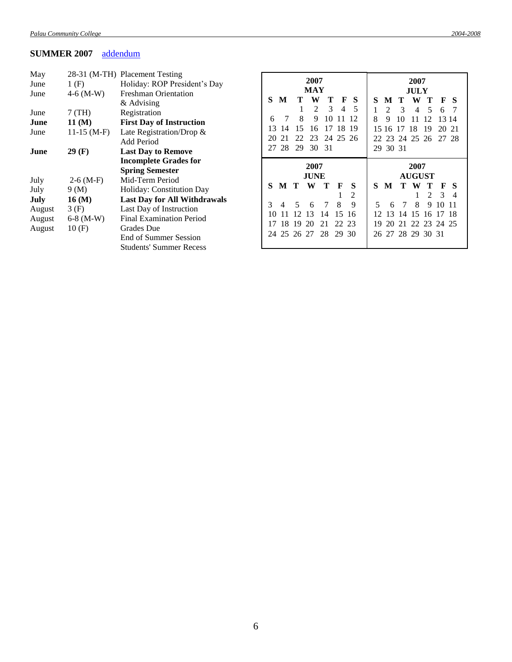# **SUMMER 2007** [addendum](Addendum5.doc#summer07)

| May<br>June<br>June                | 1(F)<br>$4-6$ (M-W)                   | 28-31 (M-TH) Placement Testing<br>Holiday: ROP President's Day<br><b>Freshman Orientation</b>                                                                              |               |         |                     | 2007<br>MAY         |                      |               |                         |                |                       |               | 2007<br><b>JULY</b> |                                             |    |                |
|------------------------------------|---------------------------------------|----------------------------------------------------------------------------------------------------------------------------------------------------------------------------|---------------|---------|---------------------|---------------------|----------------------|---------------|-------------------------|----------------|-----------------------|---------------|---------------------|---------------------------------------------|----|----------------|
|                                    |                                       | & Advising                                                                                                                                                                 | S             | M       | т                   | W                   |                      | т             | F<br>S                  | S              | M                     |               | W                   |                                             | F  |                |
| June                               | $7$ (TH)                              | Registration                                                                                                                                                               |               |         |                     | 2                   |                      | 3             | 5<br>4                  |                |                       | 3             | 4                   | 5                                           | 6  |                |
| June                               | 11(M)                                 | <b>First Day of Instruction</b>                                                                                                                                            | 6             |         | 8                   | 9                   | 10                   |               |                         | 8              | 9                     | 10            |                     | 12                                          |    | 13 14          |
| June                               | $11-15$ (M-F)                         | Late Registration/Drop $\&$                                                                                                                                                | 13            | 14      | 5                   | 6                   | 17                   | 18            | 19                      |                | 15 16                 | 17            | 18                  | 19                                          | 20 | $\mathcal{D}1$ |
|                                    |                                       | Add Period                                                                                                                                                                 | 20            |         |                     | 23                  | 24                   |               | 25 26                   | 22.            | 23                    |               | 24 25               | 26                                          | 27 | -28            |
| June                               | 29(F)                                 | <b>Last Day to Remove</b>                                                                                                                                                  | 27            | 28      | 29                  | 30                  | -31                  |               |                         |                | 29 30 31              |               |                     |                                             |    |                |
|                                    |                                       | <b>Incomplete Grades for</b><br><b>Spring Semester</b>                                                                                                                     |               |         |                     | 2007<br><b>JUNE</b> |                      |               |                         |                |                       |               | 2007                | <b>AUGUST</b>                               |    |                |
| July                               | $2-6(M-F)$                            | Mid-Term Period                                                                                                                                                            | S             | M T     |                     | W                   | Т                    | F             | S                       | S              | M                     | T.            | W                   | т                                           | F  |                |
| July                               | 9(M)                                  | Holiday: Constitution Day                                                                                                                                                  |               |         |                     |                     |                      |               | 2                       |                |                       |               |                     | $\mathcal{L}$                               | 3  | $\overline{4}$ |
| July<br>August<br>August<br>August | 16(M)<br>3(F)<br>$6-8$ (M-W)<br>10(F) | <b>Last Day for All Withdrawals</b><br>Last Day of Instruction<br><b>Final Examination Period</b><br>Grades Due<br>End of Summer Session<br><b>Students' Summer Recess</b> | 3<br>10<br>24 | 4<br>18 | 5<br>19<br>25 26 27 | 6<br>13<br>20       | 7<br>14<br>21<br>-28 | 8<br>15<br>22 | 9<br>-16<br>23<br>29 30 | 5.<br>12<br>19 | 6<br>$\sqrt{3}$<br>20 | 7<br>14<br>21 | 8<br>15             | 9<br>16<br>22 23 24 25<br>26 27 28 29 30 31 | 10 | -11            |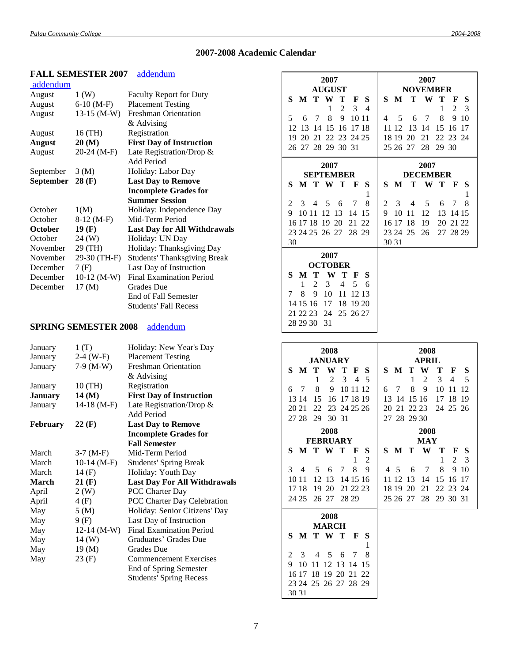# **2007-2008 Academic Calendar**

|                  | <b>FALL SEMESTER 2007</b>   | addendum                            |                                                   |                                                         |
|------------------|-----------------------------|-------------------------------------|---------------------------------------------------|---------------------------------------------------------|
| addendum         |                             |                                     | 2007                                              | 2007                                                    |
| August           | 1(W)                        | <b>Faculty Report for Duty</b>      | <b>AUGUST</b>                                     | <b>NOVEMBER</b>                                         |
| August           | $6-10(M-F)$                 | <b>Placement Testing</b>            | M<br>W<br>S<br>S<br>T<br>Т<br>F                   | M<br>S.<br>Т<br><b>W</b><br>т<br>S<br>F                 |
|                  |                             | <b>Freshman Orientation</b>         | 3<br>2<br>$\overline{4}$<br>1                     | 2<br>1<br>3                                             |
| August           | $13-15$ (M-W)               |                                     | 8<br>9<br>7<br>10 11<br>5<br>6                    | 8<br>9<br>7<br>-10<br>4<br>5<br>6                       |
|                  |                             | $&$ Advising                        | 12<br>13 14 15 16 17 18                           | 15 16 17<br>11 12<br>13 14                              |
| August           | 16 (TH)                     | Registration                        | 20 21 22 23 24 25<br>19                           | 22 23 24<br>18 19 20<br>21                              |
| <b>August</b>    | 20(M)                       | <b>First Day of Instruction</b>     | 26 27 28 29 30 31                                 | 25 26 27 28 29 30                                       |
| August           | $20-24$ (M-F)               | Late Registration/Drop &            |                                                   |                                                         |
|                  |                             | Add Period                          | 2007                                              | 2007                                                    |
| September        | 3(M)                        | Holiday: Labor Day                  | <b>SEPTEMBER</b>                                  | <b>DECEMBER</b>                                         |
| <b>September</b> | $28$ (F)                    | <b>Last Day to Remove</b>           | M T W T<br>S<br>S<br>F                            | $\mathbf{W}$<br>M<br>Т<br>T<br>S<br>F<br><b>S</b>       |
|                  |                             | <b>Incomplete Grades for</b>        | 1                                                 | 1                                                       |
|                  |                             | <b>Summer Session</b>               | 2<br>7<br>8<br>3<br>5<br>6<br>4                   | 8<br>2<br>3<br>7<br>5<br>6<br>4                         |
| October          | 1(M)                        | Holiday: Independence Day           | 10 11 12 13<br>9<br>14 15                         | 10 11<br>-12<br>13 14 15<br>9                           |
| October          | $8-12$ (M-F)                | Mid-Term Period                     | 16 17 18 19 20<br>21 22                           | 16 17 18<br>20 21 22<br>19                              |
| October          | 19(F)                       | <b>Last Day for All Withdrawals</b> | 23 24 25 26 27 28 29                              | 23 24 25 26                                             |
| October          | 24(W)                       | Holiday: UN Day                     |                                                   | 27 28 29<br>30 31                                       |
| November         | 29 (TH)                     | Holiday: Thanksgiving Day           | 30                                                |                                                         |
| November         | 29-30 (TH-F)                | <b>Students' Thanksgiving Break</b> | 2007                                              |                                                         |
| December         | 7(F)                        | Last Day of Instruction             | <b>OCTOBER</b>                                    |                                                         |
| December         | $10-12$ (M-W)               | <b>Final Examination Period</b>     | S<br>M<br>Т<br>W<br>S<br>Т<br>F                   |                                                         |
| December         | $17 \text{ (M)}$            | <b>Grades</b> Due                   | 5<br>2<br>3<br>4<br>1<br>6                        |                                                         |
|                  |                             | End of Fall Semester                | 8<br>9<br>10<br>11 12 13<br>7                     |                                                         |
|                  |                             |                                     | 14 15 16<br>17<br>18 19 20                        |                                                         |
|                  |                             | <b>Students' Fall Recess</b>        | 21 22 23<br>24 25 26 27                           |                                                         |
|                  |                             |                                     | 28 29 30 31                                       |                                                         |
|                  | <b>SPRING SEMESTER 2008</b> | addendum                            |                                                   |                                                         |
|                  |                             |                                     |                                                   |                                                         |
|                  |                             |                                     |                                                   |                                                         |
| January          | 1(T)                        | Holiday: New Year's Day             |                                                   |                                                         |
| January          | $2-4$ (W-F)                 | <b>Placement Testing</b>            | 2008                                              | 2008                                                    |
| January          | $7-9$ (M-W)                 | <b>Freshman Orientation</b>         | <b>JANUARY</b>                                    | <b>APRIL</b>                                            |
|                  |                             | & Advising                          | S<br>M<br>W<br>Т<br>Т<br>F<br>S                   | Т<br>W<br>S.<br>M<br>т<br>F<br>S                        |
| January          | 10 (TH)                     | Registration                        | $\overline{2}$<br>3<br>1<br>$\overline{4}$<br>- 5 | 3<br>$\overline{c}$<br>$\overline{4}$<br>5<br>1         |
| <b>January</b>   | 14(M)                       | <b>First Day of Instruction</b>     | 8<br>7<br>9<br>10 11 12<br>6                      | 8<br>9<br>7<br>10 11<br>-12<br>6                        |
| January          | $14-18$ (M-F)               | Late Registration/Drop &            | 16 17 18 19<br>13 14<br>15                        | 13 14 15 16<br>17 18 19                                 |
|                  |                             | Add Period                          | 22<br>23 24 25 26<br>20 21                        | 20 21 22 23<br>24 25 26                                 |
|                  |                             |                                     | 27 28 29 30 31                                    | 27 28 29 30                                             |
| <b>February</b>  | $22$ (F)                    | <b>Last Day to Remove</b>           | 2008                                              | 2008                                                    |
|                  |                             | <b>Incomplete Grades for</b>        | <b>FEBRUARY</b>                                   | <b>MAY</b>                                              |
|                  |                             | <b>Fall Semester</b>                | M T W T<br>S<br>S<br>F                            | S M T<br>W<br>Т<br>F<br>S                               |
| March            | $3-7 (M-F)$                 | Mid-Term Period                     | 2<br>1                                            | 2<br>3<br>1                                             |
| March            | $10-14$ (M-F)               | <b>Students' Spring Break</b>       | $\,8\,$<br>7<br>-9<br>3<br>5<br>6<br>4            | $\overline{7}$<br>8<br>9 10<br>$\overline{5}$<br>4<br>6 |
| March            | 14(F)                       | Holiday: Youth Day                  | 14 15 16<br>10 11                                 | 15 16 17                                                |
| March            | $21$ (F)                    | <b>Last Day For All Withdrawals</b> | 12 13                                             | 11 12 13<br>14                                          |
| April            | 2(W)                        | PCC Charter Day                     | 21 22 23<br>17 18 19 20                           | 18 19 20 21<br>22 23 24                                 |
| April            | 4(F)                        | PCC Charter Day Celebration         | 24 25 26 27 28 29                                 | 25 26 27 28 29 30 31                                    |
| May              | 5(M)                        | Holiday: Senior Citizens' Day       |                                                   |                                                         |
| May              | 9(F)                        | Last Day of Instruction             | 2008                                              |                                                         |
| May              | $12-14$ (M-W)               | Final Examination Period            | <b>MARCH</b><br>F                                 |                                                         |
| May              | $14 \, (W)$                 | Graduates' Grades Due               | M T W T<br>S<br><sub>S</sub>                      |                                                         |
| May              | 19(M)                       | Grades Due                          | 1                                                 |                                                         |
| May              | 23(F)                       | <b>Commencement Exercises</b>       | 8<br>2<br>7<br>3<br>5<br>6<br>4                   |                                                         |
|                  |                             | End of Spring Semester              | 10 11 12 13 14 15<br>9                            |                                                         |
|                  |                             | <b>Students' Spring Recess</b>      | 16 17 18 19 20 21 22                              |                                                         |
|                  |                             |                                     | 23 24 25 26 27 28 29<br>30 31                     |                                                         |

# 7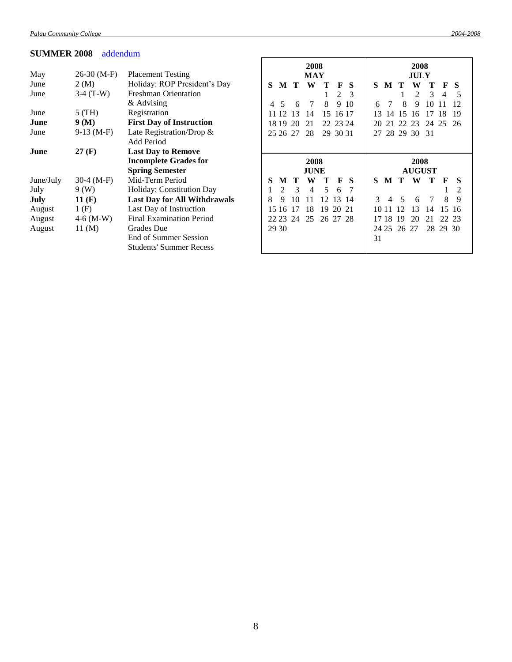## **SUMMER 2008** [addendum](Addendum5.doc#summer08)

|           |               |                                     | 2008  |                |          |             |          |          | 2008     |    |       |       |             |               |          |                |
|-----------|---------------|-------------------------------------|-------|----------------|----------|-------------|----------|----------|----------|----|-------|-------|-------------|---------------|----------|----------------|
| May       | $26-30$ (M-F) | <b>Placement Testing</b>            |       |                |          | <b>MAY</b>  |          |          |          |    |       |       | JULY        |               |          |                |
| June      | 2(M)          | Holiday: ROP President's Day        | S     | M              | Т        | W           | т        | F        | <b>S</b> | S  | M     | Т     | W           |               | F        | S              |
| June      | $3-4$ (T-W)   | <b>Freshman Orientation</b>         |       |                |          |             |          | 2        | 3        |    |       |       | 2           | 3             | 4        | 5              |
|           |               | & Advising                          | 4     | 5              | 6        | 7           | 8        | 9        | 10       | 6  |       | 8     | 9           | 10            |          | 12             |
| June      | $5$ (TH)      | Registration                        |       | 12             | 13       | 14          | 15       |          | 16 17    | 13 | 14    | 15    | 16          | 17            |          | 19             |
| June      | 9(M)          | <b>First Day of Instruction</b>     |       | 18 19          | 20       | 21          |          | 22 23 24 |          | 20 | 21    | 22    | 23          | 24            | 25       | 26             |
| June      | $9-13(M-F)$   | Late Registration/Drop &            |       | 25 26 27       |          | 28          |          | 29 30 31 |          | 27 |       |       | 28 29 30 31 |               |          |                |
|           |               | Add Period                          |       |                |          |             |          |          |          |    |       |       |             |               |          |                |
| June      | 27(F)         | <b>Last Day to Remove</b>           |       |                |          |             |          |          |          |    |       |       |             |               |          |                |
|           |               |                                     |       |                |          |             |          |          |          |    |       |       |             |               |          |                |
|           |               | <b>Incomplete Grades for</b>        |       |                |          | 2008        |          |          |          |    |       |       | 2008        |               |          |                |
|           |               | <b>Spring Semester</b>              |       |                |          | <b>JUNE</b> |          |          |          |    |       |       |             | <b>AUGUST</b> |          |                |
| June/July | $30-4 (M-F)$  | Mid-Term Period                     | S     | М              | т        | W           | т        | F        | -S       | S  | M     | Т     | W           | т             | F        | S              |
| July      | 9(W)          | Holiday: Constitution Day           |       | $\mathfrak{D}$ | 3        | 4           | 5        | 6        |          |    |       |       |             |               |          | $\overline{2}$ |
| July      | 11(F)         | <b>Last Day for All Withdrawals</b> | 8     | 9              | 10       | 11          | 12       | 13       | -14      | 3  | 4     | 5     | 6           | 7             | 8        | 9              |
| August    | 1(F)          | Last Day of Instruction             |       | 15 16          | 17       | 18          | 19       | 20 21    |          |    | 10 11 | 12    | 13          | 14            | 15       | -16            |
| August    | $4-6$ (M-W)   | <b>Final Examination Period</b>     |       |                | 22 23 24 | 25          | 26 27 28 |          |          |    | 17 18 | 19    | 20          | 21            | 22 23    |                |
| August    | 11(M)         | Grades Due                          | 29 30 |                |          |             |          |          |          |    | 24 25 | 26 27 |             |               | 28 29 30 |                |
|           |               | End of Summer Session               |       |                |          |             |          |          |          | 31 |       |       |             |               |          |                |

r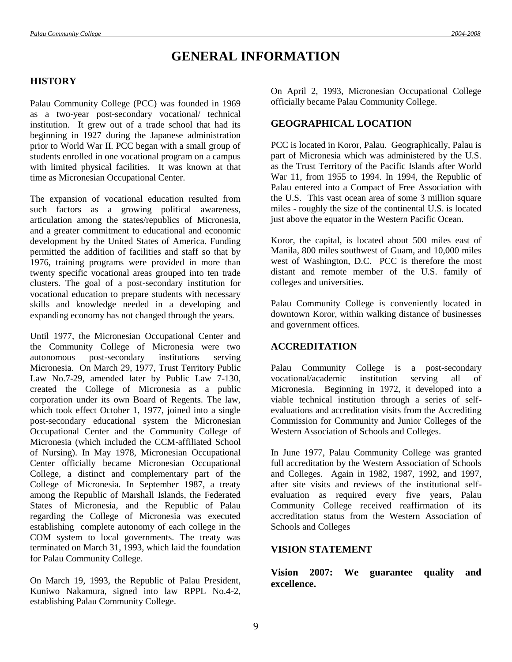# **GENERAL INFORMATION**

# **HISTORY**

Palau Community College (PCC) was founded in 1969 as a two-year post-secondary vocational/ technical institution. It grew out of a trade school that had its beginning in 1927 during the Japanese administration prior to World War II. PCC began with a small group of students enrolled in one vocational program on a campus with limited physical facilities. It was known at that time as Micronesian Occupational Center.

The expansion of vocational education resulted from such factors as a growing political awareness, articulation among the states/republics of Micronesia, and a greater commitment to educational and economic development by the United States of America. Funding permitted the addition of facilities and staff so that by 1976, training programs were provided in more than twenty specific vocational areas grouped into ten trade clusters. The goal of a post-secondary institution for vocational education to prepare students with necessary skills and knowledge needed in a developing and expanding economy has not changed through the years.

Until 1977, the Micronesian Occupational Center and the Community College of Micronesia were two autonomous post-secondary institutions serving Micronesia. On March 29, 1977, Trust Territory Public Law No.7-29, amended later by Public Law 7-130, created the College of Micronesia as a public corporation under its own Board of Regents. The law, which took effect October 1, 1977, joined into a single post-secondary educational system the Micronesian Occupational Center and the Community College of Micronesia (which included the CCM-affiliated School of Nursing). In May 1978, Micronesian Occupational Center officially became Micronesian Occupational College, a distinct and complementary part of the College of Micronesia. In September 1987, a treaty among the Republic of Marshall Islands, the Federated States of Micronesia, and the Republic of Palau regarding the College of Micronesia was executed establishing complete autonomy of each college in the COM system to local governments. The treaty was terminated on March 31, 1993, which laid the foundation for Palau Community College.

On March 19, 1993, the Republic of Palau President, Kuniwo Nakamura, signed into law RPPL No.4-2, establishing Palau Community College.

On April 2, 1993, Micronesian Occupational College officially became Palau Community College.

# **GEOGRAPHICAL LOCATION**

PCC is located in Koror, Palau. Geographically, Palau is part of Micronesia which was administered by the U.S. as the Trust Territory of the Pacific Islands after World War 11, from 1955 to 1994. In 1994, the Republic of Palau entered into a Compact of Free Association with the U.S. This vast ocean area of some 3 million square miles - roughly the size of the continental U.S. is located just above the equator in the Western Pacific Ocean.

Koror, the capital, is located about 500 miles east of Manila, 800 miles southwest of Guam, and 10,000 miles west of Washington, D.C. PCC is therefore the most distant and remote member of the U.S. family of colleges and universities.

Palau Community College is conveniently located in downtown Koror, within walking distance of businesses and government offices.

## **ACCREDITATION**

Palau Community College is a post-secondary vocational/academic institution serving all of Micronesia. Beginning in 1972, it developed into a viable technical institution through a series of selfevaluations and accreditation visits from the Accrediting Commission for Community and Junior Colleges of the Western Association of Schools and Colleges.

In June 1977, Palau Community College was granted full accreditation by the Western Association of Schools and Colleges. Again in 1982, 1987, 1992, and 1997, after site visits and reviews of the institutional selfevaluation as required every five years, Palau Community College received reaffirmation of its accreditation status from the Western Association of Schools and Colleges

## **VISION STATEMENT**

**Vision 2007: We guarantee quality and excellence.**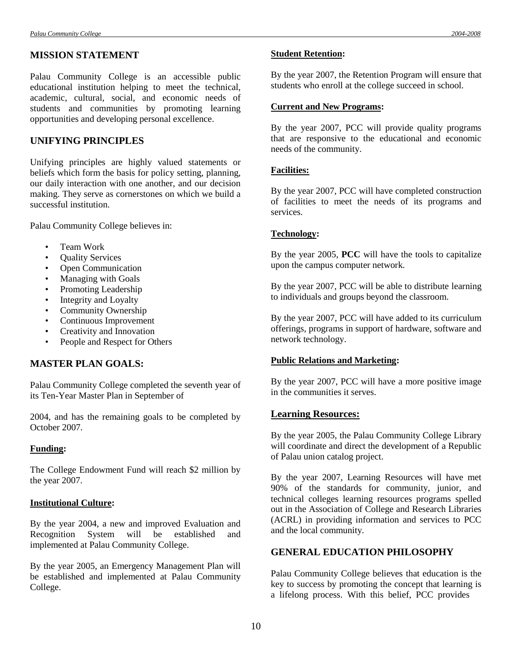Palau Community College is an accessible public educational institution helping to meet the technical, academic, cultural, social, and economic needs of students and communities by promoting learning opportunities and developing personal excellence.

# **UNIFYING PRINCIPLES**

Unifying principles are highly valued statements or beliefs which form the basis for policy setting, planning, our daily interaction with one another, and our decision making. They serve as cornerstones on which we build a successful institution.

Palau Community College believes in:

- Team Work
- Quality Services
- Open Communication
- Managing with Goals
- Promoting Leadership
- Integrity and Loyalty
- Community Ownership
- Continuous Improvement
- Creativity and Innovation
- People and Respect for Others

# **MASTER PLAN GOALS:**

Palau Community College completed the seventh year of its Ten-Year Master Plan in September of

2004, and has the remaining goals to be completed by October 2007.

## **Funding:**

The College Endowment Fund will reach \$2 million by the year 2007.

## **Institutional Culture:**

By the year 2004, a new and improved Evaluation and Recognition System will be established and implemented at Palau Community College.

By the year 2005, an Emergency Management Plan will be established and implemented at Palau Community College.

## **Student Retention:**

By the year 2007, the Retention Program will ensure that students who enroll at the college succeed in school.

#### **Current and New Programs:**

By the year 2007, PCC will provide quality programs that are responsive to the educational and economic needs of the community.

## **Facilities:**

By the year 2007, PCC will have completed construction of facilities to meet the needs of its programs and services.

## **Technology:**

By the year 2005, **PCC** will have the tools to capitalize upon the campus computer network.

By the year 2007, PCC will be able to distribute learning to individuals and groups beyond the classroom.

By the year 2007, PCC will have added to its curriculum offerings, programs in support of hardware, software and network technology.

## **Public Relations and Marketing:**

By the year 2007, PCC will have a more positive image in the communities it serves.

## **Learning Resources:**

By the year 2005, the Palau Community College Library will coordinate and direct the development of a Republic of Palau union catalog project.

By the year 2007, Learning Resources will have met 90% of the standards for community, junior, and technical colleges learning resources programs spelled out in the Association of College and Research Libraries (ACRL) in providing information and services to PCC and the local community.

# **GENERAL EDUCATION PHILOSOPHY**

Palau Community College believes that education is the key to success by promoting the concept that learning is a lifelong process. With this belief, PCC provides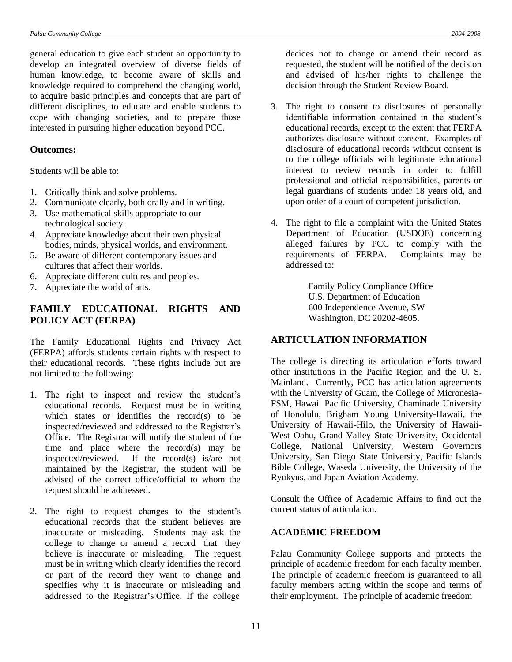general education to give each student an opportunity to develop an integrated overview of diverse fields of human knowledge, to become aware of skills and knowledge required to comprehend the changing world, to acquire basic principles and concepts that are part of different disciplines, to educate and enable students to cope with changing societies, and to prepare those interested in pursuing higher education beyond PCC.

#### **Outcomes:**

Students will be able to:

- 1. Critically think and solve problems.
- 2. Communicate clearly, both orally and in writing.
- 3. Use mathematical skills appropriate to our technological society.
- 4. Appreciate knowledge about their own physical bodies, minds, physical worlds, and environment.
- 5. Be aware of different contemporary issues and cultures that affect their worlds.
- 6. Appreciate different cultures and peoples.
- 7. Appreciate the world of arts.

# **FAMILY EDUCATIONAL RIGHTS AND POLICY ACT (FERPA)**

The Family Educational Rights and Privacy Act (FERPA) affords students certain rights with respect to their educational records. These rights include but are not limited to the following:

- 1. The right to inspect and review the student's educational records. Request must be in writing which states or identifies the record(s) to be inspected/reviewed and addressed to the Registrar's Office. The Registrar will notify the student of the time and place where the record(s) may be inspected/reviewed. If the record(s) is/are not maintained by the Registrar, the student will be advised of the correct office/official to whom the request should be addressed.
- 2. The right to request changes to the student's educational records that the student believes are inaccurate or misleading. Students may ask the college to change or amend a record that they believe is inaccurate or misleading. The request must be in writing which clearly identifies the record or part of the record they want to change and specifies why it is inaccurate or misleading and addressed to the Registrar's Office. If the college

decides not to change or amend their record as requested, the student will be notified of the decision and advised of his/her rights to challenge the decision through the Student Review Board.

- 3. The right to consent to disclosures of personally identifiable information contained in the student's educational records, except to the extent that FERPA authorizes disclosure without consent. Examples of disclosure of educational records without consent is to the college officials with legitimate educational interest to review records in order to fulfill professional and official responsibilities, parents or legal guardians of students under 18 years old, and upon order of a court of competent jurisdiction.
- 4. The right to file a complaint with the United States Department of Education (USDOE) concerning alleged failures by PCC to comply with the requirements of FERPA. Complaints may be addressed to:

Family Policy Compliance Office U.S. Department of Education 600 Independence Avenue, SW Washington, DC 20202-4605.

#### **ARTICULATION INFORMATION**

The college is directing its articulation efforts toward other institutions in the Pacific Region and the U. S. Mainland. Currently, PCC has articulation agreements with the University of Guam, the College of Micronesia-FSM, Hawaii Pacific University, Chaminade University of Honolulu, Brigham Young University-Hawaii, the University of Hawaii-Hilo, the University of Hawaii-West Oahu, Grand Valley State University, Occidental College, National University, Western Governors University, San Diego State University, Pacific Islands Bible College, Waseda University, the University of the Ryukyus, and Japan Aviation Academy.

Consult the Office of Academic Affairs to find out the current status of articulation.

#### **ACADEMIC FREEDOM**

Palau Community College supports and protects the principle of academic freedom for each faculty member. The principle of academic freedom is guaranteed to all faculty members acting within the scope and terms of their employment. The principle of academic freedom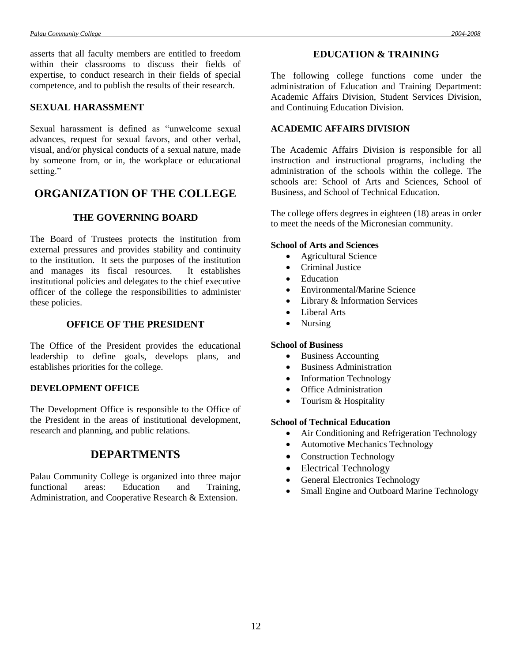asserts that all faculty members are entitled to freedom within their classrooms to discuss their fields of expertise, to conduct research in their fields of special competence, and to publish the results of their research.

# **SEXUAL HARASSMENT**

Sexual harassment is defined as "unwelcome sexual advances, request for sexual favors, and other verbal, visual, and/or physical conducts of a sexual nature, made by someone from, or in, the workplace or educational setting."

# **ORGANIZATION OF THE COLLEGE**

# **THE GOVERNING BOARD**

The Board of Trustees protects the institution from external pressures and provides stability and continuity to the institution. It sets the purposes of the institution and manages its fiscal resources. It establishes institutional policies and delegates to the chief executive officer of the college the responsibilities to administer these policies.

## **OFFICE OF THE PRESIDENT**

The Office of the President provides the educational leadership to define goals, develops plans, and establishes priorities for the college.

#### **DEVELOPMENT OFFICE**

The Development Office is responsible to the Office of the President in the areas of institutional development, research and planning, and public relations.

# **DEPARTMENTS**

Palau Community College is organized into three major functional areas: Education and Training, Administration, and Cooperative Research & Extension.

The following college functions come under the administration of Education and Training Department: Academic Affairs Division, Student Services Division, and Continuing Education Division.

### **ACADEMIC AFFAIRS DIVISION**

The Academic Affairs Division is responsible for all instruction and instructional programs, including the administration of the schools within the college. The schools are: School of Arts and Sciences, School of Business, and School of Technical Education.

The college offers degrees in eighteen (18) areas in order to meet the needs of the Micronesian community.

#### **School of Arts and Sciences**

- Agricultural Science
- Criminal Justice
- Education
- Environmental/Marine Science
- Library & Information Services
- Liberal Arts
- Nursing

### **School of Business**

- Business Accounting
- Business Administration
- Information Technology
- Office Administration
- Tourism & Hospitality

#### **School of Technical Education**

- Air Conditioning and Refrigeration Technology
- Automotive Mechanics Technology
- Construction Technology
- Electrical Technology
- General Electronics Technology
- Small Engine and Outboard Marine Technology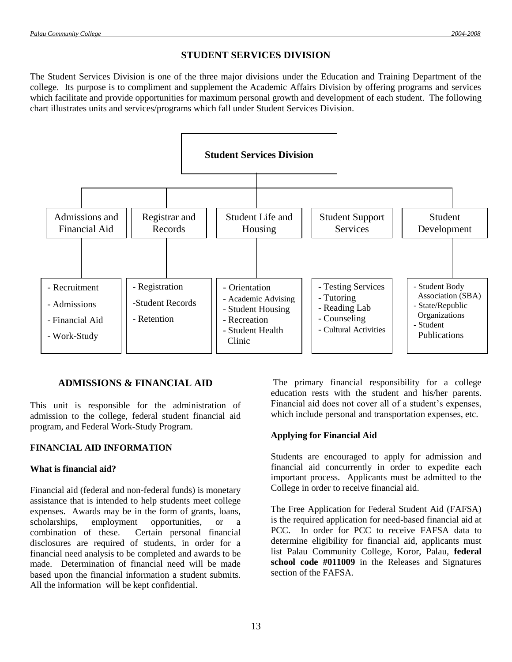# **STUDENT SERVICES DIVISION**

The Student Services Division is one of the three major divisions under the Education and Training Department of the college. Its purpose is to compliment and supplement the Academic Affairs Division by offering programs and services which facilitate and provide opportunities for maximum personal growth and development of each student. The following chart illustrates units and services/programs which fall under Student Services Division.



# **ADMISSIONS & FINANCIAL AID**

This unit is responsible for the administration of admission to the college, federal student financial aid program, and Federal Work-Study Program.

## **FINANCIAL AID INFORMATION**

## **What is financial aid?**

Financial aid (federal and non-federal funds) is monetary assistance that is intended to help students meet college expenses. Awards may be in the form of grants, loans, scholarships, employment opportunities, or a combination of these. Certain personal financial disclosures are required of students, in order for a financial need analysis to be completed and awards to be made. Determination of financial need will be made based upon the financial information a student submits. All the information will be kept confidential.

The primary financial responsibility for a college education rests with the student and his/her parents. Financial aid does not cover all of a student's expenses, which include personal and transportation expenses, etc.

## **Applying for Financial Aid**

Students are encouraged to apply for admission and financial aid concurrently in order to expedite each important process. Applicants must be admitted to the College in order to receive financial aid.

The Free Application for Federal Student Aid (FAFSA) is the required application for need-based financial aid at PCC. In order for PCC to receive FAFSA data to determine eligibility for financial aid, applicants must list Palau Community College, Koror, Palau, **federal school code #011009** in the Releases and Signatures section of the FAFSA.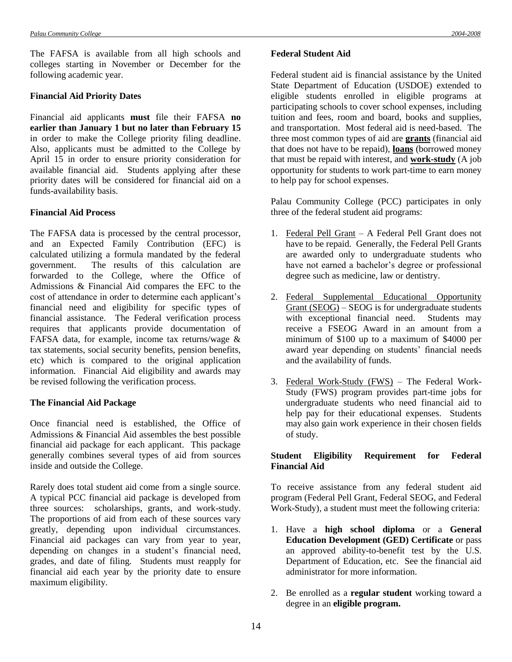The FAFSA is available from all high schools and colleges starting in November or December for the following academic year.

#### **Financial Aid Priority Dates**

Financial aid applicants **must** file their FAFSA **no earlier than January 1 but no later than February 15** in order to make the College priority filing deadline. Also, applicants must be admitted to the College by April 15 in order to ensure priority consideration for available financial aid. Students applying after these priority dates will be considered for financial aid on a funds-availability basis.

#### **Financial Aid Process**

The FAFSA data is processed by the central processor, and an Expected Family Contribution (EFC) is calculated utilizing a formula mandated by the federal government. The results of this calculation are forwarded to the College, where the Office of Admissions & Financial Aid compares the EFC to the cost of attendance in order to determine each applicant's financial need and eligibility for specific types of financial assistance. The Federal verification process requires that applicants provide documentation of FAFSA data, for example, income tax returns/wage & tax statements, social security benefits, pension benefits, etc) which is compared to the original application information. Financial Aid eligibility and awards may be revised following the verification process.

## **The Financial Aid Package**

Once financial need is established, the Office of Admissions & Financial Aid assembles the best possible financial aid package for each applicant. This package generally combines several types of aid from sources inside and outside the College.

Rarely does total student aid come from a single source. A typical PCC financial aid package is developed from three sources: scholarships, grants, and work-study. The proportions of aid from each of these sources vary greatly, depending upon individual circumstances. Financial aid packages can vary from year to year, depending on changes in a student's financial need, grades, and date of filing. Students must reapply for financial aid each year by the priority date to ensure maximum eligibility.

#### **Federal Student Aid**

Federal student aid is financial assistance by the United State Department of Education (USDOE) extended to eligible students enrolled in eligible programs at participating schools to cover school expenses, including tuition and fees, room and board, books and supplies, and transportation. Most federal aid is need-based. The three most common types of aid are **grants** (financial aid that does not have to be repaid), **loans** (borrowed money that must be repaid with interest, and **work-study** (A job opportunity for students to work part-time to earn money to help pay for school expenses.

Palau Community College (PCC) participates in only three of the federal student aid programs:

- 1. Federal Pell Grant A Federal Pell Grant does not have to be repaid. Generally, the Federal Pell Grants are awarded only to undergraduate students who have not earned a bachelor's degree or professional degree such as medicine, law or dentistry.
- 2. Federal Supplemental Educational Opportunity  $Grant(SEOG) - SEOG$  is for undergraduate students with exceptional financial need. Students may receive a FSEOG Award in an amount from a minimum of \$100 up to a maximum of \$4000 per award year depending on students' financial needs and the availability of funds.
- 3. Federal Work-Study (FWS) The Federal Work-Study (FWS) program provides part-time jobs for undergraduate students who need financial aid to help pay for their educational expenses. Students may also gain work experience in their chosen fields of study.

## **Student Eligibility Requirement for Federal Financial Aid**

To receive assistance from any federal student aid program (Federal Pell Grant, Federal SEOG, and Federal Work-Study), a student must meet the following criteria:

- 1. Have a **high school diploma** or a **General Education Development (GED) Certificate** or pass an approved ability-to-benefit test by the U.S. Department of Education, etc. See the financial aid administrator for more information.
- 2. Be enrolled as a **regular student** working toward a degree in an **eligible program.**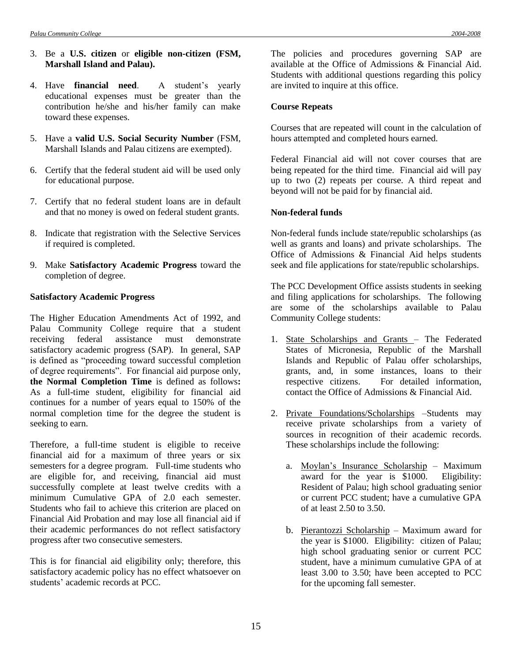- 3. Be a **U.S. citizen** or **eligible non-citizen (FSM, Marshall Island and Palau).**
- 4. Have **financial need**. A student's yearly educational expenses must be greater than the contribution he/she and his/her family can make toward these expenses.
- 5. Have a **valid U.S. Social Security Number** (FSM, Marshall Islands and Palau citizens are exempted).
- 6. Certify that the federal student aid will be used only for educational purpose.
- 7. Certify that no federal student loans are in default and that no money is owed on federal student grants.
- 8. Indicate that registration with the Selective Services if required is completed.
- 9. Make **Satisfactory Academic Progress** toward the completion of degree.

#### **Satisfactory Academic Progress**

The Higher Education Amendments Act of 1992, and Palau Community College require that a student receiving federal assistance must demonstrate satisfactory academic progress (SAP). In general, SAP is defined as "proceeding toward successful completion of degree requirements". For financial aid purpose only, **the Normal Completion Time** is defined as follows**:**  As a full-time student, eligibility for financial aid continues for a number of years equal to 150% of the normal completion time for the degree the student is seeking to earn.

Therefore, a full-time student is eligible to receive financial aid for a maximum of three years or six semesters for a degree program. Full-time students who are eligible for, and receiving, financial aid must successfully complete at least twelve credits with a minimum Cumulative GPA of 2.0 each semester. Students who fail to achieve this criterion are placed on Financial Aid Probation and may lose all financial aid if their academic performances do not reflect satisfactory progress after two consecutive semesters*.*

This is for financial aid eligibility only; therefore, this satisfactory academic policy has no effect whatsoever on students' academic records at PCC.

The policies and procedures governing SAP are available at the Office of Admissions & Financial Aid. Students with additional questions regarding this policy are invited to inquire at this office.

#### **Course Repeats**

Courses that are repeated will count in the calculation of hours attempted and completed hours earned.

Federal Financial aid will not cover courses that are being repeated for the third time. Financial aid will pay up to two (2) repeats per course. A third repeat and beyond will not be paid for by financial aid.

#### **Non-federal funds**

Non-federal funds include state/republic scholarships (as well as grants and loans) and private scholarships. The Office of Admissions & Financial Aid helps students seek and file applications for state/republic scholarships.

The PCC Development Office assists students in seeking and filing applications for scholarships. The following are some of the scholarships available to Palau Community College students:

- 1. State Scholarships and Grants The Federated States of Micronesia, Republic of the Marshall Islands and Republic of Palau offer scholarships, grants, and, in some instances, loans to their respective citizens. For detailed information, contact the Office of Admissions & Financial Aid.
- 2. Private Foundations/Scholarships –Students may receive private scholarships from a variety of sources in recognition of their academic records. These scholarships include the following:
	- a. Moylan's Insurance Scholarship Maximum award for the year is \$1000. Eligibility: Resident of Palau; high school graduating senior or current PCC student; have a cumulative GPA of at least 2.50 to 3.50.
	- b. Pierantozzi Scholarship Maximum award for the year is \$1000. Eligibility: citizen of Palau; high school graduating senior or current PCC student, have a minimum cumulative GPA of at least 3.00 to 3.50; have been accepted to PCC for the upcoming fall semester.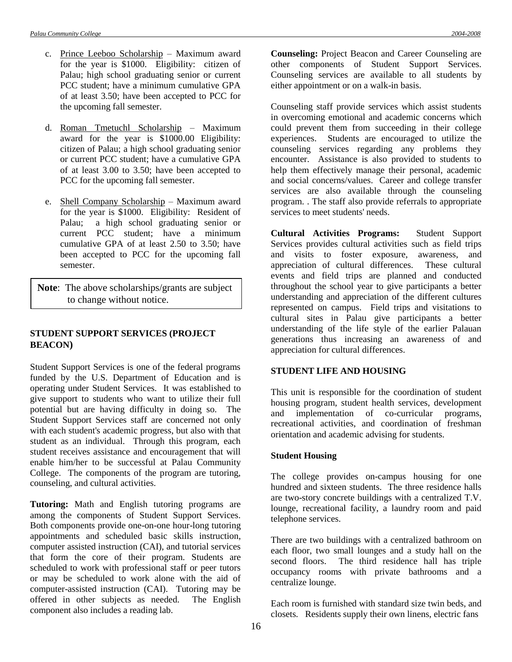- c. Prince Leeboo Scholarship Maximum award for the year is \$1000. Eligibility: citizen of Palau; high school graduating senior or current PCC student; have a minimum cumulative GPA of at least 3.50; have been accepted to PCC for the upcoming fall semester.
- d. Roman Tmetuchl Scholarship Maximum award for the year is \$1000.00 Eligibility: citizen of Palau; a high school graduating senior or current PCC student; have a cumulative GPA of at least 3.00 to 3.50; have been accepted to PCC for the upcoming fall semester.
- e. Shell Company Scholarship Maximum award for the year is \$1000. Eligibility: Resident of Palau; a high school graduating senior or current PCC student; have a minimum cumulative GPA of at least 2.50 to 3.50; have been accepted to PCC for the upcoming fall semester.

**Note**: The above scholarships/grants are subject to change without notice.

# **STUDENT SUPPORT SERVICES (PROJECT BEACON)**

Student Support Services is one of the federal programs funded by the U.S. Department of Education and is operating under Student Services. It was established to give support to students who want to utilize their full potential but are having difficulty in doing so. The Student Support Services staff are concerned not only with each student's academic progress, but also with that student as an individual. Through this program, each student receives assistance and encouragement that will enable him/her to be successful at Palau Community College. The components of the program are tutoring, counseling, and cultural activities.

**Tutoring:** Math and English tutoring programs are among the components of Student Support Services. Both components provide one-on-one hour-long tutoring appointments and scheduled basic skills instruction, computer assisted instruction (CAI), and tutorial services that form the core of their program. Students are scheduled to work with professional staff or peer tutors or may be scheduled to work alone with the aid of computer-assisted instruction (CAI). Tutoring may be offered in other subjects as needed. The English component also includes a reading lab.

**Counseling:** Project Beacon and Career Counseling are other components of Student Support Services. Counseling services are available to all students by either appointment or on a walk-in basis.

Counseling staff provide services which assist students in overcoming emotional and academic concerns which could prevent them from succeeding in their college experiences. Students are encouraged to utilize the counseling services regarding any problems they encounter. Assistance is also provided to students to help them effectively manage their personal, academic and social concerns/values. Career and college transfer services are also available through the counseling program. . The staff also provide referrals to appropriate services to meet students' needs.

**Cultural Activities Programs:** Student Support Services provides cultural activities such as field trips and visits to foster exposure, awareness, and appreciation of cultural differences. These cultural events and field trips are planned and conducted throughout the school year to give participants a better understanding and appreciation of the different cultures represented on campus. Field trips and visitations to cultural sites in Palau give participants a better understanding of the life style of the earlier Palauan generations thus increasing an awareness of and appreciation for cultural differences.

#### **STUDENT LIFE AND HOUSING**

This unit is responsible for the coordination of student housing program, student health services, development and implementation of co-curricular programs, recreational activities, and coordination of freshman orientation and academic advising for students.

## **Student Housing**

The college provides on-campus housing for one hundred and sixteen students. The three residence halls are two-story concrete buildings with a centralized T.V. lounge, recreational facility, a laundry room and paid telephone services.

There are two buildings with a centralized bathroom on each floor, two small lounges and a study hall on the second floors. The third residence hall has triple occupancy rooms with private bathrooms and a centralize lounge.

Each room is furnished with standard size twin beds, and closets. Residents supply their own linens, electric fans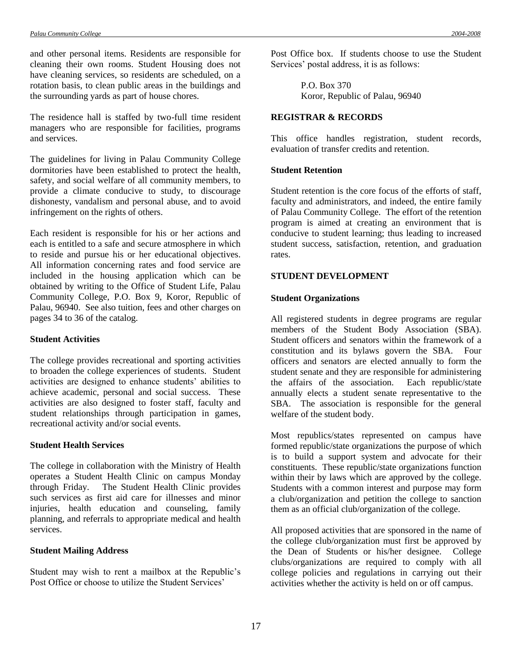and other personal items. Residents are responsible for cleaning their own rooms. Student Housing does not have cleaning services, so residents are scheduled, on a rotation basis, to clean public areas in the buildings and the surrounding yards as part of house chores.

The residence hall is staffed by two-full time resident managers who are responsible for facilities, programs and services.

The guidelines for living in Palau Community College dormitories have been established to protect the health, safety, and social welfare of all community members, to provide a climate conducive to study, to discourage dishonesty, vandalism and personal abuse, and to avoid infringement on the rights of others.

Each resident is responsible for his or her actions and each is entitled to a safe and secure atmosphere in which to reside and pursue his or her educational objectives. All information concerning rates and food service are included in the housing application which can be obtained by writing to the Office of Student Life, Palau Community College, P.O. Box 9, Koror, Republic of Palau, 96940. See also tuition, fees and other charges on pages 34 to 36 of the catalog.

#### **Student Activities**

The college provides recreational and sporting activities to broaden the college experiences of students. Student activities are designed to enhance students' abilities to achieve academic, personal and social success. These activities are also designed to foster staff, faculty and student relationships through participation in games, recreational activity and/or social events.

#### **Student Health Services**

The college in collaboration with the Ministry of Health operates a Student Health Clinic on campus Monday through Friday. The Student Health Clinic provides such services as first aid care for illnesses and minor injuries, health education and counseling, family planning, and referrals to appropriate medical and health services.

## **Student Mailing Address**

Student may wish to rent a mailbox at the Republic's Post Office or choose to utilize the Student Services'

Post Office box. If students choose to use the Student Services' postal address, it is as follows:

> P.O. Box 370 Koror, Republic of Palau, 96940

# **REGISTRAR & RECORDS**

This office handles registration, student records, evaluation of transfer credits and retention.

#### **Student Retention**

Student retention is the core focus of the efforts of staff, faculty and administrators, and indeed, the entire family of Palau Community College. The effort of the retention program is aimed at creating an environment that is conducive to student learning; thus leading to increased student success, satisfaction, retention, and graduation rates.

### **STUDENT DEVELOPMENT**

#### **Student Organizations**

All registered students in degree programs are regular members of the Student Body Association (SBA). Student officers and senators within the framework of a constitution and its bylaws govern the SBA. Four officers and senators are elected annually to form the student senate and they are responsible for administering the affairs of the association. Each republic/state annually elects a student senate representative to the SBA. The association is responsible for the general welfare of the student body.

Most republics/states represented on campus have formed republic/state organizations the purpose of which is to build a support system and advocate for their constituents. These republic/state organizations function within their by laws which are approved by the college. Students with a common interest and purpose may form a club/organization and petition the college to sanction them as an official club/organization of the college.

All proposed activities that are sponsored in the name of the college club/organization must first be approved by the Dean of Students or his/her designee. College clubs/organizations are required to comply with all college policies and regulations in carrying out their activities whether the activity is held on or off campus.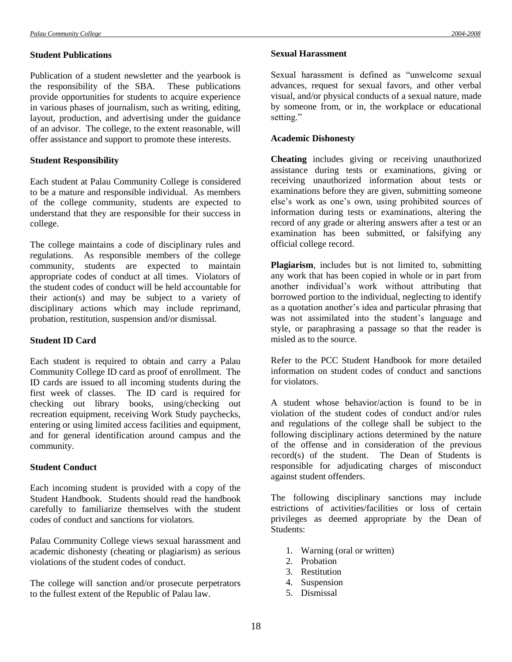### **Student Publications**

Publication of a student newsletter and the yearbook is the responsibility of the SBA. These publications provide opportunities for students to acquire experience in various phases of journalism, such as writing, editing, layout, production, and advertising under the guidance of an advisor. The college, to the extent reasonable, will offer assistance and support to promote these interests.

## **Student Responsibility**

Each student at Palau Community College is considered to be a mature and responsible individual. As members of the college community, students are expected to understand that they are responsible for their success in college.

The college maintains a code of disciplinary rules and regulations. As responsible members of the college community, students are expected to maintain appropriate codes of conduct at all times. Violators of the student codes of conduct will be held accountable for their action(s) and may be subject to a variety of disciplinary actions which may include reprimand, probation, restitution, suspension and/or dismissal.

## **Student ID Card**

Each student is required to obtain and carry a Palau Community College ID card as proof of enrollment. The ID cards are issued to all incoming students during the first week of classes. The ID card is required for checking out library books, using/checking out recreation equipment, receiving Work Study paychecks, entering or using limited access facilities and equipment, and for general identification around campus and the community.

## **Student Conduct**

Each incoming student is provided with a copy of the Student Handbook. Students should read the handbook carefully to familiarize themselves with the student codes of conduct and sanctions for violators.

Palau Community College views sexual harassment and academic dishonesty (cheating or plagiarism) as serious violations of the student codes of conduct.

The college will sanction and/or prosecute perpetrators to the fullest extent of the Republic of Palau law.

### **Sexual Harassment**

Sexual harassment is defined as "unwelcome sexual advances, request for sexual favors, and other verbal visual, and/or physical conducts of a sexual nature, made by someone from, or in, the workplace or educational setting."

# **Academic Dishonesty**

**Cheating** includes giving or receiving unauthorized assistance during tests or examinations, giving or receiving unauthorized information about tests or examinations before they are given, submitting someone else's work as one's own, using prohibited sources of information during tests or examinations, altering the record of any grade or altering answers after a test or an examination has been submitted, or falsifying any official college record.

**Plagiarism**, includes but is not limited to, submitting any work that has been copied in whole or in part from another individual's work without attributing that borrowed portion to the individual, neglecting to identify as a quotation another's idea and particular phrasing that was not assimilated into the student's language and style, or paraphrasing a passage so that the reader is misled as to the source.

Refer to the PCC Student Handbook for more detailed information on student codes of conduct and sanctions for violators.

A student whose behavior/action is found to be in violation of the student codes of conduct and/or rules and regulations of the college shall be subject to the following disciplinary actions determined by the nature of the offense and in consideration of the previous record(s) of the student. The Dean of Students is responsible for adjudicating charges of misconduct against student offenders.

The following disciplinary sanctions may include estrictions of activities/facilities or loss of certain privileges as deemed appropriate by the Dean of Students:

- 1. Warning (oral or written)
- 2. Probation
- 3. Restitution
- 4. Suspension
- 5. Dismissal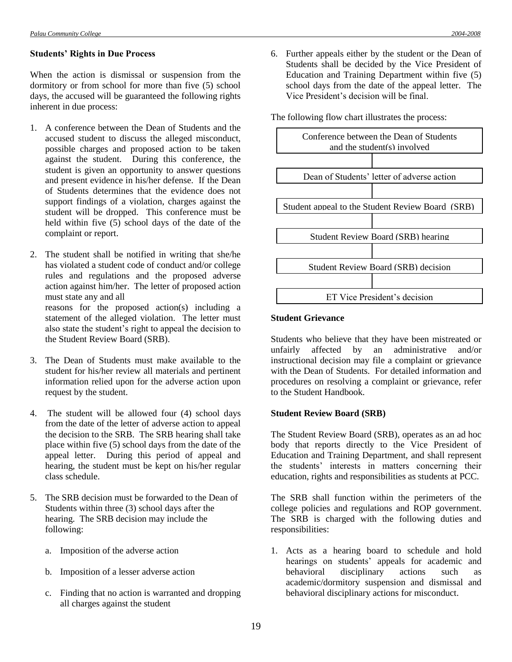### **Students' Rights in Due Process**

When the action is dismissal or suspension from the dormitory or from school for more than five (5) school days, the accused will be guaranteed the following rights inherent in due process:

1. A conference between the Dean of Students and the accused student to discuss the alleged misconduct, possible charges and proposed action to be taken against the student. During this conference, the student is given an opportunity to answer questions and present evidence in his/her defense. If the Dean of Students determines that the evidence does not support findings of a violation, charges against the student will be dropped. This conference must be held within five  $(5)$  school days of the date of the complaint or report.

2. The student shall be notified in writing that she/he has violated a student code of conduct and/or college rules and regulations and the proposed adverse action against him/her. The letter of proposed action must state any and all reasons for the proposed action(s) including a statement of the alleged violation. The letter must also state the student's right to appeal the decision to the Student Review Board (SRB).

- 3. The Dean of Students must make available to the student for his/her review all materials and pertinent information relied upon for the adverse action upon request by the student.
- 4. The student will be allowed four (4) school days from the date of the letter of adverse action to appeal the decision to the SRB. The SRB hearing shall take place within five (5) school days from the date of the appeal letter. During this period of appeal and hearing, the student must be kept on his/her regular class schedule.
- 5. The SRB decision must be forwarded to the Dean of Students within three (3) school days after the hearing. The SRB decision may include the following:
	- a. Imposition of the adverse action
	- b. Imposition of a lesser adverse action
	- c. Finding that no action is warranted and dropping all charges against the student

6. Further appeals either by the student or the Dean of Students shall be decided by the Vice President of Education and Training Department within five (5) school days from the date of the appeal letter. The Vice President's decision will be final.

The following flow chart illustrates the process:



#### **Student Grievance**

Students who believe that they have been mistreated or unfairly affected by an administrative and/or instructional decision may file a complaint or grievance with the Dean of Students. For detailed information and procedures on resolving a complaint or grievance, refer to the Student Handbook.

# **Student Review Board (SRB)**

The Student Review Board (SRB), operates as an ad hoc body that reports directly to the Vice President of Education and Training Department, and shall represent the students' interests in matters concerning their education, rights and responsibilities as students at PCC.

The SRB shall function within the perimeters of the college policies and regulations and ROP government. The SRB is charged with the following duties and responsibilities:

1. Acts as a hearing board to schedule and hold hearings on students' appeals for academic and behavioral disciplinary actions such as academic/dormitory suspension and dismissal and behavioral disciplinary actions for misconduct.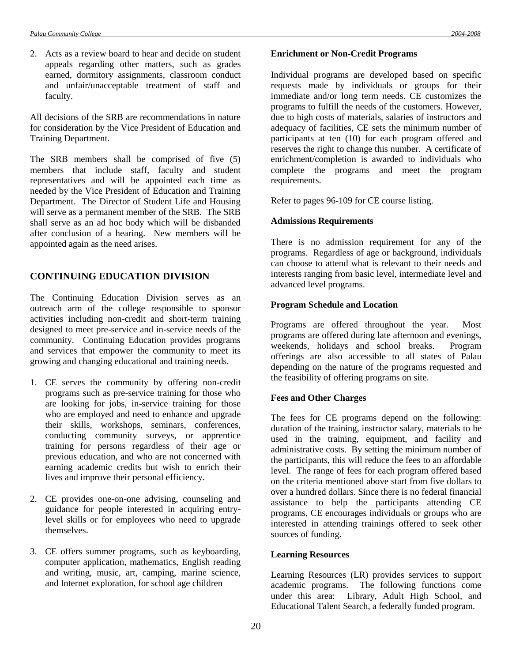2. Acts as a review board to hear and decide on student appeals regarding other matters, such as grades earned, dormitory assignments, classroom conduct and unfair/unacceptable treatment of staff and faculty.

All decisions of the SRB are recommendations in nature for consideration by the Vice President of Education and Training Department.

The SRB members shall be comprised of five (5) members that include staff, faculty and student representatives and will be appointed each time as needed by the Vice President of Education and Training Department. The Director of Student Life and Housing will serve as a permanent member of the SRB. The SRB shall serve as an ad hoc body which will be disbanded after conclusion of a hearing. New members will be appointed again as the need arises.

# **CONTINUING EDUCATION DIVISION**

The Continuing Education Division serves as an outreach arm of the college responsible to sponsor activities including non-credit and short-term training designed to meet pre-service and in-service needs of the community. Continuing Education provides programs and services that empower the community to meet its growing and changing educational and training needs.

- 1. CE serves the community by offering non-credit programs such as pre-service training for those who are looking for jobs, in-service training for those who are employed and need to enhance and upgrade their skills, workshops, seminars, conferences, conducting community surveys, or apprentice training for persons regardless of their age or previous education, and who are not concerned with earning academic credits but wish to enrich their lives and improve their personal efficiency.
- 2. CE provides one-on-one advising, counseling and guidance for people interested in acquiring entrylevel skills or for employees who need to upgrade themselves.
- 3. CE offers summer programs, such as keyboarding, computer application, mathematics, English reading and writing, music, art, camping, marine science, and Internet exploration, for school age children

#### **Enrichment or Non-Credit Programs**

Individual programs are developed based on specific requests made by individuals or groups for their immediate and/or long term needs. CE customizes the programs to fulfill the needs of the customers. However, due to high costs of materials, salaries of instructors and adequacy of facilities, CE sets the minimum number of participants at ten (10) for each program offered and reserves the right to change this number. A certificate of enrichment/completion is awarded to individuals who complete the programs and meet the program requirements.

Refer to pages 96-109 for CE course listing.

# **Admissions Requirements**

There is no admission requirement for any of the programs. Regardless of age or background, individuals can choose to attend what is relevant to their needs and interests ranging from basic level, intermediate level and advanced level programs.

## **Program Schedule and Location**

Programs are offered throughout the year. Most programs are offered during late afternoon and evenings, weekends, holidays and school breaks. Program offerings are also accessible to all states of Palau depending on the nature of the programs requested and the feasibility of offering programs on site.

## **Fees and Other Charges**

The fees for CE programs depend on the following: duration of the training, instructor salary, materials to be used in the training, equipment, and facility and administrative costs. By setting the minimum number of the participants, this will reduce the fees to an affordable level. The range of fees for each program offered based on the criteria mentioned above start from five dollars to over a hundred dollars. Since there is no federal financial assistance to help the participants attending CE programs, CE encourages individuals or groups who are interested in attending trainings offered to seek other sources of funding.

## **Learning Resources**

Learning Resources (LR) provides services to support academic programs. The following functions come under this area: Library, Adult High School, and Educational Talent Search, a federally funded program.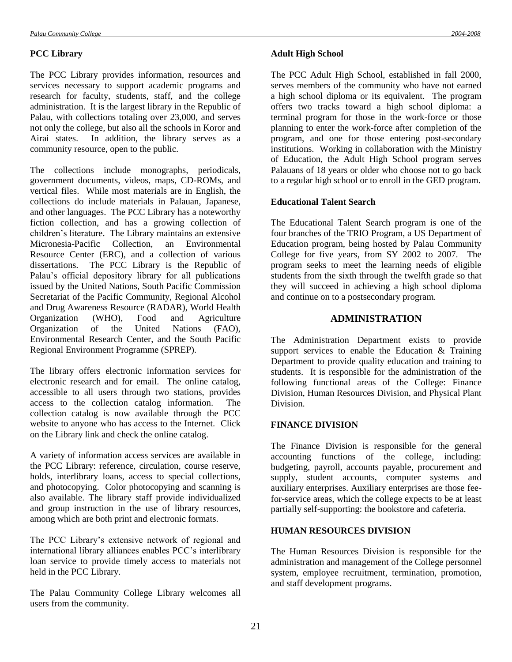#### **PCC Library**

The PCC Library provides information, resources and services necessary to support academic programs and research for faculty, students, staff, and the college administration. It is the largest library in the Republic of Palau, with collections totaling over 23,000, and serves not only the college, but also all the schools in Koror and Airai states. In addition, the library serves as a community resource, open to the public.

The collections include monographs, periodicals, government documents, videos, maps, CD-ROMs, and vertical files. While most materials are in English, the collections do include materials in Palauan, Japanese, and other languages. The PCC Library has a noteworthy fiction collection, and has a growing collection of children's literature. The Library maintains an extensive<br>Micronesia-Pacific Collection, an Environmental Micronesia-Pacific Collection, Resource Center (ERC), and a collection of various dissertations. The PCC Library is the Republic of Palau's official depository library for all publications issued by the United Nations, South Pacific Commission Secretariat of the Pacific Community, Regional Alcohol and Drug Awareness Resource (RADAR), World Health Organization (WHO), Food and Agriculture Organization of the United Nations (FAO), Environmental Research Center, and the South Pacific Regional Environment Programme (SPREP).

The library offers electronic information services for electronic research and for email. The online catalog, accessible to all users through two stations, provides access to the collection catalog information. The collection catalog is now available through the PCC website to anyone who has access to the Internet. Click on the Library link and check the online catalog.

A variety of information access services are available in the PCC Library: reference, circulation, course reserve, holds, interlibrary loans, access to special collections, and photocopying. Color photocopying and scanning is also available. The library staff provide individualized and group instruction in the use of library resources, among which are both print and electronic formats.

The PCC Library's extensive network of regional and international library alliances enables PCC's interlibrary loan service to provide timely access to materials not held in the PCC Library.

The Palau Community College Library welcomes all users from the community.

#### **Adult High School**

The PCC Adult High School, established in fall 2000, serves members of the community who have not earned a high school diploma or its equivalent. The program offers two tracks toward a high school diploma: a terminal program for those in the work-force or those planning to enter the work-force after completion of the program, and one for those entering post-secondary institutions. Working in collaboration with the Ministry of Education, the Adult High School program serves Palauans of 18 years or older who choose not to go back to a regular high school or to enroll in the GED program.

#### **Educational Talent Search**

The Educational Talent Search program is one of the four branches of the TRIO Program, a US Department of Education program, being hosted by Palau Community College for five years, from SY 2002 to 2007. The program seeks to meet the learning needs of eligible students from the sixth through the twelfth grade so that they will succeed in achieving a high school diploma and continue on to a postsecondary program.

# **ADMINISTRATION**

The Administration Department exists to provide support services to enable the Education  $&$  Training Department to provide quality education and training to students. It is responsible for the administration of the following functional areas of the College: Finance Division, Human Resources Division, and Physical Plant Division.

# **FINANCE DIVISION**

The Finance Division is responsible for the general accounting functions of the college, including: budgeting, payroll, accounts payable, procurement and supply, student accounts, computer systems and auxiliary enterprises. Auxiliary enterprises are those feefor-service areas, which the college expects to be at least partially self-supporting: the bookstore and cafeteria.

### **HUMAN RESOURCES DIVISION**

The Human Resources Division is responsible for the administration and management of the College personnel system, employee recruitment, termination, promotion, and staff development programs.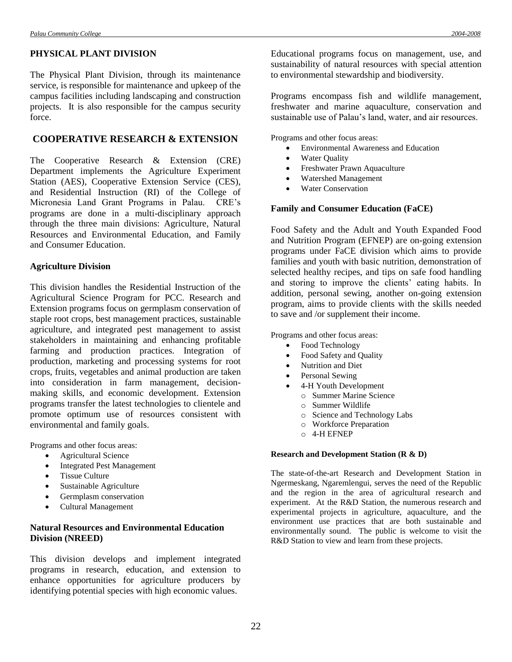#### **PHYSICAL PLANT DIVISION**

The Physical Plant Division, through its maintenance service, is responsible for maintenance and upkeep of the campus facilities including landscaping and construction projects. It is also responsible for the campus security force.

# **COOPERATIVE RESEARCH & EXTENSION**

The Cooperative Research & Extension (CRE) Department implements the Agriculture Experiment Station (AES), Cooperative Extension Service (CES), and Residential Instruction (RI) of the College of Micronesia Land Grant Programs in Palau. CRE's programs are done in a multi-disciplinary approach through the three main divisions: Agriculture, Natural Resources and Environmental Education, and Family and Consumer Education.

#### **Agriculture Division**

This division handles the Residential Instruction of the Agricultural Science Program for PCC. Research and Extension programs focus on germplasm conservation of staple root crops, best management practices, sustainable agriculture, and integrated pest management to assist stakeholders in maintaining and enhancing profitable farming and production practices. Integration of production, marketing and processing systems for root crops, fruits, vegetables and animal production are taken into consideration in farm management, decisionmaking skills, and economic development. Extension programs transfer the latest technologies to clientele and promote optimum use of resources consistent with environmental and family goals.

Programs and other focus areas:

- Agricultural Science
- Integrated Pest Management
- Tissue Culture
- Sustainable Agriculture
- Germplasm conservation
- Cultural Management

## **Natural Resources and Environmental Education Division (NREED)**

This division develops and implement integrated programs in research, education, and extension to enhance opportunities for agriculture producers by identifying potential species with high economic values.

Educational programs focus on management, use, and sustainability of natural resources with special attention to environmental stewardship and biodiversity.

Programs encompass fish and wildlife management, freshwater and marine aquaculture, conservation and sustainable use of Palau's land, water, and air resources.

Programs and other focus areas:

- Environmental Awareness and Education
- Water Quality
- Freshwater Prawn Aquaculture
- Watershed Management
- Water Conservation

#### **Family and Consumer Education (FaCE)**

Food Safety and the Adult and Youth Expanded Food and Nutrition Program (EFNEP) are on-going extension programs under FaCE division which aims to provide families and youth with basic nutrition, demonstration of selected healthy recipes, and tips on safe food handling and storing to improve the clients' eating habits. In addition, personal sewing, another on-going extension program, aims to provide clients with the skills needed to save and /or supplement their income.

Programs and other focus areas:

- Food Technology
- Food Safety and Quality
- Nutrition and Diet
- Personal Sewing
- 4-H Youth Development
	- o Summer Marine Science
	- o Summer Wildlife
	- o Science and Technology Labs
	- o Workforce Preparation
	- o 4-H EFNEP

#### **Research and Development Station (R & D)**

The state-of-the-art Research and Development Station in Ngermeskang, Ngaremlengui, serves the need of the Republic and the region in the area of agricultural research and experiment. At the R&D Station, the numerous research and experimental projects in agriculture, aquaculture, and the environment use practices that are both sustainable and environmentally sound. The public is welcome to visit the R&D Station to view and learn from these projects.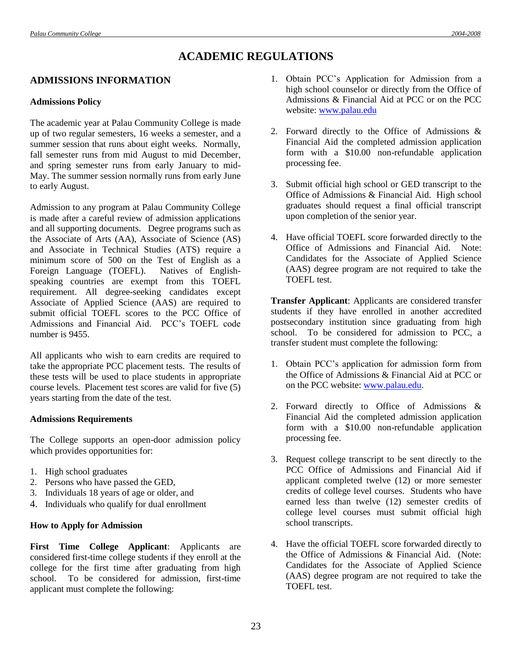# **ACADEMIC REGULATIONS**

# **ADMISSIONS INFORMATION**

#### **Admissions Policy**

The academic year at Palau Community College is made up of two regular semesters, 16 weeks a semester, and a summer session that runs about eight weeks. Normally, fall semester runs from mid August to mid December, and spring semester runs from early January to mid-May. The summer session normally runs from early June to early August.

Admission to any program at Palau Community College is made after a careful review of admission applications and all supporting documents. Degree programs such as the Associate of Arts (AA), Associate of Science (AS) and Associate in Technical Studies (ATS) require a minimum score of 500 on the Test of English as a Foreign Language (TOEFL). Natives of Englishspeaking countries are exempt from this TOEFL requirement. All degree-seeking candidates except Associate of Applied Science (AAS) are required to submit official TOEFL scores to the PCC Office of Admissions and Financial Aid. PCC's TOEFL code number is 9455.

All applicants who wish to earn credits are required to take the appropriate PCC placement tests. The results of these tests will be used to place students in appropriate course levels. Placement test scores are valid for five (5) years starting from the date of the test.

#### **Admissions Requirements**

The College supports an open-door admission policy which provides opportunities for:

- 1. High school graduates
- 2. Persons who have passed the GED,
- 3. Individuals 18 years of age or older, and
- 4. Individuals who qualify for dual enrollment

#### **How to Apply for Admission**

**First Time College Applicant**: Applicants are considered first-time college students if they enroll at the college for the first time after graduating from high school. To be considered for admission, first-time applicant must complete the following:

- 1. Obtain PCC's Application for Admission from a high school counselor or directly from the Office of Admissions & Financial Aid at PCC or on the PCC website: [www.palau.edu](http://www.palau.edu/)
- 2. Forward directly to the Office of Admissions & Financial Aid the completed admission application form with a \$10.00 non-refundable application processing fee.
- 3. Submit official high school or GED transcript to the Office of Admissions & Financial Aid. High school graduates should request a final official transcript upon completion of the senior year.
- 4. Have official TOEFL score forwarded directly to the Office of Admissions and Financial Aid. Note: Candidates for the Associate of Applied Science (AAS) degree program are not required to take the TOEFL test.

**Transfer Applicant**: Applicants are considered transfer students if they have enrolled in another accredited postsecondary institution since graduating from high school. To be considered for admission to PCC, a transfer student must complete the following:

- 1. Obtain PCC's application for admission form from the Office of Admissions & Financial Aid at PCC or on the PCC website: [www.palau.edu.](http://www.palau.edu/)
- 2. Forward directly to Office of Admissions & Financial Aid the completed admission application form with a \$10.00 non-refundable application processing fee.
- 3. Request college transcript to be sent directly to the PCC Office of Admissions and Financial Aid if applicant completed twelve (12) or more semester credits of college level courses. Students who have earned less than twelve (12) semester credits of college level courses must submit official high school transcripts.
- 4. Have the official TOEFL score forwarded directly to the Office of Admissions & Financial Aid. (Note: Candidates for the Associate of Applied Science (AAS) degree program are not required to take the TOEFL test.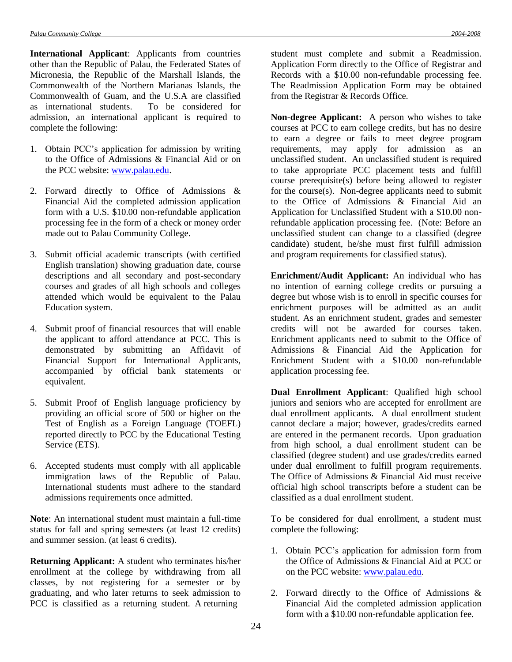**International Applicant**: Applicants from countries other than the Republic of Palau, the Federated States of Micronesia, the Republic of the Marshall Islands, the Commonwealth of the Northern Marianas Islands, the Commonwealth of Guam, and the U.S.A are classified as international students. To be considered for admission, an international applicant is required to complete the following:

- 1. Obtain PCC's application for admission by writing to the Office of Admissions & Financial Aid or on the PCC website: [www.palau.edu.](http://www.palau.edu/)
- 2. Forward directly to Office of Admissions & Financial Aid the completed admission application form with a U.S. \$10.00 non-refundable application processing fee in the form of a check or money order made out to Palau Community College.
- 3. Submit official academic transcripts (with certified English translation) showing graduation date, course descriptions and all secondary and post-secondary courses and grades of all high schools and colleges attended which would be equivalent to the Palau Education system.
- 4. Submit proof of financial resources that will enable the applicant to afford attendance at PCC. This is demonstrated by submitting an Affidavit of Financial Support for International Applicants, accompanied by official bank statements or equivalent.
- 5. Submit Proof of English language proficiency by providing an official score of 500 or higher on the Test of English as a Foreign Language (TOEFL) reported directly to PCC by the Educational Testing Service (ETS).
- 6. Accepted students must comply with all applicable immigration laws of the Republic of Palau. International students must adhere to the standard admissions requirements once admitted.

**Note**: An international student must maintain a full-time status for fall and spring semesters (at least 12 credits) and summer session. (at least 6 credits).

**Returning Applicant:** A student who terminates his/her enrollment at the college by withdrawing from all classes, by not registering for a semester or by graduating, and who later returns to seek admission to PCC is classified as a returning student. A returning

student must complete and submit a Readmission. Application Form directly to the Office of Registrar and Records with a \$10.00 non-refundable processing fee. The Readmission Application Form may be obtained from the Registrar & Records Office.

**Non-degree Applicant:** A person who wishes to take courses at PCC to earn college credits, but has no desire to earn a degree or fails to meet degree program requirements, may apply for admission as an unclassified student. An unclassified student is required to take appropriate PCC placement tests and fulfill course prerequisite(s) before being allowed to register for the course(s). Non-degree applicants need to submit to the Office of Admissions & Financial Aid an Application for Unclassified Student with a \$10.00 nonrefundable application processing fee. (Note: Before an unclassified student can change to a classified (degree candidate) student, he/she must first fulfill admission and program requirements for classified status).

**Enrichment/Audit Applicant:** An individual who has no intention of earning college credits or pursuing a degree but whose wish is to enroll in specific courses for enrichment purposes will be admitted as an audit student. As an enrichment student, grades and semester credits will not be awarded for courses taken. Enrichment applicants need to submit to the Office of Admissions & Financial Aid the Application for Enrichment Student with a \$10.00 non-refundable application processing fee.

**Dual Enrollment Applicant**: Qualified high school juniors and seniors who are accepted for enrollment are dual enrollment applicants. A dual enrollment student cannot declare a major; however, grades/credits earned are entered in the permanent records. Upon graduation from high school, a dual enrollment student can be classified (degree student) and use grades/credits earned under dual enrollment to fulfill program requirements. The Office of Admissions & Financial Aid must receive official high school transcripts before a student can be classified as a dual enrollment student.

To be considered for dual enrollment, a student must complete the following:

- 1. Obtain PCC's application for admission form from the Office of Admissions & Financial Aid at PCC or on the PCC website: [www.palau.edu.](http://www.palau.edu/)
- 2. Forward directly to the Office of Admissions & Financial Aid the completed admission application form with a \$10.00 non-refundable application fee.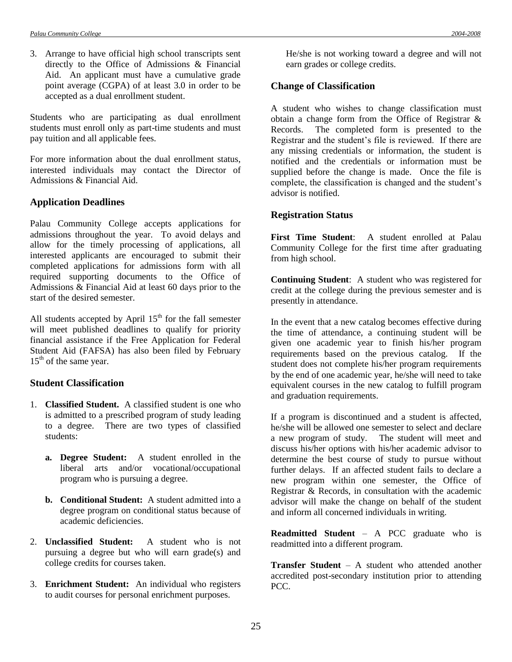3. Arrange to have official high school transcripts sent directly to the Office of Admissions & Financial Aid. An applicant must have a cumulative grade point average (CGPA) of at least 3.0 in order to be accepted as a dual enrollment student.

Students who are participating as dual enrollment students must enroll only as part-time students and must pay tuition and all applicable fees.

For more information about the dual enrollment status, interested individuals may contact the Director of Admissions & Financial Aid.

## **Application Deadlines**

Palau Community College accepts applications for admissions throughout the year. To avoid delays and allow for the timely processing of applications, all interested applicants are encouraged to submit their completed applications for admissions form with all required supporting documents to the Office of Admissions & Financial Aid at least 60 days prior to the start of the desired semester.

All students accepted by April  $15<sup>th</sup>$  for the fall semester will meet published deadlines to qualify for priority financial assistance if the Free Application for Federal Student Aid (FAFSA) has also been filed by February 15<sup>th</sup> of the same year.

# **Student Classification**

- 1. **Classified Student.** A classified student is one who is admitted to a prescribed program of study leading to a degree. There are two types of classified students:
	- **a. Degree Student:** A student enrolled in the liberal arts and/or vocational/occupational program who is pursuing a degree.
	- **b. Conditional Student:** A student admitted into a degree program on conditional status because of academic deficiencies.
- 2. **Unclassified Student:** A student who is not pursuing a degree but who will earn grade(s) and college credits for courses taken.
- 3. **Enrichment Student:** An individual who registers to audit courses for personal enrichment purposes.

He/she is not working toward a degree and will not earn grades or college credits.

# **Change of Classification**

A student who wishes to change classification must obtain a change form from the Office of Registrar & Records. The completed form is presented to the Registrar and the student's file is reviewed. If there are any missing credentials or information, the student is notified and the credentials or information must be supplied before the change is made. Once the file is complete, the classification is changed and the student's advisor is notified.

# **Registration Status**

**First Time Student**: A student enrolled at Palau Community College for the first time after graduating from high school.

**Continuing Student**: A student who was registered for credit at the college during the previous semester and is presently in attendance.

In the event that a new catalog becomes effective during the time of attendance, a continuing student will be given one academic year to finish his/her program requirements based on the previous catalog. If the student does not complete his/her program requirements by the end of one academic year, he/she will need to take equivalent courses in the new catalog to fulfill program and graduation requirements.

If a program is discontinued and a student is affected, he/she will be allowed one semester to select and declare a new program of study. The student will meet and discuss his/her options with his/her academic advisor to determine the best course of study to pursue without further delays. If an affected student fails to declare a new program within one semester, the Office of Registrar & Records, in consultation with the academic advisor will make the change on behalf of the student and inform all concerned individuals in writing.

**Readmitted Student** – A PCC graduate who is readmitted into a different program.

**Transfer Student** – A student who attended another accredited post-secondary institution prior to attending PCC.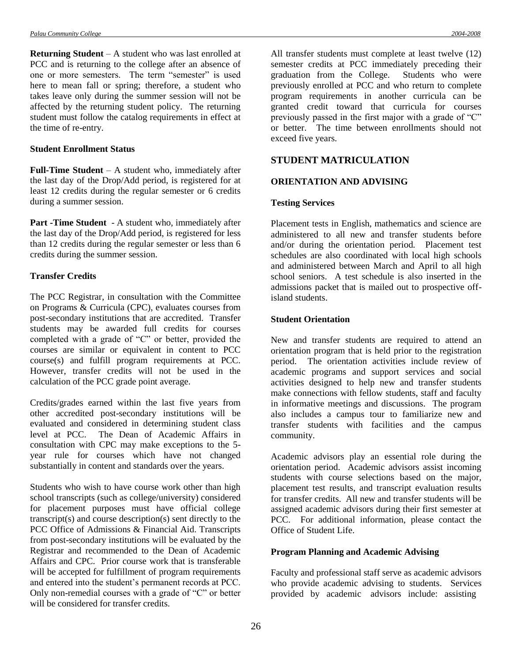**Returning Student** – A student who was last enrolled at PCC and is returning to the college after an absence of one or more semesters. The term "semester" is used here to mean fall or spring; therefore, a student who takes leave only during the summer session will not be affected by the returning student policy. The returning student must follow the catalog requirements in effect at the time of re-entry.

#### **Student Enrollment Status**

**Full-Time Student** – A student who, immediately after the last day of the Drop/Add period, is registered for at least 12 credits during the regular semester or 6 credits during a summer session.

**Part -Time Student** - A student who, immediately after the last day of the Drop/Add period, is registered for less than 12 credits during the regular semester or less than 6 credits during the summer session.

## **Transfer Credits**

The PCC Registrar, in consultation with the Committee on Programs & Curricula (CPC), evaluates courses from post-secondary institutions that are accredited. Transfer students may be awarded full credits for courses completed with a grade of "C" or better, provided the courses are similar or equivalent in content to PCC course(s) and fulfill program requirements at PCC. However, transfer credits will not be used in the calculation of the PCC grade point average.

Credits/grades earned within the last five years from other accredited post-secondary institutions will be evaluated and considered in determining student class level at PCC. The Dean of Academic Affairs in consultation with CPC may make exceptions to the 5 year rule for courses which have not changed substantially in content and standards over the years.

Students who wish to have course work other than high school transcripts (such as college/university) considered for placement purposes must have official college transcript(s) and course description(s) sent directly to the PCC Office of Admissions & Financial Aid. Transcripts from post-secondary institutions will be evaluated by the Registrar and recommended to the Dean of Academic Affairs and CPC. Prior course work that is transferable will be accepted for fulfillment of program requirements and entered into the student's permanent records at PCC. Only non-remedial courses with a grade of "C" or better will be considered for transfer credits.

All transfer students must complete at least twelve (12) semester credits at PCC immediately preceding their graduation from the College. Students who were previously enrolled at PCC and who return to complete program requirements in another curricula can be granted credit toward that curricula for courses previously passed in the first major with a grade of "C" or better. The time between enrollments should not exceed five years.

# **STUDENT MATRICULATION**

# **ORIENTATION AND ADVISING**

## **Testing Services**

Placement tests in English, mathematics and science are administered to all new and transfer students before and/or during the orientation period. Placement test schedules are also coordinated with local high schools and administered between March and April to all high school seniors. A test schedule is also inserted in the admissions packet that is mailed out to prospective offisland students.

## **Student Orientation**

New and transfer students are required to attend an orientation program that is held prior to the registration period. The orientation activities include review of academic programs and support services and social activities designed to help new and transfer students make connections with fellow students, staff and faculty in informative meetings and discussions. The program also includes a campus tour to familiarize new and transfer students with facilities and the campus community.

Academic advisors play an essential role during the orientation period. Academic advisors assist incoming students with course selections based on the major, placement test results, and transcript evaluation results for transfer credits. All new and transfer students will be assigned academic advisors during their first semester at PCC. For additional information, please contact the Office of Student Life.

## **Program Planning and Academic Advising**

Faculty and professional staff serve as academic advisors who provide academic advising to students. Services provided by academic advisors include: assisting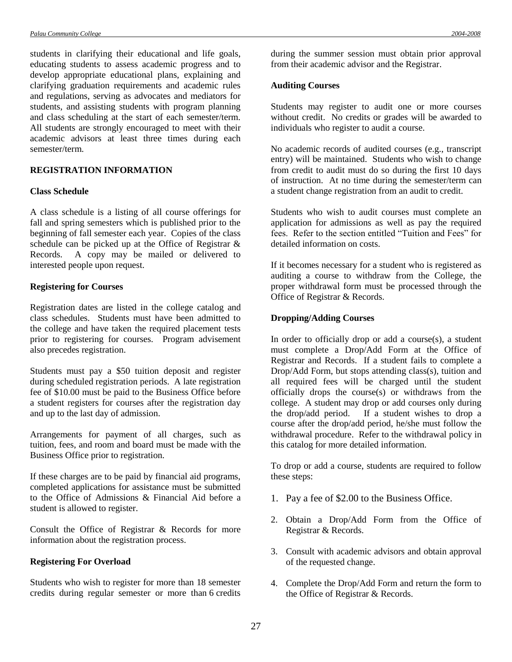students in clarifying their educational and life goals, educating students to assess academic progress and to develop appropriate educational plans, explaining and clarifying graduation requirements and academic rules and regulations, serving as advocates and mediators for students, and assisting students with program planning and class scheduling at the start of each semester/term. All students are strongly encouraged to meet with their academic advisors at least three times during each semester/term.

## **REGISTRATION INFORMATION**

#### **Class Schedule**

A class schedule is a listing of all course offerings for fall and spring semesters which is published prior to the beginning of fall semester each year. Copies of the class schedule can be picked up at the Office of Registrar & Records. A copy may be mailed or delivered to interested people upon request.

#### **Registering for Courses**

Registration dates are listed in the college catalog and class schedules. Students must have been admitted to the college and have taken the required placement tests prior to registering for courses. Program advisement also precedes registration.

Students must pay a \$50 tuition deposit and register during scheduled registration periods. A late registration fee of \$10.00 must be paid to the Business Office before a student registers for courses after the registration day and up to the last day of admission.

Arrangements for payment of all charges, such as tuition, fees, and room and board must be made with the Business Office prior to registration.

If these charges are to be paid by financial aid programs, completed applications for assistance must be submitted to the Office of Admissions & Financial Aid before a student is allowed to register.

Consult the Office of Registrar & Records for more information about the registration process.

### **Registering For Overload**

Students who wish to register for more than 18 semester credits during regular semester or more than 6 credits during the summer session must obtain prior approval from their academic advisor and the Registrar.

#### **Auditing Courses**

Students may register to audit one or more courses without credit. No credits or grades will be awarded to individuals who register to audit a course.

No academic records of audited courses (e.g., transcript entry) will be maintained. Students who wish to change from credit to audit must do so during the first 10 days of instruction. At no time during the semester/term can a student change registration from an audit to credit.

Students who wish to audit courses must complete an application for admissions as well as pay the required fees. Refer to the section entitled "Tuition and Fees" for detailed information on costs.

If it becomes necessary for a student who is registered as auditing a course to withdraw from the College, the proper withdrawal form must be processed through the Office of Registrar & Records.

#### **Dropping/Adding Courses**

In order to officially drop or add a course $(s)$ , a student must complete a Drop/Add Form at the Office of Registrar and Records. If a student fails to complete a Drop/Add Form, but stops attending class(s), tuition and all required fees will be charged until the student officially drops the course(s) or withdraws from the college. A student may drop or add courses only during the drop/add period. If a student wishes to drop a course after the drop/add period, he/she must follow the withdrawal procedure. Refer to the withdrawal policy in this catalog for more detailed information.

To drop or add a course, students are required to follow these steps:

- 1. Pay a fee of \$2.00 to the Business Office.
- 2. Obtain a Drop/Add Form from the Office of Registrar & Records.
- 3. Consult with academic advisors and obtain approval of the requested change.
- 4. Complete the Drop/Add Form and return the form to the Office of Registrar & Records.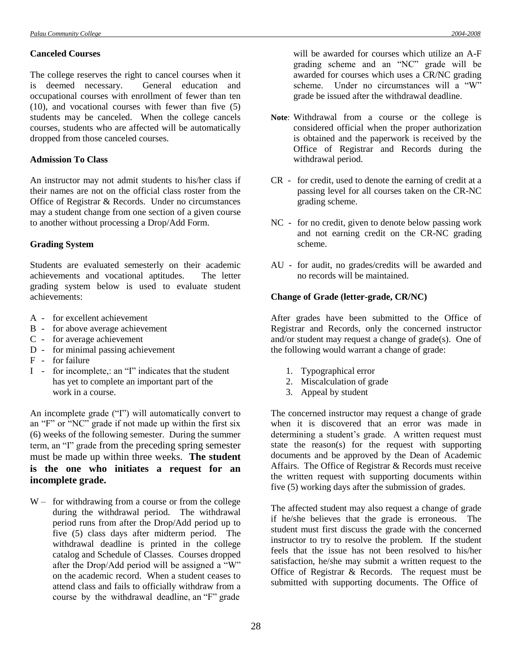### **Canceled Courses**

The college reserves the right to cancel courses when it is deemed necessary. General education and occupational courses with enrollment of fewer than ten (10), and vocational courses with fewer than five (5) students may be canceled. When the college cancels courses, students who are affected will be automatically dropped from those canceled courses.

## **Admission To Class**

An instructor may not admit students to his/her class if their names are not on the official class roster from the Office of Registrar & Records. Under no circumstances may a student change from one section of a given course to another without processing a Drop/Add Form.

# **Grading System**

Students are evaluated semesterly on their academic achievements and vocational aptitudes. The letter grading system below is used to evaluate student achievements:

- A for excellent achievement
- B for above average achievement
- C for average achievement
- D for minimal passing achievement
- F for failure
- I for incomplete,: an "I" indicates that the student has yet to complete an important part of the work in a course.

An incomplete grade ("I") will automatically convert to an "F" or "NC" grade if not made up within the first six (6) weeks of the following semester. During the summer term, an "I" grade from the preceding spring semester must be made up within three weeks. **The student is the one who initiates a request for an incomplete grade.**

 $W -$  for withdrawing from a course or from the college during the withdrawal period. The withdrawal period runs from after the Drop/Add period up to five (5) class days after midterm period. The withdrawal deadline is printed in the college catalog and Schedule of Classes. Courses dropped after the Drop/Add period will be assigned a  $\cdot\cdot\cdot$ W" on the academic record. When a student ceases to attend class and fails to officially withdraw from a course by the withdrawal deadline, an "F" grade

will be awarded for courses which utilize an A-F grading scheme and an "NC" grade will be awarded for courses which uses a CR/NC grading scheme. Under no circumstances will a "W" grade be issued after the withdrawal deadline.

- **Note**: Withdrawal from a course or the college is considered official when the proper authorization is obtained and the paperwork is received by the Office of Registrar and Records during the withdrawal period.
- CR for credit, used to denote the earning of credit at a passing level for all courses taken on the CR-NC grading scheme.
- NC for no credit, given to denote below passing work and not earning credit on the CR-NC grading scheme.
- AU for audit, no grades/credits will be awarded and no records will be maintained.

# **Change of Grade (letter-grade, CR/NC)**

After grades have been submitted to the Office of Registrar and Records, only the concerned instructor and/or student may request a change of grade(s). One of the following would warrant a change of grade:

- 1. Typographical error
- 2. Miscalculation of grade
- 3. Appeal by student

The concerned instructor may request a change of grade when it is discovered that an error was made in determining a student's grade. A written request must state the reason(s) for the request with supporting documents and be approved by the Dean of Academic Affairs. The Office of Registrar & Records must receive the written request with supporting documents within five (5) working days after the submission of grades.

The affected student may also request a change of grade if he/she believes that the grade is erroneous. The student must first discuss the grade with the concerned instructor to try to resolve the problem. If the student feels that the issue has not been resolved to his/her satisfaction, he/she may submit a written request to the Office of Registrar & Records. The request must be submitted with supporting documents. The Office of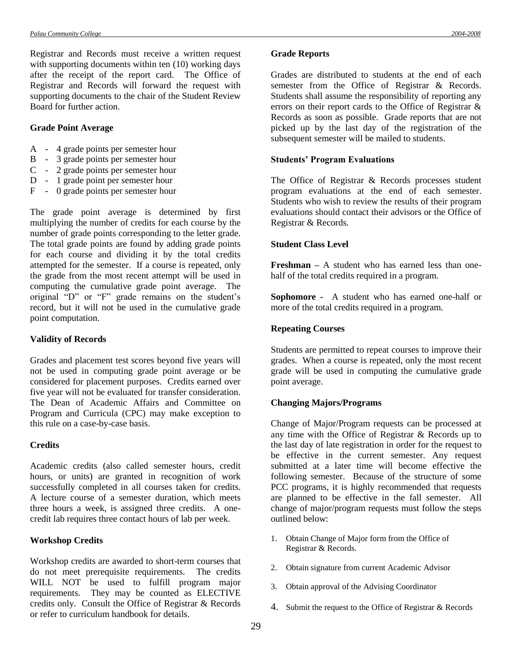Registrar and Records must receive a written request with supporting documents within ten (10) working days after the receipt of the report card. The Office of Registrar and Records will forward the request with supporting documents to the chair of the Student Review Board for further action.

#### **Grade Point Average**

- A 4 grade points per semester hour
- B 3 grade points per semester hour
- C 2 grade points per semester hour
- D 1 grade point per semester hour
- F 0 grade points per semester hour

The grade point average is determined by first multiplying the number of credits for each course by the number of grade points corresponding to the letter grade. The total grade points are found by adding grade points for each course and dividing it by the total credits attempted for the semester. If a course is repeated, only the grade from the most recent attempt will be used in computing the cumulative grade point average. The original "D" or "F" grade remains on the student's record, but it will not be used in the cumulative grade point computation.

#### **Validity of Records**

Grades and placement test scores beyond five years will not be used in computing grade point average or be considered for placement purposes. Credits earned over five year will not be evaluated for transfer consideration. The Dean of Academic Affairs and Committee on Program and Curricula (CPC) may make exception to this rule on a case-by-case basis.

#### **Credits**

Academic credits (also called semester hours, credit hours, or units) are granted in recognition of work successfully completed in all courses taken for credits. A lecture course of a semester duration, which meets three hours a week, is assigned three credits. A onecredit lab requires three contact hours of lab per week.

## **Workshop Credits**

Workshop credits are awarded to short-term courses that do not meet prerequisite requirements. The credits WILL NOT be used to fulfill program major requirements. They may be counted as ELECTIVE credits only. Consult the Office of Registrar & Records or refer to curriculum handbook for details.

#### **Grade Reports**

Grades are distributed to students at the end of each semester from the Office of Registrar & Records. Students shall assume the responsibility of reporting any errors on their report cards to the Office of Registrar & Records as soon as possible. Grade reports that are not picked up by the last day of the registration of the subsequent semester will be mailed to students.

#### **Students' Program Evaluations**

The Office of Registrar & Records processes student program evaluations at the end of each semester. Students who wish to review the results of their program evaluations should contact their advisors or the Office of Registrar & Records.

#### **Student Class Level**

**Freshman –** A student who has earned less than onehalf of the total credits required in a program.

**Sophomore -** A student who has earned one-half or more of the total credits required in a program.

## **Repeating Courses**

Students are permitted to repeat courses to improve their grades. When a course is repeated, only the most recent grade will be used in computing the cumulative grade point average.

## **Changing Majors/Programs**

Change of Major/Program requests can be processed at any time with the Office of Registrar & Records up to the last day of late registration in order for the request to be effective in the current semester. Any request submitted at a later time will become effective the following semester. Because of the structure of some PCC programs, it is highly recommended that requests are planned to be effective in the fall semester. All change of major/program requests must follow the steps outlined below:

- 1. Obtain Change of Major form from the Office of Registrar & Records.
- 2. Obtain signature from current Academic Advisor
- 3. Obtain approval of the Advising Coordinator
- 4. Submit the request to the Office of Registrar & Records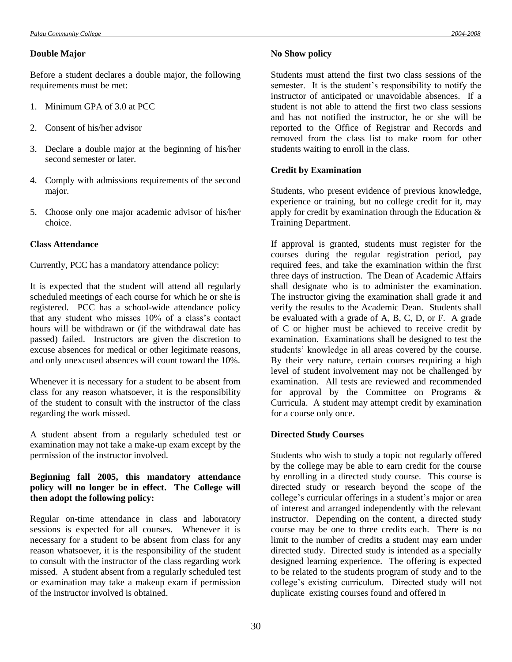#### **Double Major**

Before a student declares a double major, the following requirements must be met:

- 1. Minimum GPA of 3.0 at PCC
- 2. Consent of his/her advisor
- 3. Declare a double major at the beginning of his/her second semester or later.
- 4. Comply with admissions requirements of the second major.
- 5. Choose only one major academic advisor of his/her choice.

## **Class Attendance**

Currently, PCC has a mandatory attendance policy:

It is expected that the student will attend all regularly scheduled meetings of each course for which he or she is registered. PCC has a school-wide attendance policy that any student who misses 10% of a class's contact hours will be withdrawn or (if the withdrawal date has passed) failed. Instructors are given the discretion to excuse absences for medical or other legitimate reasons, and only unexcused absences will count toward the 10%.

Whenever it is necessary for a student to be absent from class for any reason whatsoever, it is the responsibility of the student to consult with the instructor of the class regarding the work missed.

A student absent from a regularly scheduled test or examination may not take a make-up exam except by the permission of the instructor involved.

## **Beginning fall 2005, this mandatory attendance policy will no longer be in effect. The College will then adopt the following policy:**

Regular on-time attendance in class and laboratory sessions is expected for all courses. Whenever it is necessary for a student to be absent from class for any reason whatsoever, it is the responsibility of the student to consult with the instructor of the class regarding work missed. A student absent from a regularly scheduled test or examination may take a makeup exam if permission of the instructor involved is obtained.

Students must attend the first two class sessions of the semester. It is the student's responsibility to notify the instructor of anticipated or unavoidable absences. If a student is not able to attend the first two class sessions and has not notified the instructor, he or she will be reported to the Office of Registrar and Records and removed from the class list to make room for other students waiting to enroll in the class.

## **Credit by Examination**

Students, who present evidence of previous knowledge, experience or training, but no college credit for it, may apply for credit by examination through the Education & Training Department.

If approval is granted, students must register for the courses during the regular registration period, pay required fees, and take the examination within the first three days of instruction. The Dean of Academic Affairs shall designate who is to administer the examination. The instructor giving the examination shall grade it and verify the results to the Academic Dean. Students shall be evaluated with a grade of A, B, C, D, or F. A grade of C or higher must be achieved to receive credit by examination. Examinations shall be designed to test the students' knowledge in all areas covered by the course. By their very nature, certain courses requiring a high level of student involvement may not be challenged by examination. All tests are reviewed and recommended for approval by the Committee on Programs  $\&$ Curricula. A student may attempt credit by examination for a course only once.

## **Directed Study Courses**

Students who wish to study a topic not regularly offered by the college may be able to earn credit for the course by enrolling in a directed study course. This course is directed study or research beyond the scope of the college's curricular offerings in a student's major or area of interest and arranged independently with the relevant instructor. Depending on the content, a directed study course may be one to three credits each. There is no limit to the number of credits a student may earn under directed study. Directed study is intended as a specially designed learning experience. The offering is expected to be related to the students program of study and to the college's existing curriculum. Directed study will not duplicate existing courses found and offered in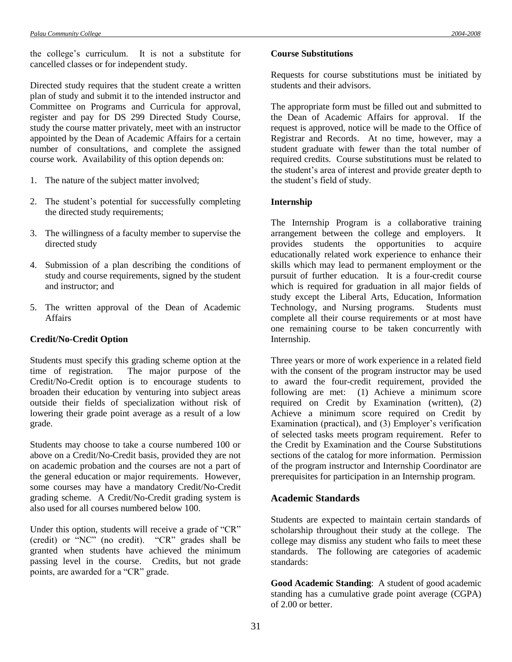the college's curriculum. It is not a substitute for cancelled classes or for independent study.

Directed study requires that the student create a written plan of study and submit it to the intended instructor and Committee on Programs and Curricula for approval, register and pay for DS 299 Directed Study Course, study the course matter privately, meet with an instructor appointed by the Dean of Academic Affairs for a certain number of consultations, and complete the assigned course work. Availability of this option depends on:

- 1. The nature of the subject matter involved;
- 2. The student's potential for successfully completing the directed study requirements;
- 3. The willingness of a faculty member to supervise the directed study
- 4. Submission of a plan describing the conditions of study and course requirements, signed by the student and instructor; and
- 5. The written approval of the Dean of Academic Affairs

## **Credit/No-Credit Option**

Students must specify this grading scheme option at the time of registration. The major purpose of the Credit/No-Credit option is to encourage students to broaden their education by venturing into subject areas outside their fields of specialization without risk of lowering their grade point average as a result of a low grade.

Students may choose to take a course numbered 100 or above on a Credit/No-Credit basis, provided they are not on academic probation and the courses are not a part of the general education or major requirements. However, some courses may have a mandatory Credit/No-Credit grading scheme. A Credit/No-Credit grading system is also used for all courses numbered below 100.

Under this option, students will receive a grade of "CR" (credit) or "NC" (no credit). "CR" grades shall be granted when students have achieved the minimum passing level in the course. Credits, but not grade points, are awarded for a "CR" grade.

#### **Course Substitutions**

Requests for course substitutions must be initiated by students and their advisors.

The appropriate form must be filled out and submitted to the Dean of Academic Affairs for approval. If the request is approved, notice will be made to the Office of Registrar and Records. At no time, however, may a student graduate with fewer than the total number of required credits. Course substitutions must be related to the student's area of interest and provide greater depth to the student's field of study.

#### **Internship**

The Internship Program is a collaborative training arrangement between the college and employers. It provides students the opportunities to acquire educationally related work experience to enhance their skills which may lead to permanent employment or the pursuit of further education. It is a four-credit course which is required for graduation in all major fields of study except the Liberal Arts, Education, Information Technology, and Nursing programs. Students must complete all their course requirements or at most have one remaining course to be taken concurrently with Internship.

Three years or more of work experience in a related field with the consent of the program instructor may be used to award the four-credit requirement, provided the following are met: (1) Achieve a minimum score required on Credit by Examination (written), (2) Achieve a minimum score required on Credit by Examination (practical), and (3) Employer's verification of selected tasks meets program requirement. Refer to the Credit by Examination and the Course Substitutions sections of the catalog for more information. Permission of the program instructor and Internship Coordinator are prerequisites for participation in an Internship program.

# **Academic Standards**

Students are expected to maintain certain standards of scholarship throughout their study at the college. The college may dismiss any student who fails to meet these standards. The following are categories of academic standards:

**Good Academic Standing**: A student of good academic standing has a cumulative grade point average (CGPA) of 2.00 or better.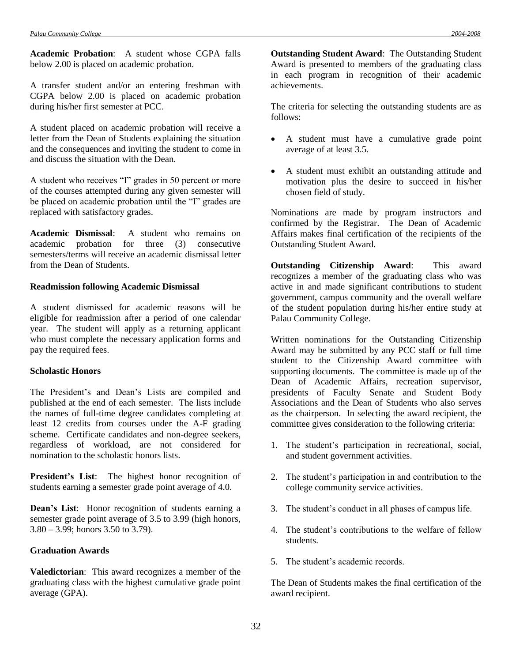**Academic Probation**: A student whose CGPA falls below 2.00 is placed on academic probation.

A transfer student and/or an entering freshman with CGPA below 2.00 is placed on academic probation during his/her first semester at PCC.

A student placed on academic probation will receive a letter from the Dean of Students explaining the situation and the consequences and inviting the student to come in and discuss the situation with the Dean.

A student who receives "I" grades in 50 percent or more of the courses attempted during any given semester will be placed on academic probation until the "I" grades are replaced with satisfactory grades.

**Academic Dismissal**: A student who remains on academic probation for three (3) consecutive semesters/terms will receive an academic dismissal letter from the Dean of Students.

#### **Readmission following Academic Dismissal**

A student dismissed for academic reasons will be eligible for readmission after a period of one calendar year. The student will apply as a returning applicant who must complete the necessary application forms and pay the required fees.

#### **Scholastic Honors**

The President's and Dean's Lists are compiled and published at the end of each semester. The lists include the names of full-time degree candidates completing at least 12 credits from courses under the A-F grading scheme. Certificate candidates and non-degree seekers, regardless of workload, are not considered for nomination to the scholastic honors lists.

**President's List**: The highest honor recognition of students earning a semester grade point average of 4.0.

**Dean's List**: Honor recognition of students earning a semester grade point average of 3.5 to 3.99 (high honors, 3.80 – 3.99; honors 3.50 to 3.79).

### **Graduation Awards**

**Valedictorian**: This award recognizes a member of the graduating class with the highest cumulative grade point average (GPA).

**Outstanding Student Award**: The Outstanding Student Award is presented to members of the graduating class in each program in recognition of their academic achievements.

The criteria for selecting the outstanding students are as follows:

- A student must have a cumulative grade point average of at least 3.5.
- A student must exhibit an outstanding attitude and motivation plus the desire to succeed in his/her chosen field of study.

Nominations are made by program instructors and confirmed by the Registrar. The Dean of Academic Affairs makes final certification of the recipients of the Outstanding Student Award.

**Outstanding Citizenship Award**: This award recognizes a member of the graduating class who was active in and made significant contributions to student government, campus community and the overall welfare of the student population during his/her entire study at Palau Community College.

Written nominations for the Outstanding Citizenship Award may be submitted by any PCC staff or full time student to the Citizenship Award committee with supporting documents. The committee is made up of the Dean of Academic Affairs, recreation supervisor, presidents of Faculty Senate and Student Body Associations and the Dean of Students who also serves as the chairperson. In selecting the award recipient, the committee gives consideration to the following criteria:

- 1. The student's participation in recreational, social, and student government activities.
- 2. The student's participation in and contribution to the college community service activities.
- 3. The student's conduct in all phases of campus life.
- 4. The student's contributions to the welfare of fellow students.
- 5. The student's academic records.

The Dean of Students makes the final certification of the award recipient.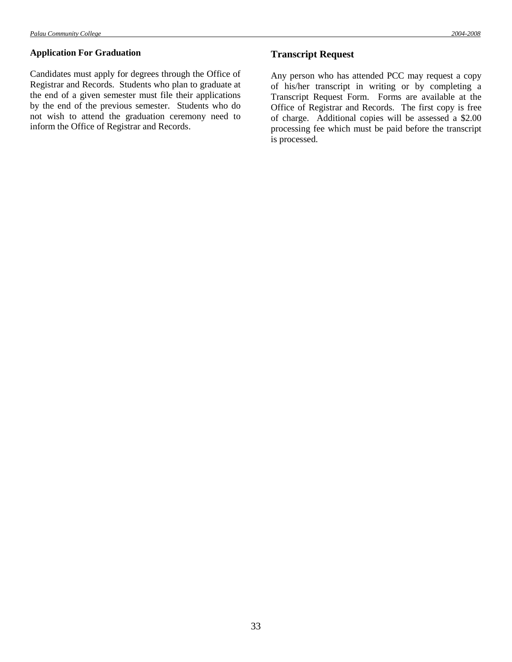Candidates must apply for degrees through the Office of Registrar and Records. Students who plan to graduate at the end of a given semester must file their applications by the end of the previous semester. Students who do not wish to attend the graduation ceremony need to inform the Office of Registrar and Records.

# **Transcript Request**

Any person who has attended PCC may request a copy of his/her transcript in writing or by completing a Transcript Request Form. Forms are available at the Office of Registrar and Records. The first copy is free of charge. Additional copies will be assessed a \$2.00 processing fee which must be paid before the transcript is processed.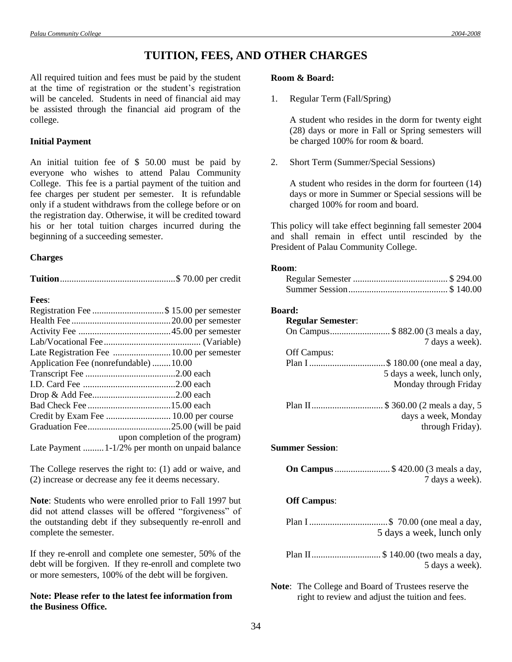# **TUITION, FEES, AND OTHER CHARGES**

All required tuition and fees must be paid by the student at the time of registration or the student's registration will be canceled. Students in need of financial aid may be assisted through the financial aid program of the college.

#### **Initial Payment**

An initial tuition fee of \$ 50.00 must be paid by everyone who wishes to attend Palau Community College. This fee is a partial payment of the tuition and fee charges per student per semester. It is refundable only if a student withdraws from the college before or on the registration day. Otherwise, it will be credited toward his or her total tuition charges incurred during the beginning of a succeeding semester.

#### **Charges**

**Fees**:

| Application Fee (nonrefundable)10.00             |                                 |
|--------------------------------------------------|---------------------------------|
|                                                  |                                 |
|                                                  |                                 |
|                                                  |                                 |
|                                                  |                                 |
|                                                  |                                 |
|                                                  |                                 |
|                                                  | upon completion of the program) |
| Late Payment  1-1/2% per month on unpaid balance |                                 |

The College reserves the right to: (1) add or waive, and (2) increase or decrease any fee it deems necessary.

**Note**: Students who were enrolled prior to Fall 1997 but did not attend classes will be offered "forgiveness" of the outstanding debt if they subsequently re-enroll and complete the semester.

If they re-enroll and complete one semester, 50% of the debt will be forgiven. If they re-enroll and complete two or more semesters, 100% of the debt will be forgiven.

# **Note: Please refer to the latest fee information from the Business Office.**

## **Room & Board:**

1. Regular Term (Fall/Spring)

A student who resides in the dorm for twenty eight (28) days or more in Fall or Spring semesters will be charged 100% for room & board.

2. Short Term (Summer/Special Sessions)

A student who resides in the dorm for fourteen (14) days or more in Summer or Special sessions will be charged 100% for room and board.

This policy will take effect beginning fall semester 2004 and shall remain in effect until rescinded by the President of Palau Community College.

#### **Room**:

#### **Board:**

| <b>Regular Semester:</b> |                                     |
|--------------------------|-------------------------------------|
|                          | On Campus\$ 882.00 (3 meals a day,  |
|                          | 7 days a week).                     |
| Off Campus:              |                                     |
|                          |                                     |
|                          | 5 days a week, lunch only,          |
|                          | Monday through Friday               |
|                          | Plan II \$ 360.00 (2 meals a day, 5 |
|                          | days a week, Monday                 |
|                          | through Friday).                    |

#### **Summer Session**:

| <b>On Campus</b> \$ 420.00 (3 meals a day, |
|--------------------------------------------|
| 7 days a week).                            |

#### **Off Campus**:

| Plan I \$ 70.00 (one meal a day, |
|----------------------------------|
| 5 days a week, lunch only        |

Plan II.............................. \$ 140.00 (two meals a day, 5 days a week).

**Note**: The College and Board of Trustees reserve the right to review and adjust the tuition and fees.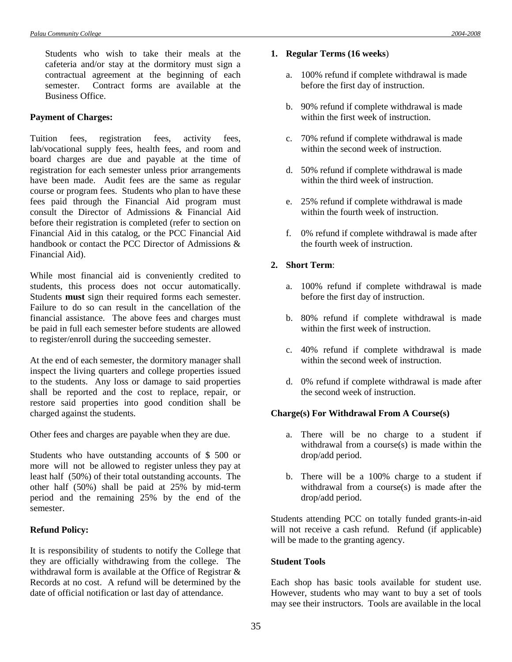Students who wish to take their meals at the cafeteria and/or stay at the dormitory must sign a contractual agreement at the beginning of each semester. Contract forms are available at the Business Office.

## **Payment of Charges:**

Tuition fees, registration fees, activity fees, lab/vocational supply fees, health fees, and room and board charges are due and payable at the time of registration for each semester unless prior arrangements have been made. Audit fees are the same as regular course or program fees. Students who plan to have these fees paid through the Financial Aid program must consult the Director of Admissions & Financial Aid before their registration is completed (refer to section on Financial Aid in this catalog, or the PCC Financial Aid handbook or contact the PCC Director of Admissions & Financial Aid).

While most financial aid is conveniently credited to students, this process does not occur automatically. Students **must** sign their required forms each semester. Failure to do so can result in the cancellation of the financial assistance. The above fees and charges must be paid in full each semester before students are allowed to register/enroll during the succeeding semester.

At the end of each semester, the dormitory manager shall inspect the living quarters and college properties issued to the students. Any loss or damage to said properties shall be reported and the cost to replace, repair, or restore said properties into good condition shall be charged against the students.

Other fees and charges are payable when they are due.

Students who have outstanding accounts of \$ 500 or more will not be allowed to register unless they pay at least half (50%) of their total outstanding accounts. The other half (50%) shall be paid at 25% by mid-term period and the remaining 25% by the end of the semester.

#### **Refund Policy:**

It is responsibility of students to notify the College that they are officially withdrawing from the college. The withdrawal form is available at the Office of Registrar & Records at no cost. A refund will be determined by the date of official notification or last day of attendance.

- **1. Regular Terms (16 weeks**)
	- a. 100% refund if complete withdrawal is made before the first day of instruction.
	- b. 90% refund if complete withdrawal is made within the first week of instruction.
	- c. 70% refund if complete withdrawal is made within the second week of instruction.
	- d. 50% refund if complete withdrawal is made within the third week of instruction.
	- e. 25% refund if complete withdrawal is made within the fourth week of instruction.
	- f. 0% refund if complete withdrawal is made after the fourth week of instruction.

# **2. Short Term**:

- a. 100% refund if complete withdrawal is made before the first day of instruction.
- b. 80% refund if complete withdrawal is made within the first week of instruction.
- c. 40% refund if complete withdrawal is made within the second week of instruction.
- d. 0% refund if complete withdrawal is made after the second week of instruction.

# **Charge(s) For Withdrawal From A Course(s)**

- a. There will be no charge to a student if withdrawal from a course(s) is made within the drop/add period.
- b. There will be a 100% charge to a student if withdrawal from a course(s) is made after the drop/add period.

Students attending PCC on totally funded grants-in-aid will not receive a cash refund. Refund (if applicable) will be made to the granting agency.

# **Student Tools**

Each shop has basic tools available for student use. However, students who may want to buy a set of tools may see their instructors. Tools are available in the local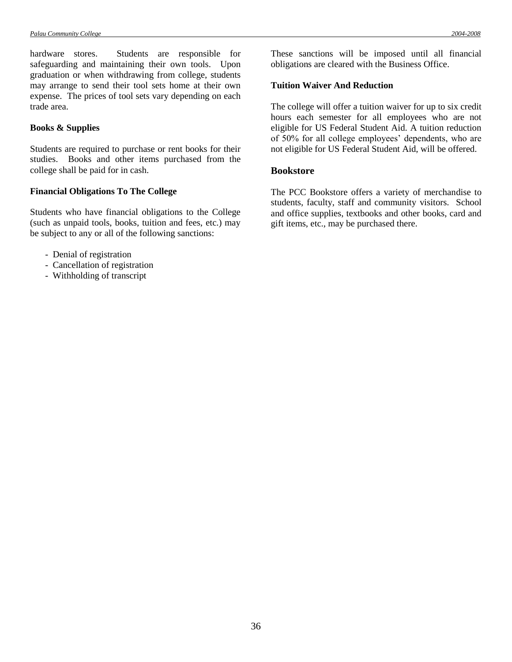hardware stores. Students are responsible for safeguarding and maintaining their own tools. Upon graduation or when withdrawing from college, students may arrange to send their tool sets home at their own expense. The prices of tool sets vary depending on each trade area.

## **Books & Supplies**

Students are required to purchase or rent books for their studies. Books and other items purchased from the college shall be paid for in cash.

## **Financial Obligations To The College**

Students who have financial obligations to the College (such as unpaid tools, books, tuition and fees, etc.) may be subject to any or all of the following sanctions:

- Denial of registration
- Cancellation of registration
- Withholding of transcript

These sanctions will be imposed until all financial obligations are cleared with the Business Office.

# **Tuition Waiver And Reduction**

The college will offer a tuition waiver for up to six credit hours each semester for all employees who are not eligible for US Federal Student Aid. A tuition reduction of 50% for all college employees' dependents, who are not eligible for US Federal Student Aid, will be offered.

## **Bookstore**

The PCC Bookstore offers a variety of merchandise to students, faculty, staff and community visitors. School and office supplies, textbooks and other books, card and gift items, etc., may be purchased there.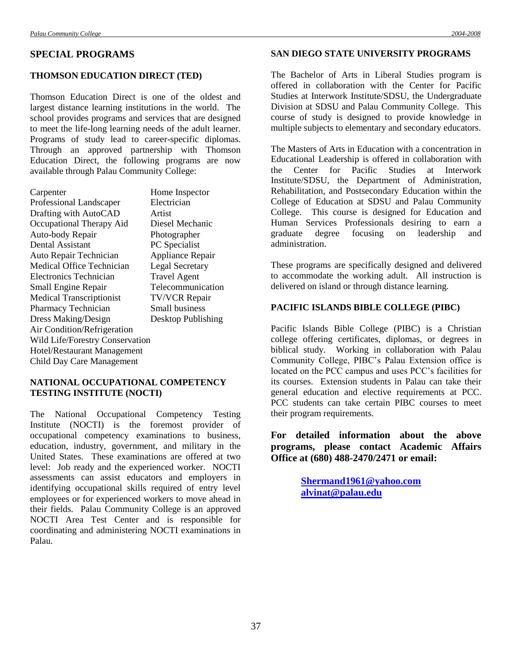# **SPECIAL PROGRAMS**

# **THOMSON EDUCATION DIRECT (TED)**

Thomson Education Direct is one of the oldest and largest distance learning institutions in the world. The school provides programs and services that are designed to meet the life-long learning needs of the adult learner. Programs of study lead to career-specific diplomas. Through an approved partnership with Thomson Education Direct, the following programs are now available through Palau Community College:

| Carpenter   |  |
|-------------|--|
| Professiona |  |

Carpenter Home Inspector<br>Professional Landscaper Electrician al Landscaper Drafting with AutoCAD Artist Occupational Therapy Aid Diesel Mechanic Auto-body Repair Photographer Dental Assistant PC Specialist Auto Repair Technician Appliance Repair Medical Office Technician<br>
Legal Secretary<br>
Electronics Technician<br>
Travel Agent Electronics Technician Small Engine Repair Telecommunication Medical Transcriptionist TV/VCR Repair Pharmacy Technician Small business Dress Making/Design Desktop Publishing Air Condition/Refrigeration Wild Life/Forestry Conservation Hotel/Restaurant Management Child Day Care Management

# **NATIONAL OCCUPATIONAL COMPETENCY TESTING INSTITUTE (NOCTI)**

The National Occupational Competency Testing Institute (NOCTI) is the foremost provider of occupational competency examinations to business, education, industry, government, and military in the United States. These examinations are offered at two level: Job ready and the experienced worker. NOCTI assessments can assist educators and employers in identifying occupational skills required of entry level employees or for experienced workers to move ahead in their fields. Palau Community College is an approved NOCTI Area Test Center and is responsible for coordinating and administering NOCTI examinations in Palau.

#### **SAN DIEGO STATE UNIVERSITY PROGRAMS**

The Bachelor of Arts in Liberal Studies program is offered in collaboration with the Center for Pacific Studies at Interwork Institute/SDSU, the Undergraduate Division at SDSU and Palau Community College. This course of study is designed to provide knowledge in multiple subjects to elementary and secondary educators.

The Masters of Arts in Education with a concentration in Educational Leadership is offered in collaboration with the Center for Pacific Studies at Interwork Institute/SDSU, the Department of Administration, Rehabilitation, and Postsecondary Education within the College of Education at SDSU and Palau Community College. This course is designed for Education and Human Services Professionals desiring to earn a graduate degree focusing on leadership and administration.

These programs are specifically designed and delivered to accommodate the working adult. All instruction is delivered on island or through distance learning.

# **PACIFIC ISLANDS BIBLE COLLEGE (PIBC)**

Pacific Islands Bible College (PIBC) is a Christian college offering certificates, diplomas, or degrees in biblical study. Working in collaboration with Palau Community College, PIBC's Palau Extension office is located on the PCC campus and uses PCC's facilities for its courses. Extension students in Palau can take their general education and elective requirements at PCC. PCC students can take certain PIBC courses to meet their program requirements.

**For detailed information about the above programs, please contact Academic Affairs Office at (680) 488-2470/2471 or email:**

> **[Shermand1961@yahoo.com](mailto:Shermand1961@yahoo.com) [alvinat@palau.edu](mailto:alvinat@palau.edu)**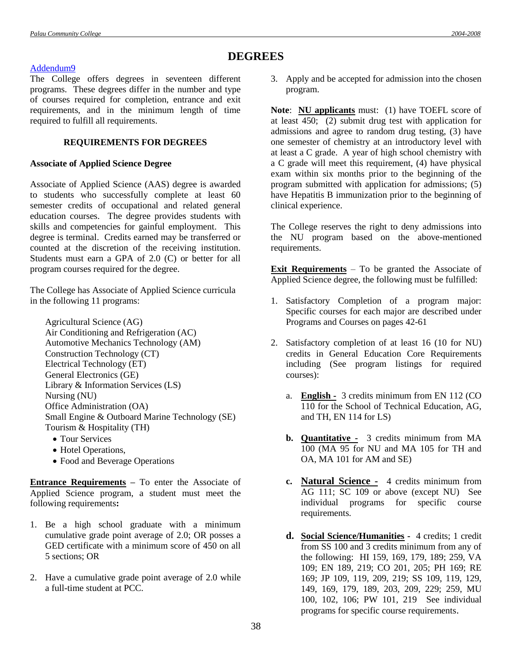# **DEGREES**

# [Addendum9](Addendum9.doc#addendum9)

The College offers degrees in seventeen different programs. These degrees differ in the number and type of courses required for completion, entrance and exit requirements, and in the minimum length of time required to fulfill all requirements.

# **REQUIREMENTS FOR DEGREES**

# **Associate of Applied Science Degree**

Associate of Applied Science (AAS) degree is awarded to students who successfully complete at least 60 semester credits of occupational and related general education courses. The degree provides students with skills and competencies for gainful employment. This degree is terminal. Credits earned may be transferred or counted at the discretion of the receiving institution. Students must earn a GPA of 2.0 (C) or better for all program courses required for the degree.

The College has Associate of Applied Science curricula in the following 11 programs:

- Agricultural Science (AG) Air Conditioning and Refrigeration (AC) Automotive Mechanics Technology (AM) Construction Technology (CT) Electrical Technology (ET) General Electronics (GE) Library & Information Services (LS) Nursing (NU) Office Administration (OA) Small Engine & Outboard Marine Technology (SE) Tourism & Hospitality (TH)
	- Tour Services
	- Hotel Operations,
	- Food and Beverage Operations

**Entrance Requirements –** To enter the Associate of Applied Science program, a student must meet the following requirements**:**

- 1. Be a high school graduate with a minimum cumulative grade point average of 2.0; OR posses a GED certificate with a minimum score of 450 on all 5 sections; OR
- 2. Have a cumulative grade point average of 2.0 while a full-time student at PCC.

3. Apply and be accepted for admission into the chosen program.

**Note**: **NU applicants** must: (1) have TOEFL score of at least 450; (2) submit drug test with application for admissions and agree to random drug testing, (3) have one semester of chemistry at an introductory level with at least a C grade. A year of high school chemistry with a C grade will meet this requirement, (4) have physical exam within six months prior to the beginning of the program submitted with application for admissions; (5) have Hepatitis B immunization prior to the beginning of clinical experience.

The College reserves the right to deny admissions into the NU program based on the above-mentioned requirements.

**Exit Requirements** – To be granted the Associate of Applied Science degree, the following must be fulfilled:

- 1. Satisfactory Completion of a program major: Specific courses for each major are described under Programs and Courses on pages 42-61
- 2. Satisfactory completion of at least 16 (10 for NU) credits in General Education Core Requirements including (See program listings for required courses):
	- a. **English -** 3 credits minimum from EN 112 (CO 110 for the School of Technical Education, AG, and TH, EN 114 for LS)
	- **b. Quantitative -** 3 credits minimum from MA 100 (MA 95 for NU and MA 105 for TH and OA, MA 101 for AM and SE)
	- **c. Natural Science -** 4 credits minimum from AG 111; SC 109 or above (except NU) See individual programs for specific course requirements.
	- **d. Social Science/Humanities** 4 credits; 1 credit from SS 100 and 3 credits minimum from any of the following: HI 159, 169, 179, 189; 259, VA 109; EN 189, 219; CO 201, 205; PH 169; RE 169; JP 109, 119, 209, 219; SS 109, 119, 129, 149, 169, 179, 189, 203, 209, 229; 259, MU 100, 102, 106; PW 101, 219 See individual programs for specific course requirements.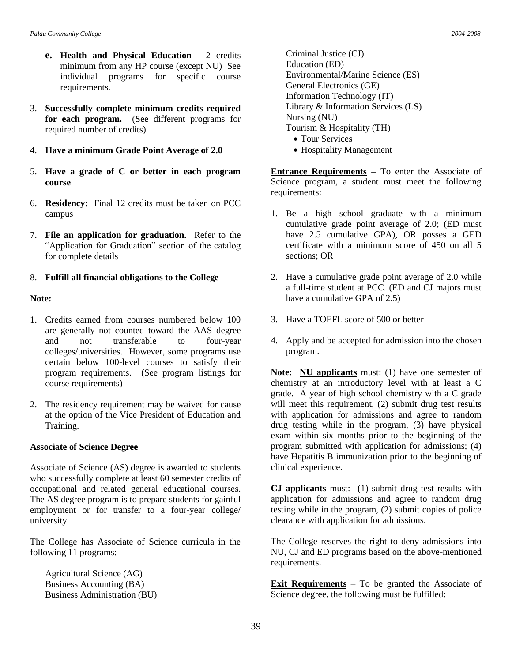- **e. Health and Physical Education**  2 credits minimum from any HP course (except NU) See individual programs for specific course requirements.
- 3. **Successfully complete minimum credits required for each program.** (See different programs for required number of credits)
- 4. **Have a minimum Grade Point Average of 2.0**
- 5. **Have a grade of C or better in each program course**
- 6. **Residency:** Final 12 credits must be taken on PCC campus
- 7. **File an application for graduation.** Refer to the "Application for Graduation" section of the catalog for complete details

# 8. **Fulfill all financial obligations to the College**

## **Note:**

- 1. Credits earned from courses numbered below 100 are generally not counted toward the AAS degree and not transferable to four-year colleges/universities. However, some programs use certain below 100-level courses to satisfy their program requirements. (See program listings for course requirements)
- 2. The residency requirement may be waived for cause at the option of the Vice President of Education and Training.

#### **Associate of Science Degree**

Associate of Science (AS) degree is awarded to students who successfully complete at least 60 semester credits of occupational and related general educational courses. The AS degree program is to prepare students for gainful employment or for transfer to a four-year college/ university.

The College has Associate of Science curricula in the following 11 programs:

Agricultural Science (AG) Business Accounting (BA) Business Administration (BU) Criminal Justice (CJ) Education (ED) Environmental/Marine Science (ES) General Electronics (GE) Information Technology (IT) Library & Information Services (LS) Nursing (NU) Tourism & Hospitality (TH)

- Tour Services
- Hospitality Management

**Entrance Requirements –** To enter the Associate of Science program, a student must meet the following requirements:

- 1. Be a high school graduate with a minimum cumulative grade point average of 2.0; (ED must have 2.5 cumulative GPA), OR posses a GED certificate with a minimum score of 450 on all 5 sections; OR
- 2. Have a cumulative grade point average of 2.0 while a full-time student at PCC. (ED and CJ majors must have a cumulative GPA of 2.5)
- 3. Have a TOEFL score of 500 or better
- 4. Apply and be accepted for admission into the chosen program.

**Note**: **NU applicants** must: (1) have one semester of chemistry at an introductory level with at least a C grade. A year of high school chemistry with a C grade will meet this requirement, (2) submit drug test results with application for admissions and agree to random drug testing while in the program, (3) have physical exam within six months prior to the beginning of the program submitted with application for admissions; (4) have Hepatitis B immunization prior to the beginning of clinical experience.

**CJ applicants** must: (1) submit drug test results with application for admissions and agree to random drug testing while in the program, (2) submit copies of police clearance with application for admissions.

The College reserves the right to deny admissions into NU, CJ and ED programs based on the above-mentioned requirements.

**Exit Requirements** – To be granted the Associate of Science degree, the following must be fulfilled: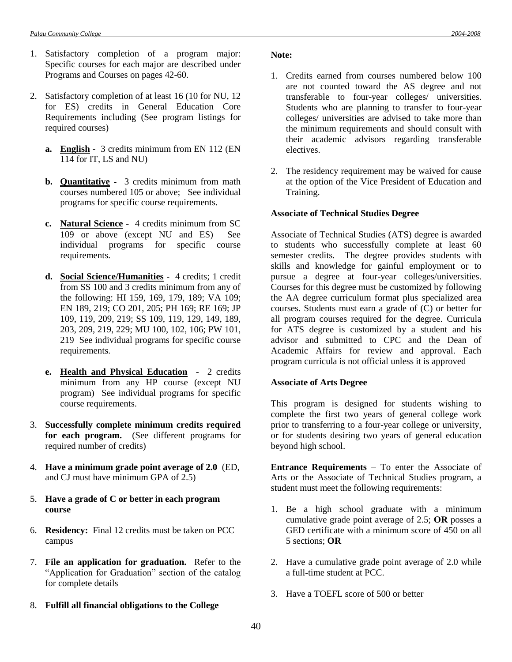- 1. Satisfactory completion of a program major: Specific courses for each major are described under Programs and Courses on pages 42-60.
- 2. Satisfactory completion of at least 16 (10 for NU, 12 for ES) credits in General Education Core Requirements including (See program listings for required courses)
	- **a. English -** 3 credits minimum from EN 112 (EN 114 for IT, LS and NU)
	- **b. Quantitative -** 3 credits minimum from math courses numbered 105 or above; See individual programs for specific course requirements.
	- **c. Natural Science -** 4 credits minimum from SC 109 or above (except NU and ES) See individual programs for specific course requirements.
	- **d. Social Science/Humanities** 4 credits; 1 credit from SS 100 and 3 credits minimum from any of the following: HI 159, 169, 179, 189; VA 109; EN 189, 219; CO 201, 205; PH 169; RE 169; JP 109, 119, 209, 219; SS 109, 119, 129, 149, 189, 203, 209, 219, 229; MU 100, 102, 106; PW 101, 219 See individual programs for specific course requirements.
	- **e. Health and Physical Education** 2 credits minimum from any HP course (except NU program) See individual programs for specific course requirements.
- 3. **Successfully complete minimum credits required for each program.** (See different programs for required number of credits)
- 4. **Have a minimum grade point average of 2.0** (ED, and CJ must have minimum GPA of 2.5)
- 5. **Have a grade of C or better in each program course**
- 6. **Residency:** Final 12 credits must be taken on PCC campus
- 7. **File an application for graduation.** Refer to the "Application for Graduation" section of the catalog for complete details
- 8. **Fulfill all financial obligations to the College**

#### **Note:**

- 1. Credits earned from courses numbered below 100 are not counted toward the AS degree and not transferable to four-year colleges/ universities. Students who are planning to transfer to four-year colleges/ universities are advised to take more than the minimum requirements and should consult with their academic advisors regarding transferable electives.
- 2. The residency requirement may be waived for cause at the option of the Vice President of Education and Training.

#### **Associate of Technical Studies Degree**

Associate of Technical Studies (ATS) degree is awarded to students who successfully complete at least 60 semester credits. The degree provides students with skills and knowledge for gainful employment or to pursue a degree at four-year colleges/universities. Courses for this degree must be customized by following the AA degree curriculum format plus specialized area courses. Students must earn a grade of (C) or better for all program courses required for the degree. Curricula for ATS degree is customized by a student and his advisor and submitted to CPC and the Dean of Academic Affairs for review and approval. Each program curricula is not official unless it is approved

#### **Associate of Arts Degree**

This program is designed for students wishing to complete the first two years of general college work prior to transferring to a four-year college or university, or for students desiring two years of general education beyond high school.

**Entrance Requirements** – To enter the Associate of Arts or the Associate of Technical Studies program, a student must meet the following requirements:

- 1. Be a high school graduate with a minimum cumulative grade point average of 2.5; **OR** posses a GED certificate with a minimum score of 450 on all 5 sections; **OR**
- 2. Have a cumulative grade point average of 2.0 while a full-time student at PCC.
- 3. Have a TOEFL score of 500 or better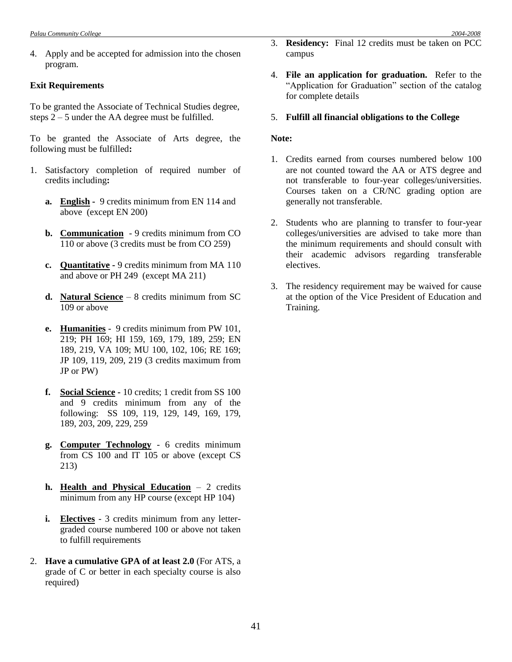4. Apply and be accepted for admission into the chosen program.

#### **Exit Requirements**

To be granted the Associate of Technical Studies degree, steps 2 – 5 under the AA degree must be fulfilled.

To be granted the Associate of Arts degree, the following must be fulfilled**:**

- 1. Satisfactory completion of required number of credits including**:**
	- **a. English -** 9 credits minimum from EN 114 and above (except EN 200)
	- **b. Communication** 9 credits minimum from CO 110 or above (3 credits must be from CO 259)
	- **c. Quantitative -** 9 credits minimum from MA 110 and above or PH 249 (except MA 211)
	- **d. Natural Science** 8 credits minimum from SC 109 or above
	- **e. Humanities** 9 credits minimum from PW 101, 219; PH 169; HI 159, 169, 179, 189, 259; EN 189, 219, VA 109; MU 100, 102, 106; RE 169; JP 109, 119, 209, 219 (3 credits maximum from JP or PW)
	- **f. Social Science -** 10 credits; 1 credit from SS 100 and 9 credits minimum from any of the following: SS 109, 119, 129, 149, 169, 179, 189, 203, 209, 229, 259
	- **g. Computer Technology** 6 credits minimum from CS 100 and IT 105 or above (except CS 213)
	- **h. Health and Physical Education** 2 credits minimum from any HP course (except HP 104)
	- **i. Electives** 3 credits minimum from any lettergraded course numbered 100 or above not taken to fulfill requirements
- 2. **Have a cumulative GPA of at least 2.0** (For ATS, a grade of C or better in each specialty course is also required)
- 3. **Residency:** Final 12 credits must be taken on PCC campus
- 4. **File an application for graduation.** Refer to the "Application for Graduation" section of the catalog for complete details
- 5. **Fulfill all financial obligations to the College**

#### **Note:**

- 1. Credits earned from courses numbered below 100 are not counted toward the AA or ATS degree and not transferable to four-year colleges/universities. Courses taken on a CR/NC grading option are generally not transferable.
- 2. Students who are planning to transfer to four-year colleges/universities are advised to take more than the minimum requirements and should consult with their academic advisors regarding transferable electives.
- 3. The residency requirement may be waived for cause at the option of the Vice President of Education and Training.

41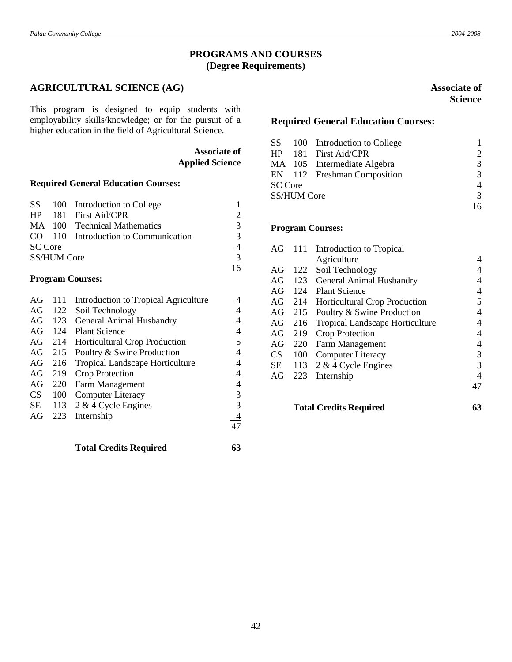# **PROGRAMS AND COURSES (Degree Requirements)**

# **AGRICULTURAL SCIENCE (AG)**

This program is designed to equip students with employability skills/knowledge; or for the pursuit of a higher education in the field of Agricultural Science.

> **Associate of Applied Science**

# **Required General Education Courses:**

|                |                    | SS 100 Introduction to College       |                             |
|----------------|--------------------|--------------------------------------|-----------------------------|
|                |                    | HP 181 First Aid/CPR                 | $\mathcal{D}_{\mathcal{L}}$ |
|                |                    | MA 100 Technical Mathematics         | 3                           |
|                |                    | CO 110 Introduction to Communication | 3                           |
| <b>SC</b> Core |                    |                                      | 4                           |
|                | <b>SS/HUM Core</b> |                                      | 3                           |
|                |                    |                                      | 16                          |

## **Program Courses:**

| AG        | 111 | Introduction to Tropical Agriculture   | 4 |
|-----------|-----|----------------------------------------|---|
| AG        | 122 | Soil Technology                        | 4 |
| AG        | 123 | General Animal Husbandry               | 4 |
| AG        | 124 | <b>Plant Science</b>                   | 4 |
| AG        | 214 | <b>Horticultural Crop Production</b>   | 5 |
| AG        | 215 | Poultry & Swine Production             | 4 |
| AG        | 216 | <b>Tropical Landscape Horticulture</b> | 4 |
| AG        | 219 | Crop Protection                        | 4 |
| AG        | 220 | Farm Management                        | 4 |
| <b>CS</b> | 100 | <b>Computer Literacy</b>               | 3 |
| SE        | 113 | $2 \& 4$ Cycle Engines                 | 3 |
| AG        | 223 | Internship                             |   |
|           |     |                                        |   |
|           |     |                                        |   |

**Total Credits Required 63**

# **Associate of Science**

# **Required General Education Courses:**

|                |                    | SS 100 Introduction to College |                       |
|----------------|--------------------|--------------------------------|-----------------------|
|                |                    | HP 181 First Aid/CPR           | $\mathcal{D}_{\cdot}$ |
|                |                    | MA 105 Intermediate Algebra    | $\mathcal{R}$         |
|                |                    | EN 112 Freshman Composition    | $\mathcal{R}$         |
| <b>SC</b> Core |                    |                                | 4                     |
|                | <b>SS/HUM Core</b> |                                | $\frac{3}{2}$         |
|                |                    |                                | 16                    |

#### **Program Courses:**

| AG     | 111 | Introduction to Tropical               |    |
|--------|-----|----------------------------------------|----|
|        |     | Agriculture                            | 4  |
| AG     | 122 | Soil Technology                        |    |
| AG     | 123 | General Animal Husbandry               | 4  |
| AG     | 124 | <b>Plant Science</b>                   | 4  |
| $AG^-$ | 214 | <b>Horticultural Crop Production</b>   | 5  |
| AG     | 215 | Poultry & Swine Production             | 4  |
| AG     | 216 | <b>Tropical Landscape Horticulture</b> | 4  |
| AG     | 219 | Crop Protection                        | 4  |
| AG     | 220 | <b>Farm Management</b>                 | 4  |
| CS.    | 100 | <b>Computer Literacy</b>               | 3  |
| SЕ     | 113 | $2 \& 4$ Cycle Engines                 | 3  |
| AG     | 223 | Internship                             | 4  |
|        |     |                                        | 47 |
|        |     | <b>Total Credits Required</b>          | 63 |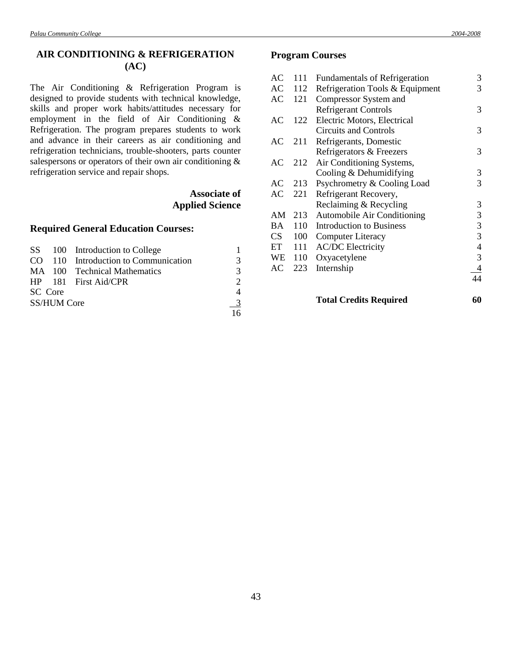# **AIR CONDITIONING & REFRIGERATION (AC)**

The Air Conditioning & Refrigeration Program is designed to provide students with technical knowledge, skills and proper work habits/attitudes necessary for employment in the field of Air Conditioning & Refrigeration. The program prepares students to work and advance in their careers as air conditioning and refrigeration technicians, trouble-shooters, parts counter salespersons or operators of their own air conditioning & refrigeration service and repair shops.

# **Associate of Applied Science**

#### **Required General Education Courses:**

|         |                    | SS 100 Introduction to College       |                          |
|---------|--------------------|--------------------------------------|--------------------------|
|         |                    | CO 110 Introduction to Communication | 3                        |
|         |                    | MA 100 Technical Mathematics         | 3                        |
|         |                    | $HP$ 181 First Aid/CPR               | $\mathcal{D}$            |
| SC Core |                    |                                      | $\overline{\mathcal{A}}$ |
|         | <b>SS/HUM Core</b> |                                      | $\overline{3}$           |
|         |                    |                                      | 16                       |

## **Program Courses**

| AC | 111 | <b>Fundamentals of Refrigeration</b> | 3  |
|----|-----|--------------------------------------|----|
| AC | 112 | Refrigeration Tools & Equipment      | 3  |
| AC | 121 | Compressor System and                |    |
|    |     | <b>Refrigerant Controls</b>          | 3  |
| AC | 122 | Electric Motors, Electrical          |    |
|    |     | Circuits and Controls                | 3  |
| AC | 211 | Refrigerants, Domestic               |    |
|    |     | Refrigerators & Freezers             | 3  |
| AC | 212 | Air Conditioning Systems,            |    |
|    |     | Cooling & Dehumidifying              | 3  |
| AC | 213 | Psychrometry & Cooling Load          | 3  |
| AC | 221 | Refrigerant Recovery,                |    |
|    |     | Reclaiming & Recycling               | 3  |
| AM | 213 | <b>Automobile Air Conditioning</b>   | 3  |
| ВA | 110 | <b>Introduction to Business</b>      | 3  |
| CS | 100 | <b>Computer Literacy</b>             | 3  |
| ET | 111 | <b>AC/DC</b> Electricity             | 4  |
| WE | 110 | Oxyacetylene                         | 3  |
| AC | 223 | Internship                           |    |
|    |     |                                      | 44 |
|    |     | <b>Total Credits Required</b>        | 60 |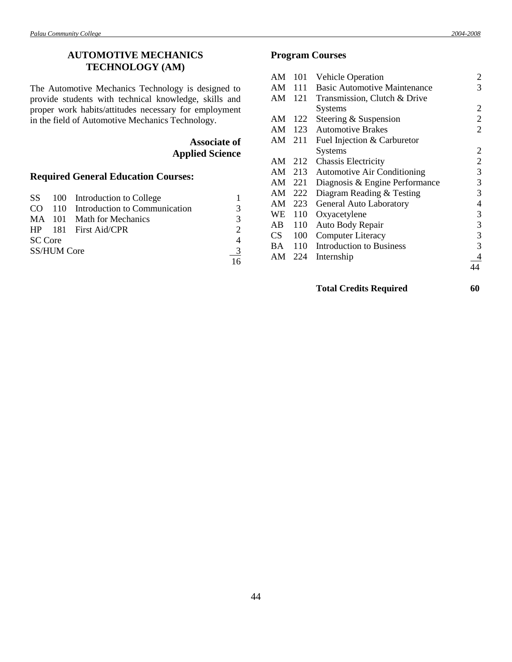# **AUTOMOTIVE MECHANICS TECHNOLOGY (AM)**

The Automotive Mechanics Technology is designed to provide students with technical knowledge, skills and proper work habits/attitudes necessary for employment in the field of Automotive Mechanics Technology.

# **Associate of Applied Science**

# **Required General Education Courses:**

|                |                    | SS 100 Introduction to College       |                             |
|----------------|--------------------|--------------------------------------|-----------------------------|
|                |                    | CO 110 Introduction to Communication | 3                           |
|                |                    | MA 101 Math for Mechanics            | 3                           |
|                |                    | $HP$ 181 First Aid/CPR               | $\mathcal{D}_{\mathcal{D}}$ |
| <b>SC</b> Core |                    |                                      | 4                           |
|                | <b>SS/HUM Core</b> |                                      | -3                          |
|                |                    |                                      | 16                          |

# **Program Courses**

| AM | 101 | Vehicle Operation                   | 2              |
|----|-----|-------------------------------------|----------------|
| AM | 111 | <b>Basic Automotive Maintenance</b> | 3              |
| AM | 121 | Transmission, Clutch & Drive        |                |
|    |     | Systems                             | 2              |
| AM | 122 | Steering & Suspension               | $\overline{c}$ |
| AM | 123 | <b>Automotive Brakes</b>            | $\overline{2}$ |
| AM | 211 | Fuel Injection & Carburetor         |                |
|    |     | <b>Systems</b>                      | 2              |
| AM | 212 | <b>Chassis Electricity</b>          | $\overline{c}$ |
| AM | 213 | <b>Automotive Air Conditioning</b>  | 3              |
| AM | 221 | Diagnosis & Engine Performance      | 3              |
| AM | 222 | Diagram Reading & Testing           | 3              |
| AM | 223 | <b>General Auto Laboratory</b>      | 4              |
| WE | 110 | Oxyacetylene                        | 3              |
| AB | 110 | Auto Body Repair                    | 3              |
| CS | 100 | <b>Computer Literacy</b>            | 3              |
| BA | 110 | <b>Introduction to Business</b>     | 3              |
| AM | 224 | Internship                          |                |
|    |     |                                     |                |

# **Total Credits Required 60**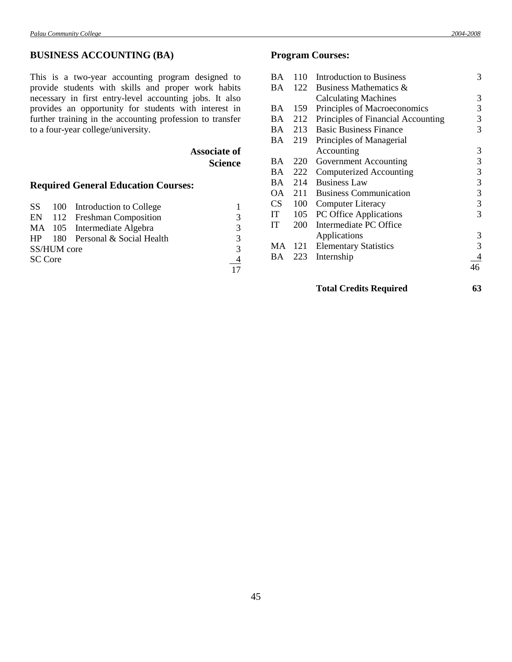# **BUSINESS ACCOUNTING (BA)**

This is a two-year accounting program designed to provide students with skills and proper work habits necessary in first entry-level accounting jobs. It also provides an opportunity for students with interest in further training in the accounting profession to transfer to a four-year college/university.

> **Associate of Science**

# **Required General Education Courses:**

|                |             | SS 100 Introduction to College  |                |
|----------------|-------------|---------------------------------|----------------|
|                |             | EN 112 Freshman Composition     | 3              |
|                |             | MA 105 Intermediate Algebra     | 3              |
|                |             | HP 180 Personal & Social Health | 3              |
|                | SS/HUM core |                                 | 3              |
| <b>SC Core</b> |             |                                 | $\overline{4}$ |
|                |             |                                 | 17             |

# **Program Courses:**

| BA  | 110 | <b>Introduction to Business</b>    | 3  |
|-----|-----|------------------------------------|----|
| BA  | 122 | Business Mathematics &             |    |
|     |     | <b>Calculating Machines</b>        | 3  |
| BA. | 159 | Principles of Macroeconomics       | 3  |
| BA. | 212 | Principles of Financial Accounting | 3  |
| BA. | 213 | <b>Basic Business Finance</b>      | 3  |
| BA  | 219 | Principles of Managerial           |    |
|     |     | Accounting                         | 3  |
| BA  | 220 | Government Accounting              | 3  |
| BA. | 222 | Computerized Accounting            | 3  |
| BA. | 214 | <b>Business Law</b>                | 3  |
| ОA  | 211 | <b>Business Communication</b>      | 3  |
| CS  | 100 | <b>Computer Literacy</b>           | 3  |
| IT  | 105 | PC Office Applications             | 3  |
| IT  | 200 | Intermediate PC Office             |    |
|     |     | Applications                       | 3  |
| MA. | 121 | <b>Elementary Statistics</b>       | 3  |
| BA  | 223 | Internship                         |    |
|     |     |                                    | 46 |
|     |     |                                    |    |

- **Total Credits Required 63**
	-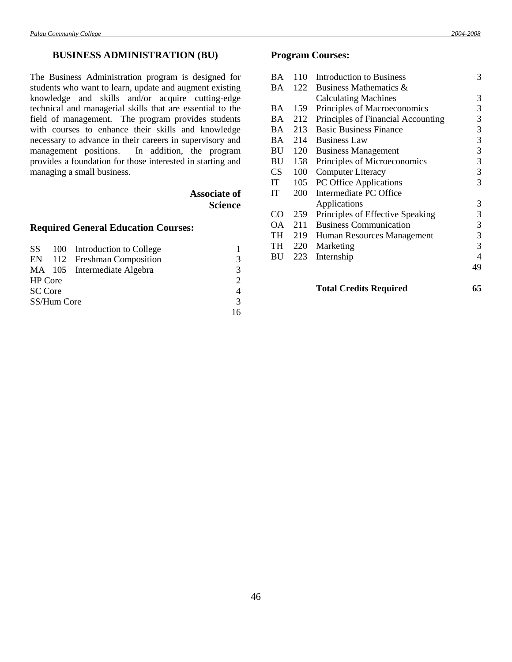# **BUSINESS ADMINISTRATION (BU)**

The Business Administration program is designed for students who want to learn, update and augment existing knowledge and skills and/or acquire cutting-edge technical and managerial skills that are essential to the field of management. The program provides students with courses to enhance their skills and knowledge necessary to advance in their careers in supervisory and management positions. In addition, the program provides a foundation for those interested in starting and managing a small business.

# **Associate of Science**

# **Required General Education Courses:**

|                |             | SS 100 Introduction to College |                             |
|----------------|-------------|--------------------------------|-----------------------------|
|                |             | EN 112 Freshman Composition    | 3                           |
|                |             | MA 105 Intermediate Algebra    | $\mathcal{R}$               |
| <b>HP</b> Core |             |                                | $\mathcal{D}_{\mathcal{L}}$ |
| <b>SC</b> Core |             |                                | 4                           |
|                | SS/Hum Core |                                | $\frac{3}{2}$               |
|                |             |                                | 16                          |

# **Program Courses:**

| <b>BA</b> | 110 | <b>Introduction to Business</b>    | 3  |
|-----------|-----|------------------------------------|----|
| BA        | 122 | Business Mathematics &             |    |
|           |     | <b>Calculating Machines</b>        | 3  |
| <b>BA</b> | 159 | Principles of Macroeconomics       | 3  |
| <b>BA</b> | 212 | Principles of Financial Accounting | 3  |
| <b>BA</b> | 213 | <b>Basic Business Finance</b>      | 3  |
| BA.       | 214 | <b>Business Law</b>                | 3  |
| BU        | 120 | <b>Business Management</b>         | 3  |
| BU        | 158 | Principles of Microeconomics       | 3  |
| <b>CS</b> | 100 | <b>Computer Literacy</b>           | 3  |
| IT        | 105 | PC Office Applications             | 3  |
| <b>IT</b> | 200 | Intermediate PC Office             |    |
|           |     | Applications                       | 3  |
| CO        | 259 | Principles of Effective Speaking   | 3  |
| ОA        | 211 | <b>Business Communication</b>      | 3  |
| TH        | 219 | Human Resources Management         | 3  |
| TH        | 220 | Marketing                          | 3  |
| <b>BU</b> | 223 | Internship                         | 4  |
|           |     |                                    | 49 |
|           |     |                                    |    |
|           |     |                                    |    |

**Total Credits Required 65**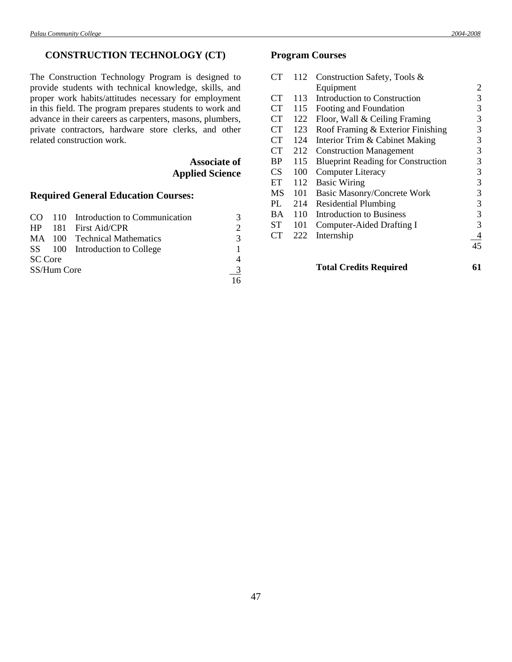# **CONSTRUCTION TECHNOLOGY (CT)**

The Construction Technology Program is designed to provide students with technical knowledge, skills, and proper work habits/attitudes necessary for employment in this field. The program prepares students to work and advance in their careers as carpenters, masons, plumbers, private contractors, hardware store clerks, and other related construction work.

> **Associate of Applied Science**

# **Required General Education Courses:**

|                |             | CO 110 Introduction to Communication |   |
|----------------|-------------|--------------------------------------|---|
|                |             | HP 181 First Aid/CPR                 |   |
|                |             | MA 100 Technical Mathematics         | 3 |
|                |             | SS 100 Introduction to College       |   |
| <b>SC</b> Core |             |                                      |   |
|                | SS/Hum Core |                                      |   |
|                |             |                                      |   |

# **Program Courses**

| CT              | 112 | Construction Safety, Tools &              |    |
|-----------------|-----|-------------------------------------------|----|
|                 |     | Equipment                                 | 2  |
| <b>CT</b>       | 113 | Introduction to Construction              | 3  |
| CT              | 115 | Footing and Foundation                    | 3  |
| CT              | 122 | Floor, Wall & Ceiling Framing             | 3  |
| <b>CT</b>       | 123 | Roof Framing & Exterior Finishing         | 3  |
| CT              | 124 | Interior Trim & Cabinet Making            | 3  |
| CT              | 212 | <b>Construction Management</b>            | 3  |
| <b>BP</b>       | 115 | <b>Blueprint Reading for Construction</b> | 3  |
| CS              | 100 | <b>Computer Literacy</b>                  | 3  |
| ET              | 112 | <b>Basic Wiring</b>                       | 3  |
| MS              | 101 | <b>Basic Masonry/Concrete Work</b>        | 3  |
| PL              | 214 | <b>Residential Plumbing</b>               | 3  |
| BA              | 110 | <b>Introduction to Business</b>           | 3  |
| <b>ST</b>       | 101 | Computer-Aided Drafting I                 | 3  |
| CT <sup>-</sup> | 222 | Internship                                | 4  |
|                 |     |                                           | 45 |
|                 |     |                                           |    |

**Total Credits Required 61**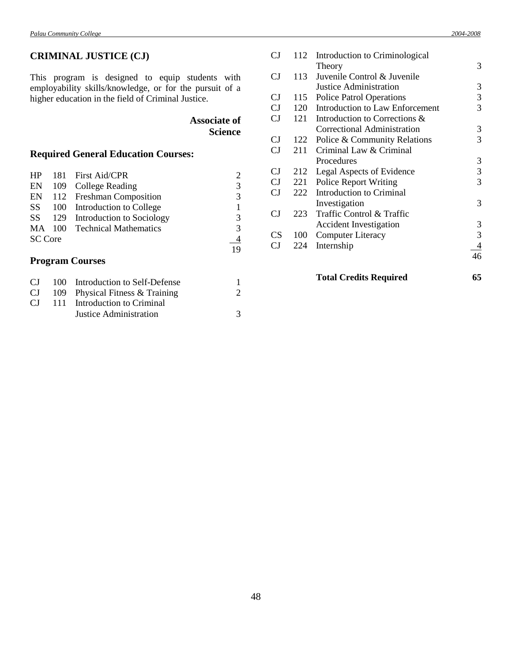# **CRIMINAL JUSTICE (CJ)**

This program is designed to equip students with employability skills/knowledge, or for the pursuit of a higher education in the field of Criminal Justice.

# **Associate of Science**

# **Required General Education Courses:**

| HP             | 181 First Aid/CPR                |               |
|----------------|----------------------------------|---------------|
|                | EN 109 College Reading           | 3             |
|                | EN 112 Freshman Composition      | $\mathcal{R}$ |
|                | SS 100 Introduction to College   |               |
|                | SS 129 Introduction to Sociology | 3             |
|                | MA 100 Technical Mathematics     | 3             |
| <b>SC</b> Core | $\overline{4}$                   |               |
|                |                                  | 19            |
|                | $\mathbf{D}_{\text{no-}m}$       |               |

## **Program Courses**

| CJ – |                        |                                                                                                     |
|------|------------------------|-----------------------------------------------------------------------------------------------------|
|      |                        | 2                                                                                                   |
|      |                        |                                                                                                     |
|      | Justice Administration | 3                                                                                                   |
|      |                        | 100 Introduction to Self-Defense<br>109 Physical Fitness & Training<br>111 Introduction to Criminal |

|     | <b>Total Credits Required</b>          | 65                                                                   |
|-----|----------------------------------------|----------------------------------------------------------------------|
|     |                                        | 46                                                                   |
| 224 | Internship                             | 4                                                                    |
| 100 | <b>Computer Literacy</b>               | 3                                                                    |
|     | <b>Accident Investigation</b>          | 3                                                                    |
| 223 | Traffic Control & Traffic              |                                                                      |
|     | Investigation                          | 3                                                                    |
|     | <b>Introduction to Criminal</b>        |                                                                      |
| 221 | <b>Police Report Writing</b>           | 3                                                                    |
| 212 | Legal Aspects of Evidence              | 3                                                                    |
|     | Procedures                             | 3                                                                    |
| 211 | Criminal Law & Criminal                |                                                                      |
| 122 | Police & Community Relations           | 3                                                                    |
|     | Correctional Administration            | 3                                                                    |
|     | Introduction to Corrections &          |                                                                      |
|     | <b>Introduction to Law Enforcement</b> | 3                                                                    |
| 115 | <b>Police Patrol Operations</b>        | 3                                                                    |
|     | Justice Administration                 | 3                                                                    |
|     | Juvenile Control & Juvenile            |                                                                      |
|     |                                        | 3                                                                    |
|     |                                        |                                                                      |
|     | 112                                    | Introduction to Criminological<br>Theory<br>113<br>120<br>121<br>222 |

48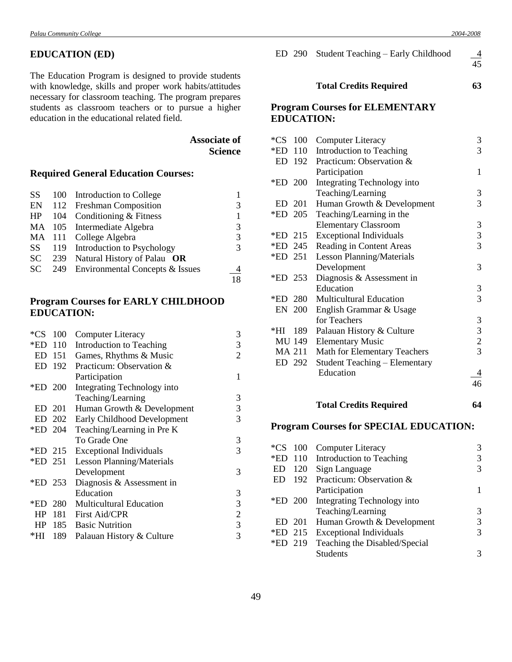# **EDUCATION (ED)**

The Education Program is designed to provide students with knowledge, skills and proper work habits/attitudes necessary for classroom teaching. The program prepares students as classroom teachers or to pursue a higher education in the educational related field.

> **Associate of Science**

# **Required General Education Courses:**

|  | SS 100 Introduction to College         |    |
|--|----------------------------------------|----|
|  | EN 112 Freshman Composition            | 3  |
|  | $HP$ 104 Conditioning & Fitness        | 1  |
|  | MA 105 Intermediate Algebra            | 3  |
|  | MA 111 College Algebra                 | 3  |
|  | SS 119 Introduction to Psychology      | 3  |
|  | SC 239 Natural History of Palau OR     |    |
|  | SC 249 Environmental Concepts & Issues | 4  |
|  |                                        | 18 |

# **Program Courses for EARLY CHILDHOOD EDUCATION:**

| $*$ CS  | 100     | <b>Computer Literacy</b>         | 3              |
|---------|---------|----------------------------------|----------------|
| *ED 110 |         | Introduction to Teaching         | 3              |
|         | ED 151  | Games, Rhythms & Music           | $\overline{2}$ |
| ED      | 192     | Practicum: Observation &         |                |
|         |         | Participation                    | 1              |
| *ED 200 |         | Integrating Technology into      |                |
|         |         | Teaching/Learning                | 3              |
| ED.     | 201     | Human Growth & Development       | 3              |
|         | ED 202  | Early Childhood Development      | 3              |
|         | *ED 204 | Teaching/Learning in Pre K       |                |
|         |         | To Grade One                     | 3              |
| *ED 215 |         | <b>Exceptional Individuals</b>   | 3              |
| *ED 251 |         | <b>Lesson Planning/Materials</b> |                |
|         |         | Development                      | 3              |
|         | *ED 253 | Diagnosis & Assessment in        |                |
|         |         | Education                        | 3              |
|         | *ED 280 | <b>Multicultural Education</b>   | 3              |
| HP      | 181     | First Aid/CPR                    | $\overline{2}$ |
|         |         | HP 185 Basic Nutrition           | 3              |
| *HI -   | 189     | Palauan History & Culture        | 3              |
|         |         |                                  |                |

46

|         | ED 290     | Student Teaching – Early Childhood                         | 4<br>45 |
|---------|------------|------------------------------------------------------------|---------|
|         |            | <b>Total Credits Required</b>                              | 63      |
|         |            | <b>Program Courses for ELEMENTARY</b><br><b>EDUCATION:</b> |         |
|         | $*$ CS 100 | <b>Computer Literacy</b>                                   | 3       |
|         | *ED 110    | Introduction to Teaching                                   | 3       |
|         |            | ED 192 Practicum: Observation &                            |         |
|         |            | Participation                                              | 1       |
| *ED 200 |            | Integrating Technology into                                |         |
|         |            | Teaching/Learning                                          | 3       |
|         | ED 201     | Human Growth & Development                                 | 3       |
|         | *ED 205    | Teaching/Learning in the                                   |         |
|         |            |                                                            |         |

|            | <b>Elementary Classroom</b>      | 3 |
|------------|----------------------------------|---|
| *ED 215    | <b>Exceptional Individuals</b>   | 3 |
| *ED 245    | Reading in Content Areas         | 3 |
| *ED 251    | <b>Lesson Planning/Materials</b> |   |
|            | Development                      | 3 |
| *ED 253    | Diagnosis & Assessment in        |   |
|            | Education                        | 3 |
|            | *ED 280 Multicultural Education  | 3 |
| EN 200     | English Grammar & Usage          |   |
|            | for Teachers                     | 3 |
| *HI<br>189 | Palauan History & Culture        | 3 |
| MU 149     | <b>Elementary Music</b>          | 2 |
| MA 211     | Math for Elementary Teachers     | 3 |
| ED 292     | Student Teaching – Elementary    |   |
|            | Education                        |   |

# **Total Credits Required 64**

# **Program Courses for SPECIAL EDUCATION:**

|    |        | *CS 100 Computer Literacy             | 3 |
|----|--------|---------------------------------------|---|
|    |        | *ED 110 Introduction to Teaching      | 3 |
| ED |        | 120 Sign Language                     | 3 |
| ED |        | 192 Practicum: Observation &          |   |
|    |        | Participation                         |   |
|    |        | *ED 200 Integrating Technology into   |   |
|    |        | Teaching/Learning                     | 3 |
|    | ED 201 | Human Growth & Development            | 3 |
|    |        | *ED 215 Exceptional Individuals       | 3 |
|    |        | *ED 219 Teaching the Disabled/Special |   |
|    |        | <b>Students</b>                       |   |
|    |        |                                       |   |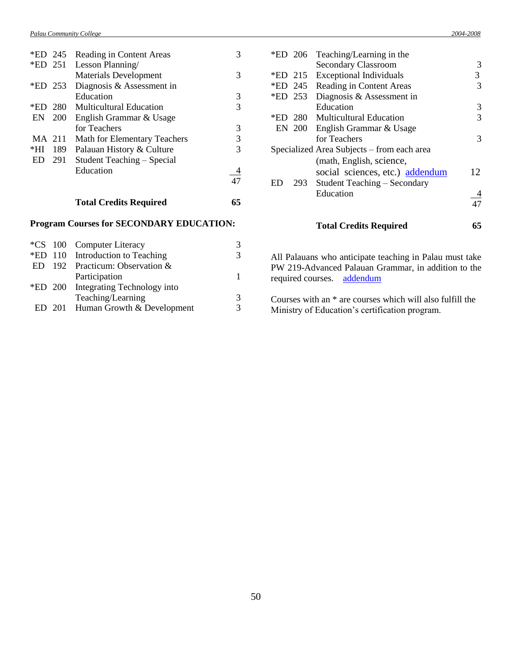|        | *ED 245    | Reading in Content Areas            | 3 |
|--------|------------|-------------------------------------|---|
|        | *ED 251    | Lesson Planning/                    |   |
|        |            | <b>Materials Development</b>        | 3 |
|        | *ED 253    | Diagnosis & Assessment in           |   |
|        |            | Education                           | 3 |
| *ED    | 280        | <b>Multicultural Education</b>      | 3 |
| EN     | <b>200</b> | English Grammar & Usage             |   |
|        |            | for Teachers                        | 3 |
| MA 211 |            | <b>Math for Elementary Teachers</b> | 3 |
| *HI    | 189        | Palauan History & Culture           | 3 |
| ED     | 291        | Student Teaching – Special          |   |
|        |            | Education                           |   |
|        |            |                                     |   |
|        |            |                                     |   |

# **Total Credits Required 65**

# **Program Courses for SECONDARY EDUCATION:**

|  | *CS 100 Computer Literacy           | 3 |
|--|-------------------------------------|---|
|  | *ED 110 Introduction to Teaching    | 3 |
|  | ED 192 Practicum: Observation $&$   |   |
|  | Participation                       | 1 |
|  | *ED 200 Integrating Technology into |   |
|  | Teaching/Learning                   | 3 |
|  | ED 201 Human Growth & Development   | 3 |
|  |                                     |   |

| *ED 206 | Teaching/Learning in the                   |    |
|---------|--------------------------------------------|----|
|         | <b>Secondary Classroom</b>                 | 3  |
| *ED 215 | <b>Exceptional Individuals</b>             | 3  |
| *ED 245 | Reading in Content Areas                   | 3  |
| *ED 253 | Diagnosis & Assessment in                  |    |
|         | Education                                  | 3  |
|         | *ED 280 Multicultural Education            | 3  |
|         | EN 200 English Grammar & Usage             |    |
|         | for Teachers                               | 3  |
|         | Specialized Area Subjects – from each area |    |
|         | (math, English, science,                   |    |
|         | social sciences, etc.) addendum            | 12 |
| ED      | 293 Student Teaching – Secondary           |    |
|         | Education                                  |    |
|         |                                            |    |
|         |                                            |    |
|         | <b>Total Credits Required</b>              | 65 |
|         |                                            |    |

All Palauans who anticipate teaching in Palau must take PW 219-Advanced Palauan Grammar, in addition to the required courses. [addendum](Addendum4.doc#one)

Courses with an \* are courses which will also fulfill the Ministry of Education's certification program.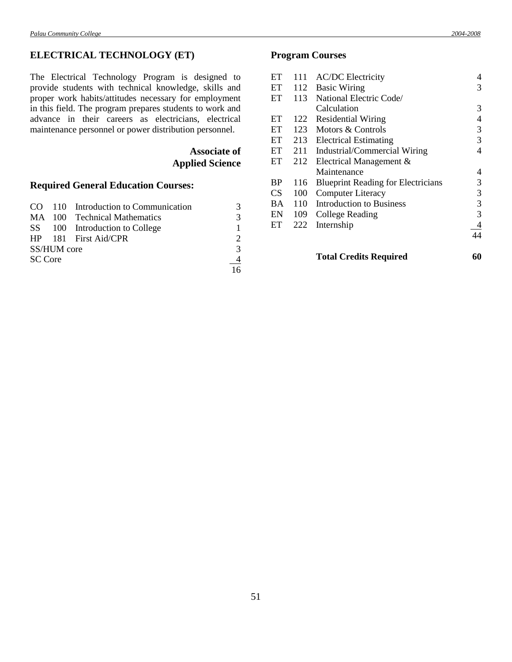# **ELECTRICAL TECHNOLOGY (ET)**

The Electrical Technology Program is designed to provide students with technical knowledge, skills and proper work habits/attitudes necessary for employment in this field. The program prepares students to work and advance in their careers as electricians, electrical maintenance personnel or power distribution personnel.

> **Associate of Applied Science**

# **Required General Education Courses:**

|                |             | CO 110 Introduction to Communication | 3              |
|----------------|-------------|--------------------------------------|----------------|
|                |             | MA 100 Technical Mathematics         | 3              |
|                |             | SS 100 Introduction to College       |                |
|                |             | HP 181 First Aid/CPR                 | $\mathcal{D}$  |
|                | SS/HUM core |                                      | $\mathcal{R}$  |
| <b>SC</b> Core |             |                                      | $\overline{4}$ |
|                |             |                                      | 16             |

# **Program Courses**

| ET        | 111 | <b>AC/DC</b> Electricity                  | 4  |
|-----------|-----|-------------------------------------------|----|
| ET        | 112 | <b>Basic Wiring</b>                       | 3  |
| ET        | 113 | National Electric Code/                   |    |
|           |     | Calculation                               | 3  |
| ET        | 122 | <b>Residential Wiring</b>                 | 4  |
| ET        | 123 | Motors & Controls                         | 3  |
| ET        | 213 | <b>Electrical Estimating</b>              | 3  |
| ET        | 211 | Industrial/Commercial Wiring              | 4  |
| ET        | 212 | Electrical Management &                   |    |
|           |     | Maintenance                               | 4  |
| <b>BP</b> | 116 | <b>Blueprint Reading for Electricians</b> | 3  |
| <b>CS</b> | 100 | <b>Computer Literacy</b>                  | 3  |
| <b>BA</b> | 110 | <b>Introduction to Business</b>           | 3  |
| EN        | 109 | College Reading                           | 3  |
| ET        | 222 | Internship                                | 4  |
|           |     |                                           | 44 |
|           |     |                                           |    |

# **Total Credits Required 60**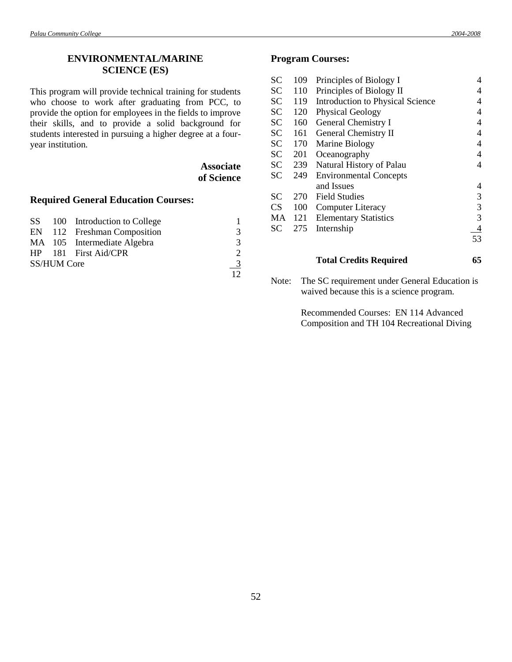# **ENVIRONMENTAL/MARINE SCIENCE (ES)**

This program will provide technical training for students who choose to work after graduating from PCC, to provide the option for employees in the fields to improve their skills, and to provide a solid background for students interested in pursuing a higher degree at a fouryear institution.

| <b>Associate</b> |
|------------------|
| of Science       |

## **Required General Education Courses:**

|                    | SS 100 Introduction to College |               |
|--------------------|--------------------------------|---------------|
|                    | EN 112 Freshman Composition    | 3             |
|                    | MA 105 Intermediate Algebra    | $\mathcal{R}$ |
|                    | HP 181 First Aid/CPR           |               |
| <b>SS/HUM Core</b> |                                | $\frac{3}{2}$ |
|                    |                                |               |

### **Program Courses:**

| <b>SC</b> | 109 | Principles of Biology I                 | 4  |
|-----------|-----|-----------------------------------------|----|
| <b>SC</b> | 110 | Principles of Biology II                | 4  |
| <b>SC</b> | 119 | <b>Introduction to Physical Science</b> | 4  |
| <b>SC</b> | 120 | <b>Physical Geology</b>                 | 4  |
| <b>SC</b> | 160 | General Chemistry I                     | 4  |
| <b>SC</b> | 161 | <b>General Chemistry II</b>             | 4  |
| <b>SC</b> | 170 | Marine Biology                          | 4  |
| <b>SC</b> | 201 | Oceanography                            | 4  |
| <b>SC</b> | 239 | Natural History of Palau                | 4  |
| SC        | 249 | <b>Environmental Concepts</b>           |    |
|           |     | and Issues                              | 4  |
| SС        | 270 | <b>Field Studies</b>                    | 3  |
| <b>CS</b> | 100 | Computer Literacy                       | 3  |
| MA        | 121 | <b>Elementary Statistics</b>            | 3  |
| SС        | 275 | Internship                              | 4  |
|           |     |                                         | 53 |
|           |     |                                         |    |

## **Total Credits Required 65**

Note: The SC requirement under General Education is waived because this is a science program.

> Recommended Courses: EN 114 Advanced Composition and TH 104 Recreational Diving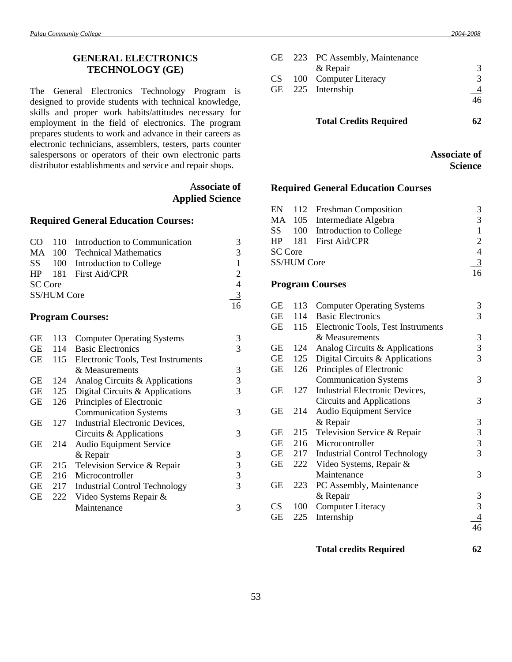# **GENERAL ELECTRONICS TECHNOLOGY (GE)**

The General Electronics Technology Program is designed to provide students with technical knowledge, skills and proper work habits/attitudes necessary for employment in the field of electronics. The program prepares students to work and advance in their careers as electronic technicians, assemblers, testers, parts counter salespersons or operators of their own electronic parts distributor establishments and service and repair shops.

# A**ssociate of Applied Science**

# **Required General Education Courses:**

|                |                    | CO 110 Introduction to Communication | 3                           |
|----------------|--------------------|--------------------------------------|-----------------------------|
|                |                    | MA 100 Technical Mathematics         | 3                           |
|                |                    | SS 100 Introduction to College       |                             |
|                |                    | HP 181 First Aid/CPR                 | $\mathcal{D}_{\mathcal{L}}$ |
| <b>SC Core</b> |                    |                                      | $\overline{\mathcal{A}}$    |
|                | <b>SS/HUM Core</b> |                                      | - 3                         |
|                |                    |                                      | 16                          |

#### **Program Courses:**

| <b>GE</b> | 113 | <b>Computer Operating Systems</b>    | 3 |
|-----------|-----|--------------------------------------|---|
| <b>GE</b> | 114 | <b>Basic Electronics</b>             | 3 |
| <b>GE</b> | 115 | Electronic Tools, Test Instruments   |   |
|           |     | & Measurements                       | 3 |
| GЕ        | 124 | Analog Circuits & Applications       | 3 |
| <b>GE</b> | 125 | Digital Circuits & Applications      | 3 |
| <b>GE</b> | 126 | Principles of Electronic             |   |
|           |     | <b>Communication Systems</b>         | 3 |
| GЕ        | 127 | Industrial Electronic Devices,       |   |
|           |     | Circuits & Applications              | 3 |
| GЕ        | 214 | <b>Audio Equipment Service</b>       |   |
|           |     | & Repair                             | 3 |
| GE        | 215 | Television Service & Repair          | 3 |
| <b>GE</b> | 216 | Microcontroller                      | 3 |
| GE        | 217 | <b>Industrial Control Technology</b> | 3 |
| <b>GE</b> | 222 | Video Systems Repair &               |   |
|           |     | Maintenance                          | 3 |
|           |     |                                      |   |

|  | GE 223 PC Assembly, Maintenance |    |
|--|---------------------------------|----|
|  | & Repair                        |    |
|  | CS 100 Computer Literacy        | 3  |
|  | GE 225 Internship               |    |
|  |                                 | 46 |
|  |                                 |    |
|  |                                 |    |

**Total Credits Required 62**

**Associate of Science**

# **Required General Education Courses**

|                |                    | EN 112 Freshman Composition    | 3                           |
|----------------|--------------------|--------------------------------|-----------------------------|
|                |                    | MA 105 Intermediate Algebra    | $\mathcal{R}$               |
|                |                    | SS 100 Introduction to College |                             |
|                |                    | HP 181 First Aid/CPR           | $\mathcal{D}_{\mathcal{L}}$ |
| <b>SC</b> Core |                    |                                | 4                           |
|                | <b>SS/HUM Core</b> |                                |                             |
|                |                    |                                | $\frac{3}{2}$<br>16         |

# **Program Courses**

| <b>GE</b> | 113 | <b>Computer Operating Systems</b>    | 3 |
|-----------|-----|--------------------------------------|---|
| GE        | 114 | <b>Basic Electronics</b>             | 3 |
| GE        | 115 | Electronic Tools, Test Instruments   |   |
|           |     | & Measurements                       | 3 |
| GЕ        | 124 | Analog Circuits & Applications       | 3 |
| <b>GE</b> | 125 | Digital Circuits & Applications      | 3 |
| <b>GE</b> | 126 | Principles of Electronic             |   |
|           |     | <b>Communication Systems</b>         | 3 |
| GЕ        | 127 | Industrial Electronic Devices,       |   |
|           |     | Circuits and Applications            | 3 |
| GЕ        | 214 | <b>Audio Equipment Service</b>       |   |
|           |     | & Repair                             | 3 |
| GE        | 215 | Television Service & Repair          | 3 |
| GE        | 216 | Microcontroller                      | 3 |
| GE        | 217 | <b>Industrial Control Technology</b> | 3 |
| <b>GE</b> | 222 | Video Systems, Repair &              |   |
|           |     | Maintenance                          | 3 |
| GЕ        | 223 | PC Assembly, Maintenance             |   |
|           |     | & Repair                             | 3 |
| CS        | 100 | <b>Computer Literacy</b>             | 3 |
| GЕ        | 225 | Internship                           |   |
|           |     |                                      |   |
|           |     |                                      |   |

**Total credits Required 62**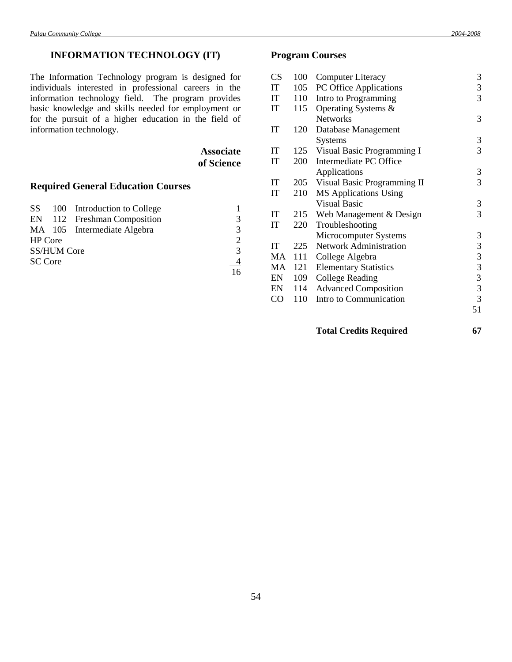# **INFORMATION TECHNOLOGY (IT)**

The Information Technology program is designed for individuals interested in professional careers in the information technology field. The program provides basic knowledge and skills needed for employment or for the pursuit of a higher education in the field of information technology.

> **Associate of Science**

# **Required General Education Courses**

|                |                    | SS 100 Introduction to College |                             |
|----------------|--------------------|--------------------------------|-----------------------------|
|                |                    | EN 112 Freshman Composition    | 3                           |
|                |                    | MA 105 Intermediate Algebra    | 3                           |
| <b>HP</b> Core |                    |                                | $\mathcal{D}_{\mathcal{L}}$ |
|                | <b>SS/HUM Core</b> |                                | $\mathcal{R}$               |
| <b>SC Core</b> |                    |                                | $\overline{4}$              |
|                |                    |                                | 16                          |

# **Program Courses**

| <b>CS</b> | 100 | <b>Computer Literacy</b>      | 3              |
|-----------|-----|-------------------------------|----------------|
| IT        | 105 | PC Office Applications        | 3              |
| IT        | 110 | Intro to Programming          | 3              |
| IT        | 115 | Operating Systems &           |                |
|           |     | <b>Networks</b>               | 3              |
| IT        | 120 | Database Management           |                |
|           |     | <b>Systems</b>                | 3              |
| IT        | 125 | Visual Basic Programming I    | 3              |
| IT        | 200 | Intermediate PC Office        |                |
|           |     | Applications                  | 3              |
| IT        | 205 | Visual Basic Programming II   | 3              |
| IT        | 210 | <b>MS</b> Applications Using  |                |
|           |     | <b>Visual Basic</b>           | 3              |
| IT        | 215 | Web Management & Design       | 3              |
| IT        | 220 | Troubleshooting               |                |
|           |     | Microcomputer Systems         | 3              |
| IT        | 225 | <b>Network Administration</b> | 3              |
| MA        | 111 | College Algebra               | $\mathfrak 3$  |
| MA        | 121 | <b>Elementary Statistics</b>  | 3              |
| EN        | 109 | College Reading               | $\overline{3}$ |
| EN        | 114 | <b>Advanced Composition</b>   | $\overline{3}$ |
| CO        | 110 | Intro to Communication        | $\overline{3}$ |
|           |     |                               | 51             |
|           |     |                               |                |

**Total Credits Required 67**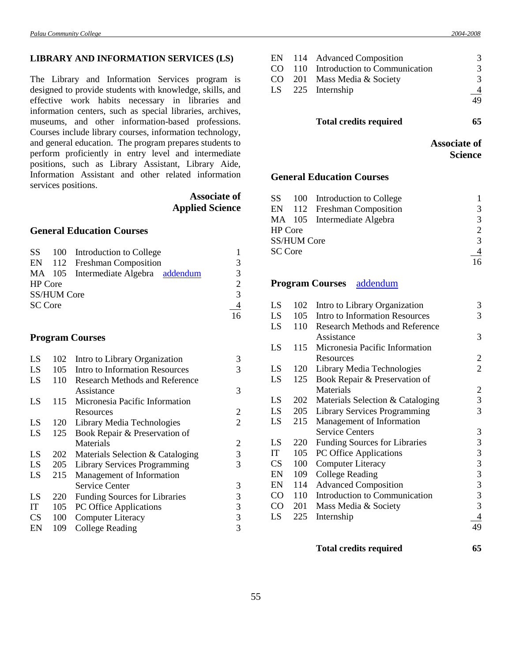#### **LIBRARY AND INFORMATION SERVICES (LS)**

The Library and Information Services program is designed to provide students with knowledge, skills, and effective work habits necessary in libraries and information centers, such as special libraries, archives, museums, and other information-based professions. Courses include library courses, information technology, and general education. The program prepares students to perform proficiently in entry level and intermediate positions, such as Library Assistant, Library Aide, Information Assistant and other related information services positions.

> **Associate of Applied Science**

# **General Education Courses**

|                |                    | SS 100 Introduction to College       |                |
|----------------|--------------------|--------------------------------------|----------------|
|                |                    | EN 112 Freshman Composition          | 3              |
|                |                    | MA 105 Intermediate Algebra addendum | 3              |
| <b>HP</b> Core |                    |                                      | 2              |
|                | <b>SS/HUM Core</b> |                                      | $\mathcal{R}$  |
| <b>SC</b> Core |                    |                                      | $\overline{4}$ |
|                |                    |                                      | 16             |

# **Program Courses**

| LS        | 102 | Intro to Library Organization         | 3              |
|-----------|-----|---------------------------------------|----------------|
| LS        | 105 | <b>Intro to Information Resources</b> | 3              |
| LS        | 110 | <b>Research Methods and Reference</b> |                |
|           |     | Assistance                            | 3              |
| LS        | 115 | Micronesia Pacific Information        |                |
|           |     | Resources                             | 2              |
| LS        | 120 | Library Media Technologies            | $\overline{2}$ |
| LS        | 125 | Book Repair & Preservation of         |                |
|           |     | Materials                             | 2              |
| LS        | 202 | Materials Selection & Cataloging      | 3              |
| LS        | 205 | Library Services Programming          | 3              |
| LS        | 215 | Management of Information             |                |
|           |     | <b>Service Center</b>                 | 3              |
| LS        | 220 | <b>Funding Sources for Libraries</b>  | 3              |
| IT        | 105 | PC Office Applications                | 3              |
| <b>CS</b> | 100 | <b>Computer Literacy</b>              | 3              |
| EN        | 109 | College Reading                       | 3              |

|  | EN 114 Advanced Composition          | 3             |
|--|--------------------------------------|---------------|
|  | CO 110 Introduction to Communication | 3             |
|  | CO 201 Mass Media & Society          | 3             |
|  | LS 225 Internship                    | $\frac{4}{1}$ |
|  |                                      | 49            |

# **Total credits required 65**

| <b>Associate of</b> |  |
|---------------------|--|
| <b>Science</b>      |  |

# **General Education Courses**

|         |                    | SS 100 Introduction to College |                |
|---------|--------------------|--------------------------------|----------------|
|         |                    | EN 112 Freshman Composition    | 3              |
|         |                    | MA 105 Intermediate Algebra    | 3              |
| HP Core |                    |                                | 2              |
|         | <b>SS/HUM Core</b> |                                | $\mathcal{R}$  |
| SC Core |                    |                                | $\overline{4}$ |
|         |                    |                                | 16             |

#### **Program Courses** [addendum](Addendum3.doc#two)

| LS  | 102 | Intro to Library Organization         | 3              |
|-----|-----|---------------------------------------|----------------|
| LS  | 105 | Intro to Information Resources        | 3              |
| LS  | 110 | <b>Research Methods and Reference</b> |                |
|     |     | Assistance                            | 3              |
| LS  | 115 | Micronesia Pacific Information        |                |
|     |     | Resources                             | $\overline{c}$ |
| LS  | 120 | Library Media Technologies            | $\overline{2}$ |
| LS  | 125 | Book Repair & Preservation of         |                |
|     |     | Materials                             | $\overline{2}$ |
| LS  | 202 | Materials Selection & Cataloging      | 3              |
| LS. | 205 | <b>Library Services Programming</b>   | 3              |
| LS  | 215 | Management of Information             |                |
|     |     | <b>Service Centers</b>                | 3              |
| LS  | 220 | Funding Sources for Libraries         | 3              |
| IT  | 105 | PC Office Applications                | 3              |
| CS  | 100 | <b>Computer Literacy</b>              | 3              |
| EN  | 109 | College Reading                       | 3              |
| EN  | 114 | <b>Advanced Composition</b>           | 3              |
| CO  | 110 | Introduction to Communication         | 3              |
| CO. | 201 | Mass Media & Society                  | 3              |
| LS  | 225 | Internship                            | $\overline{4}$ |
|     |     |                                       | 49             |
|     |     |                                       |                |

# **Total credits required 65**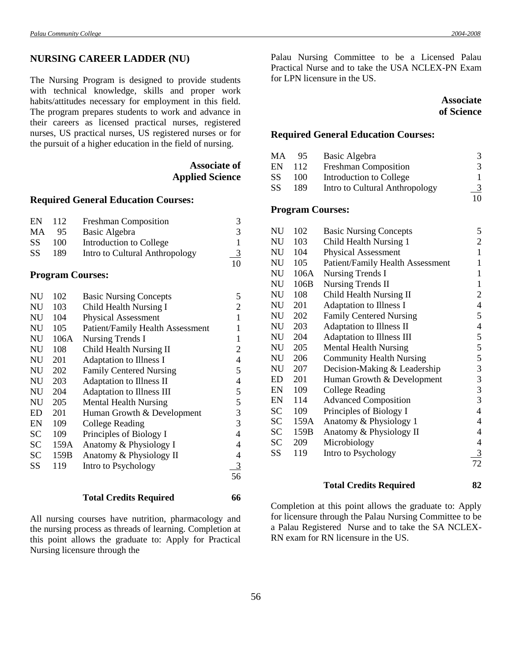#### **NURSING CAREER LADDER (NU)**

The Nursing Program is designed to provide students with technical knowledge, skills and proper work habits/attitudes necessary for employment in this field. The program prepares students to work and advance in their careers as licensed practical nurses, registered nurses, US practical nurses, US registered nurses or for the pursuit of a higher education in the field of nursing.

# **Associate of Applied Science**

#### **Required General Education Courses:**

| EN        | 112 | <b>Freshman Composition</b>    |    |
|-----------|-----|--------------------------------|----|
| MA        | 95. | Basic Algebra                  | 3  |
| <b>SS</b> | 100 | Introduction to College        |    |
| <b>SS</b> | 189 | Intro to Cultural Anthropology |    |
|           |     |                                | 10 |

## **Program Courses:**

| <b>NU</b> | 102  | <b>Basic Nursing Concepts</b>           | 5              |
|-----------|------|-----------------------------------------|----------------|
| <b>NU</b> | 103  | Child Health Nursing I                  | $\overline{c}$ |
| <b>NU</b> | 104  | <b>Physical Assessment</b>              | $\mathbf{1}$   |
| <b>NU</b> | 105  | <b>Patient/Family Health Assessment</b> | 1              |
| <b>NU</b> | 106A | <b>Nursing Trends I</b>                 | 1              |
| <b>NU</b> | 108  | Child Health Nursing II                 | $\overline{c}$ |
| <b>NU</b> | 201  | Adaptation to Illness I                 | 4              |
| <b>NU</b> | 202  | <b>Family Centered Nursing</b>          | 5              |
| NU        | 203  | Adaptation to Illness II                | 4              |
| <b>NU</b> | 204  | Adaptation to Illness III               | 5              |
| <b>NU</b> | 205  | <b>Mental Health Nursing</b>            | 5              |
| <b>ED</b> | 201  | Human Growth & Development              | 3              |
| EN        | 109  | College Reading                         | 3              |
| <b>SC</b> | 109  | Principles of Biology I                 | $\overline{4}$ |
| <b>SC</b> | 159A | Anatomy & Physiology I                  | 4              |
| <b>SC</b> | 159B | Anatomy & Physiology II                 | 4              |
| SS        | 119  | Intro to Psychology                     | 3              |
|           |      |                                         | 56             |

#### **Total Credits Required 66**

All nursing courses have nutrition, pharmacology and the nursing process as threads of learning. Completion at this point allows the graduate to: Apply for Practical Nursing licensure through the

Palau Nursing Committee to be a Licensed Palau Practical Nurse and to take the USA NCLEX-PN Exam for LPN licensure in the US.

# **Associate of Science**

#### **Required General Education Courses:**

| MA        | 95  | Basic Algebra                  | 3             |
|-----------|-----|--------------------------------|---------------|
| EN        | 112 | <b>Freshman Composition</b>    | 3             |
| <b>SS</b> | 100 | Introduction to College        |               |
| SS        | 189 | Intro to Cultural Anthropology | $\frac{3}{2}$ |
|           |     |                                |               |

#### **Program Courses:**

| NU        | 102  | <b>Basic Nursing Concepts</b>           | 5  |
|-----------|------|-----------------------------------------|----|
| NU        | 103  | Child Health Nursing 1                  | 2  |
| NU        | 104  | <b>Physical Assessment</b>              | 1  |
| NU        | 105  | <b>Patient/Family Health Assessment</b> | 1  |
| NU        | 106A | <b>Nursing Trends I</b>                 | 1  |
| NU        | 106B | <b>Nursing Trends II</b>                | 1  |
| <b>NU</b> | 108  | Child Health Nursing II                 | 2  |
| NU        | 201  | Adaptation to Illness I                 | 4  |
| NU        | 202  | <b>Family Centered Nursing</b>          | 5  |
| <b>NU</b> | 203  | Adaptation to Illness II                | 4  |
| NU        | 204  | Adaptation to Illness III               | 5  |
| NU        | 205  | <b>Mental Health Nursing</b>            | 5  |
| NU        | 206  | <b>Community Health Nursing</b>         | 5  |
| NU        | 207  | Decision-Making & Leadership            | 3  |
| ED        | 201  | Human Growth & Development              | 3  |
| EN        | 109  | College Reading                         | 3  |
| EN        | 114  | <b>Advanced Composition</b>             | 3  |
| <b>SC</b> | 109  | Principles of Biology I                 | 4  |
| SС        | 159A | Anatomy & Physiology 1                  | 4  |
| SC        | 159B | Anatomy & Physiology II                 | 4  |
| <b>SC</b> | 209  | Microbiology                            | 4  |
| SS        | 119  | Intro to Psychology                     | 3  |
|           |      |                                         | 72 |
|           |      |                                         |    |

#### **Total Credits Required 82**

Completion at this point allows the graduate to: Apply for licensure through the Palau Nursing Committee to be a Palau Registered Nurse and to take the SA NCLEX-RN exam for RN licensure in the US.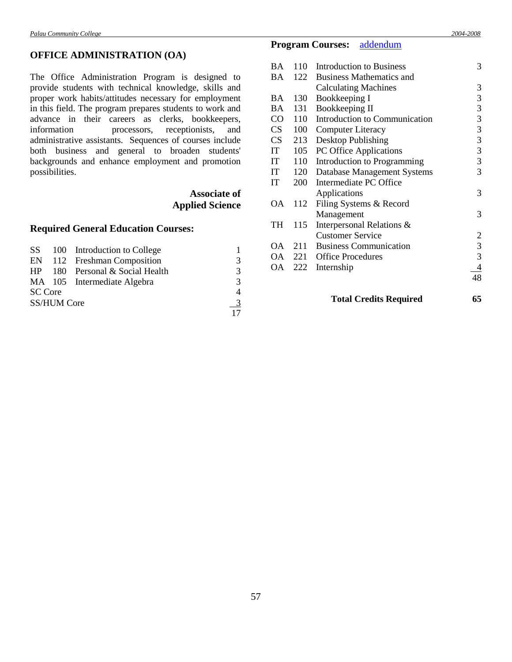# **OFFICE ADMINISTRATION (OA)**

The Office Administration Program is designed to provide students with technical knowledge, skills and proper work habits/attitudes necessary for employment in this field. The program prepares students to work and advance in their careers as clerks, bookkeepers, information processors, receptionists, and administrative assistants. Sequences of courses include both business and general to broaden students' backgrounds and enhance employment and promotion possibilities.

# **Associate of Applied Science**

# **Required General Education Courses:**

|                |                    | SS 100 Introduction to College    |               |
|----------------|--------------------|-----------------------------------|---------------|
|                |                    | EN 112 Freshman Composition       | $\mathcal{R}$ |
|                |                    | $HP$ 180 Personal & Social Health | $\mathcal{R}$ |
|                |                    | MA 105 Intermediate Algebra       | $\mathcal{R}$ |
| <b>SC</b> Core |                    |                                   | 4             |
|                | <b>SS/HUM Core</b> |                                   | $\frac{3}{2}$ |
|                |                    |                                   |               |

# **Program Courses:** [addendum](Addendum1.doc#six)

|           |     | <b>Total Credits Required</b>   | 65             |
|-----------|-----|---------------------------------|----------------|
|           |     |                                 | 48             |
| OA        | 222 | Internship                      | 4              |
| OA        | 221 | <b>Office Procedures</b>        | 3              |
| ОA        | 211 | <b>Business Communication</b>   | $\mathfrak{Z}$ |
|           |     | <b>Customer Service</b>         | 2              |
| TH        | 115 | Interpersonal Relations &       |                |
|           |     | Management                      | 3              |
| ОA        | 112 | Filing Systems & Record         |                |
|           |     | Applications                    | 3              |
| IT        | 200 | Intermediate PC Office          |                |
| IT        | 120 | Database Management Systems     | 3              |
| IT        | 110 | Introduction to Programming     | 3              |
| IT        | 105 | PC Office Applications          | 3              |
| <b>CS</b> | 213 | Desktop Publishing              | 3              |
| CS        | 100 | <b>Computer Literacy</b>        | 3              |
| CO        | 110 | Introduction to Communication   | 3              |
| BA        | 131 | Bookkeeping II                  | 3              |
| BA        | 130 | Bookkeeping I                   | 3              |
|           |     | <b>Calculating Machines</b>     | 3              |
| ВA        | 122 | <b>Business Mathematics and</b> |                |
| BA        | 110 | <b>Introduction to Business</b> | 3              |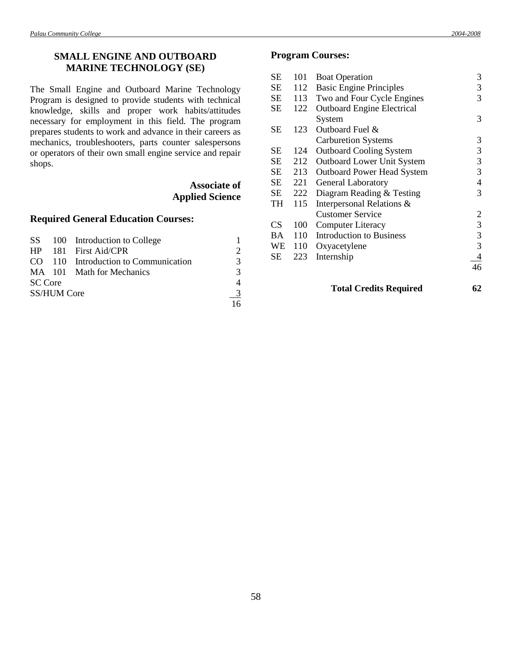# **SMALL ENGINE AND OUTBOARD MARINE TECHNOLOGY (SE)**

The Small Engine and Outboard Marine Technology Program is designed to provide students with technical knowledge, skills and proper work habits/attitudes necessary for employment in this field. The program prepares students to work and advance in their careers as mechanics, troubleshooters, parts counter salespersons or operators of their own small engine service and repair shops.

# **Associate of Applied Science**

# **Required General Education Courses:**

|                |                    | SS 100 Introduction to College       |                             |
|----------------|--------------------|--------------------------------------|-----------------------------|
|                |                    | HP 181 First Aid/CPR                 | $\mathcal{D}_{\mathcal{A}}$ |
|                |                    | CO 110 Introduction to Communication | 3                           |
|                |                    | MA 101 Math for Mechanics            | 3                           |
| <b>SC</b> Core |                    |                                      | 4                           |
|                | <b>SS/HUM Core</b> |                                      | -3                          |
|                |                    |                                      | 16                          |

# **Program Courses:**

| SЕ        | 101 | <b>Boat Operation</b>             | 3              |
|-----------|-----|-----------------------------------|----------------|
| <b>SE</b> | 112 | <b>Basic Engine Principles</b>    | 3              |
| <b>SE</b> | 113 | Two and Four Cycle Engines        | 3              |
| SЕ        | 122 | <b>Outboard Engine Electrical</b> |                |
|           |     | System                            | 3              |
| SЕ        | 123 | Outboard Fuel &                   |                |
|           |     | <b>Carburetion Systems</b>        | 3              |
| SЕ        | 124 | <b>Outboard Cooling System</b>    | 3              |
| <b>SE</b> | 212 | <b>Outboard Lower Unit System</b> | 3              |
| SЕ        | 213 | <b>Outboard Power Head System</b> | 3              |
| <b>SE</b> | 221 | <b>General Laboratory</b>         | $\overline{4}$ |
| SЕ        | 222 | Diagram Reading & Testing         | 3              |
| TH        | 115 | Interpersonal Relations &         |                |
|           |     | <b>Customer Service</b>           | 2              |
| <b>CS</b> | 100 | <b>Computer Literacy</b>          | 3              |
| <b>BA</b> | 110 | <b>Introduction to Business</b>   | 3              |
| WE        | 110 | Oxyacetylene                      | 3              |
| SЕ        | 223 | Internship                        | $\overline{4}$ |
|           |     |                                   | 46             |
|           |     | <b>Total Credits Required</b>     | 62             |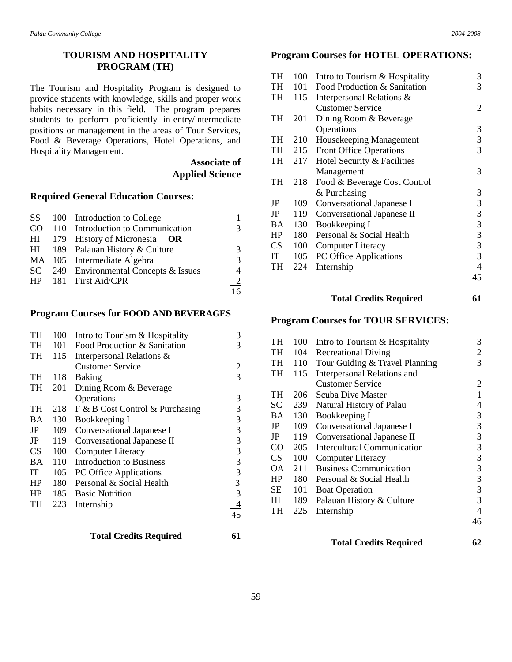# **TOURISM AND HOSPITALITY PROGRAM (TH)**

The Tourism and Hospitality Program is designed to provide students with knowledge, skills and proper work habits necessary in this field. The program prepares students to perform proficiently in entry/intermediate positions or management in the areas of Tour Services, Food & Beverage Operations, Hotel Operations, and Hospitality Management.

# **Associate of Applied Science**

#### **Required General Education Courses:**

|  | SS 100 Introduction to College         |                |
|--|----------------------------------------|----------------|
|  | CO 110 Introduction to Communication   | 3              |
|  | $HI$ 179 History of Micronesia OR      |                |
|  | HI 189 Palauan History & Culture       | 3              |
|  | MA 105 Intermediate Algebra            | 3              |
|  | SC 249 Environmental Concepts & Issues | $\overline{4}$ |
|  | HP 181 First Aid/CPR                   | $\frac{2}{2}$  |
|  |                                        | 16             |

# **Program Courses for FOOD AND BEVERAGES**

| TH        | 100 | Intro to Tourism & Hospitality  | 3  |
|-----------|-----|---------------------------------|----|
| <b>TH</b> | 101 | Food Production & Sanitation    | 3  |
| <b>TH</b> | 115 | Interpersonal Relations &       |    |
|           |     | <b>Customer Service</b>         | 2  |
| <b>TH</b> | 118 | Baking                          | 3  |
| <b>TH</b> | 201 | Dining Room & Beverage          |    |
|           |     | Operations                      | 3  |
| <b>TH</b> | 218 | F & B Cost Control & Purchasing | 3  |
| <b>BA</b> | 130 | Bookkeeping I                   | 3  |
| JP        | 109 | Conversational Japanese I       | 3  |
| JP        | 119 | Conversational Japanese II      | 3  |
| <b>CS</b> | 100 | <b>Computer Literacy</b>        | 3  |
| <b>BA</b> | 110 | <b>Introduction to Business</b> | 3  |
| IT        | 105 | PC Office Applications          | 3  |
| HP        | 180 | Personal & Social Health        | 3  |
| <b>HP</b> | 185 | <b>Basic Nutrition</b>          | 3  |
| TH        | 223 | Internship                      |    |
|           |     |                                 | 45 |

# **Program Courses for HOTEL OPERATIONS:**

| TH          | 100 | Intro to Tourism & Hospitality | 3  |
|-------------|-----|--------------------------------|----|
| <b>TH</b>   | 101 | Food Production & Sanitation   | 3  |
| TH          | 115 | Interpersonal Relations &      |    |
|             |     | <b>Customer Service</b>        | 2  |
| <b>TH</b>   | 201 | Dining Room & Beverage         |    |
|             |     | Operations                     | 3  |
| TH          | 210 | Housekeeping Management        | 3  |
| TH          | 215 | <b>Front Office Operations</b> | 3  |
| TH          | 217 | Hotel Security & Facilities    |    |
|             |     | Management                     | 3  |
| TH          | 218 | Food & Beverage Cost Control   |    |
|             |     | & Purchasing                   | 3  |
| JP          | 109 | Conversational Japanese I      | 3  |
| $_{\rm JP}$ | 119 | Conversational Japanese II     | 3  |
| <b>BA</b>   | 130 | Bookkeeping I                  | 3  |
| <b>HP</b>   | 180 | Personal & Social Health       | 3  |
| CS          | 100 | Computer Literacy              | 3  |
| IT          | 105 | PC Office Applications         | 3  |
| TH          | 224 | Internship                     |    |
|             |     |                                | 45 |

# **Total Credits Required 61**

## **Program Courses for TOUR SERVICES:**

| TH              | 100 | Intro to Tourism & Hospitality     | 3            |
|-----------------|-----|------------------------------------|--------------|
| TH              | 104 | <b>Recreational Diving</b>         | 2            |
| TH              | 110 | Tour Guiding & Travel Planning     | 3            |
| TH              | 115 | Interpersonal Relations and        |              |
|                 |     | <b>Customer Service</b>            | 2            |
| TH              | 206 | Scuba Dive Master                  | $\mathbf{1}$ |
| SC.             | 239 | Natural History of Palau           | 4            |
| BA              | 130 | Bookkeeping I                      | 3            |
| JP              | 109 | Conversational Japanese I          | 3            |
| JP              | 119 | Conversational Japanese II         | 3            |
| CO <sub>2</sub> | 205 | <b>Intercultural Communication</b> | 3            |
| CS              | 100 | <b>Computer Literacy</b>           | 3            |
| ОA              | 211 | <b>Business Communication</b>      | 3            |
| HP              | 180 | Personal & Social Health           | 3            |
| SE              | 101 | <b>Boat Operation</b>              | 3            |
| HІ              | 189 | Palauan History & Culture          | 3            |
| TH              | 225 | Internship                         | 4            |
|                 |     |                                    | 46           |
|                 |     |                                    |              |

#### **Total Credits Required 62**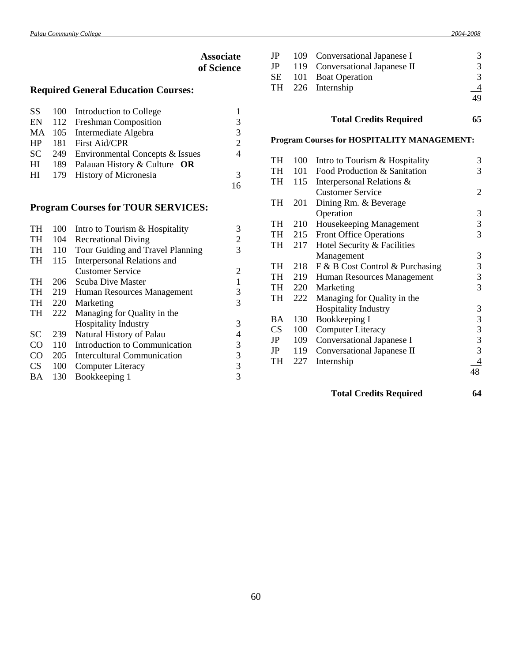|           |     |                                            | <b>Associate</b><br>of Science |
|-----------|-----|--------------------------------------------|--------------------------------|
|           |     | <b>Required General Education Courses:</b> |                                |
| SS        | 100 | Introduction to College                    |                                |
| EN        | 112 | <b>Freshman Composition</b>                | 3                              |
| <b>MA</b> | 105 | Intermediate Algebra                       | 3                              |
| HP        | 181 | First Aid/CPR                              | 2                              |
| <b>SC</b> | 249 | Environmental Concepts & Issues            | 4                              |
| HI        | 189 | Palauan History & Culture OR               |                                |
| HI        | 179 | <b>History of Micronesia</b>               |                                |
|           |     |                                            |                                |

# **Program Courses for TOUR SERVICES:**

| <b>TH</b>       | 100 | Intro to Tourism & Hospitality   | 3              |
|-----------------|-----|----------------------------------|----------------|
| TH              | 104 | <b>Recreational Diving</b>       | $\overline{2}$ |
| <b>TH</b>       | 110 | Tour Guiding and Travel Planning | 3              |
| TH              | 115 | Interpersonal Relations and      |                |
|                 |     | <b>Customer Service</b>          | 2              |
| TH              | 206 | Scuba Dive Master                | 1              |
| <b>TH</b>       | 219 | Human Resources Management       | 3              |
| TH              | 220 | Marketing                        | 3              |
| <b>TH</b>       | 222 | Managing for Quality in the      |                |
|                 |     | <b>Hospitality Industry</b>      | 3              |
| <b>SC</b>       | 239 | Natural History of Palau         | 4              |
| CO <sub>1</sub> | 110 | Introduction to Communication    | 3              |
| CO <sub>1</sub> | 205 | Intercultural Communication      | 3              |
| <b>CS</b>       | 100 | <b>Computer Literacy</b>         | 3              |
| BA              | 130 | Bookkeeping 1                    | 3              |

|  | JP 109 Conversational Japanese I  | 3              |
|--|-----------------------------------|----------------|
|  | JP 119 Conversational Japanese II | 3              |
|  | SE 101 Boat Operation             | 3              |
|  | TH 226 Internship                 | $\overline{4}$ |
|  |                                   | 49             |
|  |                                   |                |

# **Total Credits Required 65**

# **Program Courses for HOSPITALITY MANAGEMENT:**

| <b>TH</b> | 100 | Intro to Tourism & Hospitality  | 3              |
|-----------|-----|---------------------------------|----------------|
| TH        | 101 | Food Production & Sanitation    | 3              |
| TH        | 115 | Interpersonal Relations &       |                |
|           |     | <b>Customer Service</b>         | $\overline{2}$ |
| TH        | 201 | Dining Rm. & Beverage           |                |
|           |     | Operation                       | 3              |
| TH        | 210 | Housekeeping Management         | 3              |
| TH        | 215 | <b>Front Office Operations</b>  | 3              |
| TH        | 217 | Hotel Security & Facilities     |                |
|           |     | Management                      | 3              |
| TH        | 218 | F & B Cost Control & Purchasing | 3              |
| TH        | 219 | Human Resources Management      | 3              |
| TH        | 220 | Marketing                       | 3              |
| TH        | 222 | Managing for Quality in the     |                |
|           |     | <b>Hospitality Industry</b>     | 3              |
| BA        | 130 | Bookkeeping I                   | 3              |
| CS        | 100 | <b>Computer Literacy</b>        | 3              |
| JP        | 109 | Conversational Japanese I       | 3              |
| JP        | 119 | Conversational Japanese II      | 3              |
| TH        | 227 | Internship                      | 4              |
|           |     |                                 | 48             |
|           |     |                                 |                |

**Total Credits Required 64**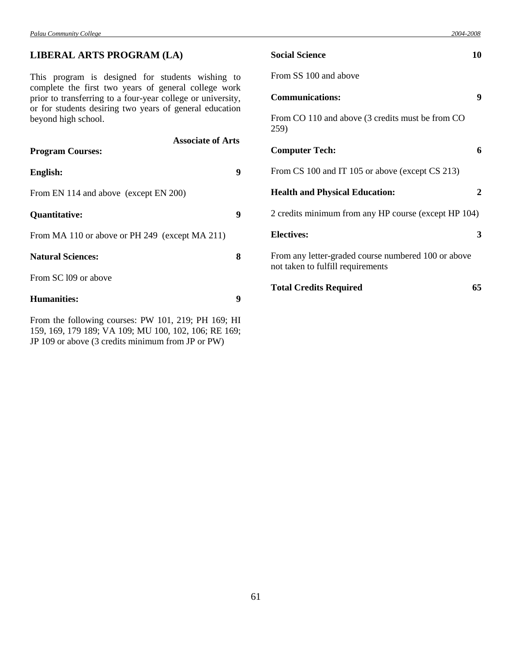# **LIBERAL ARTS PROGRAM (LA)**

This program is designed for students wishing to complete the first two years of general college work prior to transferring to a four-year college or university, or for students desiring two years of general education beyond high school.

| <b>Associate of Arts</b>                       |   |
|------------------------------------------------|---|
| <b>Program Courses:</b>                        |   |
| English:                                       | 9 |
| From EN 114 and above (except EN 200)          |   |
| Quantitative:                                  | 9 |
| From MA 110 or above or PH 249 (except MA 211) |   |
| <b>Natural Sciences:</b>                       | 8 |
| From SC 109 or above                           |   |
| <b>Humanities:</b>                             | 9 |
|                                                |   |

From the following courses: PW 101, 219; PH 169; HI 159, 169, 179 189; VA 109; MU 100, 102, 106; RE 169; JP 109 or above (3 credits minimum from JP or PW)

| <b>Social Science</b>                                                                    | 10 |
|------------------------------------------------------------------------------------------|----|
| From SS 100 and above                                                                    |    |
| <b>Communications:</b>                                                                   | 9  |
| From CO 110 and above (3 credits must be from CO<br>259)                                 |    |
| <b>Computer Tech:</b>                                                                    | 6  |
| From CS 100 and IT 105 or above (except CS 213)                                          |    |
| <b>Health and Physical Education:</b>                                                    | 2  |
| 2 credits minimum from any HP course (except HP 104)                                     |    |
| <b>Electives:</b>                                                                        | 3  |
| From any letter-graded course numbered 100 or above<br>not taken to fulfill requirements |    |
| <b>Total Credits Required</b>                                                            | 65 |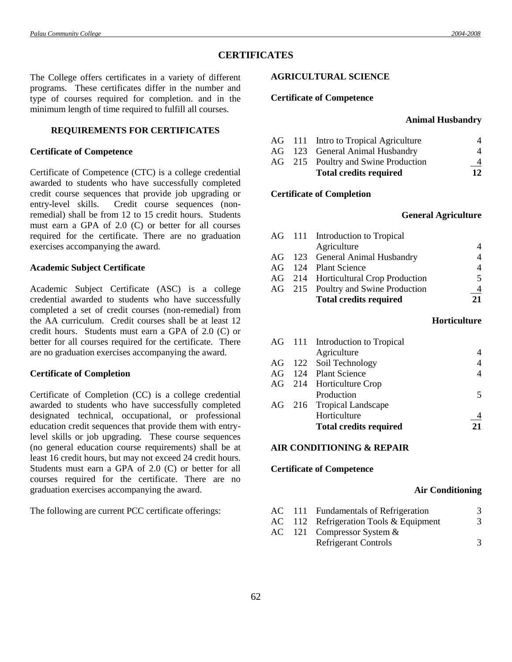# **CERTIFICATES**

The College offers certificates in a variety of different programs. These certificates differ in the number and type of courses required for completion. and in the minimum length of time required to fulfill all courses.

## **REQUIREMENTS FOR CERTIFICATES**

#### **Certificate of Competence**

Certificate of Competence (CTC) is a college credential awarded to students who have successfully completed credit course sequences that provide job upgrading or entry-level skills. Credit course sequences (nonremedial) shall be from 12 to 15 credit hours. Students must earn a GPA of 2.0 (C) or better for all courses required for the certificate. There are no graduation exercises accompanying the award.

#### **Academic Subject Certificate**

Academic Subject Certificate (ASC) is a college credential awarded to students who have successfully completed a set of credit courses (non-remedial) from the AA curriculum. Credit courses shall be at least 12 credit hours. Students must earn a GPA of 2.0 (C) or better for all courses required for the certificate. There are no graduation exercises accompanying the award.

#### **Certificate of Completion**

Certificate of Completion (CC) is a college credential awarded to students who have successfully completed designated technical, occupational, or professional education credit sequences that provide them with entrylevel skills or job upgrading. These course sequences (no general education course requirements) shall be at least 16 credit hours, but may not exceed 24 credit hours. Students must earn a GPA of 2.0 (C) or better for all courses required for the certificate. There are no graduation exercises accompanying the award.

The following are current PCC certificate offerings:

#### **AGRICULTURAL SCIENCE**

#### **Certificate of Competence**

#### **Animal Husbandry**

|  | AG 111 Intro to Tropical Agriculture |    |
|--|--------------------------------------|----|
|  | AG 123 General Animal Husbandry      | 4  |
|  | AG 215 Poultry and Swine Production  |    |
|  | <b>Total credits required</b>        | 12 |

#### **Certificate of Completion**

#### **General Agriculture**

|  | AG 111 Introduction to Tropical      |    |
|--|--------------------------------------|----|
|  | Agriculture                          |    |
|  | AG 123 General Animal Husbandry      |    |
|  | AG 124 Plant Science                 | 4  |
|  | AG 214 Horticultural Crop Production | 5  |
|  | AG 215 Poultry and Swine Production  |    |
|  | <b>Total credits required</b>        | 21 |

#### **Horticulture**

| Agriculture                   |                                                                                                                                            |
|-------------------------------|--------------------------------------------------------------------------------------------------------------------------------------------|
|                               |                                                                                                                                            |
|                               |                                                                                                                                            |
|                               |                                                                                                                                            |
| Production                    |                                                                                                                                            |
|                               |                                                                                                                                            |
| Horticulture                  |                                                                                                                                            |
| <b>Total credits required</b> | 21                                                                                                                                         |
|                               | AG 111 Introduction to Tropical<br>AG 122 Soil Technology<br>AG 124 Plant Science<br>AG 214 Horticulture Crop<br>AG 216 Tropical Landscape |

#### **AIR CONDITIONING & REPAIR**

#### **Certificate of Competence**

#### **Air Conditioning**

|  | AC 111 Fundamentals of Refrigeration     | 3 |
|--|------------------------------------------|---|
|  | $AC$ 112 Refrigeration Tools & Equipment |   |
|  | AC 121 Compressor System $&$             |   |
|  | <b>Refrigerant Controls</b>              | 3 |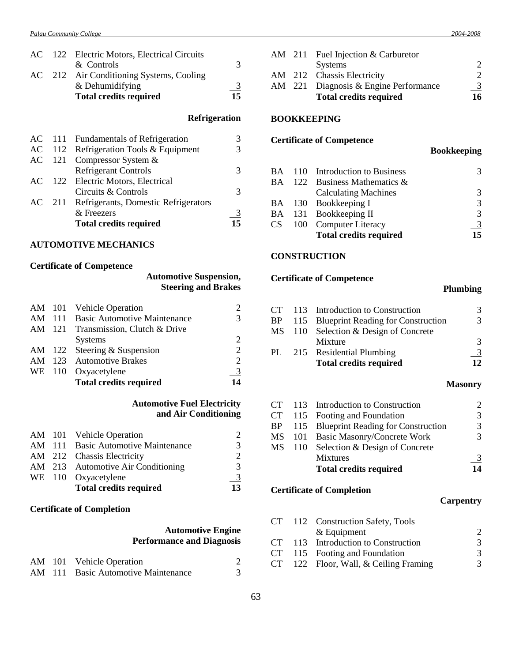|  | AC 122 Electric Motors, Electrical Circuits |                |
|--|---------------------------------------------|----------------|
|  | & Controls                                  | 3              |
|  | AC 212 Air Conditioning Systems, Cooling    |                |
|  | & Dehumidifying                             | $\overline{3}$ |
|  | <b>Total credits required</b>               | 15             |
|  |                                             |                |

# **Refrigeration**

| <b>Refrigerant Controls</b>   |                                                                                                                                                                                                     |
|-------------------------------|-----------------------------------------------------------------------------------------------------------------------------------------------------------------------------------------------------|
|                               |                                                                                                                                                                                                     |
| Circuits & Controls           |                                                                                                                                                                                                     |
|                               |                                                                                                                                                                                                     |
| & Freezers                    |                                                                                                                                                                                                     |
| <b>Total credits required</b> | 15                                                                                                                                                                                                  |
|                               | AC 111 Fundamentals of Refrigeration<br>AC 112 Refrigeration Tools & Equipment<br>AC 121 Compressor System $&$<br>AC 122 Electric Motors, Electrical<br>AC 211 Refrigerants, Domestic Refrigerators |

# **AUTOMOTIVE MECHANICS**

# **Certificate of Competence**

# **Automotive Suspension, Steering and Brakes**

|  | AM 101 Vehicle Operation            |                             |
|--|-------------------------------------|-----------------------------|
|  | AM 111 Basic Automotive Maintenance | 3                           |
|  | AM 121 Transmission, Clutch & Drive |                             |
|  | <b>Systems</b>                      | $\mathcal{D}_{\mathcal{A}}$ |
|  | AM 122 Steering $&$ Suspension      | $\overline{2}$              |
|  | AM 123 Automotive Brakes            | $\mathcal{D}$               |
|  | WE 110 Oxyacetylene                 | $\frac{3}{2}$               |
|  | <b>Total credits required</b>       | 14                          |

# **Automotive Fuel Electricity and Air Conditioning**

|  | <b>Total credits required</b>       | 13            |
|--|-------------------------------------|---------------|
|  | WE 110 Oxyacetylene                 | $\frac{3}{2}$ |
|  | AM 213 Automotive Air Conditioning  | 3             |
|  | AM 212 Chassis Electricity          | 2             |
|  | AM 111 Basic Automotive Maintenance | 3             |
|  | AM 101 Vehicle Operation            | 2             |

# **Certificate of Completion**

# **Automotive Engine Performance and Diagnosis**

|  | AM 101 Vehicle Operation            |  |
|--|-------------------------------------|--|
|  | AM 111 Basic Automotive Maintenance |  |

|  | AM 211 Fuel Injection & Carburetor    |               |
|--|---------------------------------------|---------------|
|  | <b>Systems</b>                        |               |
|  | AM 212 Chassis Electricity            |               |
|  | AM 221 Diagnosis & Engine Performance | $\frac{3}{2}$ |
|  | <b>Total credits required</b>         | 16            |
|  |                                       |               |

## **BOOKKEEPING**

## **Certificate of Competence**

## **Bookkeeping**

|  | BA 110 Introduction to Business  | 3             |
|--|----------------------------------|---------------|
|  | BA 122 Business Mathematics $\&$ |               |
|  | <b>Calculating Machines</b>      | 3             |
|  | BA 130 Bookkeeping I             | 3             |
|  | BA 131 Bookkeeping II            | $\mathcal{R}$ |
|  | CS 100 Computer Literacy         | $\frac{3}{2}$ |
|  | <b>Total credits required</b>    | 15            |

#### **CONSTRUCTION**

# **Certificate of Competence**

# **Plumbing**

|  | CT 113 Introduction to Construction       |    |
|--|-------------------------------------------|----|
|  | BP 115 Blueprint Reading for Construction | 2  |
|  | MS 110 Selection & Design of Concrete     |    |
|  | Mixture                                   | 3  |
|  | PL 215 Residential Plumbing               |    |
|  | <b>Total credits required</b>             | 12 |

#### **Masonry**

|  | CT 113 Introduction to Construction       | $\mathcal{D}_{\cdot}$ |
|--|-------------------------------------------|-----------------------|
|  | CT 115 Footing and Foundation             | $\mathcal{R}$         |
|  | BP 115 Blueprint Reading for Construction | 3                     |
|  | MS 101 Basic Masonry/Concrete Work        |                       |
|  | MS 110 Selection & Design of Concrete     |                       |
|  | <b>Mixtures</b>                           | $\overline{3}$        |
|  | <b>Total credits required</b>             | 14                    |

# **Certificate of Completion**

# **Carpentry**

| 2 |
|---|
| 3 |
| 3 |
| 3 |
|   |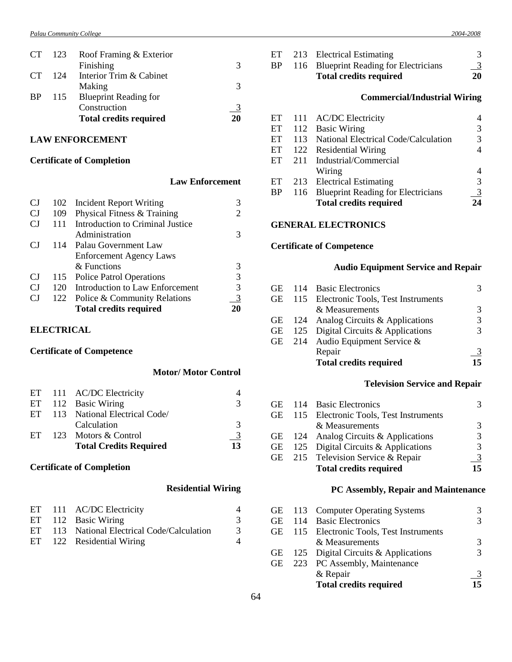#### *Palau Community College 2004-2008*

|      | Roof Framing & Exterior       |               |
|------|-------------------------------|---------------|
|      | Finishing                     |               |
| -124 | Interior Trim & Cabinet       |               |
|      | Making                        |               |
|      | <b>Blueprint Reading for</b>  |               |
|      | Construction                  | <u>3</u>      |
|      | <b>Total credits required</b> | 20            |
|      |                               | CT 123<br>115 |

# **LAW ENFORCEMENT**

# **Certificate of Completion**

## **Law Enforcement**

| <b>CJ</b> |     | 102 Incident Report Writing      |    |
|-----------|-----|----------------------------------|----|
| <b>CJ</b> | 109 | Physical Fitness & Training      |    |
| CJ        | 111 | Introduction to Criminal Justice |    |
|           |     | Administration                   | 3  |
| CJ        |     | 114 Palau Government Law         |    |
|           |     | <b>Enforcement Agency Laws</b>   |    |
|           |     | & Functions                      |    |
| <b>CJ</b> |     | 115 Police Patrol Operations     | 3  |
| CJ.       | 120 | Introduction to Law Enforcement  | 3  |
| CJ        | 122 | Police & Community Relations     |    |
|           |     | <b>Total credits required</b>    | 20 |
|           |     |                                  |    |

# **ELECTRICAL**

# **Certificate of Competence**

# **Motor/ Motor Control**

|  | <b>Total Credits Required</b>    | $\overline{13}$ |
|--|----------------------------------|-----------------|
|  | ET $123$ Motors & Control        | <u>3</u>        |
|  | Calculation                      | 3               |
|  | ET 113 National Electrical Code/ |                 |
|  | ET 112 Basic Wiring              | $\mathcal{R}$   |
|  | ET 111 AC/DC Electricity         |                 |

# **Certificate of Completion**

# **Residential Wiring**

|  | ET 111 AC/DC Electricity                    |   |
|--|---------------------------------------------|---|
|  | ET 112 Basic Wiring                         | 3 |
|  | ET 113 National Electrical Code/Calculation | 3 |
|  | ET 122 Residential Wiring                   |   |

| ET                         | 213 | <b>Electrical Estimating</b>              | 3              |
|----------------------------|-----|-------------------------------------------|----------------|
| <b>BP</b>                  | 116 | <b>Blueprint Reading for Electricians</b> | $\overline{3}$ |
|                            |     | <b>Total credits required</b>             | 20             |
|                            |     | <b>Commercial/Industrial Wiring</b>       |                |
| ET                         | 111 | <b>AC/DC</b> Electricity                  | 4              |
| ET                         | 112 | <b>Basic Wiring</b>                       | 3              |
| ET                         | 113 | National Electrical Code/Calculation      | 3              |
| ET                         | 122 | <b>Residential Wiring</b>                 | 4              |
| ET                         | 211 | Industrial/Commercial                     |                |
|                            |     | Wiring                                    | 4              |
| ET                         | 213 | <b>Electrical Estimating</b>              | 3              |
| <b>BP</b>                  | 116 | <b>Blueprint Reading for Electricians</b> | 3              |
|                            |     | <b>Total credits required</b>             | 24             |
| <b>GENERAL ELECTRONICS</b> |     |                                           |                |
|                            |     | <b>Certificate of Competence</b>          |                |

# **Audio Equipment Service and Repair**

|  | <b>Total credits required</b>             | 15 |
|--|-------------------------------------------|----|
|  | Repair                                    |    |
|  | GE 214 Audio Equipment Service $&$        |    |
|  | GE 125 Digital Circuits & Applications    |    |
|  | GE $124$ Analog Circuits & Applications   |    |
|  | & Measurements                            |    |
|  | GE 115 Electronic Tools, Test Instruments |    |
|  | GE 114 Basic Electronics                  |    |

# **Television Service and Repair**

|  | GE 114 Basic Electronics                  |    |
|--|-------------------------------------------|----|
|  | GE 115 Electronic Tools, Test Instruments |    |
|  | & Measurements                            | 3  |
|  | GE $124$ Analog Circuits & Applications   | 3  |
|  | GE $125$ Digital Circuits & Applications  | 3  |
|  | GE 215 Television Service & Repair        |    |
|  | <b>Total credits required</b>             | 15 |

# **PC Assembly, Repair and Maintenance**

|  | GE 113 Computer Operating Systems         |    |
|--|-------------------------------------------|----|
|  | GE 114 Basic Electronics                  | 3  |
|  | GE 115 Electronic Tools, Test Instruments |    |
|  | & Measurements                            | 3  |
|  | GE $125$ Digital Circuits & Applications  |    |
|  | GE 223 PC Assembly, Maintenance           |    |
|  | & Repair                                  |    |
|  | <b>Total credits required</b>             | 15 |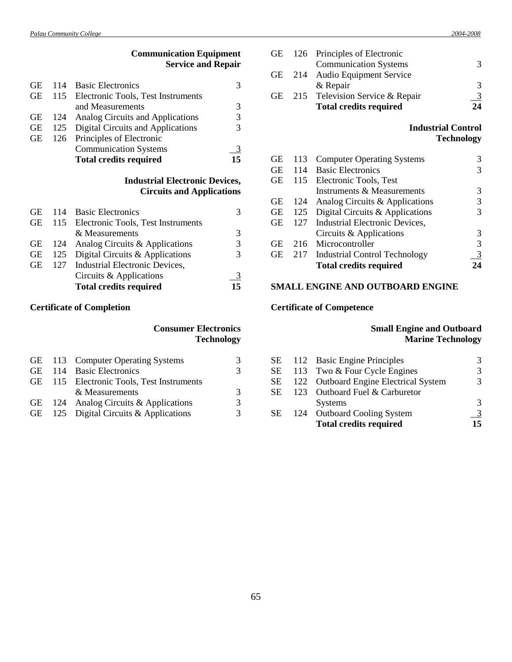| <b>Communication Equipment</b><br><b>Service and Repair</b> |        |                                           |    |
|-------------------------------------------------------------|--------|-------------------------------------------|----|
|                                                             | GE 114 | <b>Basic Electronics</b>                  | 3  |
|                                                             |        | GE 115 Electronic Tools, Test Instruments |    |
|                                                             |        | and Measurements                          | 3  |
| GЕ                                                          | 124    | Analog Circuits and Applications          | 3  |
| GE                                                          | 125    | Digital Circuits and Applications         | 3  |
| GЕ                                                          | 126    | Principles of Electronic                  |    |
|                                                             |        | <b>Communication Systems</b>              |    |
|                                                             |        | <b>Total credits required</b>             | 15 |

# **Industrial Electronic Devices, Circuits and Applications**

|  | <b>Total credits required</b>             | 15 |
|--|-------------------------------------------|----|
|  | Circuits & Applications                   |    |
|  | GE 127 Industrial Electronic Devices,     |    |
|  | GE $125$ Digital Circuits & Applications  |    |
|  | GE 124 Analog Circuits & Applications     |    |
|  | & Measurements                            | 3  |
|  | GE 115 Electronic Tools, Test Instruments |    |
|  | GE 114 Basic Electronics                  |    |

# **Certificate of Completion**

# **Consumer Electronics Technology**

|  | GE 113 Computer Operating Systems         |   |
|--|-------------------------------------------|---|
|  | GE 114 Basic Electronics                  | 3 |
|  | GE 115 Electronic Tools, Test Instruments |   |
|  | & Measurements                            | 3 |
|  | GE $124$ Analog Circuits & Applications   | 3 |
|  | GE 125 Digital Circuits & Applications    | 3 |

|    | <b>Total credits required</b>   | 24            |
|----|---------------------------------|---------------|
| GE | 215 Television Service & Repair |               |
|    | & Repair                        | $\mathcal{R}$ |
|    | GE 214 Audio Equipment Service  |               |
|    | <b>Communication Systems</b>    | $\mathcal{R}$ |
|    | GE 126 Principles of Electronic |               |
|    |                                 |               |

# **Industrial Control Technology**

| GЕ        | 113 | <b>Computer Operating Systems</b> |   |
|-----------|-----|-----------------------------------|---|
| GЕ        | 114 | <b>Basic Electronics</b>          |   |
| <b>GE</b> | 115 | Electronic Tools, Test            |   |
|           |     | Instruments & Measurements        |   |
| GE        | 124 | Analog Circuits & Applications    |   |
| <b>GE</b> | 125 | Digital Circuits & Applications   |   |
| <b>GE</b> | 127 | Industrial Electronic Devices,    |   |
|           |     | Circuits & Applications           | 3 |
| <b>GE</b> | 216 | Microcontroller                   | 3 |
| <b>GE</b> | 217 | Industrial Control Technology     |   |
|           |     | <b>Total credits required</b>     |   |

# **SMALL ENGINE AND OUTBOARD ENGINE**

# **Certificate of Competence**

# **Small Engine and Outboard Marine Technology**

| SE 112 Basic Engine Principles              | 3  |
|---------------------------------------------|----|
| SЕ<br>113 Two & Four Cycle Engines          | 3  |
| 122 Outboard Engine Electrical System<br>SЕ | 3  |
| SE<br>123 Outboard Fuel & Carburetor        |    |
| <b>Systems</b>                              | 3  |
| SE<br>124 Outboard Cooling System           | 3  |
| <b>Total credits required</b>               | 15 |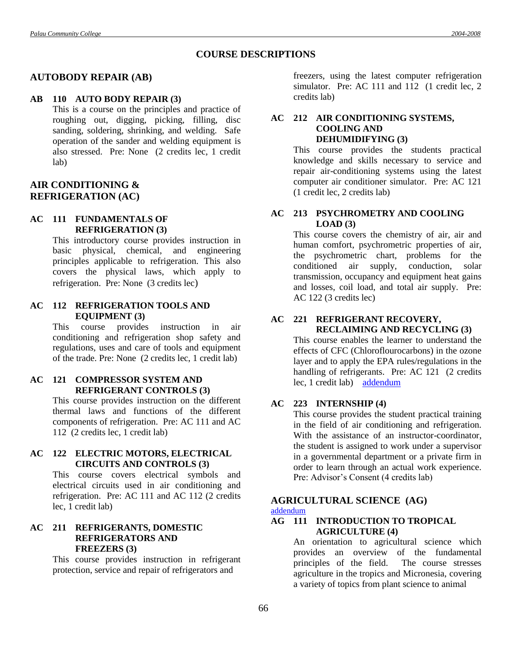# **COURSE DESCRIPTIONS**

# **AUTOBODY REPAIR (AB)**

# **AB 110 AUTO BODY REPAIR (3)**

This is a course on the principles and practice of roughing out, digging, picking, filling, disc sanding, soldering, shrinking, and welding. Safe operation of the sander and welding equipment is also stressed. Pre: None (2 credits lec, 1 credit lab)

# **AIR CONDITIONING & REFRIGERATION (AC)**

# **AC 111 FUNDAMENTALS OF REFRIGERATION (3)**

This introductory course provides instruction in basic physical, chemical, and engineering principles applicable to refrigeration. This also covers the physical laws, which apply to refrigeration. Pre: None (3 credits lec)

#### **AC 112 REFRIGERATION TOOLS AND EQUIPMENT (3)**

This course provides instruction in air conditioning and refrigeration shop safety and regulations, uses and care of tools and equipment of the trade. Pre: None (2 credits lec, 1 credit lab)

# **AC 121 COMPRESSOR SYSTEM AND REFRIGERANT CONTROLS (3)**

This course provides instruction on the different thermal laws and functions of the different components of refrigeration. Pre: AC 111 and AC 112 (2 credits lec, 1 credit lab)

## **AC 122 ELECTRIC MOTORS, ELECTRICAL CIRCUITS AND CONTROLS (3)**

This course covers electrical symbols and electrical circuits used in air conditioning and refrigeration. Pre: AC 111 and AC 112 (2 credits lec, 1 credit lab)

# **AC 211 REFRIGERANTS, DOMESTIC REFRIGERATORS AND FREEZERS (3)**

This course provides instruction in refrigerant protection, service and repair of refrigerators and

freezers, using the latest computer refrigeration simulator. Pre: AC 111 and 112 (1 credit lec, 2 credits lab)

## **AC 212 AIR CONDITIONING SYSTEMS, COOLING AND DEHUMIDIFYING (3)**

This course provides the students practical knowledge and skills necessary to service and repair air-conditioning systems using the latest computer air conditioner simulator. Pre: AC 121 (1 credit lec, 2 credits lab)

# **AC 213 PSYCHROMETRY AND COOLING LOAD (3)**

This course covers the chemistry of air, air and human comfort, psychrometric properties of air, the psychrometric chart, problems for the conditioned air supply, conduction, solar transmission, occupancy and equipment heat gains and losses, coil load, and total air supply. Pre: AC 122 (3 credits lec)

# **AC 221 REFRIGERANT RECOVERY,**

**RECLAIMING AND RECYCLING (3)** This course enables the learner to understand the effects of CFC (Chloroflourocarbons) in the ozone layer and to apply the EPA rules/regulations in the handling of refrigerants. Pre: AC 121 (2 credits lec, 1 credit lab) [addendum](Addendum2.doc#one)

# **AC 223 INTERNSHIP (4)**

This course provides the student practical training in the field of air conditioning and refrigeration. With the assistance of an instructor-coordinator, the student is assigned to work under a supervisor in a governmental department or a private firm in order to learn through an actual work experience. Pre: Advisor's Consent (4 credits lab)

# **AGRICULTURAL SCIENCE (AG)**

#### [addendum](Addendum8.doc#two)

## **AG 111 INTRODUCTION TO TROPICAL AGRICULTURE (4)**

An orientation to agricultural science which provides an overview of the fundamental principles of the field. The course stresses agriculture in the tropics and Micronesia, covering a variety of topics from plant science to animal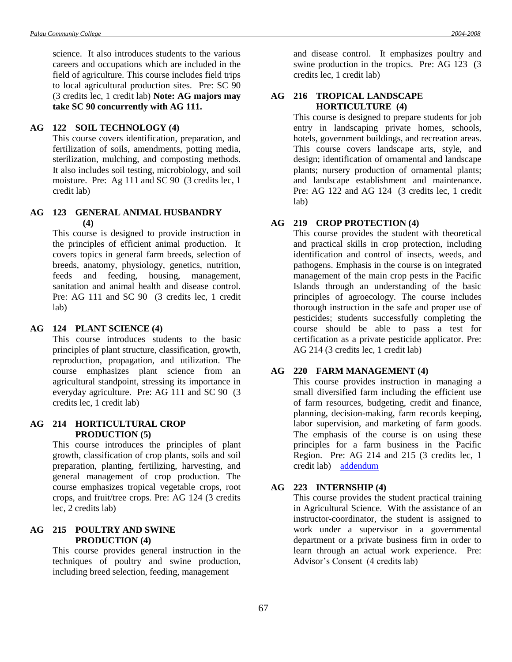science. It also introduces students to the various careers and occupations which are included in the field of agriculture. This course includes field trips to local agricultural production sites. Pre: SC 90 (3 credits lec, 1 credit lab) **Note: AG majors may take SC 90 concurrently with AG 111.**

#### **AG 122 SOIL TECHNOLOGY (4)**

This course covers identification, preparation, and fertilization of soils, amendments, potting media, sterilization, mulching, and composting methods. It also includes soil testing, microbiology, and soil moisture. Pre: Ag 111 and SC 90 (3 credits lec, 1 credit lab)

#### **AG 123 GENERAL ANIMAL HUSBANDRY (4)**

This course is designed to provide instruction in the principles of efficient animal production. It covers topics in general farm breeds, selection of breeds, anatomy, physiology, genetics, nutrition, feeds and feeding, housing, management, sanitation and animal health and disease control. Pre: AG 111 and SC 90 (3 credits lec, 1 credit lab)

#### **AG 124 PLANT SCIENCE (4)**

This course introduces students to the basic principles of plant structure, classification, growth, reproduction, propagation, and utilization. The course emphasizes plant science from an agricultural standpoint, stressing its importance in everyday agriculture. Pre: AG 111 and SC 90 (3 credits lec, 1 credit lab)

#### **AG 214 HORTICULTURAL CROP PRODUCTION (5)**

This course introduces the principles of plant growth, classification of crop plants, soils and soil preparation, planting, fertilizing, harvesting, and general management of crop production. The course emphasizes tropical vegetable crops, root crops, and fruit/tree crops. Pre: AG 124 (3 credits lec, 2 credits lab)

## **AG 215 POULTRY AND SWINE PRODUCTION (4)**

This course provides general instruction in the techniques of poultry and swine production, including breed selection, feeding, management

and disease control. It emphasizes poultry and swine production in the tropics. Pre: AG 123 (3 credits lec, 1 credit lab)

# **AG 216 TROPICAL LANDSCAPE HORTICULTURE (4)**

This course is designed to prepare students for job entry in landscaping private homes, schools, hotels, government buildings, and recreation areas. This course covers landscape arts, style, and design; identification of ornamental and landscape plants; nursery production of ornamental plants; and landscape establishment and maintenance. Pre: AG 122 and AG 124 (3 credits lec, 1 credit lab)

#### **AG 219 CROP PROTECTION (4)**

This course provides the student with theoretical and practical skills in crop protection, including identification and control of insects, weeds, and pathogens. Emphasis in the course is on integrated management of the main crop pests in the Pacific Islands through an understanding of the basic principles of agroecology. The course includes thorough instruction in the safe and proper use of pesticides; students successfully completing the course should be able to pass a test for certification as a private pesticide applicator. Pre: AG 214 (3 credits lec, 1 credit lab)

## **AG 220 FARM MANAGEMENT (4)**

This course provides instruction in managing a small diversified farm including the efficient use of farm resources, budgeting, credit and finance, planning, decision-making, farm records keeping, labor supervision, and marketing of farm goods. The emphasis of the course is on using these principles for a farm business in the Pacific Region. Pre: AG 214 and 215 (3 credits lec, 1 credit lab) [addendum](Addendum2.doc#two)

#### **AG 223 INTERNSHIP (4)**

This course provides the student practical training in Agricultural Science. With the assistance of an instructor-coordinator, the student is assigned to work under a supervisor in a governmental department or a private business firm in order to learn through an actual work experience. Pre: Advisor's Consent (4 credits lab)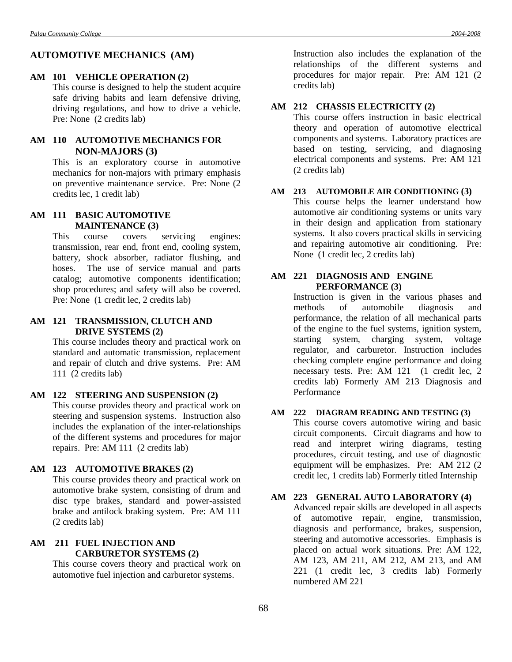# **AUTOMOTIVE MECHANICS (AM)**

#### **AM 101 VEHICLE OPERATION (2)**

This course is designed to help the student acquire safe driving habits and learn defensive driving, driving regulations, and how to drive a vehicle. Pre: None (2 credits lab)

# **AM 110 AUTOMOTIVE MECHANICS FOR NON-MAJORS (3)**

This is an exploratory course in automotive mechanics for non-majors with primary emphasis on preventive maintenance service. Pre: None (2 credits lec, 1 credit lab)

#### **AM 111 BASIC AUTOMOTIVE MAINTENANCE (3)**

This course covers servicing engines: transmission, rear end, front end, cooling system, battery, shock absorber, radiator flushing, and hoses. The use of service manual and parts catalog; automotive components identification; shop procedures; and safety will also be covered. Pre: None (1 credit lec, 2 credits lab)

### **AM 121 TRANSMISSION, CLUTCH AND DRIVE SYSTEMS (2)**

This course includes theory and practical work on standard and automatic transmission, replacement and repair of clutch and drive systems. Pre: AM 111 (2 credits lab)

#### **AM 122 STEERING AND SUSPENSION (2)**

This course provides theory and practical work on steering and suspension systems. Instruction also includes the explanation of the inter-relationships of the different systems and procedures for major repairs. Pre: AM 111 (2 credits lab)

# **AM 123 AUTOMOTIVE BRAKES (2)**

This course provides theory and practical work on automotive brake system, consisting of drum and disc type brakes, standard and power-assisted brake and antilock braking system. Pre: AM 111 (2 credits lab)

# **AM 211 FUEL INJECTION AND CARBURETOR SYSTEMS (2)**

This course covers theory and practical work on automotive fuel injection and carburetor systems.

Instruction also includes the explanation of the relationships of the different systems and procedures for major repair. Pre: AM 121 (2 credits lab)

# **AM 212 CHASSIS ELECTRICITY (2)**

This course offers instruction in basic electrical theory and operation of automotive electrical components and systems. Laboratory practices are based on testing, servicing, and diagnosing electrical components and systems. Pre: AM 121 (2 credits lab)

# **AM 213 AUTOMOBILE AIR CONDITIONING (3)**

This course helps the learner understand how automotive air conditioning systems or units vary in their design and application from stationary systems. It also covers practical skills in servicing and repairing automotive air conditioning. Pre: None (1 credit lec, 2 credits lab)

#### **AM 221 DIAGNOSIS AND ENGINE PERFORMANCE (3)**

Instruction is given in the various phases and methods of automobile diagnosis and performance, the relation of all mechanical parts of the engine to the fuel systems, ignition system, starting system, charging system, voltage regulator, and carburetor. Instruction includes checking complete engine performance and doing necessary tests. Pre: AM 121 (1 credit lec, 2 credits lab) Formerly AM 213 Diagnosis and Performance

#### **AM 222 DIAGRAM READING AND TESTING (3)**

This course covers automotive wiring and basic circuit components. Circuit diagrams and how to read and interpret wiring diagrams, testing procedures, circuit testing, and use of diagnostic equipment will be emphasizes. Pre: AM 212 (2 credit lec, 1 credits lab) Formerly titled Internship

## **AM 223 GENERAL AUTO LABORATORY (4)**

Advanced repair skills are developed in all aspects of automotive repair, engine, transmission, diagnosis and performance, brakes, suspension, steering and automotive accessories. Emphasis is placed on actual work situations. Pre: AM 122, AM 123, AM 211, AM 212, AM 213, and AM 221 (1 credit lec, 3 credits lab) Formerly numbered AM 221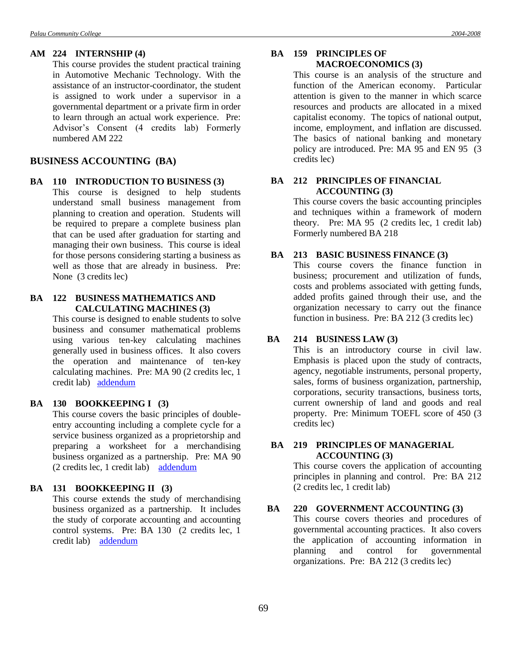#### **AM 224 INTERNSHIP (4)**

This course provides the student practical training in Automotive Mechanic Technology. With the assistance of an instructor-coordinator, the student is assigned to work under a supervisor in a governmental department or a private firm in order to learn through an actual work experience. Pre: Advisor's Consent (4 credits lab) Formerly numbered AM 222

# **BUSINESS ACCOUNTING (BA)**

#### **BA 110 INTRODUCTION TO BUSINESS (3)**

This course is designed to help students understand small business management from planning to creation and operation. Students will be required to prepare a complete business plan that can be used after graduation for starting and managing their own business. This course is ideal for those persons considering starting a business as well as those that are already in business. Pre: None (3 credits lec)

### **BA 122 BUSINESS MATHEMATICS AND CALCULATING MACHINES (3)**

This course is designed to enable students to solve business and consumer mathematical problems using various ten-key calculating machines generally used in business offices. It also covers the operation and maintenance of ten-key calculating machines. Pre: MA 90 (2 credits lec, 1 credit lab) [addendum](Addendum1.doc#one)

# **BA 130 BOOKKEEPING I (3)**

This course covers the basic principles of doubleentry accounting including a complete cycle for a service business organized as a proprietorship and preparing a worksheet for a merchandising business organized as a partnership. Pre: MA 90 (2 credits lec, 1 credit lab) [addendum](Addendum2.doc#three)

# **BA 131 BOOKKEEPING II (3)**

This course extends the study of merchandising business organized as a partnership. It includes the study of corporate accounting and accounting control systems. Pre: BA 130 (2 credits lec, 1 credit lab) [addendum](Addendum2.doc#four)

### **BA 159 PRINCIPLES OF MACROECONOMICS (3)**

This course is an analysis of the structure and function of the American economy. Particular attention is given to the manner in which scarce resources and products are allocated in a mixed capitalist economy. The topics of national output, income, employment, and inflation are discussed. The basics of national banking and monetary policy are introduced. Pre: MA 95 and EN 95 (3 credits lec)

# **BA 212 PRINCIPLES OF FINANCIAL ACCOUNTING (3)**

This course covers the basic accounting principles and techniques within a framework of modern theory. Pre: MA 95 (2 credits lec, 1 credit lab) Formerly numbered BA 218

### **BA 213 BASIC BUSINESS FINANCE (3)**

This course covers the finance function in business; procurement and utilization of funds, costs and problems associated with getting funds, added profits gained through their use, and the organization necessary to carry out the finance function in business. Pre: BA 212 (3 credits lec)

#### **BA 214 BUSINESS LAW (3)**

This is an introductory course in civil law. Emphasis is placed upon the study of contracts, agency, negotiable instruments, personal property, sales, forms of business organization, partnership, corporations, security transactions, business torts, current ownership of land and goods and real property. Pre: Minimum TOEFL score of 450 (3 credits lec)

### **BA 219 PRINCIPLES OF MANAGERIAL ACCOUNTING (3)**

This course covers the application of accounting principles in planning and control. Pre: BA 212 (2 credits lec, 1 credit lab)

# **BA 220 GOVERNMENT ACCOUNTING (3)**

This course covers theories and procedures of governmental accounting practices. It also covers the application of accounting information in planning and control for governmental organizations. Pre: BA 212 (3 credits lec)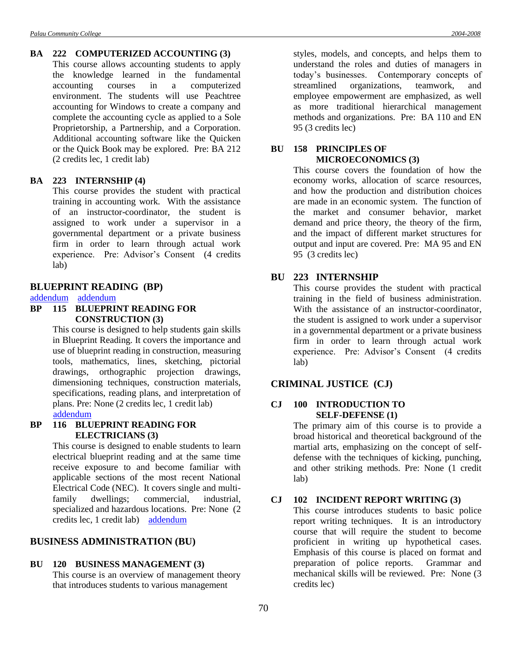#### **BA 222 COMPUTERIZED ACCOUNTING (3)**

This course allows accounting students to apply the knowledge learned in the fundamental accounting courses in a computerized environment. The students will use Peachtree accounting for Windows to create a company and complete the accounting cycle as applied to a Sole Proprietorship, a Partnership, and a Corporation. Additional accounting software like the Quicken or the Quick Book may be explored. Pre: BA 212 (2 credits lec, 1 credit lab)

### **BA 223 INTERNSHIP (4)**

This course provides the student with practical training in accounting work. With the assistance of an instructor-coordinator, the student is assigned to work under a supervisor in a governmental department or a private business firm in order to learn through actual work experience. Pre: Advisor's Consent (4 credits lab)

#### **BLUEPRINT READING (BP)**

#### [addendum](Addendum6.doc#two) [addendum](Addendum8.doc#one)

# **BP 115 BLUEPRINT READING FOR CONSTRUCTION (3)**

This course is designed to help students gain skills in Blueprint Reading. It covers the importance and use of blueprint reading in construction, measuring tools, mathematics, lines, sketching, pictorial drawings, orthographic projection drawings, dimensioning techniques, construction materials, specifications, reading plans, and interpretation of plans. Pre: None (2 credits lec, 1 credit lab) [addendum](Addendum2.doc#five)

#### **BP 116 BLUEPRINT READING FOR ELECTRICIANS (3)**

This course is designed to enable students to learn electrical blueprint reading and at the same time receive exposure to and become familiar with applicable sections of the most recent National Electrical Code (NEC). It covers single and multifamily dwellings: commercial, industrial, specialized and hazardous locations. Pre: None (2 credits lec, 1 credit lab) [addendum](Addendum2.doc#six)

# **BUSINESS ADMINISTRATION (BU)**

#### **BU 120 BUSINESS MANAGEMENT (3)**

This course is an overview of management theory that introduces students to various management

styles, models, and concepts, and helps them to understand the roles and duties of managers in today's businesses. Contemporary concepts of streamlined organizations, teamwork, and employee empowerment are emphasized, as well as more traditional hierarchical management methods and organizations. Pre: BA 110 and EN 95 (3 credits lec)

# **BU 158 PRINCIPLES OF MICROECONOMICS (3)**

This course covers the foundation of how the economy works, allocation of scarce resources, and how the production and distribution choices are made in an economic system. The function of the market and consumer behavior, market demand and price theory, the theory of the firm, and the impact of different market structures for output and input are covered. Pre: MA 95 and EN 95 (3 credits lec)

# **BU 223 INTERNSHIP**

This course provides the student with practical training in the field of business administration. With the assistance of an instructor-coordinator, the student is assigned to work under a supervisor in a governmental department or a private business firm in order to learn through actual work experience. Pre: Advisor's Consent (4 credits lab)

#### **CRIMINAL JUSTICE (CJ)**

### **CJ 100 INTRODUCTION TO SELF-DEFENSE (1)**

The primary aim of this course is to provide a broad historical and theoretical background of the martial arts, emphasizing on the concept of selfdefense with the techniques of kicking, punching, and other striking methods. Pre: None (1 credit lab)

### **CJ 102 INCIDENT REPORT WRITING (3)**

This course introduces students to basic police report writing techniques. It is an introductory course that will require the student to become proficient in writing up hypothetical cases. Emphasis of this course is placed on format and preparation of police reports. Grammar and mechanical skills will be reviewed. Pre: None (3 credits lec)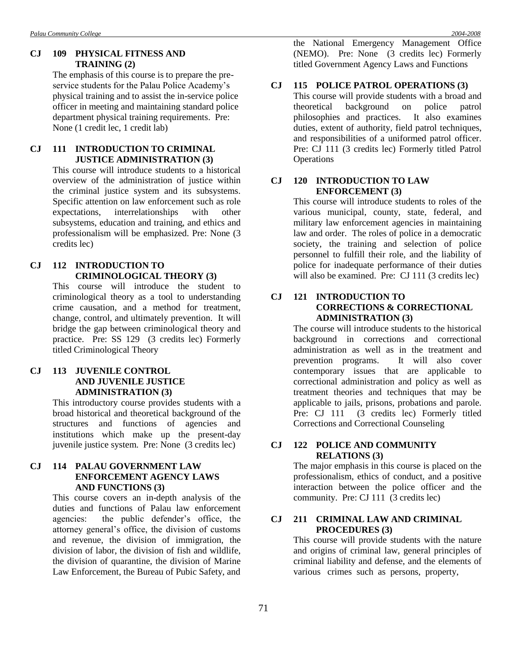# **CJ 109 PHYSICAL FITNESS AND TRAINING (2)**

The emphasis of this course is to prepare the preservice students for the Palau Police Academy's physical training and to assist the in-service police officer in meeting and maintaining standard police department physical training requirements. Pre: None (1 credit lec, 1 credit lab)

# **CJ 111 INTRODUCTION TO CRIMINAL JUSTICE ADMINISTRATION (3)**

This course will introduce students to a historical overview of the administration of justice within the criminal justice system and its subsystems. Specific attention on law enforcement such as role expectations, interrelationships with other subsystems, education and training, and ethics and professionalism will be emphasized. Pre: None (3 credits lec)

# **CJ 112 INTRODUCTION TO CRIMINOLOGICAL THEORY (3)**

This course will introduce the student to criminological theory as a tool to understanding crime causation, and a method for treatment, change, control, and ultimately prevention. It will bridge the gap between criminological theory and practice. Pre: SS 129 (3 credits lec) Formerly titled Criminological Theory

### **CJ 113 JUVENILE CONTROL AND JUVENILE JUSTICE ADMINISTRATION (3)**

This introductory course provides students with a broad historical and theoretical background of the structures and functions of agencies and institutions which make up the present-day juvenile justice system. Pre: None (3 credits lec)

### **CJ 114 PALAU GOVERNMENT LAW ENFORCEMENT AGENCY LAWS AND FUNCTIONS (3)**

This course covers an in-depth analysis of the duties and functions of Palau law enforcement agencies: the public defender's office, the attorney general's office, the division of customs and revenue, the division of immigration, the division of labor, the division of fish and wildlife, the division of quarantine, the division of Marine Law Enforcement, the Bureau of Pubic Safety, and the National Emergency Management Office (NEMO). Pre: None (3 credits lec) Formerly titled Government Agency Laws and Functions

### **CJ 115 POLICE PATROL OPERATIONS (3)**

This course will provide students with a broad and theoretical background on police patrol philosophies and practices. It also examines duties, extent of authority, field patrol techniques, and responsibilities of a uniformed patrol officer. Pre: CJ 111 (3 credits lec) Formerly titled Patrol **Operations** 

### **CJ 120 INTRODUCTION TO LAW ENFORCEMENT (3)**

This course will introduce students to roles of the various municipal, county, state, federal, and military law enforcement agencies in maintaining law and order. The roles of police in a democratic society, the training and selection of police personnel to fulfill their role, and the liability of police for inadequate performance of their duties will also be examined. Pre: CJ 111 (3 credits lec)

#### **CJ 121 INTRODUCTION TO CORRECTIONS & CORRECTIONAL ADMINISTRATION (3)**

The course will introduce students to the historical background in corrections and correctional administration as well as in the treatment and prevention programs. It will also cover contemporary issues that are applicable to correctional administration and policy as well as treatment theories and techniques that may be applicable to jails, prisons, probations and parole. Pre: CJ 111 (3 credits lec) Formerly titled Corrections and Correctional Counseling

### **CJ 122 POLICE AND COMMUNITY RELATIONS (3)**

The major emphasis in this course is placed on the professionalism, ethics of conduct, and a positive interaction between the police officer and the community. Pre: CJ 111 (3 credits lec)

### **CJ 211 CRIMINAL LAW AND CRIMINAL PROCEDURES (3)**

This course will provide students with the nature and origins of criminal law, general principles of criminal liability and defense, and the elements of various crimes such as persons, property,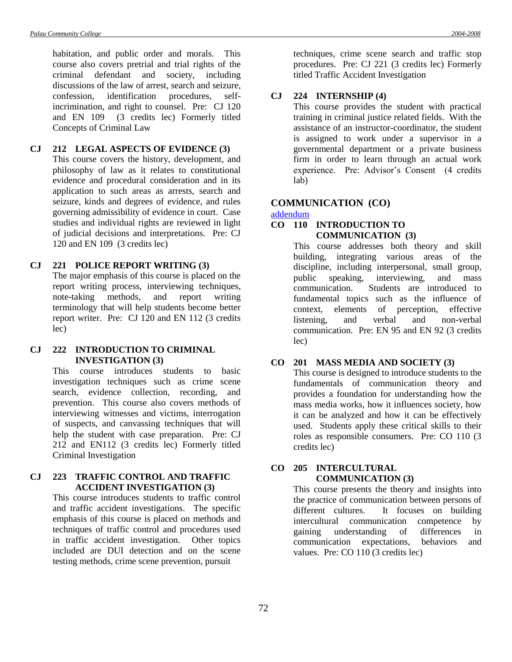habitation, and public order and morals. This course also covers pretrial and trial rights of the criminal defendant and society, including discussions of the law of arrest, search and seizure, confession, identification procedures, selfincrimination, and right to counsel. Pre: CJ 120 and EN 109 (3 credits lec) Formerly titled Concepts of Criminal Law

# **CJ 212 LEGAL ASPECTS OF EVIDENCE (3)**

This course covers the history, development, and philosophy of law as it relates to constitutional evidence and procedural consideration and in its application to such areas as arrests, search and seizure, kinds and degrees of evidence, and rules governing admissibility of evidence in court. Case studies and individual rights are reviewed in light of judicial decisions and interpretations. Pre: CJ 120 and EN 109 (3 credits lec)

#### **CJ 221 POLICE REPORT WRITING (3)**

The major emphasis of this course is placed on the report writing process, interviewing techniques, note-taking methods, and report writing terminology that will help students become better report writer. Pre: CJ 120 and EN 112 (3 credits lec)

#### **CJ 222 INTRODUCTION TO CRIMINAL INVESTIGATION (3)**

This course introduces students to basic investigation techniques such as crime scene search, evidence collection, recording, and prevention. This course also covers methods of interviewing witnesses and victims, interrogation of suspects, and canvassing techniques that will help the student with case preparation. Pre: CJ 212 and EN112 (3 credits lec) Formerly titled Criminal Investigation

#### **CJ 223 TRAFFIC CONTROL AND TRAFFIC ACCIDENT INVESTIGATION (3)**

This course introduces students to traffic control and traffic accident investigations. The specific emphasis of this course is placed on methods and techniques of traffic control and procedures used in traffic accident investigation. Other topics included are DUI detection and on the scene testing methods, crime scene prevention, pursuit

techniques, crime scene search and traffic stop procedures. Pre: CJ 221 (3 credits lec) Formerly titled Traffic Accident Investigation

# **CJ 224 INTERNSHIP (4)**

This course provides the student with practical training in criminal justice related fields. With the assistance of an instructor-coordinator, the student is assigned to work under a supervisor in a governmental department or a private business firm in order to learn through an actual work experience. Pre: Advisor's Consent (4 credits lab)

# **COMMUNICATION (CO)**

#### [addendum](Addendum6.doc#one)

# **CO 110 INTRODUCTION TO COMMUNICATION (3)**

This course addresses both theory and skill building, integrating various areas of the discipline, including interpersonal, small group, public speaking, interviewing, and mass communication. Students are introduced to fundamental topics such as the influence of context, elements of perception, effective listening, and verbal and non-verbal communication. Pre: EN 95 and EN 92 (3 credits lec)

#### **CO 201 MASS MEDIA AND SOCIETY (3)**

This course is designed to introduce students to the fundamentals of communication theory and provides a foundation for understanding how the mass media works, how it influences society, how it can be analyzed and how it can be effectively used. Students apply these critical skills to their roles as responsible consumers. Pre: CO 110 (3 credits lec)

# **CO 205 INTERCULTURAL COMMUNICATION (3)**

This course presents the theory and insights into the practice of communication between persons of different cultures. It focuses on building intercultural communication competence by gaining understanding of differences in communication expectations, behaviors and values. Pre: CO 110 (3 credits lec)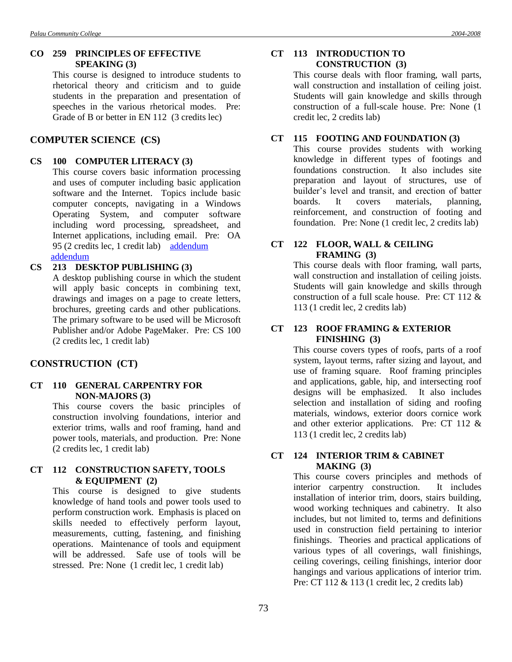### **CO 259 PRINCIPLES OF EFFECTIVE SPEAKING (3)**

This course is designed to introduce students to rhetorical theory and criticism and to guide students in the preparation and presentation of speeches in the various rhetorical modes. Pre: Grade of B or better in EN 112 (3 credits lec)

# **COMPUTER SCIENCE (CS)**

#### **CS 100 COMPUTER LITERACY (3)**

This course covers basic information processing and uses of computer including basic application software and the Internet. Topics include basic computer concepts, navigating in a Windows Operating System, and computer software including word processing, spreadsheet, and Internet applications, including email. Pre: OA 95 (2 credits lec, 1 credit lab) [addendum](Addendum2.doc#seven) [addendum](Addendum2.doc#eight)

#### **CS 213 DESKTOP PUBLISHING (3)**

A desktop publishing course in which the student will apply basic concepts in combining text, drawings and images on a page to create letters, brochures, greeting cards and other publications. The primary software to be used will be Microsoft Publisher and/or Adobe PageMaker. Pre: CS 100 (2 credits lec, 1 credit lab)

# **CONSTRUCTION (CT)**

# **CT 110 GENERAL CARPENTRY FOR NON-MAJORS (3)**

This course covers the basic principles of construction involving foundations, interior and exterior trims, walls and roof framing, hand and power tools, materials, and production. Pre: None (2 credits lec, 1 credit lab)

#### **CT 112 CONSTRUCTION SAFETY, TOOLS & EQUIPMENT (2)**

This course is designed to give students knowledge of hand tools and power tools used to perform construction work. Emphasis is placed on skills needed to effectively perform layout, measurements, cutting, fastening, and finishing operations. Maintenance of tools and equipment will be addressed. Safe use of tools will be stressed. Pre: None (1 credit lec, 1 credit lab)

### **CT 113 INTRODUCTION TO CONSTRUCTION (3)**

This course deals with floor framing, wall parts, wall construction and installation of ceiling joist. Students will gain knowledge and skills through construction of a full-scale house. Pre: None (1 credit lec, 2 credits lab)

#### **CT 115 FOOTING AND FOUNDATION (3)**

This course provides students with working knowledge in different types of footings and foundations construction. It also includes site preparation and layout of structures, use of builder's level and transit, and erection of batter boards. It covers materials, planning, reinforcement, and construction of footing and foundation. Pre: None (1 credit lec, 2 credits lab)

# **CT 122 FLOOR, WALL & CEILING FRAMING (3)**

This course deals with floor framing, wall parts, wall construction and installation of ceiling joists. Students will gain knowledge and skills through construction of a full scale house. Pre: CT 112 & 113 (1 credit lec, 2 credits lab)

#### **CT 123 ROOF FRAMING & EXTERIOR FINISHING (3)**

This course covers types of roofs, parts of a roof system, layout terms, rafter sizing and layout, and use of framing square. Roof framing principles and applications, gable, hip, and intersecting roof designs will be emphasized. It also includes selection and installation of siding and roofing materials, windows, exterior doors cornice work and other exterior applications. Pre: CT 112 & 113 (1 credit lec, 2 credits lab)

### **CT 124 INTERIOR TRIM & CABINET MAKING (3)**

This course covers principles and methods of interior carpentry construction. It includes installation of interior trim, doors, stairs building, wood working techniques and cabinetry. It also includes, but not limited to, terms and definitions used in construction field pertaining to interior finishings. Theories and practical applications of various types of all coverings, wall finishings, ceiling coverings, ceiling finishings, interior door hangings and various applications of interior trim. Pre: CT 112 & 113 (1 credit lec, 2 credits lab)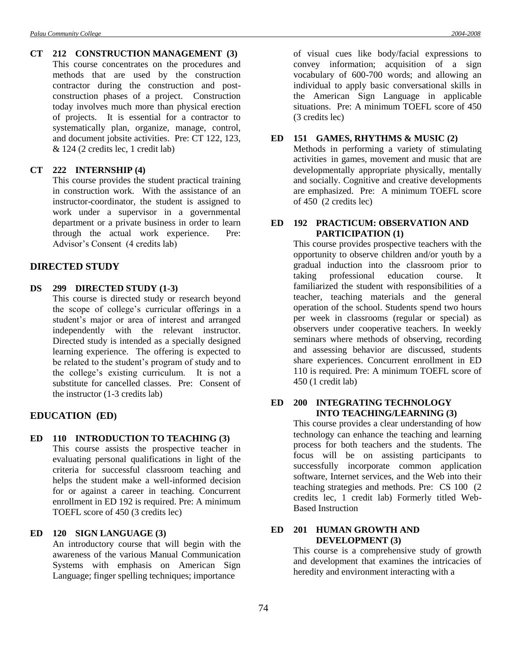**CT 212 CONSTRUCTION MANAGEMENT (3)** This course concentrates on the procedures and methods that are used by the construction contractor during the construction and postconstruction phases of a project. Construction today involves much more than physical erection of projects. It is essential for a contractor to systematically plan, organize, manage, control, and document jobsite activities. Pre: CT 122, 123, & 124 (2 credits lec, 1 credit lab)

#### **CT 222 INTERNSHIP (4)**

This course provides the student practical training in construction work. With the assistance of an instructor-coordinator, the student is assigned to work under a supervisor in a governmental department or a private business in order to learn through the actual work experience. Pre: Advisor's Consent (4 credits lab)

# **DIRECTED STUDY**

#### **DS 299 DIRECTED STUDY (1-3)**

This course is directed study or research beyond the scope of college's curricular offerings in a student's major or area of interest and arranged independently with the relevant instructor. Directed study is intended as a specially designed learning experience. The offering is expected to be related to the student's program of study and to the college's existing curriculum. It is not a substitute for cancelled classes. Pre: Consent of the instructor (1-3 credits lab)

#### **EDUCATION (ED)**

#### **ED 110 INTRODUCTION TO TEACHING (3)**

This course assists the prospective teacher in evaluating personal qualifications in light of the criteria for successful classroom teaching and helps the student make a well-informed decision for or against a career in teaching. Concurrent enrollment in ED 192 is required. Pre: A minimum TOEFL score of 450 (3 credits lec)

# **ED 120 SIGN LANGUAGE (3)**

An introductory course that will begin with the awareness of the various Manual Communication Systems with emphasis on American Sign Language; finger spelling techniques; importance

of visual cues like body/facial expressions to convey information; acquisition of a sign vocabulary of 600-700 words; and allowing an individual to apply basic conversational skills in the American Sign Language in applicable situations. Pre: A minimum TOEFL score of 450 (3 credits lec)

#### **ED 151 GAMES, RHYTHMS & MUSIC (2)**

Methods in performing a variety of stimulating activities in games, movement and music that are developmentally appropriate physically, mentally and socially. Cognitive and creative developments are emphasized. Pre: A minimum TOEFL score of 450 (2 credits lec)

#### **ED 192 PRACTICUM: OBSERVATION AND PARTICIPATION (1)**

This course provides prospective teachers with the opportunity to observe children and/or youth by a gradual induction into the classroom prior to taking professional education course. It familiarized the student with responsibilities of a teacher, teaching materials and the general operation of the school. Students spend two hours per week in classrooms (regular or special) as observers under cooperative teachers. In weekly seminars where methods of observing, recording and assessing behavior are discussed, students share experiences. Concurrent enrollment in ED 110 is required. Pre: A minimum TOEFL score of 450 (1 credit lab)

#### **ED 200 INTEGRATING TECHNOLOGY INTO TEACHING/LEARNING (3)**

This course provides a clear understanding of how technology can enhance the teaching and learning process for both teachers and the students. The focus will be on assisting participants to successfully incorporate common application software, Internet services, and the Web into their teaching strategies and methods. Pre: CS 100 (2 credits lec, 1 credit lab) Formerly titled Web-Based Instruction

### **ED 201 HUMAN GROWTH AND DEVELOPMENT (3)**

This course is a comprehensive study of growth and development that examines the intricacies of heredity and environment interacting with a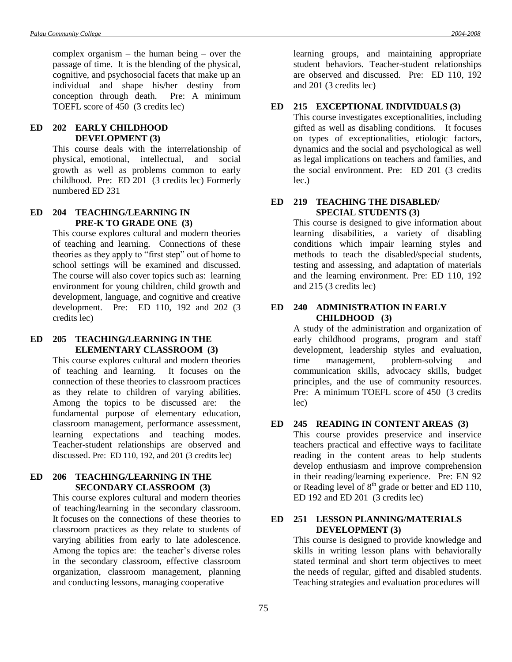complex organism – the human being – over the passage of time. It is the blending of the physical, cognitive, and psychosocial facets that make up an individual and shape his/her destiny from conception through death. Pre: A minimum TOEFL score of 450 (3 credits lec)

### **ED 202 EARLY CHILDHOOD DEVELOPMENT (3)**

This course deals with the interrelationship of physical, emotional, intellectual, and social growth as well as problems common to early childhood. Pre: ED 201 (3 credits lec) Formerly numbered ED 231

# **ED 204 TEACHING/LEARNING IN PRE-K TO GRADE ONE (3)**

This course explores cultural and modern theories of teaching and learning. Connections of these theories as they apply to "first step" out of home to school settings will be examined and discussed. The course will also cover topics such as: learning environment for young children, child growth and development, language, and cognitive and creative development. Pre: ED 110, 192 and 202 (3 credits lec)

### **ED 205 TEACHING/LEARNING IN THE ELEMENTARY CLASSROOM (3)**

This course explores cultural and modern theories of teaching and learning. It focuses on the connection of these theories to classroom practices as they relate to children of varying abilities. Among the topics to be discussed are: the fundamental purpose of elementary education, classroom management, performance assessment, learning expectations and teaching modes. Teacher-student relationships are observed and discussed. Pre: ED 110, 192, and 201 (3 credits lec)

# **ED 206 TEACHING/LEARNING IN THE SECONDARY CLASSROOM (3)**

This course explores cultural and modern theories of teaching/learning in the secondary classroom. It focuses on the connections of these theories to classroom practices as they relate to students of varying abilities from early to late adolescence. Among the topics are: the teacher's diverse roles in the secondary classroom, effective classroom organization, classroom management, planning and conducting lessons, managing cooperative

learning groups, and maintaining appropriate student behaviors. Teacher-student relationships are observed and discussed. Pre: ED 110, 192 and 201 (3 credits lec)

#### **ED 215 EXCEPTIONAL INDIVIDUALS (3)**

This course investigates exceptionalities, including gifted as well as disabling conditions. It focuses on types of exceptionalities, etiologic factors, dynamics and the social and psychological as well as legal implications on teachers and families, and the social environment. Pre: ED 201 (3 credits lec.)

# **ED 219 TEACHING THE DISABLED/ SPECIAL STUDENTS (3)**

This course is designed to give information about learning disabilities, a variety of disabling conditions which impair learning styles and methods to teach the disabled/special students, testing and assessing, and adaptation of materials and the learning environment. Pre: ED 110, 192 and 215 (3 credits lec)

#### **ED 240 ADMINISTRATION IN EARLY CHILDHOOD (3)**

A study of the administration and organization of early childhood programs, program and staff development, leadership styles and evaluation, time management, problem-solving and communication skills, advocacy skills, budget principles, and the use of community resources. Pre: A minimum TOEFL score of 450 (3 credits lec)

#### **ED 245 READING IN CONTENT AREAS (3)**

This course provides preservice and inservice teachers practical and effective ways to facilitate reading in the content areas to help students develop enthusiasm and improve comprehension in their reading/learning experience. Pre: EN 92 or Reading level of  $8<sup>th</sup>$  grade or better and ED 110, ED 192 and ED 201 (3 credits lec)

### **ED 251 LESSON PLANNING/MATERIALS DEVELOPMENT (3)**

This course is designed to provide knowledge and skills in writing lesson plans with behaviorally stated terminal and short term objectives to meet the needs of regular, gifted and disabled students. Teaching strategies and evaluation procedures will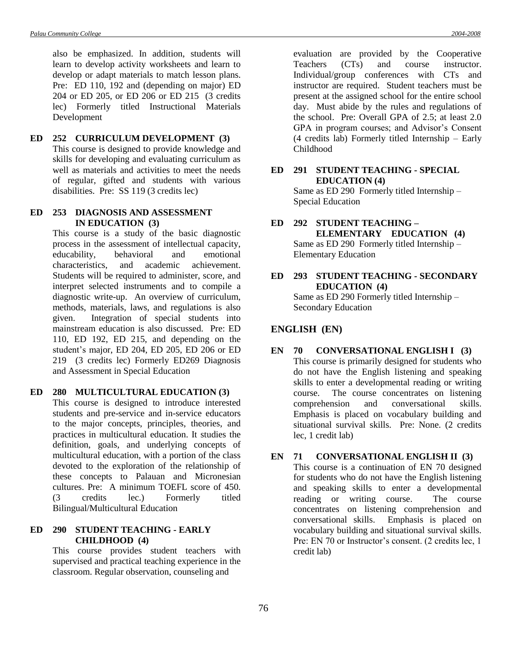also be emphasized. In addition, students will learn to develop activity worksheets and learn to develop or adapt materials to match lesson plans. Pre: ED 110, 192 and (depending on major) ED 204 or ED 205, or ED 206 or ED 215 (3 credits lec) Formerly titled Instructional Materials Development

**ED 252 CURRICULUM DEVELOPMENT (3)** This course is designed to provide knowledge and skills for developing and evaluating curriculum as well as materials and activities to meet the needs of regular, gifted and students with various disabilities. Pre: SS 119 (3 credits lec)

### **ED 253 DIAGNOSIS AND ASSESSMENT IN EDUCATION (3)**

This course is a study of the basic diagnostic process in the assessment of intellectual capacity, educability, behavioral and emotional characteristics, and academic achievement. Students will be required to administer, score, and interpret selected instruments and to compile a diagnostic write-up. An overview of curriculum, methods, materials, laws, and regulations is also given. Integration of special students into mainstream education is also discussed. Pre: ED 110, ED 192, ED 215, and depending on the student's major, ED 204, ED 205, ED 206 or ED 219 (3 credits lec) Formerly ED269 Diagnosis and Assessment in Special Education

## **ED 280 MULTICULTURAL EDUCATION (3)**

This course is designed to introduce interested students and pre-service and in-service educators to the major concepts, principles, theories, and practices in multicultural education. It studies the definition, goals, and underlying concepts of multicultural education, with a portion of the class devoted to the exploration of the relationship of these concepts to Palauan and Micronesian cultures. Pre: A minimum TOEFL score of 450. (3 credits lec.) Formerly titled Bilingual/Multicultural Education

## **ED 290 STUDENT TEACHING - EARLY CHILDHOOD (4)**

This course provides student teachers with supervised and practical teaching experience in the classroom. Regular observation, counseling and

evaluation are provided by the Cooperative Teachers (CTs) and course instructor. Individual/group conferences with CTs and instructor are required. Student teachers must be present at the assigned school for the entire school day. Must abide by the rules and regulations of the school. Pre: Overall GPA of 2.5; at least 2.0 GPA in program courses; and Advisor's Consent (4 credits lab) Formerly titled Internship – Early Childhood

#### **ED 291 STUDENT TEACHING - SPECIAL EDUCATION (4)**

Same as ED 290 Formerly titled Internship – Special Education

### **ED 292 STUDENT TEACHING – ELEMENTARY EDUCATION (4)** Same as ED 290 Formerly titled Internship – Elementary Education

**ED 293 STUDENT TEACHING - SECONDARY EDUCATION (4)** Same as ED 290 Formerly titled Internship – Secondary Education

# **ENGLISH (EN)**

# **EN 70 CONVERSATIONAL ENGLISH I (3)** This course is primarily designed for students who do not have the English listening and speaking

skills to enter a developmental reading or writing course. The course concentrates on listening comprehension and conversational skills. Emphasis is placed on vocabulary building and situational survival skills. Pre: None. (2 credits lec, 1 credit lab)

# **EN 71 CONVERSATIONAL ENGLISH II (3)**

This course is a continuation of EN 70 designed for students who do not have the English listening and speaking skills to enter a developmental reading or writing course. The course concentrates on listening comprehension and conversational skills. Emphasis is placed on vocabulary building and situational survival skills. Pre: EN 70 or Instructor's consent. (2 credits lec, 1 credit lab)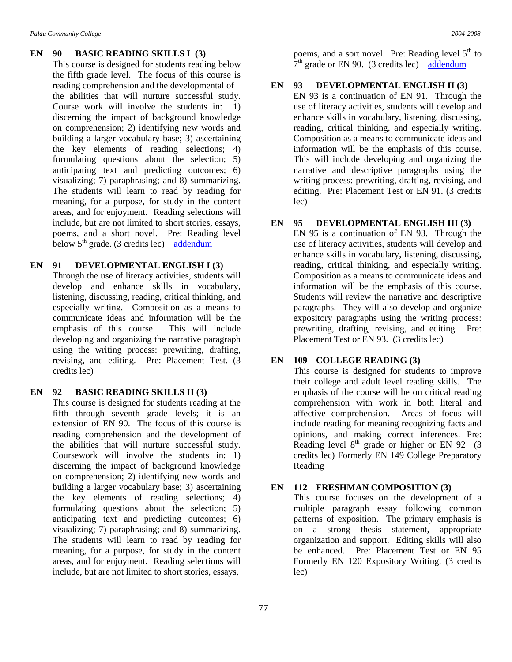#### **EN 90 BASIC READING SKILLS I (3)**

This course is designed for students reading below the fifth grade level. The focus of this course is reading comprehension and the developmental of the abilities that will nurture successful study. Course work will involve the students in: 1) discerning the impact of background knowledge on comprehension; 2) identifying new words and building a larger vocabulary base; 3) ascertaining the key elements of reading selections; 4) formulating questions about the selection; 5) anticipating text and predicting outcomes; 6) visualizing; 7) paraphrasing; and 8) summarizing. The students will learn to read by reading for meaning, for a purpose, for study in the content areas, and for enjoyment. Reading selections will include, but are not limited to short stories, essays, poems, and a short novel. Pre: Reading level below  $5<sup>th</sup>$  grade. (3 credits lec) [addendum](Addendum1.doc#three)

### **EN 91 DEVELOPMENTAL ENGLISH I (3)**

Through the use of literacy activities, students will develop and enhance skills in vocabulary, listening, discussing, reading, critical thinking, and especially writing. Composition as a means to communicate ideas and information will be the emphasis of this course. This will include developing and organizing the narrative paragraph using the writing process: prewriting, drafting, revising, and editing. Pre: Placement Test. (3 credits lec)

#### **EN 92 BASIC READING SKILLS II (3)**

This course is designed for students reading at the fifth through seventh grade levels; it is an extension of EN 90. The focus of this course is reading comprehension and the development of the abilities that will nurture successful study. Coursework will involve the students in: 1) discerning the impact of background knowledge on comprehension; 2) identifying new words and building a larger vocabulary base; 3) ascertaining the key elements of reading selections; 4) formulating questions about the selection; 5) anticipating text and predicting outcomes; 6) visualizing; 7) paraphrasing; and 8) summarizing. The students will learn to read by reading for meaning, for a purpose, for study in the content areas, and for enjoyment. Reading selections will include, but are not limited to short stories, essays,

poems, and a sort novel. Pre: Reading level  $5<sup>th</sup>$  to  $7<sup>th</sup>$  grade or EN 90. (3 credits lec) [addendum](Addendum1.doc#four)

#### **EN 93 DEVELOPMENTAL ENGLISH II (3)**

EN 93 is a continuation of EN 91. Through the use of literacy activities, students will develop and enhance skills in vocabulary, listening, discussing, reading, critical thinking, and especially writing. Composition as a means to communicate ideas and information will be the emphasis of this course. This will include developing and organizing the narrative and descriptive paragraphs using the writing process: prewriting, drafting, revising, and editing. Pre: Placement Test or EN 91. (3 credits lec)

#### **EN 95 DEVELOPMENTAL ENGLISH III (3)**

EN 95 is a continuation of EN 93. Through the use of literacy activities, students will develop and enhance skills in vocabulary, listening, discussing, reading, critical thinking, and especially writing. Composition as a means to communicate ideas and information will be the emphasis of this course. Students will review the narrative and descriptive paragraphs. They will also develop and organize expository paragraphs using the writing process: prewriting, drafting, revising, and editing. Pre: Placement Test or EN 93. (3 credits lec)

#### **EN 109 COLLEGE READING (3)**

This course is designed for students to improve their college and adult level reading skills. The emphasis of the course will be on critical reading comprehension with work in both literal and affective comprehension. Areas of focus will include reading for meaning recognizing facts and opinions, and making correct inferences. Pre: Reading level  $8<sup>th</sup>$  grade or higher or EN 92 (3) credits lec) Formerly EN 149 College Preparatory Reading

#### **EN 112 FRESHMAN COMPOSITION (3)**

This course focuses on the development of a multiple paragraph essay following common patterns of exposition. The primary emphasis is on a strong thesis statement, appropriate organization and support. Editing skills will also be enhanced. Pre: Placement Test or EN 95 Formerly EN 120 Expository Writing. (3 credits lec)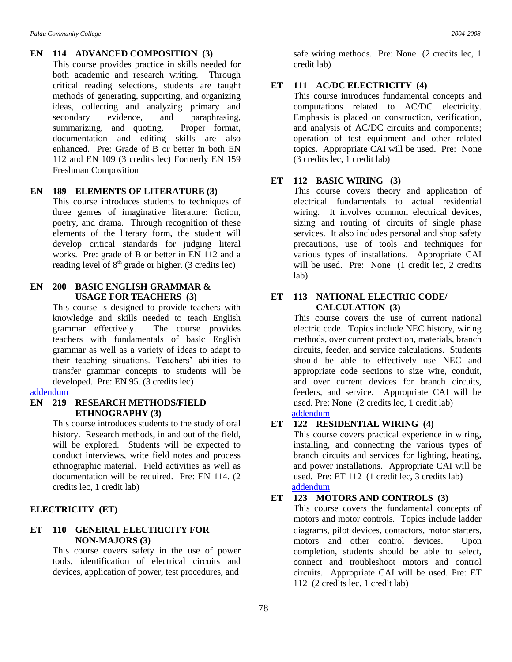#### **EN 114 ADVANCED COMPOSITION (3)**

This course provides practice in skills needed for both academic and research writing. Through critical reading selections, students are taught methods of generating, supporting, and organizing ideas, collecting and analyzing primary and secondary evidence, and paraphrasing, summarizing, and quoting. Proper format, documentation and editing skills are also enhanced. Pre: Grade of B or better in both EN 112 and EN 109 (3 credits lec) Formerly EN 159 Freshman Composition

#### **EN 189 ELEMENTS OF LITERATURE (3)**

This course introduces students to techniques of three genres of imaginative literature: fiction, poetry, and drama. Through recognition of these elements of the literary form, the student will develop critical standards for judging literal works. Pre: grade of B or better in EN 112 and a reading level of  $8<sup>th</sup>$  grade or higher. (3 credits lec)

### **EN 200 BASIC ENGLISH GRAMMAR & USAGE FOR TEACHERS (3)**

This course is designed to provide teachers with knowledge and skills needed to teach English grammar effectively. The course provides teachers with fundamentals of basic English grammar as well as a variety of ideas to adapt to their teaching situations. Teachers' abilities to transfer grammar concepts to students will be developed. Pre: EN 95. (3 credits lec)

#### [addendum](Addendum1.doc#five)

#### **EN 219 RESEARCH METHODS/FIELD ETHNOGRAPHY (3)**

This course introduces students to the study of oral history. Research methods, in and out of the field, will be explored. Students will be expected to conduct interviews, write field notes and process ethnographic material. Field activities as well as documentation will be required. Pre: EN 114. (2 credits lec, 1 credit lab)

### **ELECTRICITY (ET)**

### **ET 110 GENERAL ELECTRICITY FOR NON-MAJORS (3)**

This course covers safety in the use of power tools, identification of electrical circuits and devices, application of power, test procedures, and

safe wiring methods. Pre: None (2 credits lec, 1 credit lab)

#### **ET 111 AC/DC ELECTRICITY (4)**

This course introduces fundamental concepts and computations related to AC/DC electricity. Emphasis is placed on construction, verification, and analysis of AC/DC circuits and components; operation of test equipment and other related topics. Appropriate CAI will be used. Pre: None (3 credits lec, 1 credit lab)

# **ET 112 BASIC WIRING (3)**

This course covers theory and application of electrical fundamentals to actual residential wiring. It involves common electrical devices, sizing and routing of circuits of single phase services. It also includes personal and shop safety precautions, use of tools and techniques for various types of installations. Appropriate CAI will be used. Pre: None (1 credit lec, 2 credits lab)

### **ET 113 NATIONAL ELECTRIC CODE/ CALCULATION (3)**

This course covers the use of current national electric code. Topics include NEC history, wiring methods, over current protection, materials, branch circuits, feeder, and service calculations. Students should be able to effectively use NEC and appropriate code sections to size wire, conduit, and over current devices for branch circuits, feeders, and service. Appropriate CAI will be used. Pre: None (2 credits lec, 1 credit lab) [addendum](Addendum2.doc#nine)

#### **ET 122 RESIDENTIAL WIRING (4)**

This course covers practical experience in wiring, installing, and connecting the various types of branch circuits and services for lighting, heating, and power installations. Appropriate CAI will be used. Pre: ET 112 (1 credit lec, 3 credits lab) [addendum](Addendum2.doc#ten)

# **ET 123 MOTORS AND CONTROLS (3)**

This course covers the fundamental concepts of motors and motor controls. Topics include ladder diagrams, pilot devices, contactors, motor starters, motors and other control devices. Upon completion, students should be able to select, connect and troubleshoot motors and control circuits. Appropriate CAI will be used. Pre: ET 112 (2 credits lec, 1 credit lab)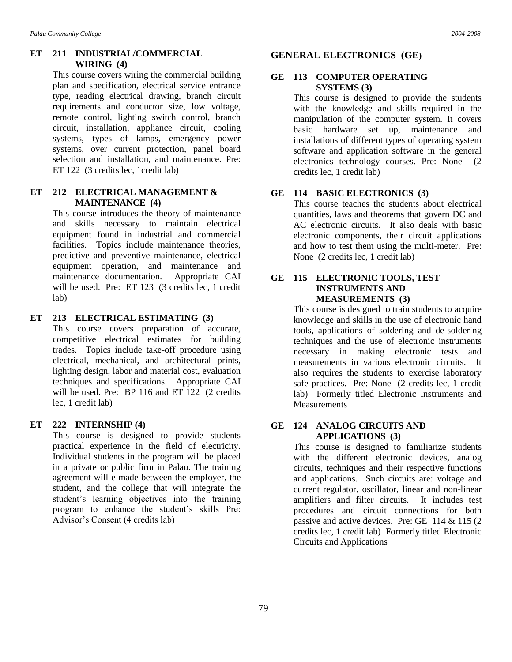# **ET 211 INDUSTRIAL/COMMERCIAL WIRING (4)**

This course covers wiring the commercial building plan and specification, electrical service entrance type, reading electrical drawing, branch circuit requirements and conductor size, low voltage, remote control, lighting switch control, branch circuit, installation, appliance circuit, cooling systems, types of lamps, emergency power systems, over current protection, panel board selection and installation, and maintenance. Pre: ET 122 (3 credits lec, 1credit lab)

# **ET 212 ELECTRICAL MANAGEMENT & MAINTENANCE (4)**

This course introduces the theory of maintenance and skills necessary to maintain electrical equipment found in industrial and commercial facilities. Topics include maintenance theories, predictive and preventive maintenance, electrical equipment operation, and maintenance and maintenance documentation. Appropriate CAI will be used. Pre: ET 123 (3 credits lec, 1 credit lab)

# **ET 213 ELECTRICAL ESTIMATING (3)**

This course covers preparation of accurate, competitive electrical estimates for building trades. Topics include take-off procedure using electrical, mechanical, and architectural prints, lighting design, labor and material cost, evaluation techniques and specifications. Appropriate CAI will be used. Pre: BP 116 and ET 122 (2 credits lec, 1 credit lab)

# **ET 222 INTERNSHIP (4)**

This course is designed to provide students practical experience in the field of electricity. Individual students in the program will be placed in a private or public firm in Palau. The training agreement will e made between the employer, the student, and the college that will integrate the student's learning objectives into the training program to enhance the student's skills Pre: Advisor's Consent (4 credits lab)

# **GENERAL ELECTRONICS (GE)**

### **GE 113 COMPUTER OPERATING SYSTEMS (3)**

This course is designed to provide the students with the knowledge and skills required in the manipulation of the computer system. It covers basic hardware set up, maintenance and installations of different types of operating system software and application software in the general electronics technology courses. Pre: None (2 credits lec, 1 credit lab)

# **GE 114 BASIC ELECTRONICS (3)**

This course teaches the students about electrical quantities, laws and theorems that govern DC and AC electronic circuits. It also deals with basic electronic components, their circuit applications and how to test them using the multi-meter. Pre: None (2 credits lec, 1 credit lab)

#### **GE 115 ELECTRONIC TOOLS, TEST INSTRUMENTS AND MEASUREMENTS (3)**

This course is designed to train students to acquire knowledge and skills in the use of electronic hand tools, applications of soldering and de-soldering techniques and the use of electronic instruments necessary in making electronic tests and measurements in various electronic circuits. It also requires the students to exercise laboratory safe practices. Pre: None (2 credits lec, 1 credit lab) Formerly titled Electronic Instruments and **Measurements** 

# **GE 124 ANALOG CIRCUITS AND APPLICATIONS (3)**

This course is designed to familiarize students with the different electronic devices, analog circuits, techniques and their respective functions and applications. Such circuits are: voltage and current regulator, oscillator, linear and non-linear amplifiers and filter circuits. It includes test procedures and circuit connections for both passive and active devices. Pre: GE 114 & 115 (2 credits lec, 1 credit lab) Formerly titled Electronic Circuits and Applications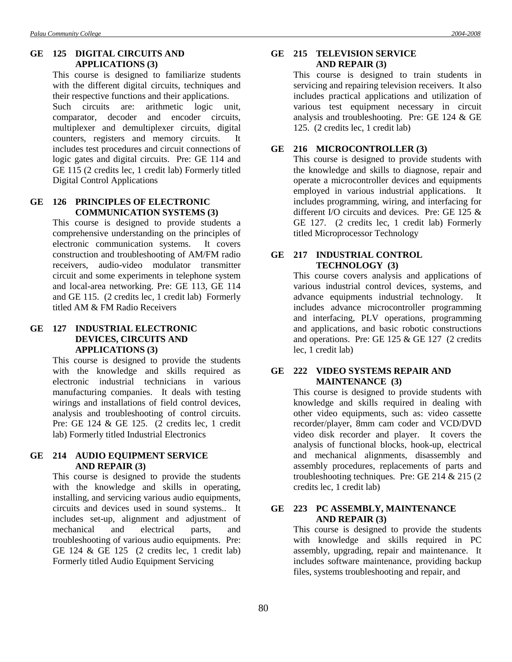### **GE 125 DIGITAL CIRCUITS AND APPLICATIONS (3)**

This course is designed to familiarize students with the different digital circuits, techniques and their respective functions and their applications. Such circuits are: arithmetic logic unit, comparator, decoder and encoder circuits, multiplexer and demultiplexer circuits, digital counters, registers and memory circuits. It includes test procedures and circuit connections of logic gates and digital circuits. Pre: GE 114 and GE 115 (2 credits lec, 1 credit lab) Formerly titled Digital Control Applications

# **GE 126 PRINCIPLES OF ELECTRONIC COMMUNICATION SYSTEMS (3)**

This course is designed to provide students a comprehensive understanding on the principles of electronic communication systems. It covers construction and troubleshooting of AM/FM radio receivers, audio-video modulator transmitter circuit and some experiments in telephone system and local-area networking. Pre: GE 113, GE 114 and GE 115. (2 credits lec, 1 credit lab) Formerly titled AM & FM Radio Receivers

# **GE 127 INDUSTRIAL ELECTRONIC DEVICES, CIRCUITS AND APPLICATIONS (3)**

This course is designed to provide the students with the knowledge and skills required as electronic industrial technicians in various manufacturing companies. It deals with testing wirings and installations of field control devices, analysis and troubleshooting of control circuits. Pre: GE 124 & GE 125. (2 credits lec, 1 credit lab) Formerly titled Industrial Electronics

#### **GE 214 AUDIO EQUIPMENT SERVICE AND REPAIR (3)**

This course is designed to provide the students with the knowledge and skills in operating, installing, and servicing various audio equipments, circuits and devices used in sound systems.. It includes set-up, alignment and adjustment of mechanical and electrical parts, and troubleshooting of various audio equipments. Pre: GE 124 & GE 125 (2 credits lec, 1 credit lab) Formerly titled Audio Equipment Servicing

### **GE 215 TELEVISION SERVICE AND REPAIR (3)**

This course is designed to train students in servicing and repairing television receivers. It also includes practical applications and utilization of various test equipment necessary in circuit analysis and troubleshooting. Pre: GE 124 & GE 125. (2 credits lec, 1 credit lab)

### **GE 216 MICROCONTROLLER (3)**

This course is designed to provide students with the knowledge and skills to diagnose, repair and operate a microcontroller devices and equipments employed in various industrial applications. It includes programming, wiring, and interfacing for different I/O circuits and devices. Pre: GE 125 & GE 127. (2 credits lec, 1 credit lab) Formerly titled Microprocessor Technology

# **GE 217 INDUSTRIAL CONTROL TECHNOLOGY (3)**

This course covers analysis and applications of various industrial control devices, systems, and advance equipments industrial technology. It includes advance microcontroller programming and interfacing, PLV operations, programming and applications, and basic robotic constructions and operations. Pre: GE 125 & GE 127 (2 credits lec, 1 credit lab)

### **GE 222 VIDEO SYSTEMS REPAIR AND MAINTENANCE (3)**

This course is designed to provide students with knowledge and skills required in dealing with other video equipments, such as: video cassette recorder/player, 8mm cam coder and VCD/DVD video disk recorder and player. It covers the analysis of functional blocks, hook-up, electrical and mechanical alignments, disassembly and assembly procedures, replacements of parts and troubleshooting techniques. Pre: GE 214 & 215 (2 credits lec, 1 credit lab)

### **GE 223 PC ASSEMBLY, MAINTENANCE AND REPAIR (3)**

This course is designed to provide the students with knowledge and skills required in PC assembly, upgrading, repair and maintenance. It includes software maintenance, providing backup files, systems troubleshooting and repair, and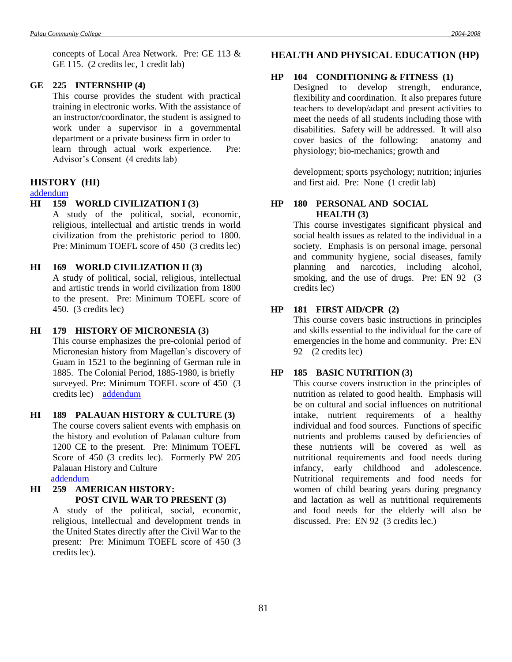concepts of Local Area Network. Pre: GE 113 & GE 115. (2 credits lec, 1 credit lab)

#### **GE 225 INTERNSHIP (4)**

This course provides the student with practical training in electronic works. With the assistance of an instructor/coordinator, the student is assigned to work under a supervisor in a governmental department or a private business firm in order to learn through actual work experience. Pre: Advisor's Consent (4 credits lab)

#### **HISTORY (HI)**

# [addendum](Addendum7.doc#one)

### **HI 159 WORLD CIVILIZATION I (3)**

A study of the political, social, economic, religious, intellectual and artistic trends in world civilization from the prehistoric period to 1800. Pre: Minimum TOEFL score of 450 (3 credits lec)

#### **HI 169 WORLD CIVILIZATION II (3)**

A study of political, social, religious, intellectual and artistic trends in world civilization from 1800 to the present. Pre: Minimum TOEFL score of 450. (3 credits lec)

## **HI 179 HISTORY OF MICRONESIA (3)**

This course emphasizes the pre-colonial period of Micronesian history from Magellan's discovery of Guam in 1521 to the beginning of German rule in 1885. The Colonial Period, 1885-1980, is briefly surveyed. Pre: Minimum TOEFL score of 450 (3 credits lec) [addendum](Addendum2.doc#eleven)

**HI 189 PALAUAN HISTORY & CULTURE (3)** The course covers salient events with emphasis on the history and evolution of Palauan culture from 1200 CE to the present.Pre: Minimum TOEFL Score of 450 (3 credits lec). Formerly PW 205 Palauan History and Culture

[addendum](Addendum2.doc#twelve)

# **HI 259 AMERICAN HISTORY: POST CIVIL WAR TO PRESENT (3)**

A study of the political, social, economic, religious, intellectual and development trends in the United States directly after the Civil War to the present: Pre: Minimum TOEFL score of 450 (3 credits lec).

# **HEALTH AND PHYSICAL EDUCATION (HP)**

#### **HP 104 CONDITIONING & FITNESS (1)**

Designed to develop strength, endurance, flexibility and coordination. It also prepares future teachers to develop/adapt and present activities to meet the needs of all students including those with disabilities. Safety will be addressed. It will also cover basics of the following: anatomy and physiology; bio-mechanics; growth and

development; sports psychology; nutrition; injuries and first aid. Pre: None (1 credit lab)

# **HP 180 PERSONAL AND SOCIAL HEALTH (3)**

This course investigates significant physical and social health issues as related to the individual in a society. Emphasis is on personal image, personal and community hygiene, social diseases, family planning and narcotics, including alcohol, smoking, and the use of drugs. Pre: EN 92 (3) credits lec)

# **HP 181 FIRST AID/CPR (2)**

This course covers basic instructions in principles and skills essential to the individual for the care of emergencies in the home and community. Pre: EN 92 (2 credits lec)

#### **HP 185 BASIC NUTRITION (3)**

This course covers instruction in the principles of nutrition as related to good health. Emphasis will be on cultural and social influences on nutritional intake, nutrient requirements of a healthy individual and food sources. Functions of specific nutrients and problems caused by deficiencies of these nutrients will be covered as well as nutritional requirements and food needs during infancy, early childhood and adolescence. Nutritional requirements and food needs for women of child bearing years during pregnancy and lactation as well as nutritional requirements and food needs for the elderly will also be discussed. Pre: EN 92 (3 credits lec.)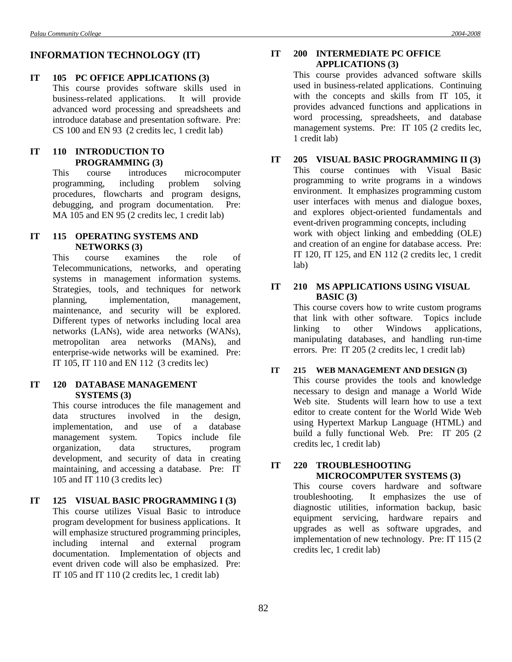# **INFORMATION TECHNOLOGY (IT)**

#### **IT 105 PC OFFICE APPLICATIONS (3)**

This course provides software skills used in business-related applications. It will provide advanced word processing and spreadsheets and introduce database and presentation software. Pre: CS 100 and EN 93 (2 credits lec, 1 credit lab)

# **IT 110 INTRODUCTION TO PROGRAMMING (3)**

This course introduces microcomputer programming, including problem solving procedures, flowcharts and program designs, debugging, and program documentation. Pre: MA 105 and EN 95 (2 credits lec, 1 credit lab)

### **IT 115 OPERATING SYSTEMS AND NETWORKS (3)**

This course examines the role of Telecommunications, networks, and operating systems in management information systems. Strategies, tools, and techniques for network planning, implementation, management, maintenance, and security will be explored. Different types of networks including local area networks (LANs), wide area networks (WANs), metropolitan area networks (MANs), and enterprise-wide networks will be examined. Pre: IT 105, IT 110 and EN 112 (3 credits lec)

### **IT 120 DATABASE MANAGEMENT SYSTEMS (3)**

This course introduces the file management and data structures involved in the design, implementation, and use of a database management system. Topics include file organization, data structures, program development, and security of data in creating maintaining, and accessing a database. Pre: IT 105 and IT 110 (3 credits lec)

# **IT 125 VISUAL BASIC PROGRAMMING I (3)** This course utilizes Visual Basic to introduce program development for business applications. It will emphasize structured programming principles, including internal and external program documentation. Implementation of objects and event driven code will also be emphasized. Pre: IT 105 and IT 110 (2 credits lec, 1 credit lab)

# **IT 200 INTERMEDIATE PC OFFICE APPLICATIONS (3)**

This course provides advanced software skills used in business-related applications. Continuing with the concepts and skills from IT 105, it provides advanced functions and applications in word processing, spreadsheets, and database management systems. Pre: IT 105 (2 credits lec, 1 credit lab)

# **IT 205 VISUAL BASIC PROGRAMMING II (3)**

This course continues with Visual Basic programming to write programs in a windows environment. It emphasizes programming custom user interfaces with menus and dialogue boxes, and explores object-oriented fundamentals and event-driven programming concepts, including work with object linking and embedding (OLE) and creation of an engine for database access. Pre: IT 120, IT 125, and EN 112 (2 credits lec, 1 credit lab)

# **IT 210 MS APPLICATIONS USING VISUAL BASIC (3)**

This course covers how to write custom programs that link with other software. Topics include linking to other Windows applications, manipulating databases, and handling run-time errors. Pre: IT 205 (2 credits lec, 1 credit lab)

#### **IT 215 WEB MANAGEMENT AND DESIGN (3)**

This course provides the tools and knowledge necessary to design and manage a World Wide Web site. Students will learn how to use a text editor to create content for the World Wide Web using Hypertext Markup Language (HTML) and build a fully functional Web. Pre: IT 205 (2 credits lec, 1 credit lab)

# **IT 220 TROUBLESHOOTING MICROCOMPUTER SYSTEMS (3)**

This course covers hardware and software troubleshooting. It emphasizes the use of diagnostic utilities, information backup, basic equipment servicing, hardware repairs and upgrades as well as software upgrades, and implementation of new technology. Pre: IT 115 (2 credits lec, 1 credit lab)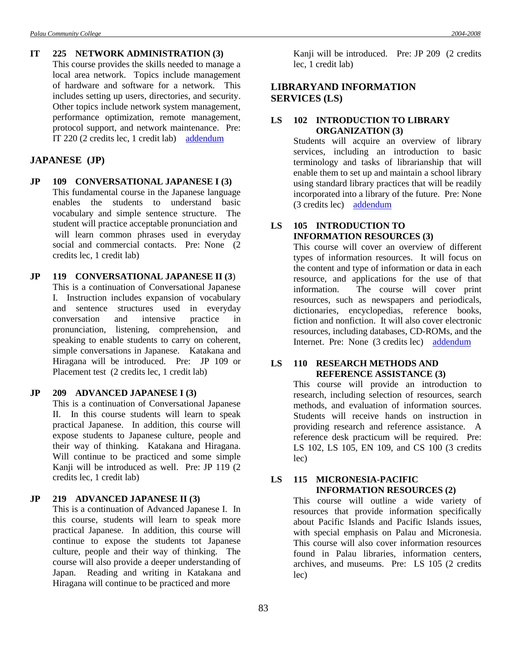# **IT 225 NETWORK ADMINISTRATION (3)**

This course provides the skills needed to manage a local area network. Topics include management of hardware and software for a network. This includes setting up users, directories, and security. Other topics include network system management, performance optimization, remote management, protocol support, and network maintenance. Pre: IT 220 (2 credits lec, 1 credit lab) [addendum](Addendum1.doc#two)

# **JAPANESE (JP)**

**JP 109 CONVERSATIONAL JAPANESE I (3)** This fundamental course in the Japanese language enables the students to understand basic vocabulary and simple sentence structure. The student will practice acceptable pronunciation and will learn common phrases used in everyday social and commercial contacts. Pre: None (2 credits lec, 1 credit lab)

# **JP 119 CONVERSATIONAL JAPANESE II (3**)

This is a continuation of Conversational Japanese I. Instruction includes expansion of vocabulary and sentence structures used in everyday conversation and intensive practice in pronunciation, listening, comprehension, and speaking to enable students to carry on coherent, simple conversations in Japanese. Katakana and Hiragana will be introduced. Pre: JP 109 or Placement test (2 credits lec, 1 credit lab)

#### **JP 209 ADVANCED JAPANESE I (3)**

This is a continuation of Conversational Japanese II. In this course students will learn to speak practical Japanese. In addition, this course will expose students to Japanese culture, people and their way of thinking. Katakana and Hiragana. Will continue to be practiced and some simple Kanji will be introduced as well. Pre: JP 119 (2 credits lec, 1 credit lab)

### **JP 219 ADVANCED JAPANESE II (3)**

This is a continuation of Advanced Japanese I. In this course, students will learn to speak more practical Japanese. In addition, this course will continue to expose the students tot Japanese culture, people and their way of thinking. The course will also provide a deeper understanding of Japan. Reading and writing in Katakana and Hiragana will continue to be practiced and more

Kanji will be introduced. Pre: JP 209 (2 credits lec, 1 credit lab)

# **LIBRARYAND INFORMATION SERVICES (LS)**

# **LS 102 INTRODUCTION TO LIBRARY ORGANIZATION (3)**

Students will acquire an overview of library services, including an introduction to basic terminology and tasks of librarianship that will enable them to set up and maintain a school library using standard library practices that will be readily incorporated into a library of the future. Pre: None (3 credits lec) [addendum](Addendum8.doc#three)

# **LS 105 INTRODUCTION TO INFORMATION RESOURCES (3)**

This course will cover an overview of different types of information resources. It will focus on the content and type of information or data in each resource, and applications for the use of that information. The course will cover print resources, such as newspapers and periodicals, dictionaries, encyclopedias, reference books, fiction and nonfiction. It will also cover electronic resources, including databases, CD-ROMs, and the Internet. Pre: None (3 credits lec) [addendum](Addendum8.doc#four)

### **LS 110 RESEARCH METHODS AND REFERENCE ASSISTANCE (3)**

This course will provide an introduction to research, including selection of resources, search methods, and evaluation of information sources. Students will receive hands on instruction in providing research and reference assistance. A reference desk practicum will be required. Pre: LS 102, LS 105, EN 109, and CS 100 (3 credits lec)

# **LS 115 MICRONESIA-PACIFIC INFORMATION RESOURCES (2)**

This course will outline a wide variety of resources that provide information specifically about Pacific Islands and Pacific Islands issues, with special emphasis on Palau and Micronesia. This course will also cover information resources found in Palau libraries, information centers, archives, and museums. Pre: LS 105 (2 credits lec)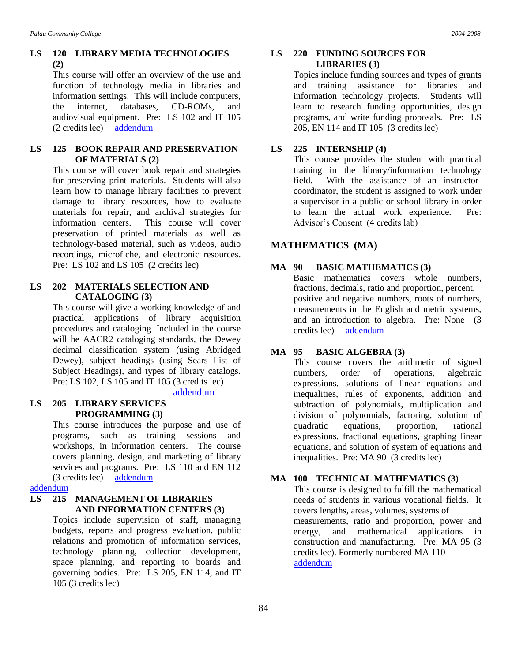This course will offer an overview of the use and function of technology media in libraries and information settings. This will include computers, the internet, databases, CD-ROMs, and audiovisual equipment. Pre: LS 102 and IT 105 (2 credits lec) [addendum](Addendum8.doc#five)

# **LS 125 BOOK REPAIR AND PRESERVATION OF MATERIALS (2)**

This course will cover book repair and strategies for preserving print materials. Students will also learn how to manage library facilities to prevent damage to library resources, how to evaluate materials for repair, and archival strategies for information centers. This course will cover preservation of printed materials as well as technology-based material, such as videos, audio recordings, microfiche, and electronic resources. Pre: LS 102 and LS 105 (2 credits lec)

# **LS 202 MATERIALS SELECTION AND CATALOGING (3)**

This course will give a working knowledge of and practical applications of library acquisition procedures and cataloging. Included in the course will be AACR2 cataloging standards, the Dewey decimal classification system (using Abridged Dewey), subject headings (using Sears List of Subject Headings), and types of library catalogs. Pre: LS 102, LS 105 and IT 105 (3 credits lec)

# [addendum](Addendum8.doc#six)

# **LS 205 LIBRARY SERVICES PROGRAMMING (3)**

This course introduces the purpose and use of programs, such as training sessions and workshops, in information centers. The course covers planning, design, and marketing of library services and programs. Pre: LS 110 and EN 112 (3 credits lec) [addendum](Addendum8.doc#seven)

[addendum](Addendum4.doc#two)

# **LS 215 MANAGEMENT OF LIBRARIES AND INFORMATION CENTERS (3)**

Topics include supervision of staff, managing budgets, reports and progress evaluation, public relations and promotion of information services, technology planning, collection development, space planning, and reporting to boards and governing bodies. Pre: LS 205, EN 114, and IT 105 (3 credits lec)

# **LS 220 FUNDING SOURCES FOR LIBRARIES (3)**

Topics include funding sources and types of grants and training assistance for libraries and information technology projects. Students will learn to research funding opportunities, design programs, and write funding proposals. Pre: LS 205, EN 114 and IT 105 (3 credits lec)

# **LS 225 INTERNSHIP (4)**

This course provides the student with practical training in the library/information technology field. With the assistance of an instructorcoordinator, the student is assigned to work under a supervisor in a public or school library in order to learn the actual work experience. Pre: Advisor's Consent (4 credits lab)

# **MATHEMATICS (MA)**

# **MA 90 BASIC MATHEMATICS (3)**

Basic mathematics covers whole numbers, fractions, decimals, ratio and proportion, percent, positive and negative numbers, roots of numbers, measurements in the English and metric systems, and an introduction to algebra. Pre: None (3 credits lec) [addendum](Addendum8.doc#eight)

# **MA 95 BASIC ALGEBRA (3)**

This course covers the arithmetic of signed numbers, order of operations, algebraic expressions, solutions of linear equations and inequalities, rules of exponents, addition and subtraction of polynomials, multiplication and division of polynomials, factoring, solution of quadratic equations, proportion, rational expressions, fractional equations, graphing linear equations, and solution of system of equations and inequalities. Pre: MA 90 (3 credits lec)

# **MA 100 TECHNICAL MATHEMATICS (3)**

This course is designed to fulfill the mathematical needs of students in various vocational fields. It covers lengths, areas, volumes, systems of measurements, ratio and proportion, power and energy, and mathematical applications in construction and manufacturing. Pre: MA 95 (3 credits lec). Formerly numbered MA 110 [addendum](Addendum8.doc#nine)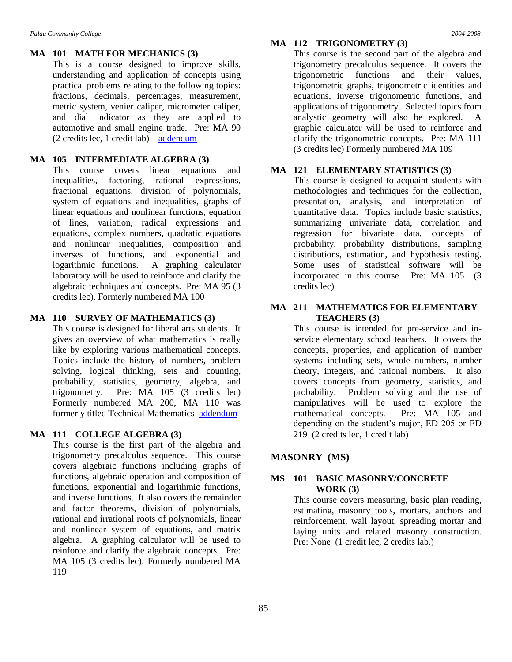#### **MA 101 MATH FOR MECHANICS (3)**

This is a course designed to improve skills, understanding and application of concepts using practical problems relating to the following topics: fractions, decimals, percentages, measurement, metric system, venier caliper, micrometer caliper, and dial indicator as they are applied to automotive and small engine trade. Pre: MA 90 (2 credits lec, 1 credit lab) [addendum](Addendum7.doc#three)

#### **MA 105 INTERMEDIATE ALGEBRA (3)**

This course covers linear equations and inequalities, factoring, rational expressions, fractional equations, division of polynomials, system of equations and inequalities, graphs of linear equations and nonlinear functions, equation of lines, variation, radical expressions and equations, complex numbers, quadratic equations and nonlinear inequalities, composition and inverses of functions, and exponential and logarithmic functions. A graphing calculator laboratory will be used to reinforce and clarify the algebraic techniques and concepts. Pre: MA 95 (3 credits lec). Formerly numbered MA 100

### **MA 110 SURVEY OF MATHEMATICS (3)**

This course is designed for liberal arts students. It gives an overview of what mathematics is really like by exploring various mathematical concepts. Topics include the history of numbers, problem solving, logical thinking, sets and counting, probability, statistics, geometry, algebra, and trigonometry. Pre: MA 105 (3 credits lec) Formerly numbered MA 200, MA 110 was formerly titled Technical Mathematics [addendum](Addendum4.doc#three)

#### **MA 111 COLLEGE ALGEBRA (3)**

This course is the first part of the algebra and trigonometry precalculus sequence. This course covers algebraic functions including graphs of functions, algebraic operation and composition of functions, exponential and logarithmic functions, and inverse functions. It also covers the remainder and factor theorems, division of polynomials, rational and irrational roots of polynomials, linear and nonlinear system of equations, and matrix algebra. A graphing calculator will be used to reinforce and clarify the algebraic concepts. Pre: MA 105 (3 credits lec). Formerly numbered MA 119

### **MA 112 TRIGONOMETRY (3)**

This course is the second part of the algebra and trigonometry precalculus sequence. It covers the trigonometric functions and their values, trigonometric graphs, trigonometric identities and equations, inverse trigonometric functions, and applications of trigonometry. Selected topics from analystic geometry will also be explored. A graphic calculator will be used to reinforce and clarify the trigonometric concepts. Pre: MA 111 (3 credits lec) Formerly numbered MA 109

# **MA 121 ELEMENTARY STATISTICS (3)**

This course is designed to acquaint students with methodologies and techniques for the collection, presentation, analysis, and interpretation of quantitative data. Topics include basic statistics, summarizing univariate data, correlation and regression for bivariate data, concepts of probability, probability distributions, sampling distributions, estimation, and hypothesis testing. Some uses of statistical software will be incorporated in this course. Pre: MA 105 (3 credits lec)

### **MA 211 MATHEMATICS FOR ELEMENTARY TEACHERS (3)**

This course is intended for pre-service and inservice elementary school teachers. It covers the concepts, properties, and application of number systems including sets, whole numbers, number theory, integers, and rational numbers. It also covers concepts from geometry, statistics, and probability. Problem solving and the use of manipulatives will be used to explore the mathematical concepts. Pre: MA 105 and depending on the student's major, ED 205 or ED 219 (2 credits lec, 1 credit lab)

# **MASONRY (MS)**

### **MS 101 BASIC MASONRY/CONCRETE WORK (3)**

This course covers measuring, basic plan reading, estimating, masonry tools, mortars, anchors and reinforcement, wall layout, spreading mortar and laying units and related masonry construction. Pre: None (1 credit lec, 2 credits lab.)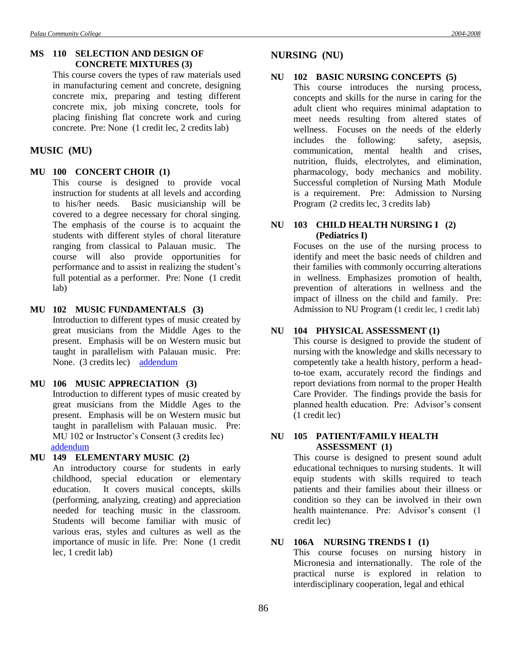This course covers the types of raw materials used in manufacturing cement and concrete, designing concrete mix, preparing and testing different concrete mix, job mixing concrete, tools for placing finishing flat concrete work and curing concrete. Pre: None (1 credit lec, 2 credits lab)

# **MUSIC (MU)**

# **MU 100 CONCERT CHOIR (1)**

This course is designed to provide vocal instruction for students at all levels and according to his/her needs. Basic musicianship will be covered to a degree necessary for choral singing. The emphasis of the course is to acquaint the students with different styles of choral literature ranging from classical to Palauan music. The course will also provide opportunities for performance and to assist in realizing the student's full potential as a performer. Pre: None (1 credit lab)

## **MU 102 MUSIC FUNDAMENTALS (3)**

Introduction to different types of music created by great musicians from the Middle Ages to the present. Emphasis will be on Western music but taught in parallelism with Palauan music. Pre: None. (3 credits lec) [addendum](Addendum4.doc#four)

#### **MU 106 MUSIC APPRECIATION (3)**

Introduction to different types of music created by great musicians from the Middle Ages to the present. Emphasis will be on Western music but taught in parallelism with Palauan music. Pre: MU 102 or Instructor's Consent (3 credits lec) [addendum](Addendum4.doc#five)

# **MU 149 ELEMENTARY MUSIC (2)**

An introductory course for students in early childhood, special education or elementary education. It covers musical concepts, skills (performing, analyzing, creating) and appreciation needed for teaching music in the classroom. Students will become familiar with music of various eras, styles and cultures as well as the importance of music in life. Pre: None (1 credit lec, 1 credit lab)

# **NURSING (NU)**

### **NU 102 BASIC NURSING CONCEPTS (5)**

This course introduces the nursing process, concepts and skills for the nurse in caring for the adult client who requires minimal adaptation to meet needs resulting from altered states of wellness. Focuses on the needs of the elderly includes the following: safety, asepsis, communication, mental health and crises, nutrition, fluids, electrolytes, and elimination, pharmacology, body mechanics and mobility. Successful completion of Nursing Math Module is a requirement. Pre: Admission to Nursing Program (2 credits lec, 3 credits lab)

# **NU 103 CHILD HEALTH NURSING I (2) (Pediatrics I)**

Focuses on the use of the nursing process to identify and meet the basic needs of children and their families with commonly occurring alterations in wellness. Emphasizes promotion of health, prevention of alterations in wellness and the impact of illness on the child and family. Pre: Admission to NU Program (1 credit lec, 1 credit lab)

# **NU 104 PHYSICAL ASSESSMENT (1)**

This course is designed to provide the student of nursing with the knowledge and skills necessary to competently take a health history, perform a headto-toe exam, accurately record the findings and report deviations from normal to the proper Health Care Provider. The findings provide the basis for planned health education. Pre: Advisor's consent (1 credit lec)

### **NU 105 PATIENT/FAMILY HEALTH ASSESSMENT (1)**

This course is designed to present sound adult educational techniques to nursing students. It will equip students with skills required to teach patients and their families about their illness or condition so they can be involved in their own health maintenance. Pre: Advisor's consent (1 credit lec)

# **NU 106A NURSING TRENDS I (1)**

This course focuses on nursing history in Micronesia and internationally. The role of the practical nurse is explored in relation to interdisciplinary cooperation, legal and ethical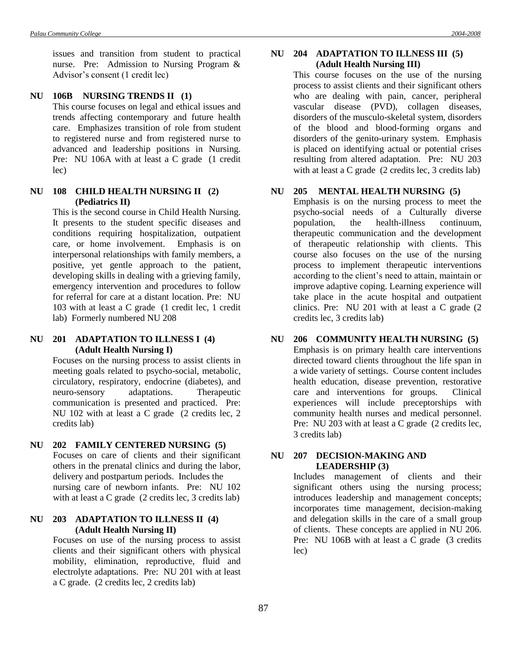issues and transition from student to practical nurse. Pre: Admission to Nursing Program & Advisor's consent (1 credit lec)

### **NU 106B NURSING TRENDS II (1)**

This course focuses on legal and ethical issues and trends affecting contemporary and future health care. Emphasizes transition of role from student to registered nurse and from registered nurse to advanced and leadership positions in Nursing. Pre: NU 106A with at least a C grade (1 credit lec)

### **NU 108 CHILD HEALTH NURSING II (2) (Pediatrics II)**

This is the second course in Child Health Nursing. It presents to the student specific diseases and conditions requiring hospitalization, outpatient care, or home involvement. Emphasis is on interpersonal relationships with family members, a positive, yet gentle approach to the patient, developing skills in dealing with a grieving family, emergency intervention and procedures to follow for referral for care at a distant location. Pre: NU 103 with at least a C grade (1 credit lec, 1 credit lab) Formerly numbered NU 208

#### **NU 201 ADAPTATION TO ILLNESS I (4) (Adult Health Nursing I)**

Focuses on the nursing process to assist clients in meeting goals related to psycho-social, metabolic, circulatory, respiratory, endocrine (diabetes), and neuro-sensory adaptations. Therapeutic communication is presented and practiced. Pre: NU 102 with at least a C grade (2 credits lec, 2 credits lab)

#### **NU 202 FAMILY CENTERED NURSING (5)**

Focuses on care of clients and their significant others in the prenatal clinics and during the labor, delivery and postpartum periods. Includes the nursing care of newborn infants. Pre: NU 102 with at least a C grade (2 credits lec, 3 credits lab)

# **NU 203 ADAPTATION TO ILLNESS II (4) (Adult Health Nursing II)**

Focuses on use of the nursing process to assist clients and their significant others with physical mobility, elimination, reproductive, fluid and electrolyte adaptations. Pre: NU 201 with at least a C grade. (2 credits lec, 2 credits lab)

### **NU 204 ADAPTATION TO ILLNESS III (5) (Adult Health Nursing III)**

This course focuses on the use of the nursing process to assist clients and their significant others who are dealing with pain, cancer, peripheral vascular disease (PVD), collagen diseases, disorders of the musculo-skeletal system, disorders of the blood and blood-forming organs and disorders of the genito-urinary system. Emphasis is placed on identifying actual or potential crises resulting from altered adaptation. Pre: NU 203 with at least a C grade (2 credits lec, 3 credits lab)

#### **NU 205 MENTAL HEALTH NURSING (5)**

Emphasis is on the nursing process to meet the psycho-social needs of a Culturally diverse population, the health-illness continuum, therapeutic communication and the development of therapeutic relationship with clients. This course also focuses on the use of the nursing process to implement therapeutic interventions according to the client's need to attain, maintain or improve adaptive coping. Learning experience will take place in the acute hospital and outpatient clinics. Pre: NU 201 with at least a C grade (2 credits lec, 3 credits lab)

# **NU 206 COMMUNITY HEALTH NURSING (5)**

Emphasis is on primary health care interventions directed toward clients throughout the life span in a wide variety of settings. Course content includes health education, disease prevention, restorative care and interventions for groups. Clinical experiences will include preceptorships with community health nurses and medical personnel. Pre: NU 203 with at least a C grade (2 credits lec, 3 credits lab)

### **NU 207 DECISION-MAKING AND LEADERSHIP (3)**

Includes management of clients and their significant others using the nursing process; introduces leadership and management concepts; incorporates time management, decision-making and delegation skills in the care of a small group of clients. These concepts are applied in NU 206. Pre: NU 106B with at least a C grade (3 credits) lec)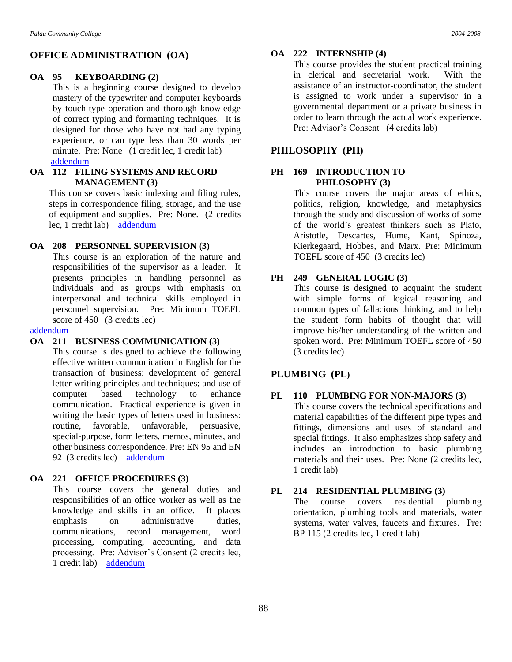# **OFFICE ADMINISTRATION (OA)**

#### **OA 95 KEYBOARDING (2)**

This is a beginning course designed to develop mastery of the typewriter and computer keyboards by touch-type operation and thorough knowledge of correct typing and formatting techniques. It is designed for those who have not had any typing experience, or can type less than 30 words per minute. Pre: None (1 credit lec, 1 credit lab) [addendum](Addendum1.doc#seven)

#### **OA 112 FILING SYSTEMS AND RECORD MANAGEMENT (3)**

This course covers basic indexing and filing rules, steps in correspondence filing, storage, and the use of equipment and supplies. Pre: None. (2 credits lec, 1 credit lab) [addendum](Addendum2.doc#thirteen)

# **OA 208 PERSONNEL SUPERVISION (3)**

This course is an exploration of the nature and responsibilities of the supervisor as a leader. It presents principles in handling personnel as individuals and as groups with emphasis on interpersonal and technical skills employed in personnel supervision. Pre: Minimum TOEFL score of 450 (3 credits lec)

#### [addendum](Addendum2.doc#fourteen)

# **OA 211 BUSINESS COMMUNICATION (3)**

This course is designed to achieve the following effective written communication in English for the transaction of business: development of general letter writing principles and techniques; and use of computer based technology to enhance communication. Practical experience is given in writing the basic types of letters used in business: routine, favorable, unfavorable, persuasive, special-purpose, form letters, memos, minutes, and other business correspondence. Pre: EN 95 and EN 92 (3 credits lec) [addendum](Addendum7.doc#two)

### **OA 221 OFFICE PROCEDURES (3)**

This course covers the general duties and responsibilities of an office worker as well as the knowledge and skills in an office. It places emphasis on administrative duties, communications, record management, word processing, computing, accounting, and data processing. Pre: Advisor's Consent (2 credits lec, 1 credit lab) [addendum](Addendum2.doc#fifteen)

#### **OA 222 INTERNSHIP (4)**

This course provides the student practical training in clerical and secretarial work. With the assistance of an instructor-coordinator, the student is assigned to work under a supervisor in a governmental department or a private business in order to learn through the actual work experience. Pre: Advisor's Consent (4 credits lab)

#### **PHILOSOPHY (PH)**

# **PH 169 INTRODUCTION TO PHILOSOPHY (3)**

This course covers the major areas of ethics, politics, religion, knowledge, and metaphysics through the study and discussion of works of some of the world's greatest thinkers such as Plato, Aristotle, Descartes, Hume, Kant, Spinoza, Kierkegaard, Hobbes, and Marx. Pre: Minimum TOEFL score of 450 (3 credits lec)

# **PH 249 GENERAL LOGIC (3)**

This course is designed to acquaint the student with simple forms of logical reasoning and common types of fallacious thinking, and to help the student form habits of thought that will improve his/her understanding of the written and spoken word. Pre: Minimum TOEFL score of 450 (3 credits lec)

# **PLUMBING (PL)**

# **PL 110 PLUMBING FOR NON-MAJORS (3**)

This course covers the technical specifications and material capabilities of the different pipe types and fittings, dimensions and uses of standard and special fittings. It also emphasizes shop safety and includes an introduction to basic plumbing materials and their uses. Pre: None (2 credits lec, 1 credit lab)

#### **PL 214 RESIDENTIAL PLUMBING (3)**

The course covers residential plumbing orientation, plumbing tools and materials, water systems, water valves, faucets and fixtures. Pre: BP 115 (2 credits lec, 1 credit lab)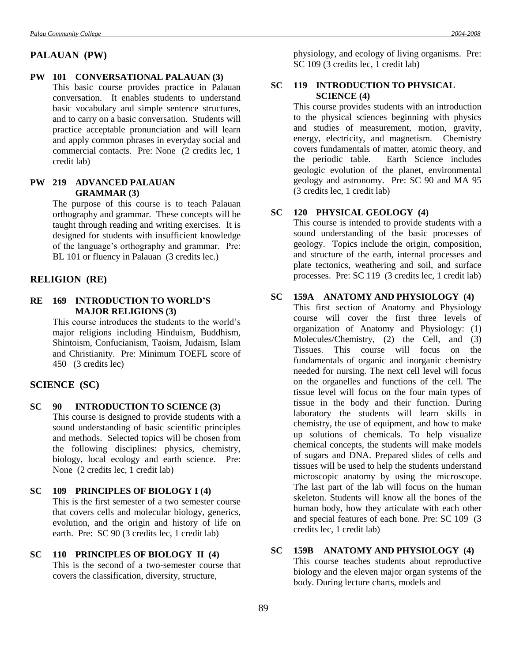#### **PALAUAN (PW)**

#### **PW 101 CONVERSATIONAL PALAUAN (3)**

This basic course provides practice in Palauan conversation. It enables students to understand basic vocabulary and simple sentence structures, and to carry on a basic conversation. Students will practice acceptable pronunciation and will learn and apply common phrases in everyday social and commercial contacts. Pre: None (2 credits lec, 1 credit lab)

#### **PW 219 ADVANCED PALAUAN GRAMMAR (3)**

The purpose of this course is to teach Palauan orthography and grammar. These concepts will be taught through reading and writing exercises. It is designed for students with insufficient knowledge of the language's orthography and grammar. Pre: BL 101 or fluency in Palauan (3 credits lec.)

#### **RELIGION (RE)**

**RE 169 INTRODUCTION TO WORLD'S MAJOR RELIGIONS (3)**

> This course introduces the students to the world's major religions including Hinduism, Buddhism, Shintoism, Confucianism, Taoism, Judaism, Islam and Christianity. Pre: Minimum TOEFL score of 450 (3 credits lec)

#### **SCIENCE (SC)**

- **SC 90 INTRODUCTION TO SCIENCE (3)** This course is designed to provide students with a sound understanding of basic scientific principles and methods. Selected topics will be chosen from the following disciplines: physics, chemistry, biology, local ecology and earth science. Pre: None (2 credits lec, 1 credit lab)
- **SC 109 PRINCIPLES OF BIOLOGY I (4)** This is the first semester of a two semester course that covers cells and molecular biology, generics, evolution, and the origin and history of life on earth. Pre: SC 90 (3 credits lec, 1 credit lab)
- **SC 110 PRINCIPLES OF BIOLOGY II (4)** This is the second of a two-semester course that covers the classification, diversity, structure,

physiology, and ecology of living organisms. Pre: SC 109 (3 credits lec, 1 credit lab)

#### **SC 119 INTRODUCTION TO PHYSICAL SCIENCE (4)**

This course provides students with an introduction to the physical sciences beginning with physics and studies of measurement, motion, gravity, energy, electricity, and magnetism. Chemistry covers fundamentals of matter, atomic theory, and the periodic table. Earth Science includes geologic evolution of the planet, environmental geology and astronomy. Pre: SC 90 and MA 95 (3 credits lec, 1 credit lab)

# **SC 120 PHYSICAL GEOLOGY (4)**

This course is intended to provide students with a sound understanding of the basic processes of geology. Topics include the origin, composition, and structure of the earth, internal processes and plate tectonics, weathering and soil, and surface processes. Pre: SC 119 (3 credits lec, 1 credit lab)

#### **SC 159A ANATOMY AND PHYSIOLOGY (4)**

This first section of Anatomy and Physiology course will cover the first three levels of organization of Anatomy and Physiology: (1) Molecules/Chemistry, (2) the Cell, and (3) Tissues. This course will focus on the fundamentals of organic and inorganic chemistry needed for nursing. The next cell level will focus on the organelles and functions of the cell. The tissue level will focus on the four main types of tissue in the body and their function. During laboratory the students will learn skills in chemistry, the use of equipment, and how to make up solutions of chemicals. To help visualize chemical concepts, the students will make models of sugars and DNA. Prepared slides of cells and tissues will be used to help the students understand microscopic anatomy by using the microscope. The last part of the lab will focus on the human skeleton. Students will know all the bones of the human body, how they articulate with each other and special features of each bone. Pre: SC 109 (3 credits lec, 1 credit lab)

### **SC 159B ANATOMY AND PHYSIOLOGY (4)** This course teaches students about reproductive biology and the eleven major organ systems of the body. During lecture charts, models and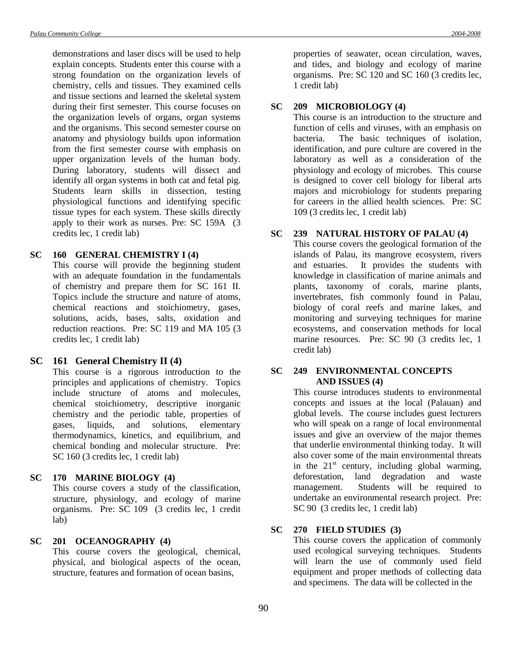demonstrations and laser discs will be used to help explain concepts. Students enter this course with a strong foundation on the organization levels of chemistry, cells and tissues. They examined cells and tissue sections and learned the skeletal system during their first semester. This course focuses on the organization levels of organs, organ systems and the organisms. This second semester course on anatomy and physiology builds upon information from the first semester course with emphasis on upper organization levels of the human body. During laboratory, students will dissect and identify all organ systems in both cat and fetal pig. Students learn skills in dissection, testing physiological functions and identifying specific tissue types for each system. These skills directly apply to their work as nurses. Pre: SC 159A (3 credits lec, 1 credit lab)

#### **SC 160 GENERAL CHEMISTRY I (4)**

This course will provide the beginning student with an adequate foundation in the fundamentals of chemistry and prepare them for SC 161 II. Topics include the structure and nature of atoms, chemical reactions and stoichiometry, gases, solutions, acids, bases, salts, oxidation and reduction reactions. Pre: SC 119 and MA 105 (3 credits lec, 1 credit lab)

#### **SC 161 General Chemistry II (4)**

This course is a rigorous introduction to the principles and applications of chemistry. Topics include structure of atoms and molecules, chemical stoichiometry, descriptive inorganic chemistry and the periodic table, properties of gases, liquids, and solutions, elementary thermodynamics, kinetics, and equilibrium, and chemical bonding and molecular structure. Pre: SC 160 (3 credits lec, 1 credit lab)

# **SC 170 MARINE BIOLOGY (4)**

This course covers a study of the classification, structure, physiology, and ecology of marine organisms. Pre: SC 109 (3 credits lec, 1 credit lab)

#### **SC 201 OCEANOGRAPHY (4)**

This course covers the geological, chemical, physical, and biological aspects of the ocean, structure, features and formation of ocean basins,

properties of seawater, ocean circulation, waves, and tides, and biology and ecology of marine organisms. Pre: SC 120 and SC 160 (3 credits lec, 1 credit lab)

### **SC 209 MICROBIOLOGY (4)**

This course is an introduction to the structure and function of cells and viruses, with an emphasis on bacteria. The basic techniques of isolation, identification, and pure culture are covered in the laboratory as well as a consideration of the physiology and ecology of microbes. This course is designed to cover cell biology for liberal arts majors and microbiology for students preparing for careers in the allied health sciences. Pre: SC 109 (3 credits lec, 1 credit lab)

### **SC 239 NATURAL HISTORY OF PALAU (4)**

This course covers the geological formation of the islands of Palau, its mangrove ecosystem, rivers and estuaries. It provides the students with knowledge in classification of marine animals and plants, taxonomy of corals, marine plants, invertebrates, fish commonly found in Palau, biology of coral reefs and marine lakes, and monitoring and surveying techniques for marine ecosystems, and conservation methods for local marine resources. Pre: SC 90 (3 credits lec, 1 credit lab)

#### **SC 249 ENVIRONMENTAL CONCEPTS AND ISSUES (4)**

This course introduces students to environmental concepts and issues at the local (Palauan) and global levels. The course includes guest lecturers who will speak on a range of local environmental issues and give an overview of the major themes that underlie environmental thinking today. It will also cover some of the main environmental threats in the  $21<sup>st</sup>$  century, including global warming, deforestation, land degradation and waste management. Students will be required to undertake an environmental research project. Pre: SC 90 (3 credits lec, 1 credit lab)

### **SC 270 FIELD STUDIES (3)**

This course covers the application of commonly used ecological surveying techniques. Students will learn the use of commonly used field equipment and proper methods of collecting data and specimens. The data will be collected in the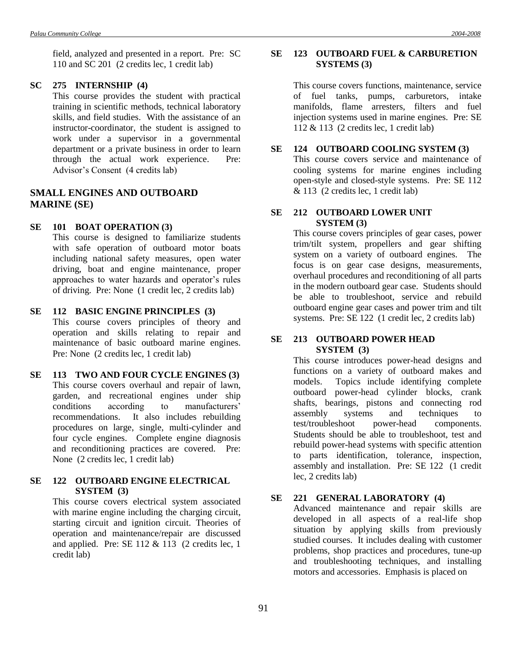field, analyzed and presented in a report. Pre: SC 110 and SC 201 (2 credits lec, 1 credit lab)

#### **SC 275 INTERNSHIP (4)**

This course provides the student with practical training in scientific methods, technical laboratory skills, and field studies. With the assistance of an instructor-coordinator, the student is assigned to work under a supervisor in a governmental department or a private business in order to learn through the actual work experience. Pre: Advisor's Consent (4 credits lab)

# **SMALL ENGINES AND OUTBOARD MARINE (SE)**

#### **SE 101 BOAT OPERATION (3)**

This course is designed to familiarize students with safe operation of outboard motor boats including national safety measures, open water driving, boat and engine maintenance, proper approaches to water hazards and operator's rules of driving. Pre: None (1 credit lec, 2 credits lab)

# **SE 112 BASIC ENGINE PRINCIPLES (3)**

This course covers principles of theory and operation and skills relating to repair and maintenance of basic outboard marine engines. Pre: None (2 credits lec, 1 credit lab)

# **SE 113 TWO AND FOUR CYCLE ENGINES (3)** This course covers overhaul and repair of lawn, garden, and recreational engines under ship conditions according to manufacturers' recommendations. It also includes rebuilding procedures on large, single, multi-cylinder and four cycle engines. Complete engine diagnosis and reconditioning practices are covered. Pre: None (2 credits lec, 1 credit lab)

#### **SE 122 OUTBOARD ENGINE ELECTRICAL SYSTEM (3)**

This course covers electrical system associated with marine engine including the charging circuit, starting circuit and ignition circuit. Theories of operation and maintenance/repair are discussed and applied. Pre: SE  $112 \& 113$  (2 credits lec, 1) credit lab)

### **SE 123 OUTBOARD FUEL & CARBURETION SYSTEMS (3)**

This course covers functions, maintenance, service of fuel tanks, pumps, carburetors, intake manifolds, flame arresters, filters and fuel injection systems used in marine engines. Pre: SE 112 & 113 (2 credits lec, 1 credit lab)

### **SE 124 OUTBOARD COOLING SYSTEM (3)**

This course covers service and maintenance of cooling systems for marine engines including open-style and closed-style systems. Pre: SE 112 & 113 (2 credits lec, 1 credit lab)

# **SE 212 OUTBOARD LOWER UNIT SYSTEM (3)**

This course covers principles of gear cases, power trim/tilt system, propellers and gear shifting system on a variety of outboard engines. The focus is on gear case designs, measurements, overhaul procedures and reconditioning of all parts in the modern outboard gear case. Students should be able to troubleshoot, service and rebuild outboard engine gear cases and power trim and tilt systems. Pre: SE 122 (1 credit lec, 2 credits lab)

#### **SE 213 OUTBOARD POWER HEAD SYSTEM (3)**

This course introduces power-head designs and functions on a variety of outboard makes and models. Topics include identifying complete outboard power-head cylinder blocks, crank shafts, bearings, pistons and connecting rod assembly systems and techniques to test/troubleshoot power-head components. Students should be able to troubleshoot, test and rebuild power-head systems with specific attention to parts identification, tolerance, inspection, assembly and installation. Pre: SE 122 (1 credit lec, 2 credits lab)

#### **SE 221 GENERAL LABORATORY (4)**

Advanced maintenance and repair skills are developed in all aspects of a real-life shop situation by applying skills from previously studied courses. It includes dealing with customer problems, shop practices and procedures, tune-up and troubleshooting techniques, and installing motors and accessories. Emphasis is placed on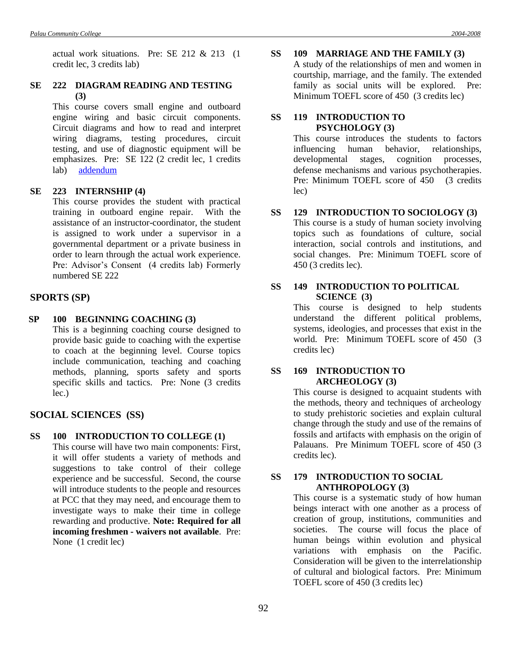# **SE 222 DIAGRAM READING AND TESTING (3)**

This course covers small engine and outboard engine wiring and basic circuit components. Circuit diagrams and how to read and interpret wiring diagrams, testing procedures, circuit testing, and use of diagnostic equipment will be emphasizes. Pre: SE 122 (2 credit lec, 1 credits lab) [addendum](Addendum2.doc#sixteen)

### **SE 223 INTERNSHIP (4)**

This course provides the student with practical training in outboard engine repair. With the assistance of an instructor-coordinator, the student is assigned to work under a supervisor in a governmental department or a private business in order to learn through the actual work experience. Pre: Advisor's Consent (4 credits lab) Formerly numbered SE 222

# **SPORTS (SP)**

**SP 100 BEGINNING COACHING (3)** This is a beginning coaching course designed to provide basic guide to coaching with the expertise to coach at the beginning level. Course topics

include communication, teaching and coaching methods, planning, sports safety and sports specific skills and tactics. Pre: None (3 credits lec.)

# **SOCIAL SCIENCES (SS)**

**SS 100 INTRODUCTION TO COLLEGE (1)**

This course will have two main components: First, it will offer students a variety of methods and suggestions to take control of their college experience and be successful. Second, the course will introduce students to the people and resources at PCC that they may need, and encourage them to investigate ways to make their time in college rewarding and productive. **Note: Required for all incoming freshmen - waivers not available**. Pre: None (1 credit lec)

**SS 109 MARRIAGE AND THE FAMILY (3)** A study of the relationships of men and women in courtship, marriage, and the family. The extended family as social units will be explored. Pre: Minimum TOEFL score of 450 (3 credits lec)

### **SS 119 INTRODUCTION TO PSYCHOLOGY (3)**

This course introduces the students to factors influencing human behavior, relationships, developmental stages, cognition processes, defense mechanisms and various psychotherapies. Pre: Minimum TOEFL score of 450 (3 credits lec)

### **SS 129 INTRODUCTION TO SOCIOLOGY (3)**

This course is a study of human society involving topics such as foundations of culture, social interaction, social controls and institutions, and social changes. Pre: Minimum TOEFL score of 450 (3 credits lec).

# **SS 149 INTRODUCTION TO POLITICAL SCIENCE (3)**

This course is designed to help students understand the different political problems, systems, ideologies, and processes that exist in the world. Pre: Minimum TOEFL score of 450 (3 credits lec)

#### **SS 169 INTRODUCTION TO ARCHEOLOGY (3)**

This course is designed to acquaint students with the methods, theory and techniques of archeology to study prehistoric societies and explain cultural change through the study and use of the remains of fossils and artifacts with emphasis on the origin of Palauans. Pre Minimum TOEFL score of 450 (3 credits lec).

### **SS 179 INTRODUCTION TO SOCIAL ANTHROPOLOGY (3)**

This course is a systematic study of how human beings interact with one another as a process of creation of group, institutions, communities and societies. The course will focus the place of human beings within evolution and physical variations with emphasis on the Pacific. Consideration will be given to the interrelationship of cultural and biological factors. Pre: Minimum TOEFL score of 450 (3 credits lec)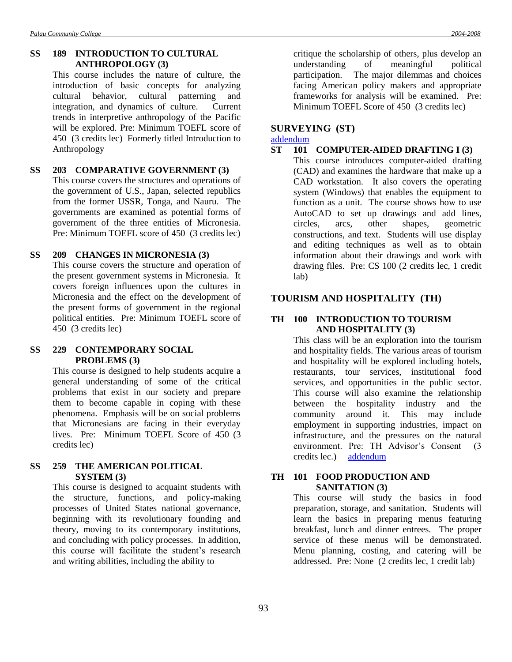### **SS 189 INTRODUCTION TO CULTURAL ANTHROPOLOGY (3)**

This course includes the nature of culture, the introduction of basic concepts for analyzing cultural behavior, cultural patterning and integration, and dynamics of culture. Current trends in interpretive anthropology of the Pacific will be explored. Pre: Minimum TOEFL score of 450 (3 credits lec) Formerly titled Introduction to Anthropology

# **SS 203 COMPARATIVE GOVERNMENT (3)**

This course covers the structures and operations of the government of U.S., Japan, selected republics from the former USSR, Tonga, and Nauru. The governments are examined as potential forms of government of the three entities of Micronesia. Pre: Minimum TOEFL score of 450 (3 credits lec)

# **SS 209 CHANGES IN MICRONESIA (3)**

This course covers the structure and operation of the present government systems in Micronesia. It covers foreign influences upon the cultures in Micronesia and the effect on the development of the present forms of government in the regional political entities. Pre: Minimum TOEFL score of 450 (3 credits lec)

#### **SS 229 CONTEMPORARY SOCIAL PROBLEMS (3)**

This course is designed to help students acquire a general understanding of some of the critical problems that exist in our society and prepare them to become capable in coping with these phenomena. Emphasis will be on social problems that Micronesians are facing in their everyday lives. Pre: Minimum TOEFL Score of 450 (3 credits lec)

#### **SS 259 THE AMERICAN POLITICAL SYSTEM (3)**

This course is designed to acquaint students with the structure, functions, and policy-making processes of United States national governance, beginning with its revolutionary founding and theory, moving to its contemporary institutions, and concluding with policy processes. In addition, this course will facilitate the student's research and writing abilities, including the ability to

critique the scholarship of others, plus develop an understanding of meaningful political participation. The major dilemmas and choices facing American policy makers and appropriate frameworks for analysis will be examined. Pre: Minimum TOEFL Score of 450 (3 credits lec)

# **SURVEYING (ST)**

[addendum](Addendum6.doc#three)

#### **ST 101 COMPUTER-AIDED DRAFTING I (3)**

This course introduces computer-aided drafting (CAD) and examines the hardware that make up a CAD workstation. It also covers the operating system (Windows) that enables the equipment to function as a unit. The course shows how to use AutoCAD to set up drawings and add lines, circles, arcs, other shapes, geometric constructions, and text. Students will use display and editing techniques as well as to obtain information about their drawings and work with drawing files. Pre: CS 100 (2 credits lec, 1 credit lab)

# **TOURISM AND HOSPITALITY (TH)**

# **TH 100 INTRODUCTION TO TOURISM AND HOSPITALITY (3)**

This class will be an exploration into the tourism and hospitality fields. The various areas of tourism and hospitality will be explored including hotels, restaurants, tour services, institutional food services, and opportunities in the public sector. This course will also examine the relationship between the hospitality industry and the community around it. This may include employment in supporting industries, impact on infrastructure, and the pressures on the natural environment. Pre: TH Advisor's Consent (3 credits lec.) [addendum](Addendum8.doc#ten)

### **TH 101 FOOD PRODUCTION AND SANITATION (3)**

This course will study the basics in food preparation, storage, and sanitation. Students will learn the basics in preparing menus featuring breakfast, lunch and dinner entrees. The proper service of these menus will be demonstrated. Menu planning, costing, and catering will be addressed. Pre: None (2 credits lec, 1 credit lab)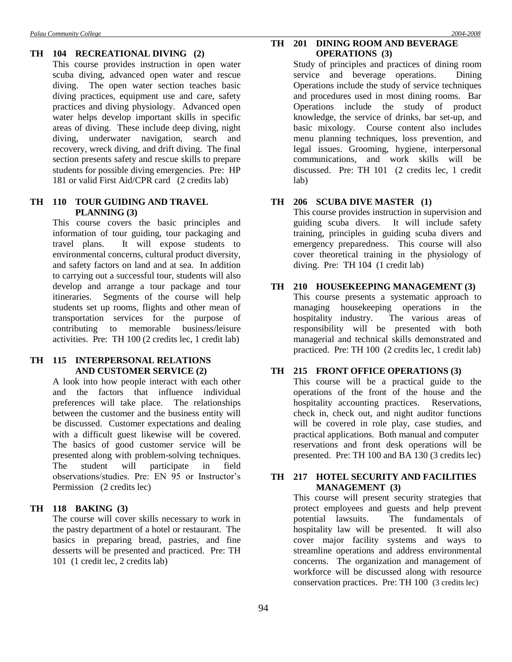# **TH 104 RECREATIONAL DIVING (2)**

This course provides instruction in open water scuba diving, advanced open water and rescue diving. The open water section teaches basic diving practices, equipment use and care, safety practices and diving physiology. Advanced open water helps develop important skills in specific areas of diving. These include deep diving, night diving, underwater navigation, search and recovery, wreck diving, and drift diving. The final section presents safety and rescue skills to prepare students for possible diving emergencies. Pre: HP 181 or valid First Aid/CPR card (2 credits lab)

### **TH 110 TOUR GUIDING AND TRAVEL PLANNING (3)**

This course covers the basic principles and information of tour guiding, tour packaging and travel plans. It will expose students to environmental concerns, cultural product diversity, and safety factors on land and at sea. In addition to carrying out a successful tour, students will also develop and arrange a tour package and tour itineraries. Segments of the course will help students set up rooms, flights and other mean of transportation services for the purpose of contributing to memorable business/leisure activities. Pre: TH 100 (2 credits lec, 1 credit lab)

### **TH 115 INTERPERSONAL RELATIONS AND CUSTOMER SERVICE (2)**

A look into how people interact with each other and the factors that influence individual preferences will take place. The relationships between the customer and the business entity will be discussed. Customer expectations and dealing with a difficult guest likewise will be covered. The basics of good customer service will be presented along with problem-solving techniques. The student will participate in field observations/studies. Pre: EN 95 or Instructor's Permission (2 credits lec)

# **TH 118 BAKING (3)**

The course will cover skills necessary to work in the pastry department of a hotel or restaurant. The basics in preparing bread, pastries, and fine desserts will be presented and practiced. Pre: TH 101 (1 credit lec, 2 credits lab)

### **TH 201 DINING ROOM AND BEVERAGE OPERATIONS (3)**

Study of principles and practices of dining room service and beverage operations. Dining Operations include the study of service techniques and procedures used in most dining rooms. Bar Operations include the study of product knowledge, the service of drinks, bar set-up, and basic mixology. Course content also includes menu planning techniques, loss prevention, and legal issues. Grooming, hygiene, interpersonal communications, and work skills will be discussed. Pre: TH 101 (2 credits lec, 1 credit lab)

# **TH 206 SCUBA DIVE MASTER (1)**

This course provides instruction in supervision and guiding scuba divers. It will include safety training, principles in guiding scuba divers and emergency preparedness. This course will also cover theoretical training in the physiology of diving. Pre: TH 104 (1 credit lab)

# **TH 210 HOUSEKEEPING MANAGEMENT (3)**

This course presents a systematic approach to managing housekeeping operations in the hospitality industry. The various areas of responsibility will be presented with both managerial and technical skills demonstrated and practiced. Pre: TH 100 (2 credits lec, 1 credit lab)

#### **TH 215 FRONT OFFICE OPERATIONS (3)**

This course will be a practical guide to the operations of the front of the house and the hospitality accounting practices. Reservations, check in, check out, and night auditor functions will be covered in role play, case studies, and practical applications. Both manual and computer reservations and front desk operations will be presented. Pre: TH 100 and BA 130 (3 credits lec)

### **TH 217 HOTEL SECURITY AND FACILITIES MANAGEMENT (3)**

This course will present security strategies that protect employees and guests and help prevent potential lawsuits. The fundamentals of hospitality law will be presented. It will also cover major facility systems and ways to streamline operations and address environmental concerns. The organization and management of workforce will be discussed along with resource conservation practices. Pre: TH 100 (3 credits lec)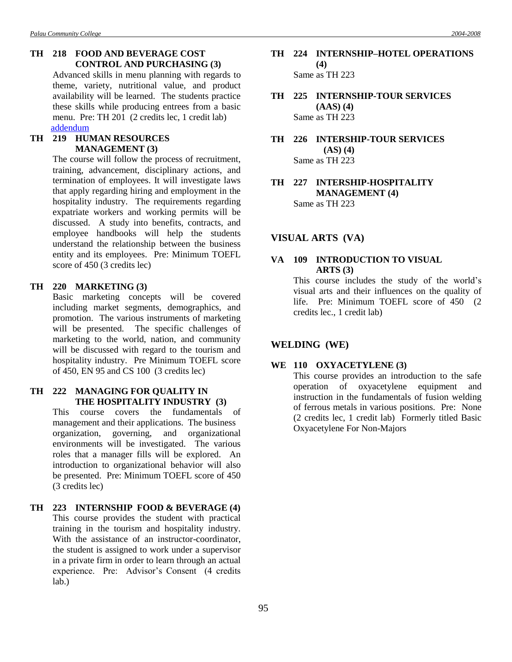# **TH 218 FOOD AND BEVERAGE COST CONTROL AND PURCHASING (3)**

Advanced skills in menu planning with regards to theme, variety, nutritional value, and product availability will be learned. The students practice these skills while producing entrees from a basic menu. Pre: TH 201 (2 credits lec, 1 credit lab) [addendum](Addendum2.doc#seventeen)

# **TH 219 HUMAN RESOURCES MANAGEMENT (3)**

The course will follow the process of recruitment, training, advancement, disciplinary actions, and termination of employees. It will investigate laws that apply regarding hiring and employment in the hospitality industry. The requirements regarding expatriate workers and working permits will be discussed. A study into benefits, contracts, and employee handbooks will help the students understand the relationship between the business entity and its employees. Pre: Minimum TOEFL score of 450 (3 credits lec)

#### **TH 220 MARKETING (3)**

Basic marketing concepts will be covered including market segments, demographics, and promotion. The various instruments of marketing will be presented. The specific challenges of marketing to the world, nation, and community will be discussed with regard to the tourism and hospitality industry. Pre Minimum TOEFL score of 450, EN 95 and CS 100 (3 credits lec)

# **TH 222 MANAGING FOR QUALITY IN THE HOSPITALITY INDUSTRY (3)**

This course covers the fundamentals of management and their applications. The business organization, governing, and organizational environments will be investigated. The various roles that a manager fills will be explored. An introduction to organizational behavior will also be presented. Pre: Minimum TOEFL score of 450 (3 credits lec)

# **TH 223 INTERNSHIP FOOD & BEVERAGE (4)** This course provides the student with practical training in the tourism and hospitality industry. With the assistance of an instructor-coordinator, the student is assigned to work under a supervisor in a private firm in order to learn through an actual experience. Pre: Advisor's Consent (4 credits lab.)

# **TH 224 INTERNSHIP–HOTEL OPERATIONS (4)** Same as TH 223

**TH 225 INTERNSHIP-TOUR SERVICES (AAS) (4)** Same as TH 223

**TH 226 INTERSHIP-TOUR SERVICES (AS) (4)** Same as TH 223

**TH 227 INTERSHIP-HOSPITALITY MANAGEMENT (4)** Same as TH 223

### **VISUAL ARTS (VA)**

# **VA 109 INTRODUCTION TO VISUAL ARTS (3)**

This course includes the study of the world's visual arts and their influences on the quality of life. Pre: Minimum TOEFL score of 450 (2 credits lec., 1 credit lab)

### **WELDING (WE)**

#### **WE 110 OXYACETYLENE (3)**

This course provides an introduction to the safe operation of oxyacetylene equipment and instruction in the fundamentals of fusion welding of ferrous metals in various positions. Pre: None (2 credits lec, 1 credit lab) Formerly titled Basic Oxyacetylene For Non-Majors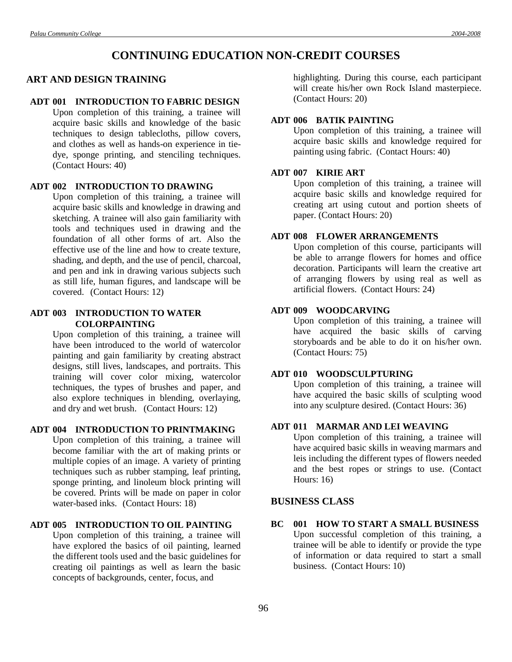# **CONTINUING EDUCATION NON-CREDIT COURSES**

# **ART AND DESIGN TRAINING**

#### **ADT 001 INTRODUCTION TO FABRIC DESIGN**

Upon completion of this training, a trainee will acquire basic skills and knowledge of the basic techniques to design tablecloths, pillow covers, and clothes as well as hands-on experience in tiedye, sponge printing, and stenciling techniques. (Contact Hours: 40)

### **ADT 002 INTRODUCTION TO DRAWING**

Upon completion of this training, a trainee will acquire basic skills and knowledge in drawing and sketching. A trainee will also gain familiarity with tools and techniques used in drawing and the foundation of all other forms of art. Also the effective use of the line and how to create texture, shading, and depth, and the use of pencil, charcoal, and pen and ink in drawing various subjects such as still life, human figures, and landscape will be covered. (Contact Hours: 12)

## **ADT 003 INTRODUCTION TO WATER COLORPAINTING**

Upon completion of this training, a trainee will have been introduced to the world of watercolor painting and gain familiarity by creating abstract designs, still lives, landscapes, and portraits. This training will cover color mixing, watercolor techniques, the types of brushes and paper, and also explore techniques in blending, overlaying, and dry and wet brush. (Contact Hours: 12)

### **ADT 004 INTRODUCTION TO PRINTMAKING**

Upon completion of this training, a trainee will become familiar with the art of making prints or multiple copies of an image. A variety of printing techniques such as rubber stamping, leaf printing, sponge printing, and linoleum block printing will be covered. Prints will be made on paper in color water-based inks. (Contact Hours: 18)

# **ADT 005 INTRODUCTION TO OIL PAINTING**

Upon completion of this training, a trainee will have explored the basics of oil painting, learned the different tools used and the basic guidelines for creating oil paintings as well as learn the basic concepts of backgrounds, center, focus, and

highlighting. During this course, each participant will create his/her own Rock Island masterpiece. (Contact Hours: 20)

# **ADT 006 BATIK PAINTING**

Upon completion of this training, a trainee will acquire basic skills and knowledge required for painting using fabric. (Contact Hours: 40)

### **ADT 007 KIRIE ART**

Upon completion of this training, a trainee will acquire basic skills and knowledge required for creating art using cutout and portion sheets of paper. (Contact Hours: 20)

# **ADT 008 FLOWER ARRANGEMENTS**

Upon completion of this course, participants will be able to arrange flowers for homes and office decoration. Participants will learn the creative art of arranging flowers by using real as well as artificial flowers. (Contact Hours: 24)

# **ADT 009 WOODCARVING**

Upon completion of this training, a trainee will have acquired the basic skills of carving storyboards and be able to do it on his/her own. (Contact Hours: 75)

# **ADT 010 WOODSCULPTURING**

Upon completion of this training, a trainee will have acquired the basic skills of sculpting wood into any sculpture desired. (Contact Hours: 36)

# **ADT 011 MARMAR AND LEI WEAVING**

Upon completion of this training, a trainee will have acquired basic skills in weaving marmars and leis including the different types of flowers needed and the best ropes or strings to use. (Contact Hours: 16)

### **BUSINESS CLASS**

**BC 001 HOW TO START A SMALL BUSINESS** Upon successful completion of this training, a trainee will be able to identify or provide the type of information or data required to start a small business. (Contact Hours: 10)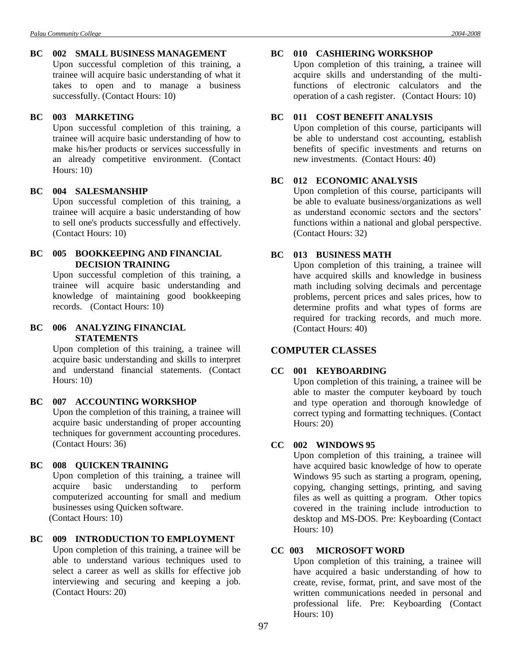# **BC 002 SMALL BUSINESS MANAGEMENT**

Upon successful completion of this training, a trainee will acquire basic understanding of what it takes to open and to manage a business successfully. (Contact Hours: 10)

# **BC 003 MARKETING**

Upon successful completion of this training, a trainee will acquire basic understanding of how to make his/her products or services successfully in an already competitive environment. (Contact Hours: 10)

### **BC 004 SALESMANSHIP**

Upon successful completion of this training, a trainee will acquire a basic understanding of how to sell one's products successfully and effectively. (Contact Hours: 10)

### **BC 005 BOOKKEEPING AND FINANCIAL DECISION TRAINING**

Upon successful completion of this training, a trainee will acquire basic understanding and knowledge of maintaining good bookkeeping records. (Contact Hours: 10)

# **BC 006 ANALYZING FINANCIAL STATEMENTS**

Upon completion of this training, a trainee will acquire basic understanding and skills to interpret and understand financial statements. (Contact Hours: 10)

# **BC 007 ACCOUNTING WORKSHOP**

Upon the completion of this training, a trainee will acquire basic understanding of proper accounting techniques for government accounting procedures. (Contact Hours: 36)

#### **BC 008 QUICKEN TRAINING**

Upon completion of this training, a trainee will acquire basic understanding to perform computerized accounting for small and medium businesses using Quicken software. (Contact Hours: 10)

# **BC 009 INTRODUCTION TO EMPLOYMENT**

Upon completion of this training, a trainee will be able to understand various techniques used to select a career as well as skills for effective job interviewing and securing and keeping a job. (Contact Hours: 20)

#### **BC 010 CASHIERING WORKSHOP**

Upon completion of this training, a trainee will acquire skills and understanding of the multifunctions of electronic calculators and the operation of a cash register. (Contact Hours: 10)

# **BC 011 COST BENEFIT ANALYSIS**

Upon completion of this course, participants will be able to understand cost accounting, establish benefits of specific investments and returns on new investments. (Contact Hours: 40)

# **BC 012 ECONOMIC ANALYSIS**

Upon completion of this course, participants will be able to evaluate business/organizations as well as understand economic sectors and the sectors' functions within a national and global perspective. (Contact Hours: 32)

# **BC 013 BUSINESS MATH**

Upon completion of this training, a trainee will have acquired skills and knowledge in business math including solving decimals and percentage problems, percent prices and sales prices, how to determine profits and what types of forms are required for tracking records, and much more. (Contact Hours: 40)

# **COMPUTER CLASSES**

# **CC 001 KEYBOARDING**

Upon completion of this training, a trainee will be able to master the computer keyboard by touch and type operation and thorough knowledge of correct typing and formatting techniques. (Contact Hours: 20)

# **CC 002 WINDOWS 95**

Upon completion of this training, a trainee will have acquired basic knowledge of how to operate Windows 95 such as starting a program, opening, copying, changing settings, printing, and saving files as well as quitting a program. Other topics covered in the training include introduction to desktop and MS-DOS. Pre: Keyboarding (Contact Hours: 10)

#### **CC 003 MICROSOFT WORD**

Upon completion of this training, a trainee will have acquired a basic understanding of how to create, revise, format, print, and save most of the written communications needed in personal and professional life. Pre: Keyboarding (Contact Hours: 10)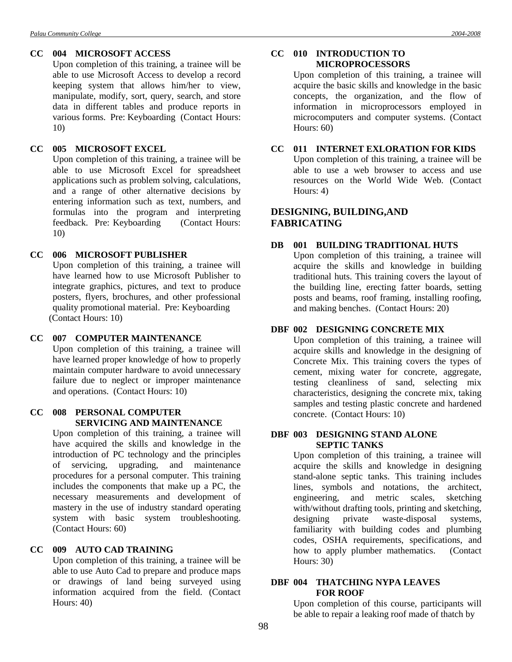Upon completion of this training, a trainee will be able to use Microsoft Access to develop a record keeping system that allows him/her to view, manipulate, modify, sort, query, search, and store data in different tables and produce reports in various forms. Pre: Keyboarding (Contact Hours: 10)

# **CC 005 MICROSOFT EXCEL**

Upon completion of this training, a trainee will be able to use Microsoft Excel for spreadsheet applications such as problem solving, calculations, and a range of other alternative decisions by entering information such as text, numbers, and formulas into the program and interpreting feedback. Pre: Keyboarding (Contact Hours: 10)

# **CC 006 MICROSOFT PUBLISHER**

Upon completion of this training, a trainee will have learned how to use Microsoft Publisher to integrate graphics, pictures, and text to produce posters, flyers, brochures, and other professional quality promotional material. Pre: Keyboarding (Contact Hours: 10)

# **CC 007 COMPUTER MAINTENANCE**

Upon completion of this training, a trainee will have learned proper knowledge of how to properly maintain computer hardware to avoid unnecessary failure due to neglect or improper maintenance and operations. (Contact Hours: 10)

# **CC 008 PERSONAL COMPUTER SERVICING AND MAINTENANCE**

Upon completion of this training, a trainee will have acquired the skills and knowledge in the introduction of PC technology and the principles of servicing, upgrading, and maintenance procedures for a personal computer. This training includes the components that make up a PC, the necessary measurements and development of mastery in the use of industry standard operating system with basic system troubleshooting. (Contact Hours: 60)

# **CC 009 AUTO CAD TRAINING**

Upon completion of this training, a trainee will be able to use Auto Cad to prepare and produce maps or drawings of land being surveyed using information acquired from the field. (Contact Hours: 40)

# **CC 010 INTRODUCTION TO MICROPROCESSORS**

Upon completion of this training, a trainee will acquire the basic skills and knowledge in the basic concepts, the organization, and the flow of information in microprocessors employed in microcomputers and computer systems. (Contact Hours: 60)

# **CC 011 INTERNET EXLORATION FOR KIDS**

Upon completion of this training, a trainee will be able to use a web browser to access and use resources on the World Wide Web. (Contact Hours: 4)

# **DESIGNING, BUILDING,AND FABRICATING**

# **DB 001 BUILDING TRADITIONAL HUTS**

Upon completion of this training, a trainee will acquire the skills and knowledge in building traditional huts. This training covers the layout of the building line, erecting fatter boards, setting posts and beams, roof framing, installing roofing, and making benches. (Contact Hours: 20)

# **DBF 002 DESIGNING CONCRETE MIX**

Upon completion of this training, a trainee will acquire skills and knowledge in the designing of Concrete Mix. This training covers the types of cement, mixing water for concrete, aggregate, testing cleanliness of sand, selecting mix characteristics, designing the concrete mix, taking samples and testing plastic concrete and hardened concrete. (Contact Hours: 10)

# **DBF 003 DESIGNING STAND ALONE SEPTIC TANKS**

Upon completion of this training, a trainee will acquire the skills and knowledge in designing stand-alone septic tanks. This training includes lines, symbols and notations, the architect, engineering, and metric scales, sketching with/without drafting tools, printing and sketching, designing private waste-disposal systems, familiarity with building codes and plumbing codes, OSHA requirements, specifications, and how to apply plumber mathematics. (Contact Hours: 30)

# **DBF 004 THATCHING NYPA LEAVES FOR ROOF**

Upon completion of this course, participants will be able to repair a leaking roof made of thatch by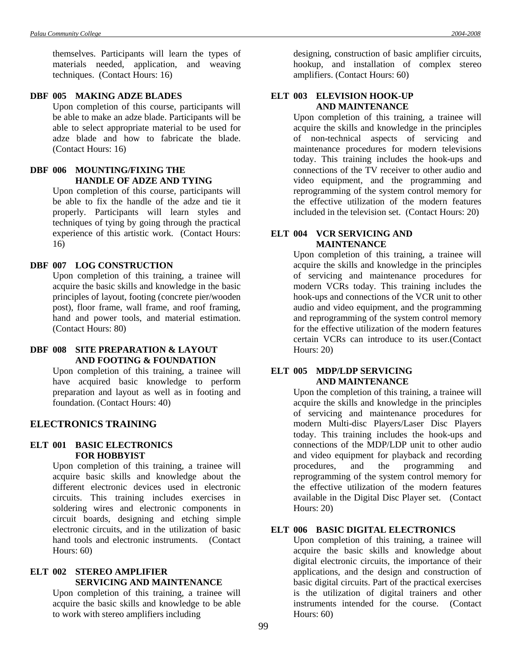themselves. Participants will learn the types of materials needed, application, and weaving techniques. (Contact Hours: 16)

### **DBF 005 MAKING ADZE BLADES**

Upon completion of this course, participants will be able to make an adze blade. Participants will be able to select appropriate material to be used for adze blade and how to fabricate the blade. (Contact Hours: 16)

# **DBF 006 MOUNTING/FIXING THE HANDLE OF ADZE AND TYING**

Upon completion of this course, participants will be able to fix the handle of the adze and tie it properly. Participants will learn styles and techniques of tying by going through the practical experience of this artistic work. (Contact Hours: 16)

#### **DBF 007 LOG CONSTRUCTION**

Upon completion of this training, a trainee will acquire the basic skills and knowledge in the basic principles of layout, footing (concrete pier/wooden post), floor frame, wall frame, and roof framing, hand and power tools, and material estimation. (Contact Hours: 80)

# **DBF 008 SITE PREPARATION & LAYOUT AND FOOTING & FOUNDATION**

Upon completion of this training, a trainee will have acquired basic knowledge to perform preparation and layout as well as in footing and foundation. (Contact Hours: 40)

# **ELECTRONICS TRAINING**

#### **ELT 001 BASIC ELECTRONICS FOR HOBBYIST**

Upon completion of this training, a trainee will acquire basic skills and knowledge about the different electronic devices used in electronic circuits. This training includes exercises in soldering wires and electronic components in circuit boards, designing and etching simple electronic circuits, and in the utilization of basic hand tools and electronic instruments. (Contact Hours: 60)

## **ELT 002 STEREO AMPLIFIER SERVICING AND MAINTENANCE**

Upon completion of this training, a trainee will acquire the basic skills and knowledge to be able to work with stereo amplifiers including

designing, construction of basic amplifier circuits, hookup, and installation of complex stereo amplifiers. (Contact Hours: 60)

# **ELT 003 ELEVISION HOOK-UP AND MAINTENANCE**

Upon completion of this training, a trainee will acquire the skills and knowledge in the principles of non-technical aspects of servicing and maintenance procedures for modern televisions today. This training includes the hook-ups and connections of the TV receiver to other audio and video equipment, and the programming and reprogramming of the system control memory for the effective utilization of the modern features included in the television set. (Contact Hours: 20)

### **ELT 004 VCR SERVICING AND MAINTENANCE**

Upon completion of this training, a trainee will acquire the skills and knowledge in the principles of servicing and maintenance procedures for modern VCRs today. This training includes the hook-ups and connections of the VCR unit to other audio and video equipment, and the programming and reprogramming of the system control memory for the effective utilization of the modern features certain VCRs can introduce to its user.(Contact Hours: 20)

#### **ELT 005 MDP/LDP SERVICING AND MAINTENANCE**

Upon the completion of this training, a trainee will acquire the skills and knowledge in the principles of servicing and maintenance procedures for modern Multi-disc Players/Laser Disc Players today. This training includes the hook-ups and connections of the MDP/LDP unit to other audio and video equipment for playback and recording procedures, and the programming and reprogramming of the system control memory for the effective utilization of the modern features available in the Digital Disc Player set. (Contact Hours: 20)

# **ELT 006 BASIC DIGITAL ELECTRONICS**

Upon completion of this training, a trainee will acquire the basic skills and knowledge about digital electronic circuits, the importance of their applications, and the design and construction of basic digital circuits. Part of the practical exercises is the utilization of digital trainers and other instruments intended for the course. (Contact Hours: 60)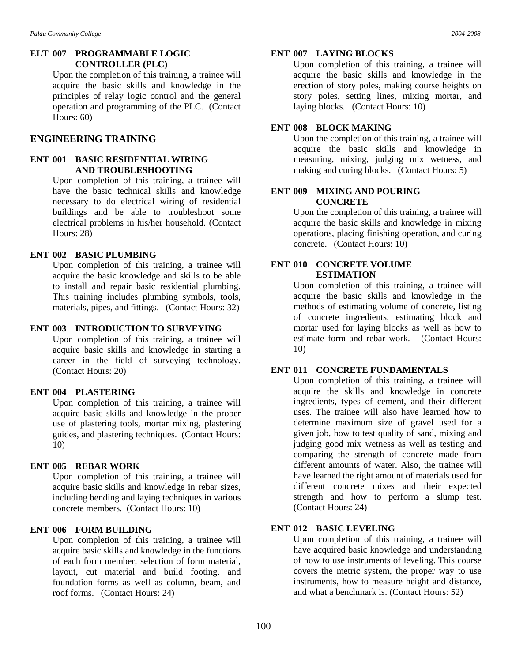# **ELT 007 PROGRAMMABLE LOGIC CONTROLLER (PLC)**

Upon the completion of this training, a trainee will acquire the basic skills and knowledge in the principles of relay logic control and the general operation and programming of the PLC. (Contact Hours: 60)

# **ENGINEERING TRAINING**

# **ENT 001 BASIC RESIDENTIAL WIRING AND TROUBLESHOOTING**

Upon completion of this training, a trainee will have the basic technical skills and knowledge necessary to do electrical wiring of residential buildings and be able to troubleshoot some electrical problems in his/her household. (Contact Hours: 28)

# **ENT 002 BASIC PLUMBING**

Upon completion of this training, a trainee will acquire the basic knowledge and skills to be able to install and repair basic residential plumbing. This training includes plumbing symbols, tools, materials, pipes, and fittings. (Contact Hours: 32)

#### **ENT 003 INTRODUCTION TO SURVEYING**

Upon completion of this training, a trainee will acquire basic skills and knowledge in starting a career in the field of surveying technology. (Contact Hours: 20)

# **ENT 004 PLASTERING**

Upon completion of this training, a trainee will acquire basic skills and knowledge in the proper use of plastering tools, mortar mixing, plastering guides, and plastering techniques. (Contact Hours: 10)

#### **ENT 005 REBAR WORK**

Upon completion of this training, a trainee will acquire basic skills and knowledge in rebar sizes, including bending and laying techniques in various concrete members. (Contact Hours: 10)

#### **ENT 006 FORM BUILDING**

Upon completion of this training, a trainee will acquire basic skills and knowledge in the functions of each form member, selection of form material, layout, cut material and build footing, and foundation forms as well as column, beam, and roof forms. (Contact Hours: 24)

#### **ENT 007 LAYING BLOCKS**

Upon completion of this training, a trainee will acquire the basic skills and knowledge in the erection of story poles, making course heights on story poles, setting lines, mixing mortar, and laying blocks. (Contact Hours: 10)

# **ENT 008 BLOCK MAKING**

Upon the completion of this training, a trainee will acquire the basic skills and knowledge in measuring, mixing, judging mix wetness, and making and curing blocks. (Contact Hours: 5)

# **ENT 009 MIXING AND POURING CONCRETE**

Upon the completion of this training, a trainee will acquire the basic skills and knowledge in mixing operations, placing finishing operation, and curing concrete. (Contact Hours: 10)

#### **ENT 010 CONCRETE VOLUME ESTIMATION**

Upon completion of this training, a trainee will acquire the basic skills and knowledge in the methods of estimating volume of concrete, listing of concrete ingredients, estimating block and mortar used for laying blocks as well as how to estimate form and rebar work. (Contact Hours: 10)

# **ENT 011 CONCRETE FUNDAMENTALS**

Upon completion of this training, a trainee will acquire the skills and knowledge in concrete ingredients, types of cement, and their different uses. The trainee will also have learned how to determine maximum size of gravel used for a given job, how to test quality of sand, mixing and judging good mix wetness as well as testing and comparing the strength of concrete made from different amounts of water. Also, the trainee will have learned the right amount of materials used for different concrete mixes and their expected strength and how to perform a slump test. (Contact Hours: 24)

# **ENT 012 BASIC LEVELING**

Upon completion of this training, a trainee will have acquired basic knowledge and understanding of how to use instruments of leveling. This course covers the metric system, the proper way to use instruments, how to measure height and distance, and what a benchmark is. (Contact Hours: 52)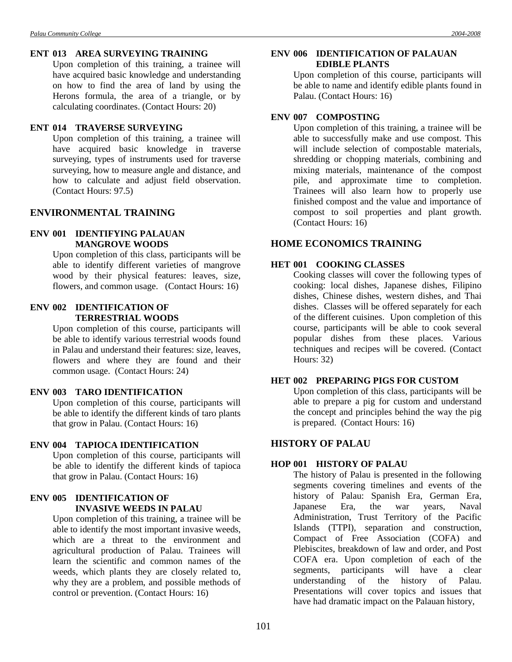Upon completion of this training, a trainee will have acquired basic knowledge and understanding on how to find the area of land by using the Herons formula, the area of a triangle, or by calculating coordinates. (Contact Hours: 20)

### **ENT 014 TRAVERSE SURVEYING**

Upon completion of this training, a trainee will have acquired basic knowledge in traverse surveying, types of instruments used for traverse surveying, how to measure angle and distance, and how to calculate and adjust field observation. (Contact Hours: 97.5)

# **ENVIRONMENTAL TRAINING**

# **ENV 001 IDENTIFYING PALAUAN MANGROVE WOODS**

Upon completion of this class, participants will be able to identify different varieties of mangrove wood by their physical features: leaves, size, flowers, and common usage. (Contact Hours: 16)

### **ENV 002 IDENTIFICATION OF TERRESTRIAL WOODS**

Upon completion of this course, participants will be able to identify various terrestrial woods found in Palau and understand their features: size, leaves, flowers and where they are found and their common usage. (Contact Hours: 24)

#### **ENV 003 TARO IDENTIFICATION**

Upon completion of this course, participants will be able to identify the different kinds of taro plants that grow in Palau. (Contact Hours: 16)

#### **ENV 004 TAPIOCA IDENTIFICATION**

Upon completion of this course, participants will be able to identify the different kinds of tapioca that grow in Palau. (Contact Hours: 16)

# **ENV 005 IDENTIFICATION OF INVASIVE WEEDS IN PALAU**

Upon completion of this training, a trainee will be able to identify the most important invasive weeds, which are a threat to the environment and agricultural production of Palau. Trainees will learn the scientific and common names of the weeds, which plants they are closely related to, why they are a problem, and possible methods of control or prevention. (Contact Hours: 16)

# **ENV 006 IDENTIFICATION OF PALAUAN EDIBLE PLANTS**

Upon completion of this course, participants will be able to name and identify edible plants found in Palau. (Contact Hours: 16)

# **ENV 007 COMPOSTING**

Upon completion of this training, a trainee will be able to successfully make and use compost. This will include selection of compostable materials, shredding or chopping materials, combining and mixing materials, maintenance of the compost pile, and approximate time to completion. Trainees will also learn how to properly use finished compost and the value and importance of compost to soil properties and plant growth. (Contact Hours: 16)

# **HOME ECONOMICS TRAINING**

# **HET 001 COOKING CLASSES**

Cooking classes will cover the following types of cooking: local dishes, Japanese dishes, Filipino dishes, Chinese dishes, western dishes, and Thai dishes. Classes will be offered separately for each of the different cuisines. Upon completion of this course, participants will be able to cook several popular dishes from these places. Various techniques and recipes will be covered. (Contact Hours: 32)

#### **HET 002 PREPARING PIGS FOR CUSTOM**

Upon completion of this class, participants will be able to prepare a pig for custom and understand the concept and principles behind the way the pig is prepared. (Contact Hours: 16)

# **HISTORY OF PALAU**

# **HOP 001 HISTORY OF PALAU**

The history of Palau is presented in the following segments covering timelines and events of the history of Palau: Spanish Era, German Era, Japanese Era, the war years, Naval Administration, Trust Territory of the Pacific Islands (TTPI), separation and construction, Compact of Free Association (COFA) and Plebiscites, breakdown of law and order, and Post COFA era. Upon completion of each of the segments, participants will have a clear understanding of the history of Palau. Presentations will cover topics and issues that have had dramatic impact on the Palauan history,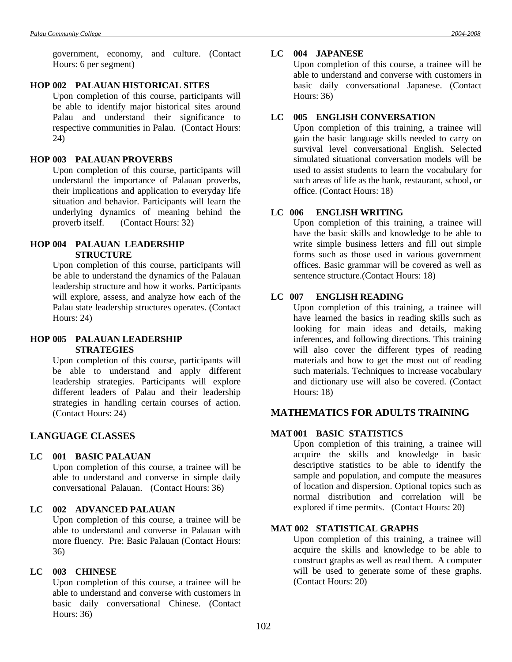government, economy, and culture. (Contact Hours: 6 per segment)

#### **HOP 002 PALAUAN HISTORICAL SITES**

Upon completion of this course, participants will be able to identify major historical sites around Palau and understand their significance to respective communities in Palau. (Contact Hours: 24)

#### **HOP 003 PALAUAN PROVERBS**

Upon completion of this course, participants will understand the importance of Palauan proverbs, their implications and application to everyday life situation and behavior. Participants will learn the underlying dynamics of meaning behind the proverb itself. (Contact Hours: 32)

### **HOP 004 PALAUAN LEADERSHIP STRUCTURE**

Upon completion of this course, participants will be able to understand the dynamics of the Palauan leadership structure and how it works. Participants will explore, assess, and analyze how each of the Palau state leadership structures operates. (Contact Hours: 24)

# **HOP 005 PALAUAN LEADERSHIP STRATEGIES**

Upon completion of this course, participants will be able to understand and apply different leadership strategies. Participants will explore different leaders of Palau and their leadership strategies in handling certain courses of action. (Contact Hours: 24)

# **LANGUAGE CLASSES**

#### **LC 001 BASIC PALAUAN**

Upon completion of this course, a trainee will be able to understand and converse in simple daily conversational Palauan. (Contact Hours: 36)

### **LC 002 ADVANCED PALAUAN**

Upon completion of this course, a trainee will be able to understand and converse in Palauan with more fluency. Pre: Basic Palauan (Contact Hours: 36)

#### **LC 003 CHINESE**

Upon completion of this course, a trainee will be able to understand and converse with customers in basic daily conversational Chinese. (Contact Hours: 36)

#### **LC 004 JAPANESE**

Upon completion of this course, a trainee will be able to understand and converse with customers in basic daily conversational Japanese. (Contact Hours: 36)

### **LC 005 ENGLISH CONVERSATION**

Upon completion of this training, a trainee will gain the basic language skills needed to carry on survival level conversational English. Selected simulated situational conversation models will be used to assist students to learn the vocabulary for such areas of life as the bank, restaurant, school, or office. (Contact Hours: 18)

# **LC 006 ENGLISH WRITING**

Upon completion of this training, a trainee will have the basic skills and knowledge to be able to write simple business letters and fill out simple forms such as those used in various government offices. Basic grammar will be covered as well as sentence structure.(Contact Hours: 18)

#### **LC 007 ENGLISH READING**

Upon completion of this training, a trainee will have learned the basics in reading skills such as looking for main ideas and details, making inferences, and following directions. This training will also cover the different types of reading materials and how to get the most out of reading such materials. Techniques to increase vocabulary and dictionary use will also be covered. (Contact Hours: 18)

# **MATHEMATICS FOR ADULTS TRAINING**

# **MAT001 BASIC STATISTICS**

Upon completion of this training, a trainee will acquire the skills and knowledge in basic descriptive statistics to be able to identify the sample and population, and compute the measures of location and dispersion. Optional topics such as normal distribution and correlation will be explored if time permits. (Contact Hours: 20)

# **MAT 002 STATISTICAL GRAPHS**

Upon completion of this training, a trainee will acquire the skills and knowledge to be able to construct graphs as well as read them. A computer will be used to generate some of these graphs. (Contact Hours: 20)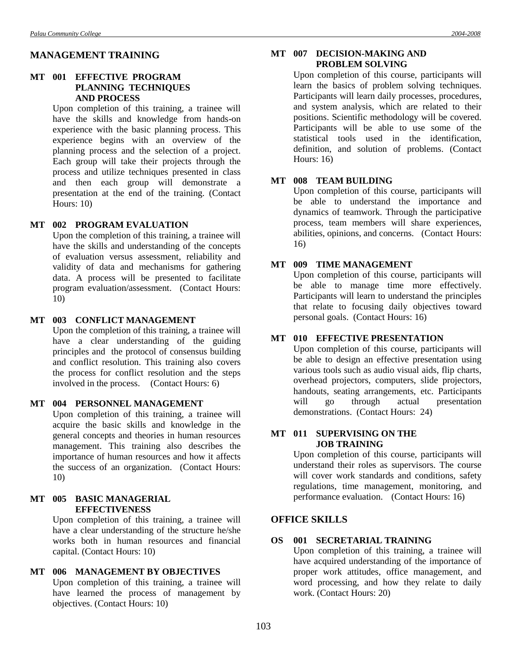# **MANAGEMENT TRAINING**

### **MT 001 EFFECTIVE PROGRAM PLANNING TECHNIQUES AND PROCESS**

Upon completion of this training, a trainee will have the skills and knowledge from hands-on experience with the basic planning process. This experience begins with an overview of the planning process and the selection of a project. Each group will take their projects through the process and utilize techniques presented in class and then each group will demonstrate a presentation at the end of the training. (Contact Hours: 10)

### **MT 002 PROGRAM EVALUATION**

Upon the completion of this training, a trainee will have the skills and understanding of the concepts of evaluation versus assessment, reliability and validity of data and mechanisms for gathering data. A process will be presented to facilitate program evaluation/assessment. (Contact Hours: 10)

## **MT 003 CONFLICT MANAGEMENT**

Upon the completion of this training, a trainee will have a clear understanding of the guiding principles and the protocol of consensus building and conflict resolution. This training also covers the process for conflict resolution and the steps involved in the process. (Contact Hours: 6)

#### **MT 004 PERSONNEL MANAGEMENT**

Upon completion of this training, a trainee will acquire the basic skills and knowledge in the general concepts and theories in human resources management. This training also describes the importance of human resources and how it affects the success of an organization. (Contact Hours: 10)

### **MT 005 BASIC MANAGERIAL EFFECTIVENESS**

Upon completion of this training, a trainee will have a clear understanding of the structure he/she works both in human resources and financial capital. (Contact Hours: 10)

# **MT 006 MANAGEMENT BY OBJECTIVES**

Upon completion of this training, a trainee will have learned the process of management by objectives. (Contact Hours: 10)

# **MT 007 DECISION-MAKING AND PROBLEM SOLVING**

Upon completion of this course, participants will learn the basics of problem solving techniques. Participants will learn daily processes, procedures, and system analysis, which are related to their positions. Scientific methodology will be covered. Participants will be able to use some of the statistical tools used in the identification, definition, and solution of problems. (Contact Hours: 16)

# **MT 008 TEAM BUILDING**

Upon completion of this course, participants will be able to understand the importance and dynamics of teamwork. Through the participative process, team members will share experiences, abilities, opinions, and concerns. (Contact Hours: 16)

#### **MT 009 TIME MANAGEMENT**

Upon completion of this course, participants will be able to manage time more effectively. Participants will learn to understand the principles that relate to focusing daily objectives toward personal goals. (Contact Hours: 16)

# **MT 010 EFFECTIVE PRESENTATION**

Upon completion of this course, participants will be able to design an effective presentation using various tools such as audio visual aids, flip charts, overhead projectors, computers, slide projectors, handouts, seating arrangements, etc. Participants will go through actual presentation demonstrations. (Contact Hours: 24)

# **MT 011 SUPERVISING ON THE JOB TRAINING**

Upon completion of this course, participants will understand their roles as supervisors. The course will cover work standards and conditions, safety regulations, time management, monitoring, and performance evaluation. (Contact Hours: 16)

# **OFFICE SKILLS**

# **OS 001 SECRETARIAL TRAINING**

Upon completion of this training, a trainee will have acquired understanding of the importance of proper work attitudes, office management, and word processing, and how they relate to daily work. (Contact Hours: 20)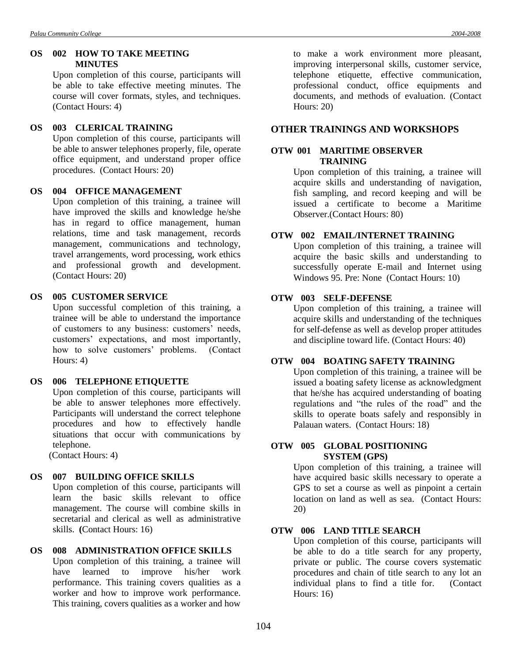# **OS 002 HOW TO TAKE MEETING MINUTES**

Upon completion of this course, participants will be able to take effective meeting minutes. The course will cover formats, styles, and techniques. (Contact Hours: 4)

# **OS 003 CLERICAL TRAINING**

Upon completion of this course, participants will be able to answer telephones properly, file, operate office equipment, and understand proper office procedures. (Contact Hours: 20)

# **OS 004 OFFICE MANAGEMENT**

Upon completion of this training, a trainee will have improved the skills and knowledge he/she has in regard to office management, human relations, time and task management, records management, communications and technology, travel arrangements, word processing, work ethics and professional growth and development. (Contact Hours: 20)

#### **OS 005 CUSTOMER SERVICE**

Upon successful completion of this training, a trainee will be able to understand the importance of customers to any business: customers' needs, customers' expectations, and most importantly, how to solve customers' problems. (Contact Hours: 4)

## **OS 006 TELEPHONE ETIQUETTE**

Upon completion of this course, participants will be able to answer telephones more effectively. Participants will understand the correct telephone procedures and how to effectively handle situations that occur with communications by telephone.

(Contact Hours: 4)

# **OS 007 BUILDING OFFICE SKILLS**

Upon completion of this course, participants will learn the basic skills relevant to office management. The course will combine skills in secretarial and clerical as well as administrative skills. **(**Contact Hours: 16)

# **OS 008 ADMINISTRATION OFFICE SKILLS**

Upon completion of this training, a trainee will have learned to improve his/her work performance. This training covers qualities as a worker and how to improve work performance. This training, covers qualities as a worker and how

to make a work environment more pleasant, improving interpersonal skills, customer service, telephone etiquette, effective communication, professional conduct, office equipments and documents, and methods of evaluation. (Contact Hours: 20)

# **OTHER TRAININGS AND WORKSHOPS**

# **OTW 001 MARITIME OBSERVER TRAINING**

Upon completion of this training, a trainee will acquire skills and understanding of navigation, fish sampling, and record keeping and will be issued a certificate to become a Maritime Observer.(Contact Hours: 80)

# **OTW 002 EMAIL/INTERNET TRAINING**

Upon completion of this training, a trainee will acquire the basic skills and understanding to successfully operate E-mail and Internet using Windows 95. Pre: None (Contact Hours: 10)

# **OTW 003 SELF-DEFENSE**

Upon completion of this training, a trainee will acquire skills and understanding of the techniques for self-defense as well as develop proper attitudes and discipline toward life. (Contact Hours: 40)

# **OTW 004 BOATING SAFETY TRAINING**

Upon completion of this training, a trainee will be issued a boating safety license as acknowledgment that he/she has acquired understanding of boating regulations and "the rules of the road" and the skills to operate boats safely and responsibly in Palauan waters. (Contact Hours: 18)

# **OTW 005 GLOBAL POSITIONING SYSTEM (GPS)**

Upon completion of this training, a trainee will have acquired basic skills necessary to operate a GPS to set a course as well as pinpoint a certain location on land as well as sea. (Contact Hours: 20)

# **OTW 006 LAND TITLE SEARCH**

Upon completion of this course, participants will be able to do a title search for any property, private or public. The course covers systematic procedures and chain of title search to any lot an individual plans to find a title for. (Contact Hours: 16)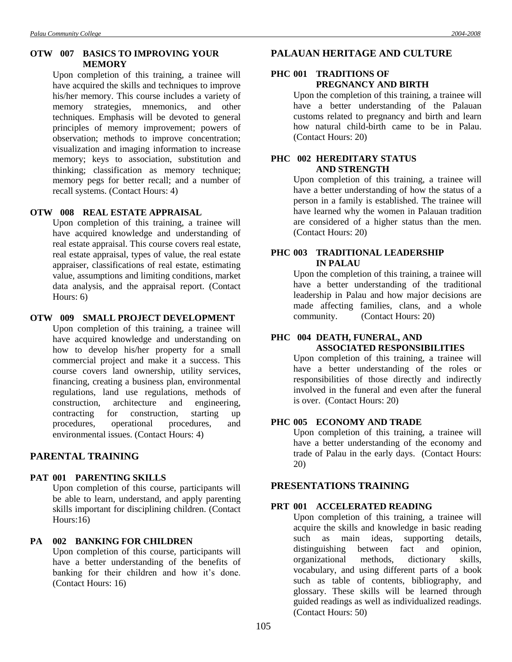#### **OTW 007 BASICS TO IMPROVING YOUR MEMORY**

Upon completion of this training, a trainee will have acquired the skills and techniques to improve his/her memory. This course includes a variety of memory strategies, mnemonics, and other techniques. Emphasis will be devoted to general principles of memory improvement; powers of observation; methods to improve concentration; visualization and imaging information to increase memory; keys to association, substitution and thinking; classification as memory technique; memory pegs for better recall; and a number of recall systems. (Contact Hours: 4)

#### **OTW 008 REAL ESTATE APPRAISAL**

Upon completion of this training, a trainee will have acquired knowledge and understanding of real estate appraisal. This course covers real estate, real estate appraisal, types of value, the real estate appraiser, classifications of real estate, estimating value, assumptions and limiting conditions, market data analysis, and the appraisal report. (Contact Hours: 6)

#### **OTW 009 SMALL PROJECT DEVELOPMENT**

Upon completion of this training, a trainee will have acquired knowledge and understanding on how to develop his/her property for a small commercial project and make it a success. This course covers land ownership, utility services, financing, creating a business plan, environmental regulations, land use regulations, methods of construction, architecture and engineering, contracting for construction, starting up procedures, operational procedures, and environmental issues. (Contact Hours: 4)

### **PARENTAL TRAINING**

#### **PAT 001 PARENTING SKILLS**

Upon completion of this course, participants will be able to learn, understand, and apply parenting skills important for disciplining children. (Contact Hours:16)

#### **PA 002 BANKING FOR CHILDREN**

Upon completion of this course, participants will have a better understanding of the benefits of banking for their children and how it's done. (Contact Hours: 16)

### **PALAUAN HERITAGE AND CULTURE**

#### **PHC 001 TRADITIONS OF PREGNANCY AND BIRTH**

Upon the completion of this training, a trainee will have a better understanding of the Palauan customs related to pregnancy and birth and learn how natural child-birth came to be in Palau. (Contact Hours: 20)

### **PHC 002 HEREDITARY STATUS AND STRENGTH**

Upon completion of this training, a trainee will have a better understanding of how the status of a person in a family is established. The trainee will have learned why the women in Palauan tradition are considered of a higher status than the men. (Contact Hours: 20)

### **PHC 003 TRADITIONAL LEADERSHIP IN PALAU**

Upon the completion of this training, a trainee will have a better understanding of the traditional leadership in Palau and how major decisions are made affecting families, clans, and a whole community. (Contact Hours: 20)

#### **PHC 004 DEATH, FUNERAL, AND ASSOCIATED RESPONSIBILITIES**

Upon completion of this training, a trainee will have a better understanding of the roles or responsibilities of those directly and indirectly involved in the funeral and even after the funeral is over. (Contact Hours: 20)

#### **PHC 005 ECONOMY AND TRADE**

Upon completion of this training, a trainee will have a better understanding of the economy and trade of Palau in the early days. (Contact Hours: 20)

#### **PRESENTATIONS TRAINING**

#### **PRT 001 ACCELERATED READING**

Upon completion of this training, a trainee will acquire the skills and knowledge in basic reading such as main ideas, supporting details, distinguishing between fact and opinion, organizational methods, dictionary skills, vocabulary, and using different parts of a book such as table of contents, bibliography, and glossary. These skills will be learned through guided readings as well as individualized readings. (Contact Hours: 50)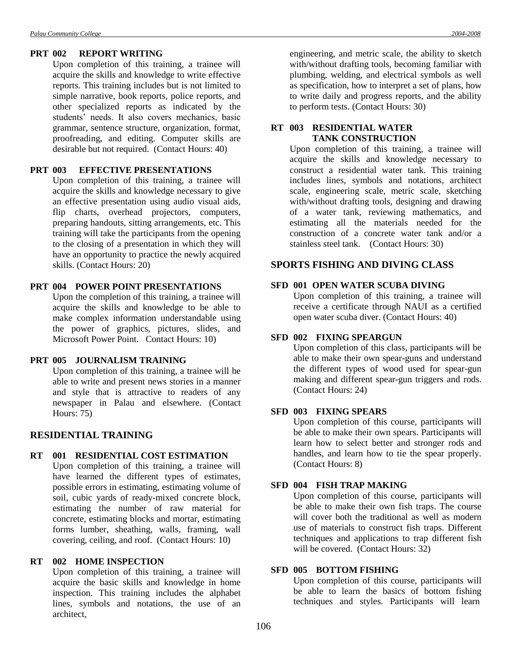Upon completion of this training, a trainee will acquire the skills and knowledge to write effective reports. This training includes but is not limited to simple narrative, book reports, police reports, and other specialized reports as indicated by the students' needs. It also covers mechanics, basic grammar, sentence structure, organization, format, proofreading, and editing. Computer skills are desirable but not required. (Contact Hours: 40)

#### **PRT 003 EFFECTIVE PRESENTATIONS**

Upon completion of this training, a trainee will acquire the skills and knowledge necessary to give an effective presentation using audio visual aids, flip charts, overhead projectors, computers, preparing handouts, sitting arrangements, etc. This training will take the participants from the opening to the closing of a presentation in which they will have an opportunity to practice the newly acquired skills. (Contact Hours: 20)

### **PRT 004 POWER POINT PRESENTATIONS**

Upon the completion of this training, a trainee will acquire the skills and knowledge to be able to make complex information understandable using the power of graphics, pictures, slides, and Microsoft Power Point. Contact Hours: 10)

#### **PRT 005 JOURNALISM TRAINING**

Upon completion of this training, a trainee will be able to write and present news stories in a manner and style that is attractive to readers of any newspaper in Palau and elsewhere. (Contact Hours: 75)

#### **RESIDENTIAL TRAINING**

#### **RT 001 RESIDENTIAL COST ESTIMATION**

Upon completion of this training, a trainee will have learned the different types of estimates, possible errors in estimating, estimating volume of soil, cubic yards of ready-mixed concrete block, estimating the number of raw material for concrete, estimating blocks and mortar, estimating forms lumber, sheathing, walls, framing, wall covering, ceiling, and roof. (Contact Hours: 10)

#### **RT 002 HOME INSPECTION**

Upon completion of this training, a trainee will acquire the basic skills and knowledge in home inspection. This training includes the alphabet lines, symbols and notations, the use of an architect,

engineering, and metric scale, the ability to sketch with/without drafting tools, becoming familiar with plumbing, welding, and electrical symbols as well as specification, how to interpret a set of plans, how to write daily and progress reports, and the ability to perform tests. (Contact Hours: 30)

#### **RT 003 RESIDENTIAL WATER TANK CONSTRUCTION**

Upon completion of this training, a trainee will acquire the skills and knowledge necessary to construct a residential water tank. This training includes lines, symbols and notations, architect scale, engineering scale, metric scale, sketching with/without drafting tools, designing and drawing of a water tank, reviewing mathematics, and estimating all the materials needed for the construction of a concrete water tank and/or a stainless steel tank. (Contact Hours: 30)

### **SPORTS FISHING AND DIVING CLASS**

#### **SFD 001 OPEN WATER SCUBA DIVING**

Upon completion of this training, a trainee will receive a certificate through NAUI as a certified open water scuba diver. (Contact Hours: 40)

### **SFD 002 FIXING SPEARGUN**

Upon completion of this class, participants will be able to make their own spear-guns and understand the different types of wood used for spear-gun making and different spear-gun triggers and rods. (Contact Hours: 24)

#### **SFD 003 FIXING SPEARS**

Upon completion of this course, participants will be able to make their own spears. Participants will learn how to select better and stronger rods and handles, and learn how to tie the spear properly. (Contact Hours: 8)

#### **SFD 004 FISH TRAP MAKING**

Upon completion of this course, participants will be able to make their own fish traps. The course will cover both the traditional as well as modern use of materials to construct fish traps. Different techniques and applications to trap different fish will be covered. (Contact Hours: 32)

#### **SFD 005 BOTTOM FISHING**

Upon completion of this course, participants will be able to learn the basics of bottom fishing techniques and styles. Participants will learn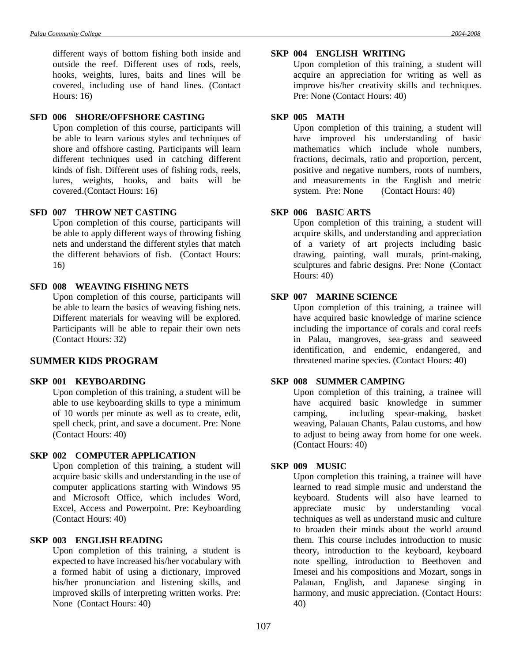different ways of bottom fishing both inside and outside the reef. Different uses of rods, reels, hooks, weights, lures, baits and lines will be covered, including use of hand lines. (Contact Hours: 16)

#### **SFD 006 SHORE/OFFSHORE CASTING**

Upon completion of this course, participants will be able to learn various styles and techniques of shore and offshore casting. Participants will learn different techniques used in catching different kinds of fish. Different uses of fishing rods, reels, lures, weights, hooks, and baits will be covered.(Contact Hours: 16)

#### **SFD 007 THROW NET CASTING**

Upon completion of this course, participants will be able to apply different ways of throwing fishing nets and understand the different styles that match the different behaviors of fish. (Contact Hours: 16)

#### **SFD 008 WEAVING FISHING NETS**

Upon completion of this course, participants will be able to learn the basics of weaving fishing nets. Different materials for weaving will be explored. Participants will be able to repair their own nets (Contact Hours: 32)

#### **SUMMER KIDS PROGRAM**

#### **SKP 001 KEYBOARDING**

Upon completion of this training, a student will be able to use keyboarding skills to type a minimum of 10 words per minute as well as to create, edit, spell check, print, and save a document. Pre: None (Contact Hours: 40)

#### **SKP 002 COMPUTER APPLICATION**

Upon completion of this training, a student will acquire basic skills and understanding in the use of computer applications starting with Windows 95 and Microsoft Office, which includes Word, Excel, Access and Powerpoint. Pre: Keyboarding (Contact Hours: 40)

#### **SKP 003 ENGLISH READING**

Upon completion of this training, a student is expected to have increased his/her vocabulary with a formed habit of using a dictionary, improved his/her pronunciation and listening skills, and improved skills of interpreting written works. Pre: None (Contact Hours: 40)

#### **SKP 004 ENGLISH WRITING**

Upon completion of this training, a student will acquire an appreciation for writing as well as improve his/her creativity skills and techniques. Pre: None (Contact Hours: 40)

#### **SKP 005 MATH**

Upon completion of this training, a student will have improved his understanding of basic mathematics which include whole numbers, fractions, decimals, ratio and proportion, percent, positive and negative numbers, roots of numbers, and measurements in the English and metric system. Pre: None (Contact Hours: 40)

#### **SKP 006 BASIC ARTS**

Upon completion of this training, a student will acquire skills, and understanding and appreciation of a variety of art projects including basic drawing, painting, wall murals, print-making, sculptures and fabric designs. Pre: None (Contact Hours: 40)

#### **SKP 007 MARINE SCIENCE**

Upon completion of this training, a trainee will have acquired basic knowledge of marine science including the importance of corals and coral reefs in Palau, mangroves, sea-grass and seaweed identification, and endemic, endangered, and threatened marine species. (Contact Hours: 40)

#### **SKP 008 SUMMER CAMPING**

Upon completion of this training, a trainee will have acquired basic knowledge in summer camping, including spear-making, basket weaving, Palauan Chants, Palau customs, and how to adjust to being away from home for one week. (Contact Hours: 40)

#### **SKP 009 MUSIC**

Upon completion this training, a trainee will have learned to read simple music and understand the keyboard. Students will also have learned to appreciate music by understanding vocal techniques as well as understand music and culture to broaden their minds about the world around them. This course includes introduction to music theory, introduction to the keyboard, keyboard note spelling, introduction to Beethoven and Imesei and his compositions and Mozart, songs in Palauan, English, and Japanese singing in harmony, and music appreciation. (Contact Hours: 40)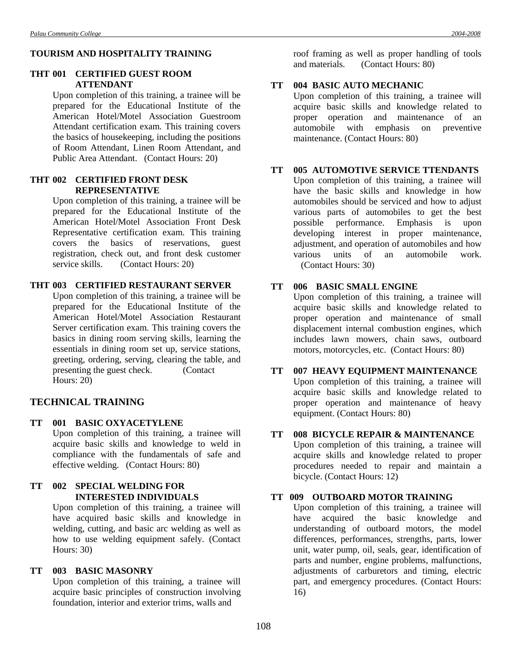#### **TOURISM AND HOSPITALITY TRAINING**

#### **THT 001 CERTIFIED GUEST ROOM ATTENDANT**

Upon completion of this training, a trainee will be prepared for the Educational Institute of the American Hotel/Motel Association Guestroom Attendant certification exam. This training covers the basics of housekeeping, including the positions of Room Attendant, Linen Room Attendant, and Public Area Attendant. (Contact Hours: 20)

#### **THT 002 CERTIFIED FRONT DESK REPRESENTATIVE**

Upon completion of this training, a trainee will be prepared for the Educational Institute of the American Hotel/Motel Association Front Desk Representative certification exam. This training covers the basics of reservations, guest registration, check out, and front desk customer service skills. (Contact Hours: 20)

### **THT 003 CERTIFIED RESTAURANT SERVER**

Upon completion of this training, a trainee will be prepared for the Educational Institute of the American Hotel/Motel Association Restaurant Server certification exam. This training covers the basics in dining room serving skills, learning the essentials in dining room set up, service stations, greeting, ordering, serving, clearing the table, and presenting the guest check. (Contact Hours: 20)

#### **TECHNICAL TRAINING**

# **TT 001 BASIC OXYACETYLENE** Upon completion of this training, a trainee will

acquire basic skills and knowledge to weld in compliance with the fundamentals of safe and effective welding. (Contact Hours: 80)

### **TT 002 SPECIAL WELDING FOR INTERESTED INDIVIDUALS**

Upon completion of this training, a trainee will have acquired basic skills and knowledge in welding, cutting, and basic arc welding as well as how to use welding equipment safely. (Contact Hours: 30)

### **TT 003 BASIC MASONRY**

Upon completion of this training, a trainee will acquire basic principles of construction involving foundation, interior and exterior trims, walls and

roof framing as well as proper handling of tools and materials. (Contact Hours: 80)

#### **TT 004 BASIC AUTO MECHANIC**

Upon completion of this training, a trainee will acquire basic skills and knowledge related to proper operation and maintenance of an automobile with emphasis on preventive maintenance. (Contact Hours: 80)

#### **TT 005 AUTOMOTIVE SERVICE TTENDANTS**

Upon completion of this training, a trainee will have the basic skills and knowledge in how automobiles should be serviced and how to adjust various parts of automobiles to get the best possible performance. Emphasis is upon developing interest in proper maintenance, adjustment, and operation of automobiles and how various units of an automobile work. (Contact Hours: 30)

### **TT 006 BASIC SMALL ENGINE**

Upon completion of this training, a trainee will acquire basic skills and knowledge related to proper operation and maintenance of small displacement internal combustion engines, which includes lawn mowers, chain saws, outboard motors, motorcycles, etc. (Contact Hours: 80)

#### **TT 007 HEAVY EQUIPMENT MAINTENANCE**

Upon completion of this training, a trainee will acquire basic skills and knowledge related to proper operation and maintenance of heavy equipment. (Contact Hours: 80)

#### **TT 008 BICYCLE REPAIR & MAINTENANCE**

Upon completion of this training, a trainee will acquire skills and knowledge related to proper procedures needed to repair and maintain a bicycle. (Contact Hours: 12)

#### **TT 009 OUTBOARD MOTOR TRAINING**

Upon completion of this training, a trainee will have acquired the basic knowledge and understanding of outboard motors, the model differences, performances, strengths, parts, lower unit, water pump, oil, seals, gear, identification of parts and number, engine problems, malfunctions, adjustments of carburetors and timing, electric part, and emergency procedures. (Contact Hours: 16)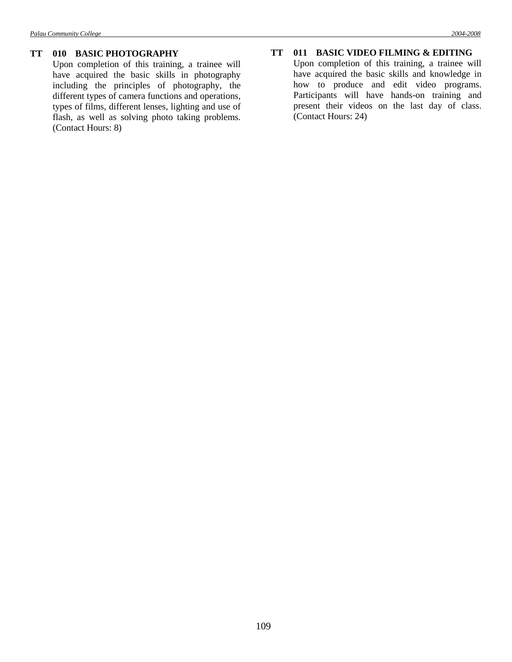#### **TT 010 BASIC PHOTOGRAPHY**

Upon completion of this training, a trainee will have acquired the basic skills in photography including the principles of photography, the different types of camera functions and operations, types of films, different lenses, lighting and use of flash, as well as solving photo taking problems. (Contact Hours: 8)

### **TT 011 BASIC VIDEO FILMING & EDITING**

Upon completion of this training, a trainee will have acquired the basic skills and knowledge in how to produce and edit video programs. Participants will have hands-on training and present their videos on the last day of class. (Contact Hours: 24)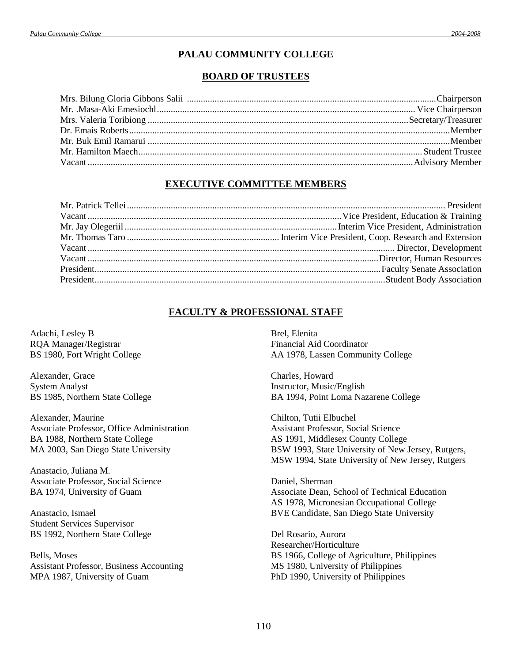### **PALAU COMMUNITY COLLEGE**

### **BOARD OF TRUSTEES**

### **EXECUTIVE COMMITTEE MEMBERS**

### **FACULTY & PROFESSIONAL STAFF**

Adachi, Lesley B RQA Manager/Registrar BS 1980, Fort Wright College

Alexander, Grace System Analyst BS 1985, Northern State College

Alexander, Maurine Associate Professor, Office Administration BA 1988, Northern State College MA 2003, San Diego State University

Anastacio, Juliana M. Associate Professor, Social Science BA 1974, University of Guam

Anastacio, Ismael Student Services Supervisor BS 1992, Northern State College

Bells, Moses Assistant Professor, Business Accounting MPA 1987, University of Guam

Brel, Elenita Financial Aid Coordinator AA 1978, Lassen Community College

Charles, Howard Instructor, Music/English BA 1994, Point Loma Nazarene College

Chilton, Tutii Elbuchel Assistant Professor, Social Science AS 1991, Middlesex County College BSW 1993, State University of New Jersey, Rutgers, MSW 1994, State University of New Jersey, Rutgers

Daniel, Sherman Associate Dean, School of Technical Education AS 1978, Micronesian Occupational College BVE Candidate, San Diego State University

Del Rosario, Aurora Researcher/Horticulture BS 1966, College of Agriculture, Philippines MS 1980, University of Philippines PhD 1990, University of Philippines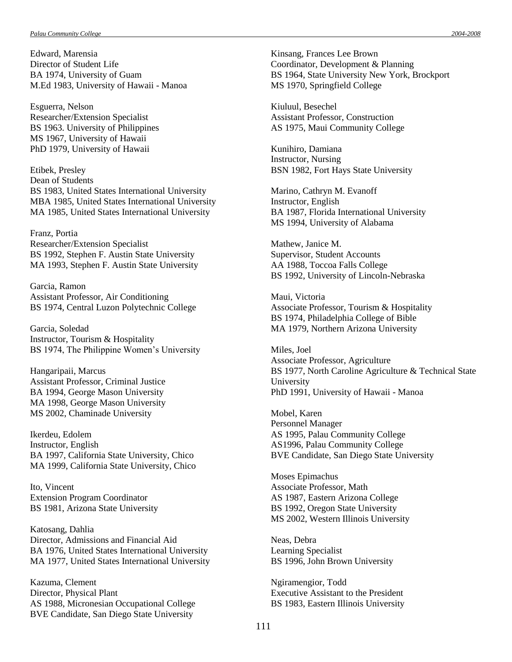Edward, Marensia Director of Student Life BA 1974, University of Guam M.Ed 1983, University of Hawaii - Manoa

Esguerra, Nelson Researcher/Extension Specialist BS 1963. University of Philippines MS 1967, University of Hawaii PhD 1979, University of Hawaii

Etibek, Presley Dean of Students BS 1983, United States International University MBA 1985, United States International University MA 1985, United States International University

Franz, Portia Researcher/Extension Specialist BS 1992, Stephen F. Austin State University MA 1993, Stephen F. Austin State University

Garcia, Ramon Assistant Professor, Air Conditioning BS 1974, Central Luzon Polytechnic College

Garcia, Soledad Instructor, Tourism & Hospitality BS 1974, The Philippine Women's University

Hangaripaii, Marcus Assistant Professor, Criminal Justice BA 1994, George Mason University MA 1998, George Mason University MS 2002, Chaminade University

Ikerdeu, Edolem Instructor, English BA 1997, California State University, Chico MA 1999, California State University, Chico

Ito, Vincent Extension Program Coordinator BS 1981, Arizona State University

Katosang, Dahlia Director, Admissions and Financial Aid BA 1976, United States International University MA 1977, United States International University

Kazuma, Clement Director, Physical Plant AS 1988, Micronesian Occupational College BVE Candidate, San Diego State University

Kinsang, Frances Lee Brown Coordinator, Development & Planning BS 1964, State University New York, Brockport MS 1970, Springfield College

Kiuluul, Besechel Assistant Professor, Construction AS 1975, Maui Community College

Kunihiro, Damiana Instructor, Nursing BSN 1982, Fort Hays State University

Marino, Cathryn M. Evanoff Instructor, English BA 1987, Florida International University MS 1994, University of Alabama

Mathew, Janice M. Supervisor, Student Accounts AA 1988, Toccoa Falls College BS 1992, University of Lincoln-Nebraska

Maui, Victoria Associate Professor, Tourism & Hospitality BS 1974, Philadelphia College of Bible MA 1979, Northern Arizona University

Miles, Joel Associate Professor, Agriculture BS 1977, North Caroline Agriculture & Technical State University PhD 1991, University of Hawaii - Manoa

Mobel, Karen Personnel Manager AS 1995, Palau Community College AS1996, Palau Community College BVE Candidate, San Diego State University

Moses Epimachus Associate Professor, Math AS 1987, Eastern Arizona College BS 1992, Oregon State University MS 2002, Western Illinois University

Neas, Debra Learning Specialist BS 1996, John Brown University

Ngiramengior, Todd Executive Assistant to the President BS 1983, Eastern Illinois University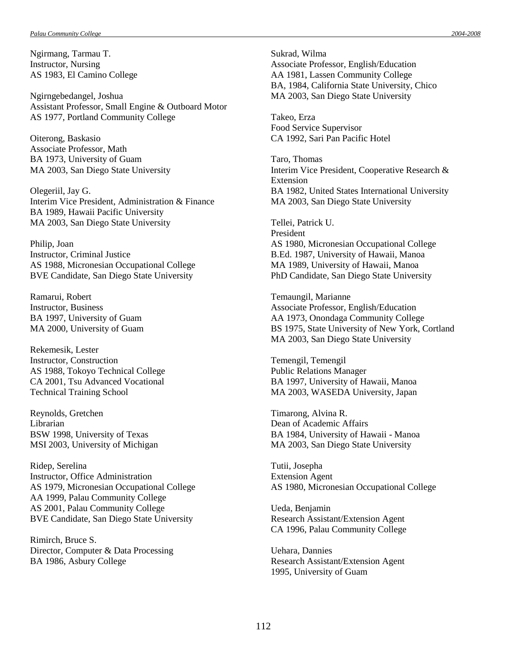Ngirmang, Tarmau T. Instructor, Nursing AS 1983, El Camino College

Ngirngebedangel, Joshua Assistant Professor, Small Engine & Outboard Motor AS 1977, Portland Community College

Oiterong, Baskasio Associate Professor, Math BA 1973, University of Guam MA 2003, San Diego State University

Olegeriil, Jay G. Interim Vice President, Administration & Finance BA 1989, Hawaii Pacific University MA 2003, San Diego State University

Philip, Joan Instructor, Criminal Justice AS 1988, Micronesian Occupational College BVE Candidate, San Diego State University

Ramarui, Robert Instructor, Business BA 1997, University of Guam MA 2000, University of Guam

Rekemesik, Lester Instructor, Construction AS 1988, Tokoyo Technical College CA 2001, Tsu Advanced Vocational Technical Training School

Reynolds, Gretchen Librarian BSW 1998, University of Texas MSI 2003, University of Michigan

Ridep, Serelina Instructor, Office Administration AS 1979, Micronesian Occupational College AA 1999, Palau Community College AS 2001, Palau Community College BVE Candidate, San Diego State University

Rimirch, Bruce S. Director, Computer & Data Processing BA 1986, Asbury College

Sukrad, Wilma Associate Professor, English/Education AA 1981, Lassen Community College BA, 1984, California State University, Chico MA 2003, San Diego State University

Takeo, Erza Food Service Supervisor CA 1992, Sari Pan Pacific Hotel

Taro, Thomas Interim Vice President, Cooperative Research & Extension BA 1982, United States International University MA 2003, San Diego State University

Tellei, Patrick U. President AS 1980, Micronesian Occupational College B.Ed. 1987, University of Hawaii, Manoa MA 1989, University of Hawaii, Manoa PhD Candidate, San Diego State University

Temaungil, Marianne Associate Professor, English/Education AA 1973, Onondaga Community College BS 1975, State University of New York, Cortland MA 2003, San Diego State University

Temengil, Temengil Public Relations Manager BA 1997, University of Hawaii, Manoa MA 2003, WASEDA University, Japan

Timarong, Alvina R. Dean of Academic Affairs BA 1984, University of Hawaii - Manoa MA 2003, San Diego State University

Tutii, Josepha Extension Agent AS 1980, Micronesian Occupational College

Ueda, Benjamin Research Assistant/Extension Agent CA 1996, Palau Community College

Uehara, Dannies Research Assistant/Extension Agent 1995, University of Guam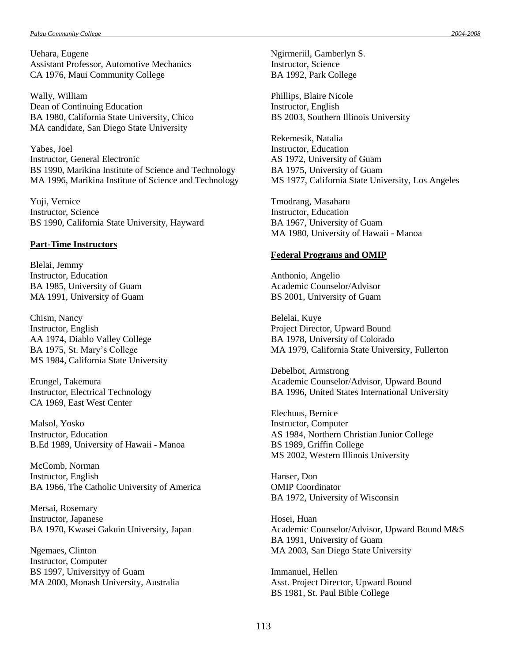Uehara, Eugene Assistant Professor, Automotive Mechanics CA 1976, Maui Community College

Wally, William Dean of Continuing Education BA 1980, California State University, Chico MA candidate, San Diego State University

Yabes, Joel Instructor, General Electronic BS 1990, Marikina Institute of Science and Technology MA 1996, Marikina Institute of Science and Technology

Yuji, Vernice Instructor, Science BS 1990, California State University, Hayward

#### **Part-Time Instructors**

Blelai, Jemmy Instructor, Education BA 1985, University of Guam MA 1991, University of Guam

Chism, Nancy Instructor, English AA 1974, Diablo Valley College BA 1975, St. Mary's College MS 1984, California State University

Erungel, Takemura Instructor, Electrical Technology CA 1969, East West Center

Malsol, Yosko Instructor, Education B.Ed 1989, University of Hawaii - Manoa

McComb, Norman Instructor, English BA 1966, The Catholic University of America

Mersai, Rosemary Instructor, Japanese BA 1970, Kwasei Gakuin University, Japan

Ngemaes, Clinton Instructor, Computer BS 1997, Universityy of Guam MA 2000, Monash University, Australia Ngirmeriil, Gamberlyn S. Instructor, Science BA 1992, Park College

Phillips, Blaire Nicole Instructor, English BS 2003, Southern Illinois University

Rekemesik, Natalia Instructor, Education AS 1972, University of Guam BA 1975, University of Guam MS 1977, California State University, Los Angeles

Tmodrang, Masaharu Instructor, Education BA 1967, University of Guam MA 1980, University of Hawaii - Manoa

#### **Federal Programs and OMIP**

Anthonio, Angelio Academic Counselor/Advisor BS 2001, University of Guam

Belelai, Kuye Project Director, Upward Bound BA 1978, University of Colorado MA 1979, California State University, Fullerton

Debelbot, Armstrong Academic Counselor/Advisor, Upward Bound BA 1996, United States International University

Elechuus, Bernice Instructor, Computer AS 1984, Northern Christian Junior College BS 1989, Griffin College MS 2002, Western Illinois University

Hanser, Don OMIP Coordinator BA 1972, University of Wisconsin

Hosei, Huan Academic Counselor/Advisor, Upward Bound M&S BA 1991, University of Guam MA 2003, San Diego State University

Immanuel, Hellen Asst. Project Director, Upward Bound BS 1981, St. Paul Bible College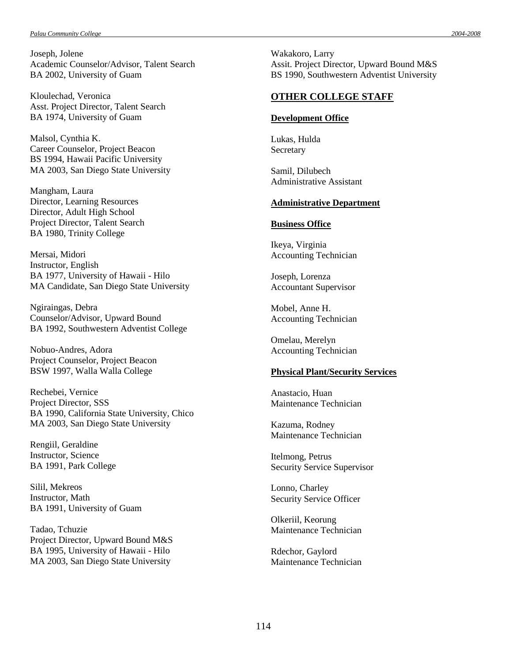Joseph, Jolene Academic Counselor/Advisor, Talent Search BA 2002, University of Guam

Kloulechad, Veronica Asst. Project Director, Talent Search BA 1974, University of Guam

Malsol, Cynthia K. Career Counselor, Project Beacon BS 1994, Hawaii Pacific University MA 2003, San Diego State University

Mangham, Laura Director, Learning Resources Director, Adult High School Project Director, Talent Search BA 1980, Trinity College

Mersai, Midori Instructor, English BA 1977, University of Hawaii - Hilo MA Candidate, San Diego State University

Ngiraingas, Debra Counselor/Advisor, Upward Bound BA 1992, Southwestern Adventist College

Nobuo-Andres, Adora Project Counselor, Project Beacon BSW 1997, Walla Walla College

Rechebei, Vernice Project Director, SSS BA 1990, California State University, Chico MA 2003, San Diego State University

Rengiil, Geraldine Instructor, Science BA 1991, Park College

Silil, Mekreos Instructor, Math BA 1991, University of Guam

Tadao, Tchuzie Project Director, Upward Bound M&S BA 1995, University of Hawaii - Hilo MA 2003, San Diego State University

Wakakoro, Larry Assit. Project Director, Upward Bound M&S BS 1990, Southwestern Adventist University

#### **OTHER COLLEGE STAFF**

#### **Development Office**

Lukas, Hulda Secretary

Samil, Dilubech Administrative Assistant

#### **Administrative Department**

#### **Business Office**

Ikeya, Virginia Accounting Technician

Joseph, Lorenza Accountant Supervisor

Mobel, Anne H. Accounting Technician

Omelau, Merelyn Accounting Technician

#### **Physical Plant/Security Services**

Anastacio, Huan Maintenance Technician

Kazuma, Rodney Maintenance Technician

Itelmong, Petrus Security Service Supervisor

Lonno, Charley Security Service Officer

Olkeriil, Keorung Maintenance Technician

Rdechor, Gaylord Maintenance Technician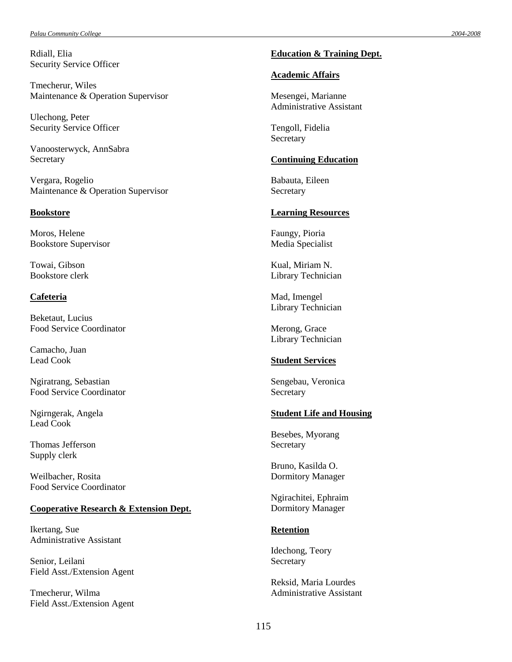Rdiall, Elia Security Service Officer

Tmecherur, Wiles Maintenance & Operation Supervisor

Ulechong, Peter Security Service Officer

Vanoosterwyck, AnnSabra Secretary

Vergara, Rogelio Maintenance & Operation Supervisor

#### **Bookstore**

Moros, Helene Bookstore Supervisor

Towai, Gibson Bookstore clerk

#### **Cafeteria**

Beketaut, Lucius Food Service Coordinator

Camacho, Juan Lead Cook

Ngiratrang, Sebastian Food Service Coordinator

Ngirngerak, Angela Lead Cook

Thomas Jefferson Supply clerk

Weilbacher, Rosita Food Service Coordinator

#### **Cooperative Research & Extension Dept.**

Ikertang, Sue Administrative Assistant

Senior, Leilani Field Asst./Extension Agent

Tmecherur, Wilma Field Asst./Extension Agent

#### **Education & Training Dept.**

#### **Academic Affairs**

Mesengei, Marianne Administrative Assistant

Tengoll, Fidelia **Secretary** 

#### **Continuing Education**

Babauta, Eileen **Secretary** 

#### **Learning Resources**

Faungy, Pioria Media Specialist

Kual, Miriam N. Library Technician

Mad, Imengel Library Technician

Merong, Grace Library Technician

#### **Student Services**

Sengebau, Veronica Secretary

#### **Student Life and Housing**

Besebes, Myorang **Secretary** 

Bruno, Kasilda O. Dormitory Manager

Ngirachitei, Ephraim Dormitory Manager

#### **Retention**

Idechong, Teory Secretary

Reksid, Maria Lourdes Administrative Assistant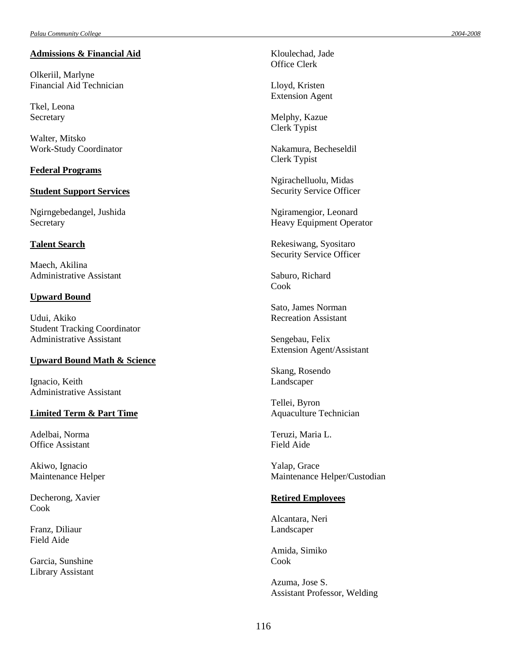#### **Admissions & Financial Aid**

Olkeriil, Marlyne Financial Aid Technician

Tkel, Leona Secretary

Walter, Mitsko Work -Study Coordinator

#### **Federal Programs**

#### **Student Support Services**

Ngirngebedangel, Jushida **Secretary** 

#### **Talent Search**

Maech, Akilina Administrative Assistant

#### **Upward Bound**

Udui, Akiko Student Tracking Coordinator Administrative Assistant

#### **Upward Bound Math & Science**

Ignacio, Keith Administrative Assistant

#### **Limited Term & Part Time**

Adelbai, Norma Office Assistant

Akiwo, Ignacio Maintenance Helper

Decherong, Xavier Cook

Franz, Diliaur Field Aide

Garcia, Sunshine Library Assistant Kloulechad, Jade Office Clerk

Lloyd, Kristen Extension Agent

Melphy, Kazue Clerk Typist

Nakamura, Becheseldil Clerk Typist

Ngirachelluolu, Midas Security Service Officer

Ngiramengior, Leonard Heavy Equipment Operator

Rekesiwang, Syositaro Security Service Officer

Saburo, Richard Cook

Sato, James Norman Recreation Assistant

Sengebau, Felix Extension Agent/Assistant

Skang, Rosendo Landscaper

Tellei, Byron Aquaculture Technician

Teruzi, Maria L. Field Aide

Yalap, Grace Maintenance Helper/Custodian

#### **Retired Employees**

Alcantara, Neri Landscaper

Amida, Simiko Cook

Azuma, Jose S. Assistant Professor, Welding *-2008*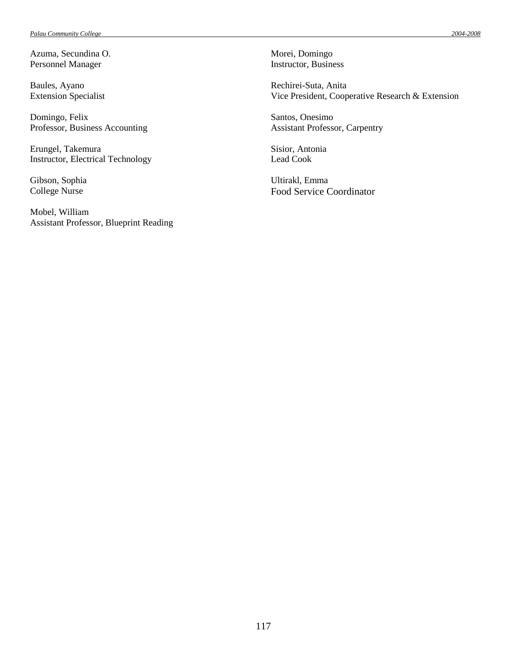Azuma, Secundina O. Personnel Manager

Baules, Ayano Extension Specialist

Domingo, Felix Professor, Business Accounting

Erungel, Takemura Instructor, Electrical Technology

Gibson, Sophia College Nurse

Mobel, William Assistant Professor, Blueprint Reading Morei, Domingo Instructor, Business

Rechirei-Suta, Anita Vice President, Cooperative Research & Extension

Santos, Onesimo Assistant Professor, Carpentry

Sisior, Antonia Lead Cook

Ultirakl, Emma Food Service Coordinator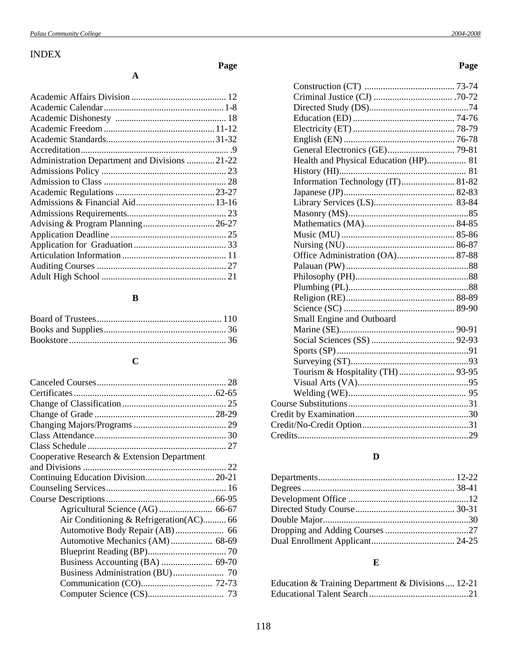# INDEX

# **Page**

| Administration Department and Divisions 21-22 |  |
|-----------------------------------------------|--|
|                                               |  |
|                                               |  |
|                                               |  |
|                                               |  |
|                                               |  |
|                                               |  |
|                                               |  |
|                                               |  |
|                                               |  |
|                                               |  |
|                                               |  |
|                                               |  |

**A**

# **B**

# **C**

| Cooperative Research & Extension Department |  |
|---------------------------------------------|--|
|                                             |  |
|                                             |  |
|                                             |  |
|                                             |  |
|                                             |  |
| Air Conditioning & Refrigeration(AC) 66     |  |
|                                             |  |
|                                             |  |
|                                             |  |
|                                             |  |
|                                             |  |
|                                             |  |
|                                             |  |
|                                             |  |

# **Page**

| Health and Physical Education (HP) 81 |  |
|---------------------------------------|--|
|                                       |  |
| Information Technology (IT) 81-82     |  |
|                                       |  |
|                                       |  |
|                                       |  |
|                                       |  |
|                                       |  |
|                                       |  |
| Office Administration (OA) 87-88      |  |
|                                       |  |
|                                       |  |
|                                       |  |
|                                       |  |
|                                       |  |
| Small Engine and Outboard             |  |
|                                       |  |
|                                       |  |
|                                       |  |
|                                       |  |
|                                       |  |
|                                       |  |
|                                       |  |
|                                       |  |
|                                       |  |
|                                       |  |
|                                       |  |

# **D**

# **E**

| Education & Training Department & Divisions  12-21 |  |
|----------------------------------------------------|--|
|                                                    |  |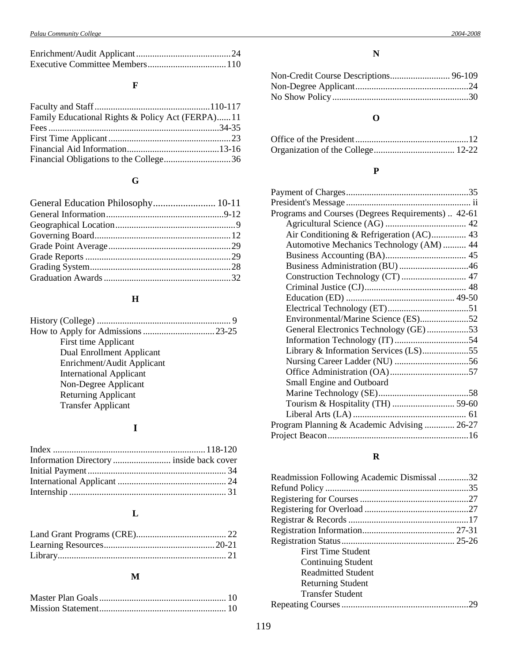# **F**

| Family Educational Rights & Policy Act (FERPA)11 |  |
|--------------------------------------------------|--|
|                                                  |  |
|                                                  |  |
|                                                  |  |
|                                                  |  |

# **G**

| General Education Philosophy 10-11 |  |
|------------------------------------|--|
|                                    |  |
|                                    |  |
|                                    |  |
|                                    |  |
|                                    |  |
|                                    |  |
|                                    |  |
|                                    |  |

# **H**

| First time Applicant           |  |
|--------------------------------|--|
| Dual Enrollment Applicant      |  |
| Enrichment/Audit Applicant     |  |
| <b>International Applicant</b> |  |
| Non-Degree Applicant           |  |
| <b>Returning Applicant</b>     |  |
| <b>Transfer Applicant</b>      |  |
|                                |  |

# **I**

# **L**

# **M**

# **N**

# **O**

### **P**

| Programs and Courses (Degrees Requirements)  42-61 |  |
|----------------------------------------------------|--|
|                                                    |  |
|                                                    |  |
| Automotive Mechanics Technology (AM)  44           |  |
|                                                    |  |
| Business Administration (BU)46                     |  |
| Construction Technology (CT)  47                   |  |
|                                                    |  |
|                                                    |  |
|                                                    |  |
| Environmental/Marine Science (ES)52                |  |
| General Electronics Technology (GE)53              |  |
|                                                    |  |
| Library & Information Services (LS)55              |  |
|                                                    |  |
|                                                    |  |
| Small Engine and Outboard                          |  |
|                                                    |  |
|                                                    |  |
|                                                    |  |
| Program Planning & Academic Advising  26-27        |  |
|                                                    |  |
|                                                    |  |

# **R**

| Readmission Following Academic Dismissal 32 |  |
|---------------------------------------------|--|
|                                             |  |
|                                             |  |
|                                             |  |
|                                             |  |
|                                             |  |
|                                             |  |
| First Time Student                          |  |
| Continuing Student                          |  |
| <b>Readmitted Student</b>                   |  |
| <b>Returning Student</b>                    |  |
| Transfer Student                            |  |
|                                             |  |
|                                             |  |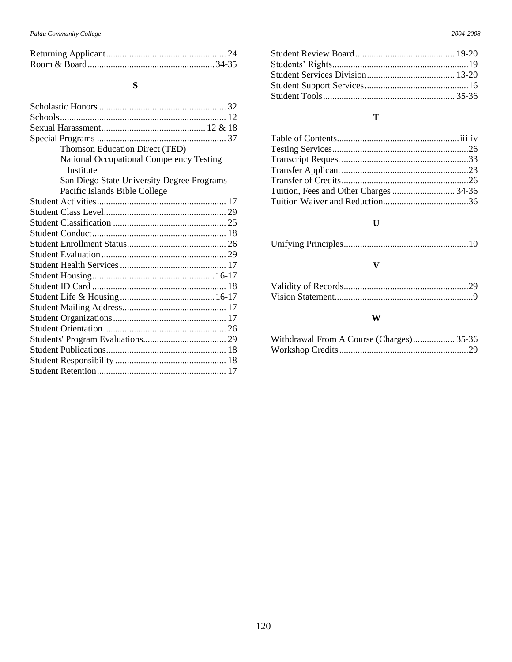# **S**

| Thomson Education Direct (TED)                  |
|-------------------------------------------------|
| <b>National Occupational Competency Testing</b> |
| Institute                                       |
| San Diego State University Degree Programs      |
| Pacific Islands Bible College                   |
|                                                 |
|                                                 |
|                                                 |
|                                                 |
|                                                 |
|                                                 |
|                                                 |
|                                                 |
|                                                 |
|                                                 |
|                                                 |
|                                                 |
|                                                 |
|                                                 |
|                                                 |
|                                                 |
|                                                 |

# **T**

# **U**

## **V**

### **W**

| Withdrawal From A Course (Charges) 35-36 |  |
|------------------------------------------|--|
|                                          |  |